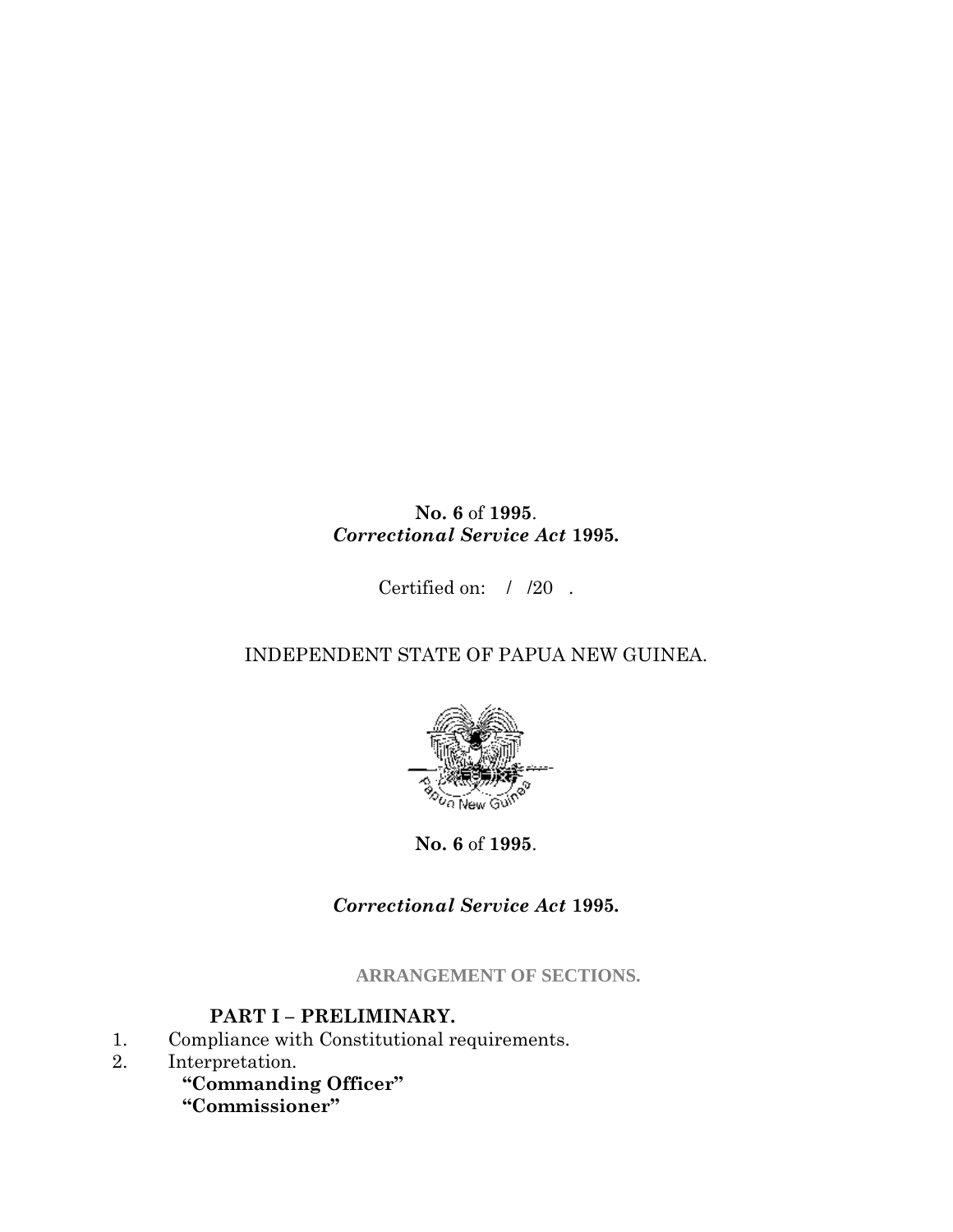## **No. 6** of **1995**. *Correctional Service Act* **1995***.*

Certified on: / /20 .

## INDEPENDENT STATE OF PAPUA NEW GUINEA.



**No. 6** of **1995**.

*Correctional Service Act* **1995***.*

**ARRANGEMENT OF SECTIONS.**

## **PART I – PRELIMINARY.**

- 1. Compliance with Constitutional requirements.
- 2. Interpretation.

**"Commanding Officer"**

**"Commissioner"**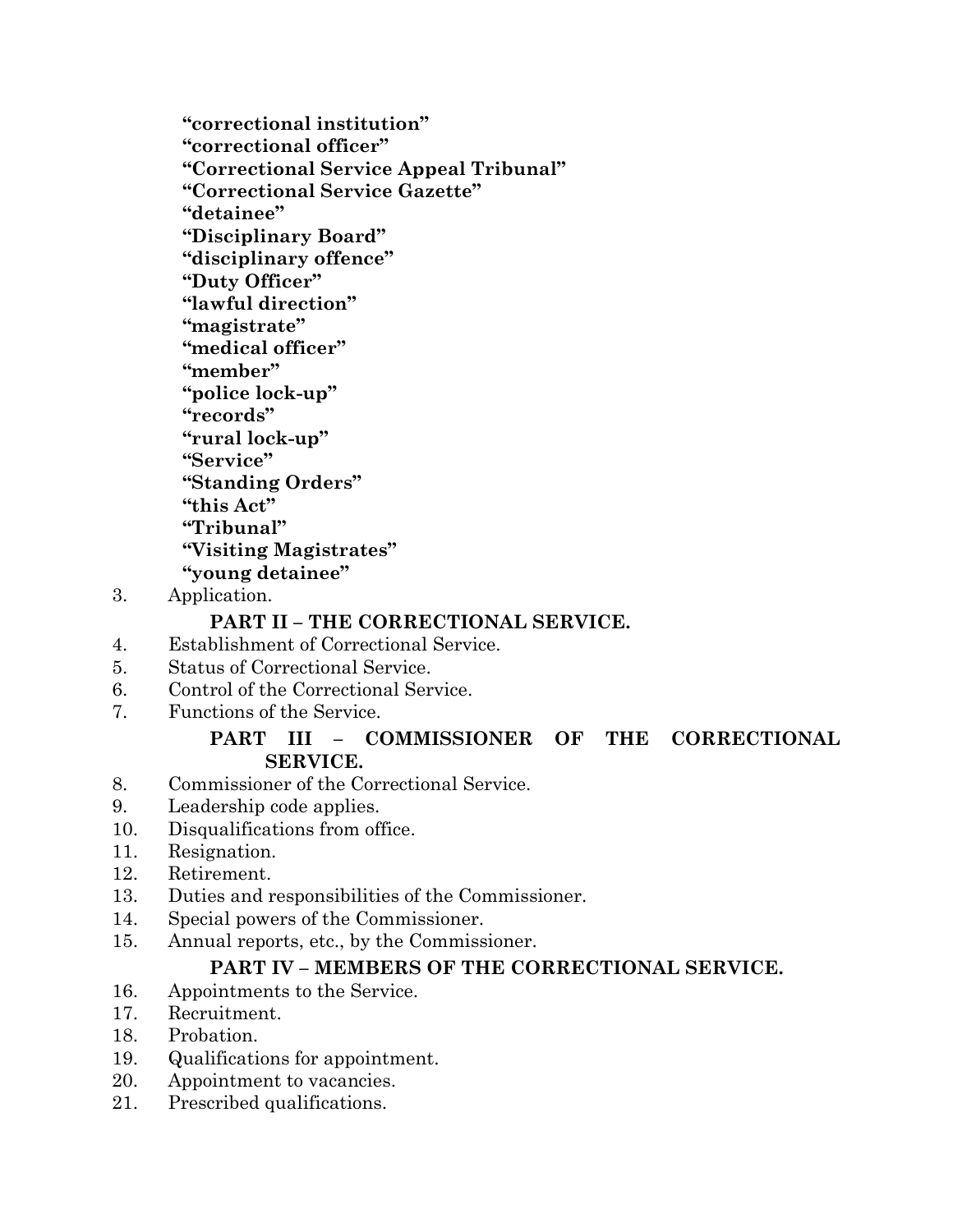**"correctional institution" "correctional officer" "Correctional Service Appeal Tribunal" "Correctional Service Gazette" "detainee" "Disciplinary Board" "disciplinary offence" "Duty Officer" "lawful direction" "magistrate" "medical officer" "member" "police lock-up" "records" "rural lock-up" "Service" "Standing Orders" "this Act" "Tribunal" "Visiting Magistrates" "young detainee"**

3. Application.

#### **PART II – THE CORRECTIONAL SERVICE.**

- 4. Establishment of Correctional Service.
- 5. Status of Correctional Service.
- 6. Control of the Correctional Service.
- 7. Functions of the Service.

#### **PART III – COMMISSIONER OF THE CORRECTIONAL SERVICE.**

- 8. Commissioner of the Correctional Service.
- 9. Leadership code applies.
- 10. Disqualifications from office.
- 11. Resignation.
- 12. Retirement.
- 13. Duties and responsibilities of the Commissioner.
- 14. Special powers of the Commissioner.
- 15. Annual reports, etc., by the Commissioner.

#### **PART IV – MEMBERS OF THE CORRECTIONAL SERVICE.**

- 16. Appointments to the Service.
- 17. Recruitment.
- 18. Probation.
- 19. Qualifications for appointment.
- 20. Appointment to vacancies.
- 21. Prescribed qualifications.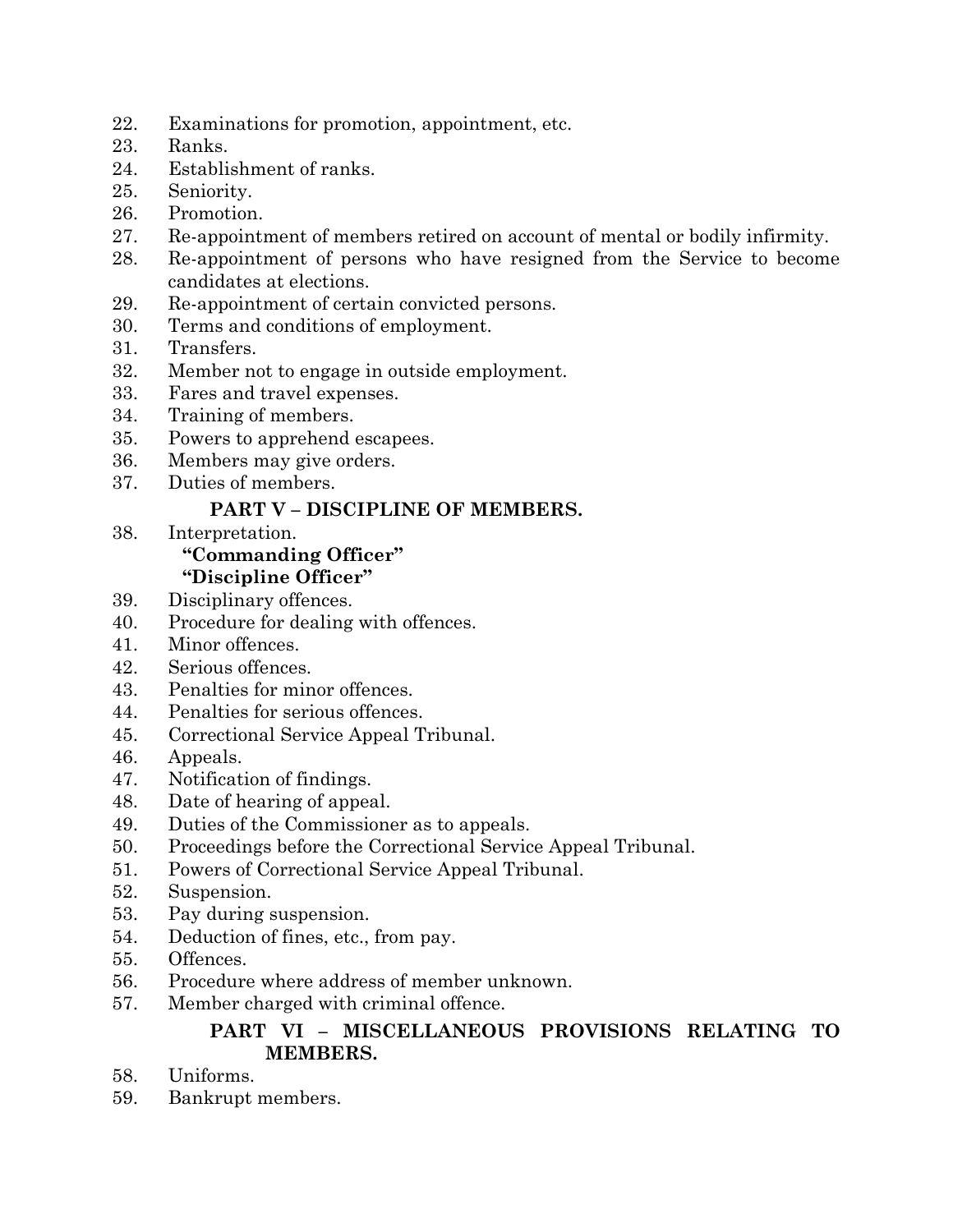- 22. Examinations for promotion, appointment, etc.
- 23. Ranks.
- 24. Establishment of ranks.
- 25. Seniority.
- 26. Promotion.
- 27. Re-appointment of members retired on account of mental or bodily infirmity.
- 28. Re-appointment of persons who have resigned from the Service to become candidates at elections.
- 29. Re-appointment of certain convicted persons.
- 30. Terms and conditions of employment.
- 31. Transfers.
- 32. Member not to engage in outside employment.
- 33. Fares and travel expenses.
- 34. Training of members.
- 35. Powers to apprehend escapees.
- 36. Members may give orders.
- 37. Duties of members.

## **PART V – DISCIPLINE OF MEMBERS.**

38. Interpretation.

# **"Commanding Officer"**

## **"Discipline Officer"**

- 39. Disciplinary offences.
- 40. Procedure for dealing with offences.
- 41. Minor offences.
- 42. Serious offences.
- 43. Penalties for minor offences.
- 44. Penalties for serious offences.
- 45. Correctional Service Appeal Tribunal.
- 46. Appeals.
- 47. Notification of findings.
- 48. Date of hearing of appeal.
- 49. Duties of the Commissioner as to appeals.
- 50. Proceedings before the Correctional Service Appeal Tribunal.
- 51. Powers of Correctional Service Appeal Tribunal.
- 52. Suspension.
- 53. Pay during suspension.
- 54. Deduction of fines, etc., from pay.
- 55. Offences.
- 56. Procedure where address of member unknown.
- 57. Member charged with criminal offence.

## **PART VI – MISCELLANEOUS PROVISIONS RELATING TO MEMBERS.**

- 58. Uniforms.
- 59. Bankrupt members.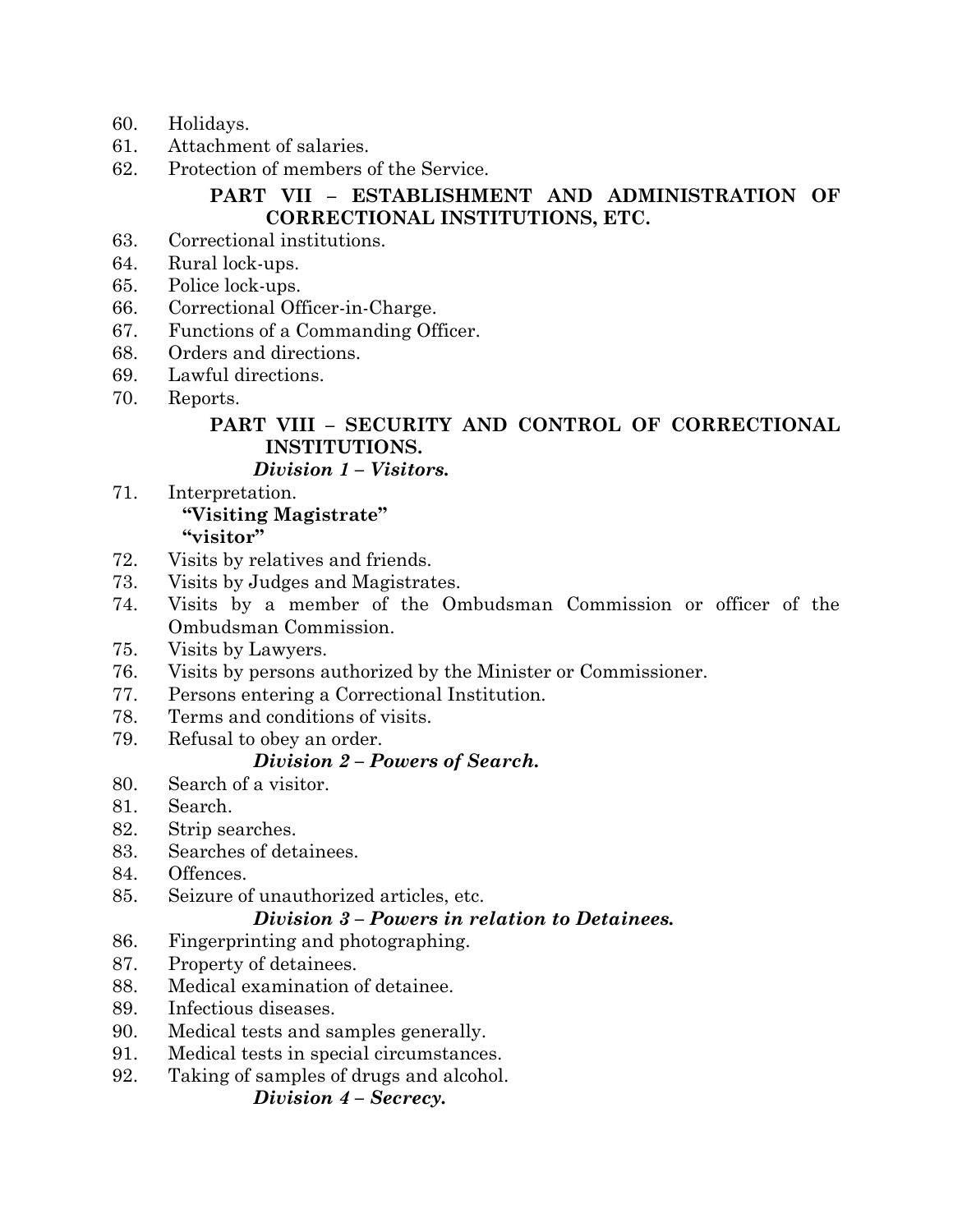- 60. Holidays.
- 61. Attachment of salaries.
- 62. Protection of members of the Service.

## **PART VII – ESTABLISHMENT AND ADMINISTRATION OF CORRECTIONAL INSTITUTIONS, ETC.**

- 63. Correctional institutions.
- 64. Rural lock-ups.
- 65. Police lock-ups.
- 66. Correctional Officer-in-Charge.
- 67. Functions of a Commanding Officer.
- 68. Orders and directions.
- 69. Lawful directions.
- 70. Reports.

## **PART VIII – SECURITY AND CONTROL OF CORRECTIONAL INSTITUTIONS.**

## *Division 1 – Visitors.*

- 71. Interpretation. **"Visiting Magistrate" "visitor"**
- 72. Visits by relatives and friends.
- 73. Visits by Judges and Magistrates.
- 74. Visits by a member of the Ombudsman Commission or officer of the Ombudsman Commission.
- 75. Visits by Lawyers.
- 76. Visits by persons authorized by the Minister or Commissioner.
- 77. Persons entering a Correctional Institution.
- 78. Terms and conditions of visits.
- 79. Refusal to obey an order.

## *Division 2 – Powers of Search.*

- 80. Search of a visitor.
- 81. Search.
- 82. Strip searches.
- 83. Searches of detainees.
- 84. Offences.
- 85. Seizure of unauthorized articles, etc.

## *Division 3 – Powers in relation to Detainees.*

- 86. Fingerprinting and photographing.
- 87. Property of detainees.
- 88. Medical examination of detainee.
- 89. Infectious diseases.
- 90. Medical tests and samples generally.
- 91. Medical tests in special circumstances.
- 92. Taking of samples of drugs and alcohol.

### *Division 4 – Secrecy.*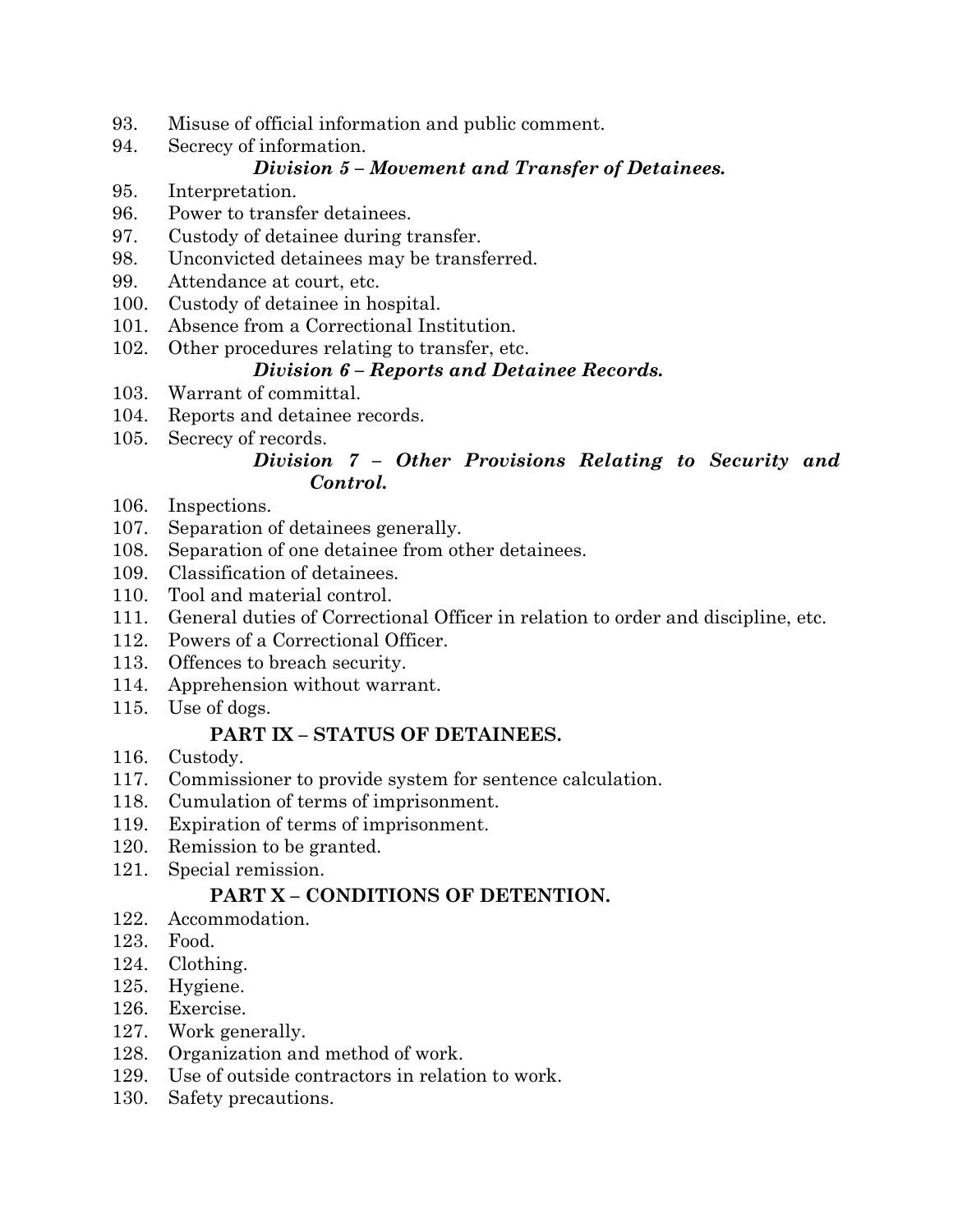- 93. Misuse of official information and public comment.
- 94. Secrecy of information.

## *Division 5 – Movement and Transfer of Detainees.*

- 95. Interpretation.
- 96. Power to transfer detainees.
- 97. Custody of detainee during transfer.
- 98. Unconvicted detainees may be transferred.
- 99. Attendance at court, etc.
- 100. Custody of detainee in hospital.
- 101. Absence from a Correctional Institution.
- 102. Other procedures relating to transfer, etc.

## *Division 6 – Reports and Detainee Records.*

- 103. Warrant of committal.
- 104. Reports and detainee records.
- 105. Secrecy of records.

## *Division 7 – Other Provisions Relating to Security and Control.*

- 106. Inspections.
- 107. Separation of detainees generally.
- 108. Separation of one detainee from other detainees.
- 109. Classification of detainees.
- 110. Tool and material control.
- 111. General duties of Correctional Officer in relation to order and discipline, etc.
- 112. Powers of a Correctional Officer.
- 113. Offences to breach security.
- 114. Apprehension without warrant.
- 115. Use of dogs.

## **PART IX – STATUS OF DETAINEES.**

- 116. Custody.
- 117. Commissioner to provide system for sentence calculation.
- 118. Cumulation of terms of imprisonment.
- 119. Expiration of terms of imprisonment.
- 120. Remission to be granted.
- 121. Special remission.

## **PART X – CONDITIONS OF DETENTION.**

- 122. Accommodation.
- 123. Food.
- 124. Clothing.
- 125. Hygiene.
- 126. Exercise.
- 127. Work generally.
- 128. Organization and method of work.
- 129. Use of outside contractors in relation to work.
- 130. Safety precautions.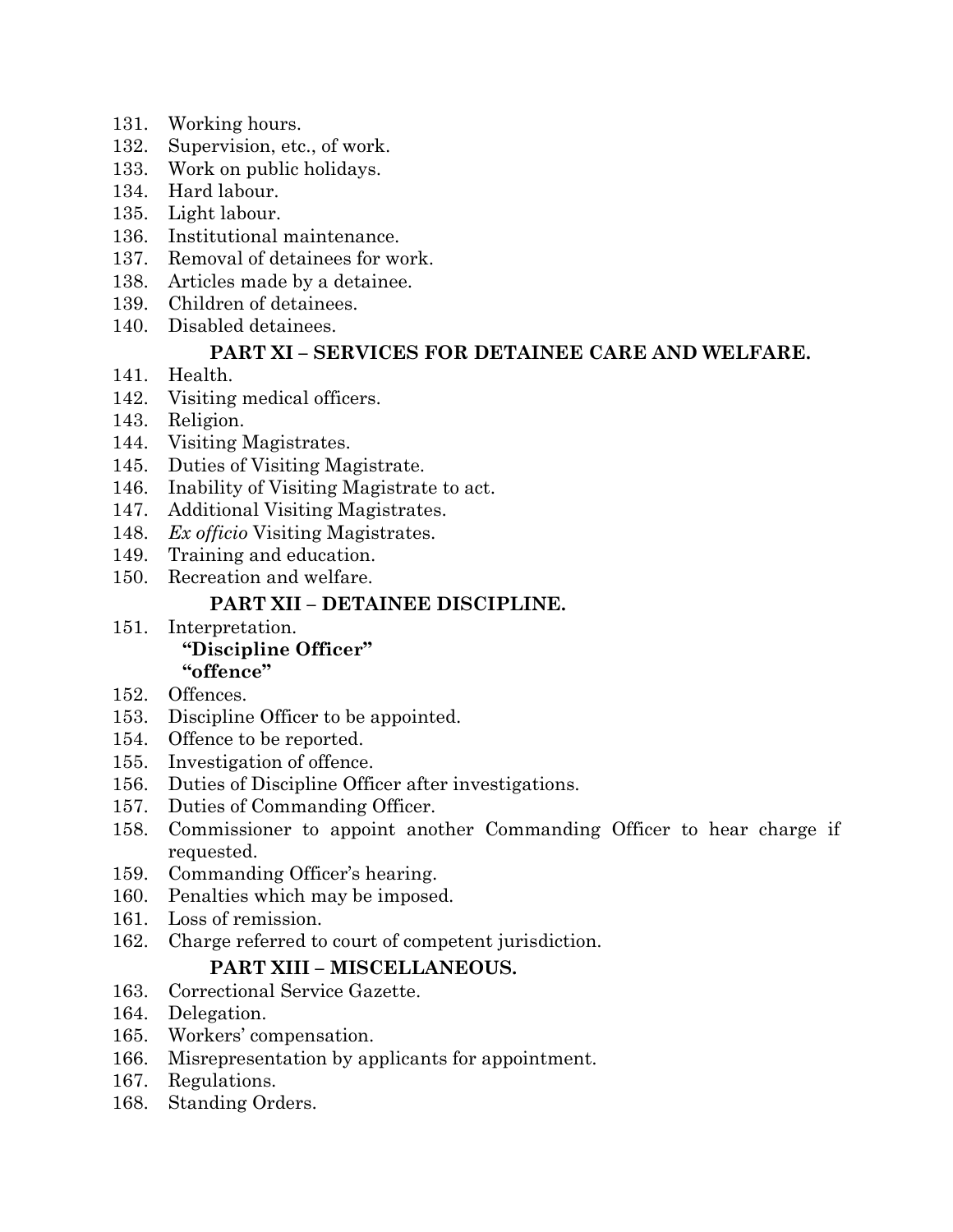- 131. Working hours.
- 132. Supervision, etc., of work.
- 133. Work on public holidays.
- 134. Hard labour.
- 135. Light labour.
- 136. Institutional maintenance.
- 137. Removal of detainees for work.
- 138. Articles made by a detainee.
- 139. Children of detainees.
- 140. Disabled detainees.

## **PART XI – SERVICES FOR DETAINEE CARE AND WELFARE.**

- 141. Health.
- 142. Visiting medical officers.
- 143. Religion.
- 144. Visiting Magistrates.
- 145. Duties of Visiting Magistrate.
- 146. Inability of Visiting Magistrate to act.
- 147. Additional Visiting Magistrates.
- 148. *Ex officio* Visiting Magistrates.
- 149. Training and education.
- 150. Recreation and welfare.

## **PART XII – DETAINEE DISCIPLINE.**

- 151. Interpretation. **"Discipline Officer" "offence"**
- 152. Offences.
- 153. Discipline Officer to be appointed.
- 154. Offence to be reported.
- 155. Investigation of offence.
- 156. Duties of Discipline Officer after investigations.
- 157. Duties of Commanding Officer.
- 158. Commissioner to appoint another Commanding Officer to hear charge if requested.
- 159. Commanding Officer's hearing.
- 160. Penalties which may be imposed.
- 161. Loss of remission.
- 162. Charge referred to court of competent jurisdiction.

## **PART XIII – MISCELLANEOUS.**

- 163. Correctional Service Gazette.
- 164. Delegation.
- 165. Workers' compensation.
- 166. Misrepresentation by applicants for appointment.
- 167. Regulations.
- 168. Standing Orders.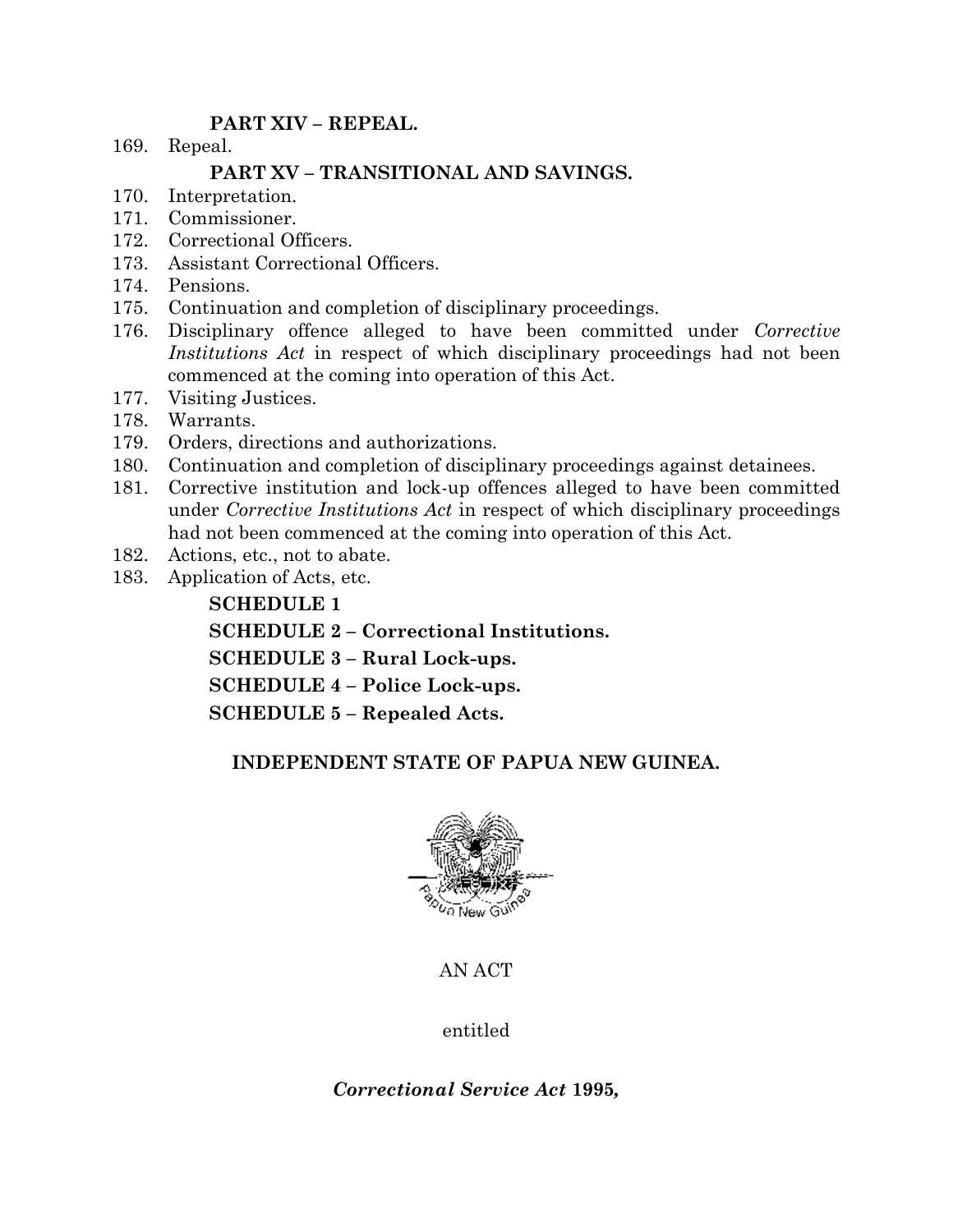## **PART XIV – REPEAL.**

169. Repeal.

## **PART XV – TRANSITIONAL AND SAVINGS.**

- 170. Interpretation.
- 171. Commissioner.
- 172. Correctional Officers.
- 173. Assistant Correctional Officers.
- 174. Pensions.
- 175. Continuation and completion of disciplinary proceedings.
- 176. Disciplinary offence alleged to have been committed under *Corrective Institutions Act* in respect of which disciplinary proceedings had not been commenced at the coming into operation of this Act.
- 177. Visiting Justices.
- 178. Warrants.
- 179. Orders, directions and authorizations.
- 180. Continuation and completion of disciplinary proceedings against detainees.
- 181. Corrective institution and lock-up offences alleged to have been committed under *Corrective Institutions Act* in respect of which disciplinary proceedings had not been commenced at the coming into operation of this Act.
- 182. Actions, etc., not to abate.
- 183. Application of Acts, etc.

**SCHEDULE 1 SCHEDULE 2 – Correctional Institutions. SCHEDULE 3 – Rural Lock-ups. SCHEDULE 4 – Police Lock-ups. SCHEDULE 5 – Repealed Acts.**

## **INDEPENDENT STATE OF PAPUA NEW GUINEA.**



AN ACT

entitled

*Correctional Service Act* **1995***,*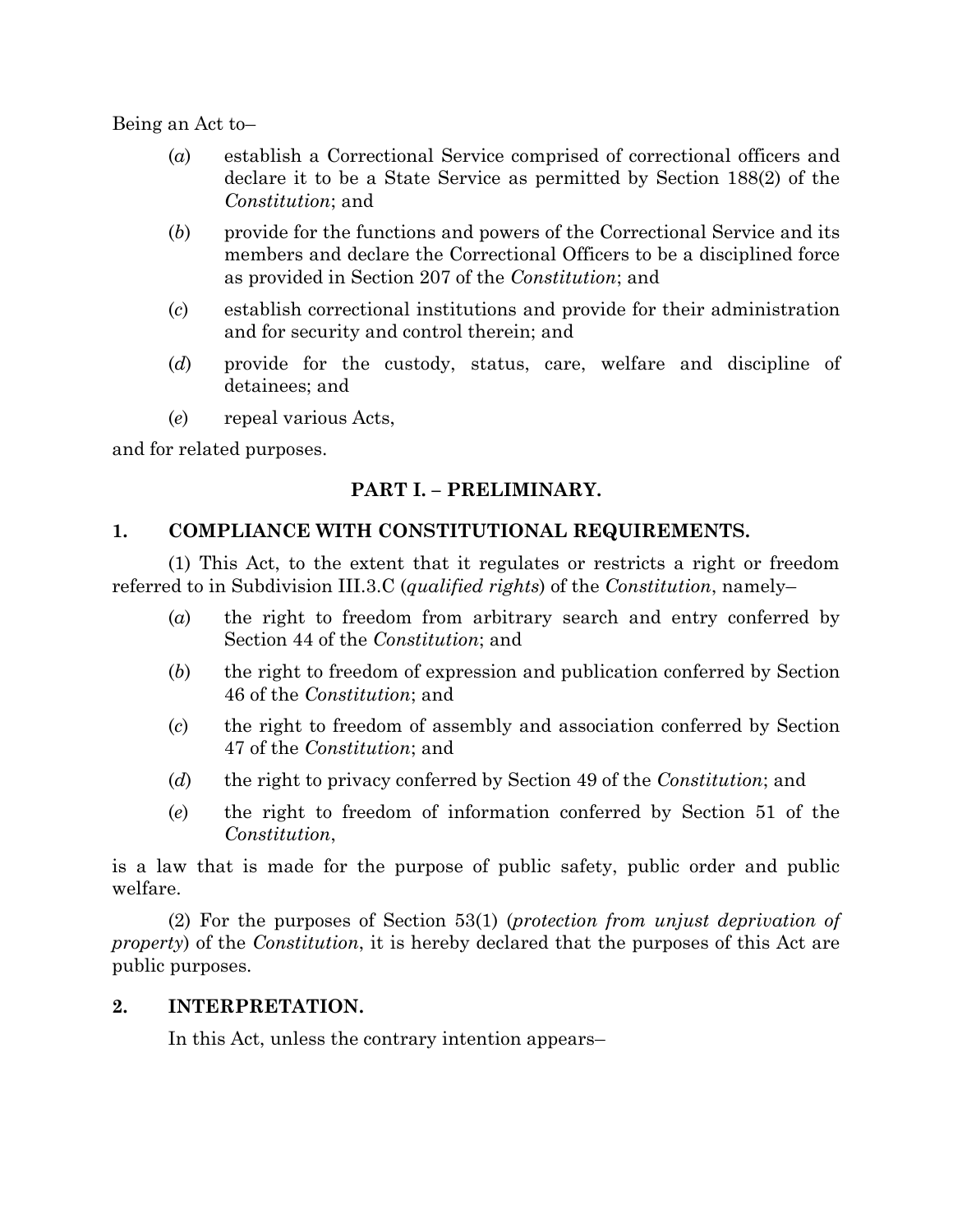Being an Act to–

- (*a*) establish a Correctional Service comprised of correctional officers and declare it to be a State Service as permitted by Section 188(2) of the *Constitution*; and
- (*b*) provide for the functions and powers of the Correctional Service and its members and declare the Correctional Officers to be a disciplined force as provided in Section 207 of the *Constitution*; and
- (*c*) establish correctional institutions and provide for their administration and for security and control therein; and
- (*d*) provide for the custody, status, care, welfare and discipline of detainees; and
- (*e*) repeal various Acts,

and for related purposes.

## **PART I. – PRELIMINARY.**

## **1. COMPLIANCE WITH CONSTITUTIONAL REQUIREMENTS.**

(1) This Act, to the extent that it regulates or restricts a right or freedom referred to in Subdivision III.3.C (*qualified rights*) of the *Constitution*, namely–

- (*a*) the right to freedom from arbitrary search and entry conferred by Section 44 of the *Constitution*; and
- (*b*) the right to freedom of expression and publication conferred by Section 46 of the *Constitution*; and
- (*c*) the right to freedom of assembly and association conferred by Section 47 of the *Constitution*; and
- (*d*) the right to privacy conferred by Section 49 of the *Constitution*; and
- (*e*) the right to freedom of information conferred by Section 51 of the *Constitution*,

is a law that is made for the purpose of public safety, public order and public welfare.

(2) For the purposes of Section 53(1) (*protection from unjust deprivation of property*) of the *Constitution*, it is hereby declared that the purposes of this Act are public purposes.

#### **2. INTERPRETATION.**

In this Act, unless the contrary intention appears–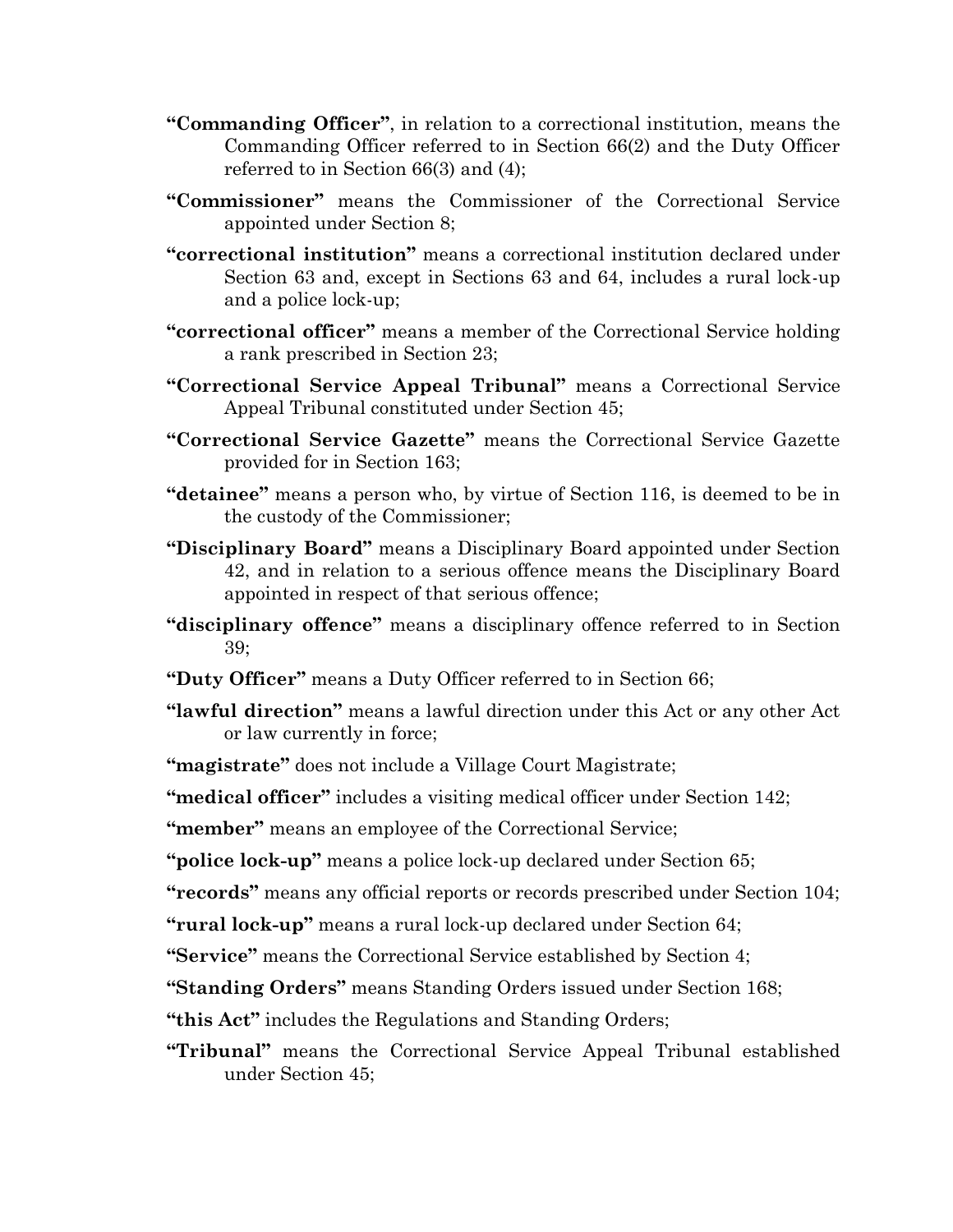- **"Commanding Officer"**, in relation to a correctional institution, means the Commanding Officer referred to in Section 66(2) and the Duty Officer referred to in Section 66(3) and (4);
- **"Commissioner"** means the Commissioner of the Correctional Service appointed under Section 8;
- **"correctional institution"** means a correctional institution declared under Section 63 and, except in Sections 63 and 64, includes a rural lock-up and a police lock-up;
- **"correctional officer"** means a member of the Correctional Service holding a rank prescribed in Section 23;
- **"Correctional Service Appeal Tribunal"** means a Correctional Service Appeal Tribunal constituted under Section 45;
- **"Correctional Service Gazette"** means the Correctional Service Gazette provided for in Section 163;
- **"detainee"** means a person who, by virtue of Section 116, is deemed to be in the custody of the Commissioner;
- **"Disciplinary Board"** means a Disciplinary Board appointed under Section 42, and in relation to a serious offence means the Disciplinary Board appointed in respect of that serious offence;
- **"disciplinary offence"** means a disciplinary offence referred to in Section 39;
- **"Duty Officer"** means a Duty Officer referred to in Section 66;
- **"lawful direction"** means a lawful direction under this Act or any other Act or law currently in force;

**"magistrate"** does not include a Village Court Magistrate;

**"medical officer"** includes a visiting medical officer under Section 142;

**"member"** means an employee of the Correctional Service;

**"police lock-up"** means a police lock-up declared under Section 65;

**"records"** means any official reports or records prescribed under Section 104;

**"rural lock-up"** means a rural lock-up declared under Section 64;

**"Service"** means the Correctional Service established by Section 4;

**"Standing Orders"** means Standing Orders issued under Section 168;

**"this Act"** includes the Regulations and Standing Orders;

**"Tribunal"** means the Correctional Service Appeal Tribunal established under Section 45;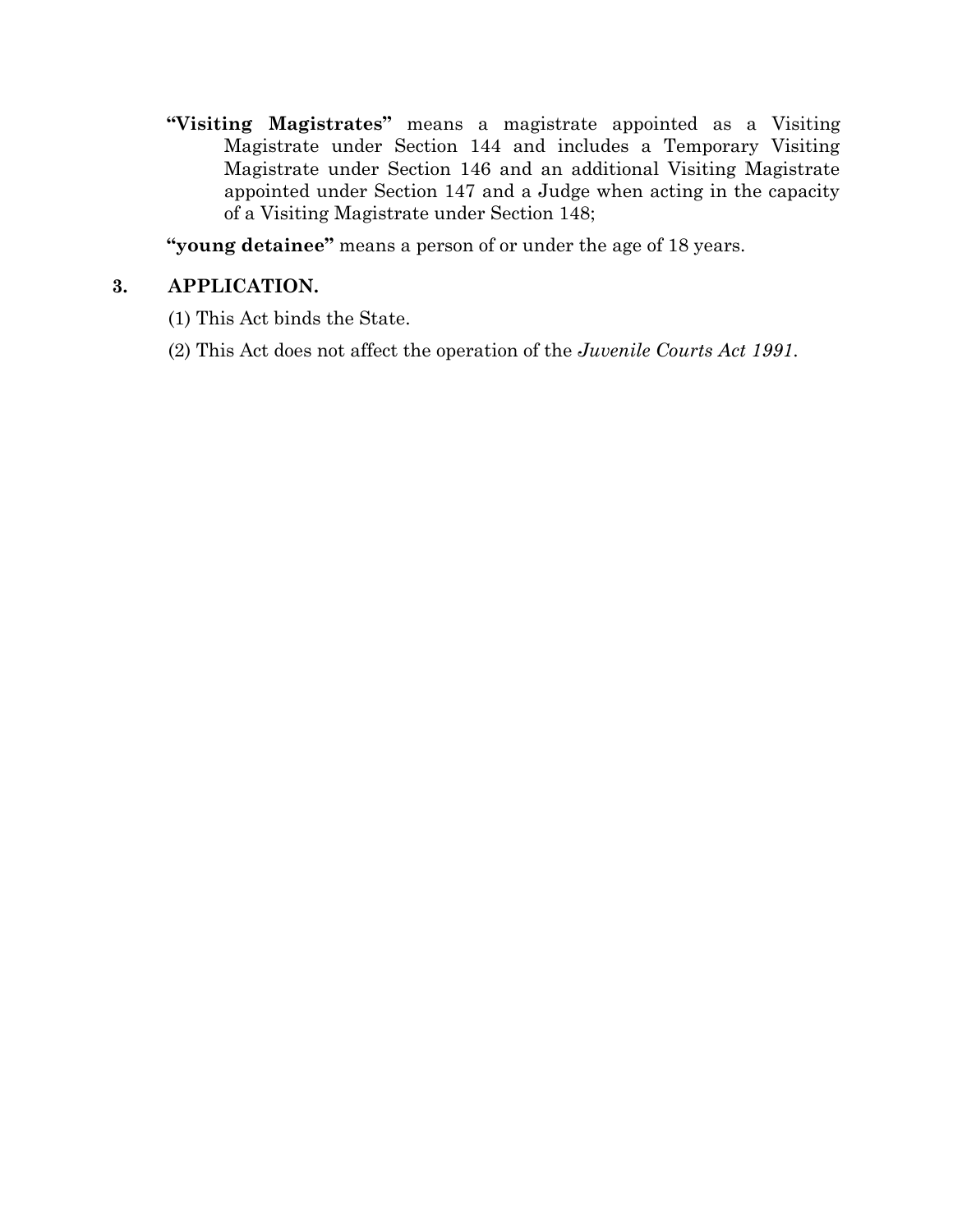**"Visiting Magistrates"** means a magistrate appointed as a Visiting Magistrate under Section 144 and includes a Temporary Visiting Magistrate under Section 146 and an additional Visiting Magistrate appointed under Section 147 and a Judge when acting in the capacity of a Visiting Magistrate under Section 148;

**"young detainee"** means a person of or under the age of 18 years.

## **3. APPLICATION.**

- (1) This Act binds the State.
- (2) This Act does not affect the operation of the *Juvenile Courts Act 1991*.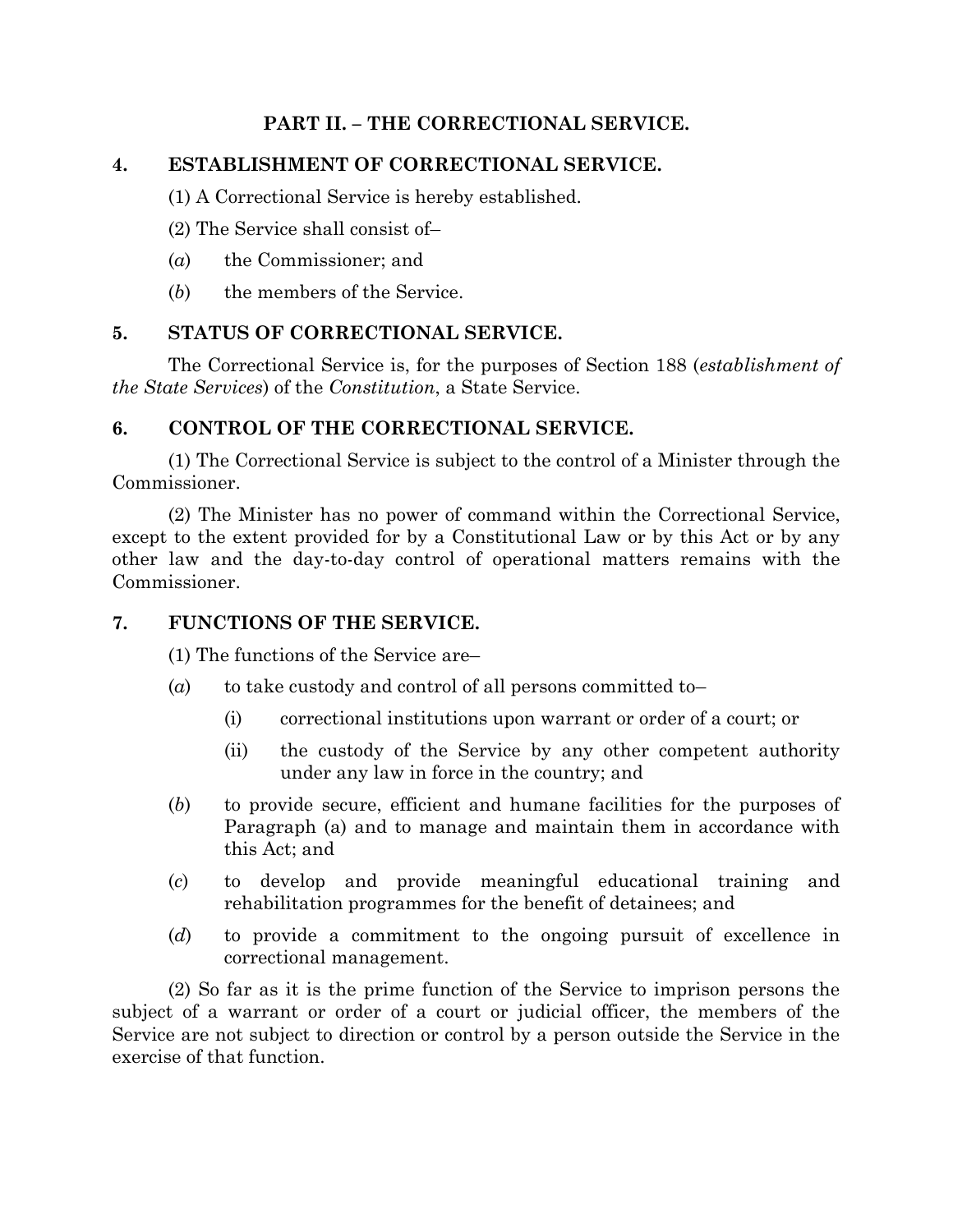## **PART II. – THE CORRECTIONAL SERVICE.**

## **4. ESTABLISHMENT OF CORRECTIONAL SERVICE.**

(1) A Correctional Service is hereby established.

- (2) The Service shall consist of–
- (*a*) the Commissioner; and
- (*b*) the members of the Service.

## **5. STATUS OF CORRECTIONAL SERVICE.**

The Correctional Service is, for the purposes of Section 188 (*establishment of the State Services*) of the *Constitution*, a State Service.

## **6. CONTROL OF THE CORRECTIONAL SERVICE.**

(1) The Correctional Service is subject to the control of a Minister through the Commissioner.

(2) The Minister has no power of command within the Correctional Service, except to the extent provided for by a Constitutional Law or by this Act or by any other law and the day-to-day control of operational matters remains with the Commissioner.

## **7. FUNCTIONS OF THE SERVICE.**

(1) The functions of the Service are–

- (*a*) to take custody and control of all persons committed to-
	- (i) correctional institutions upon warrant or order of a court; or
	- (ii) the custody of the Service by any other competent authority under any law in force in the country; and
- (*b*) to provide secure, efficient and humane facilities for the purposes of Paragraph (a) and to manage and maintain them in accordance with this Act; and
- (*c*) to develop and provide meaningful educational training and rehabilitation programmes for the benefit of detainees; and
- (*d*) to provide a commitment to the ongoing pursuit of excellence in correctional management.

(2) So far as it is the prime function of the Service to imprison persons the subject of a warrant or order of a court or judicial officer, the members of the Service are not subject to direction or control by a person outside the Service in the exercise of that function.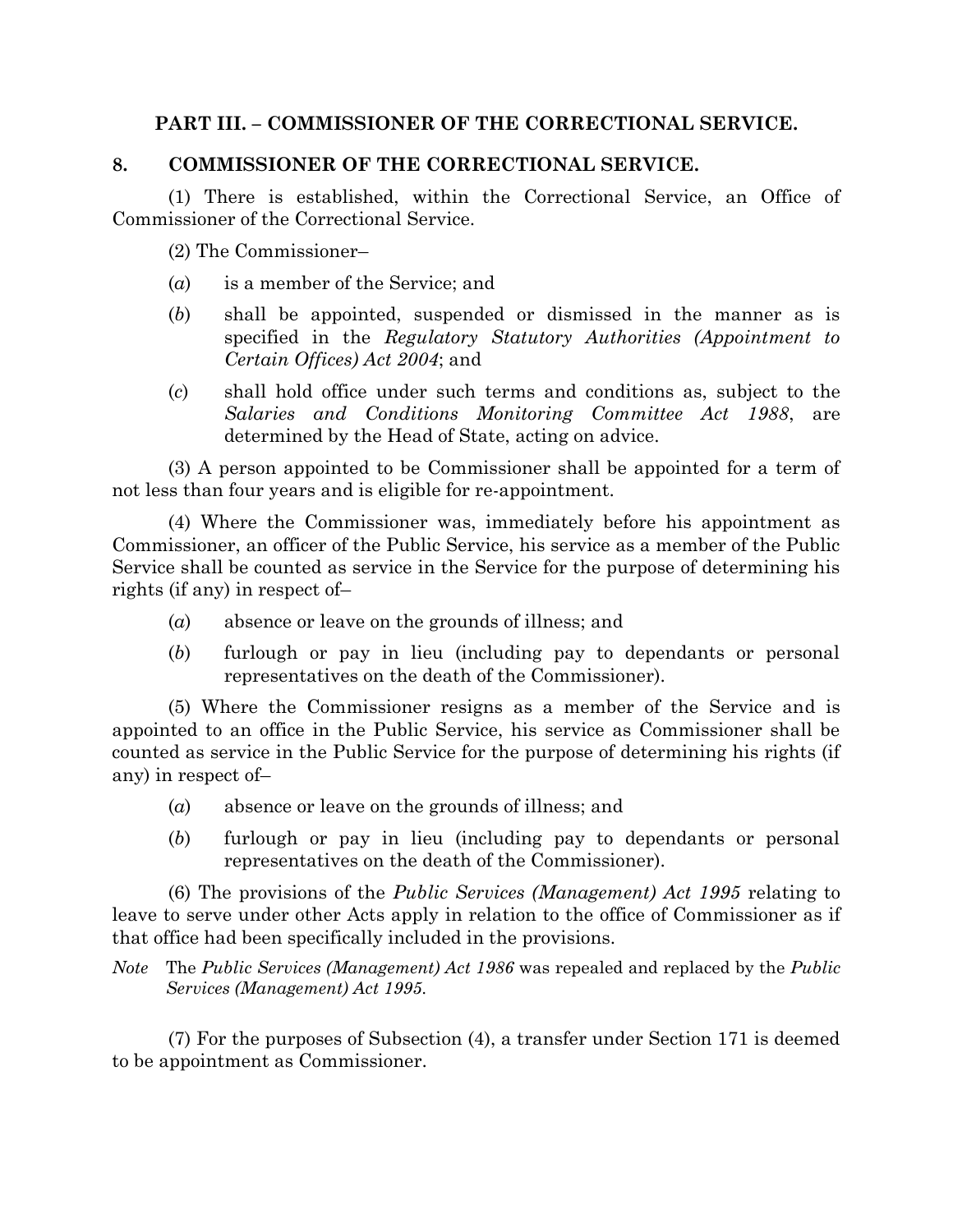## **PART III. – COMMISSIONER OF THE CORRECTIONAL SERVICE.**

## **8. COMMISSIONER OF THE CORRECTIONAL SERVICE.**

(1) There is established, within the Correctional Service, an Office of Commissioner of the Correctional Service.

(2) The Commissioner–

- (*a*) is a member of the Service; and
- (*b*) shall be appointed, suspended or dismissed in the manner as is specified in the *Regulatory Statutory Authorities (Appointment to Certain Offices) Act 2004*; and
- (*c*) shall hold office under such terms and conditions as, subject to the *Salaries and Conditions Monitoring Committee Act 1988*, are determined by the Head of State, acting on advice.

(3) A person appointed to be Commissioner shall be appointed for a term of not less than four years and is eligible for re-appointment.

(4) Where the Commissioner was, immediately before his appointment as Commissioner, an officer of the Public Service, his service as a member of the Public Service shall be counted as service in the Service for the purpose of determining his rights (if any) in respect of–

- (*a*) absence or leave on the grounds of illness; and
- (*b*) furlough or pay in lieu (including pay to dependants or personal representatives on the death of the Commissioner).

(5) Where the Commissioner resigns as a member of the Service and is appointed to an office in the Public Service, his service as Commissioner shall be counted as service in the Public Service for the purpose of determining his rights (if any) in respect of–

- (*a*) absence or leave on the grounds of illness; and
- (*b*) furlough or pay in lieu (including pay to dependants or personal representatives on the death of the Commissioner).

(6) The provisions of the *Public Services (Management) Act 1995* relating to leave to serve under other Acts apply in relation to the office of Commissioner as if that office had been specifically included in the provisions.

*Note* The *Public Services (Management) Act 1986* was repealed and replaced by the *Public Services (Management) Act 1995*.

(7) For the purposes of Subsection (4), a transfer under Section 171 is deemed to be appointment as Commissioner.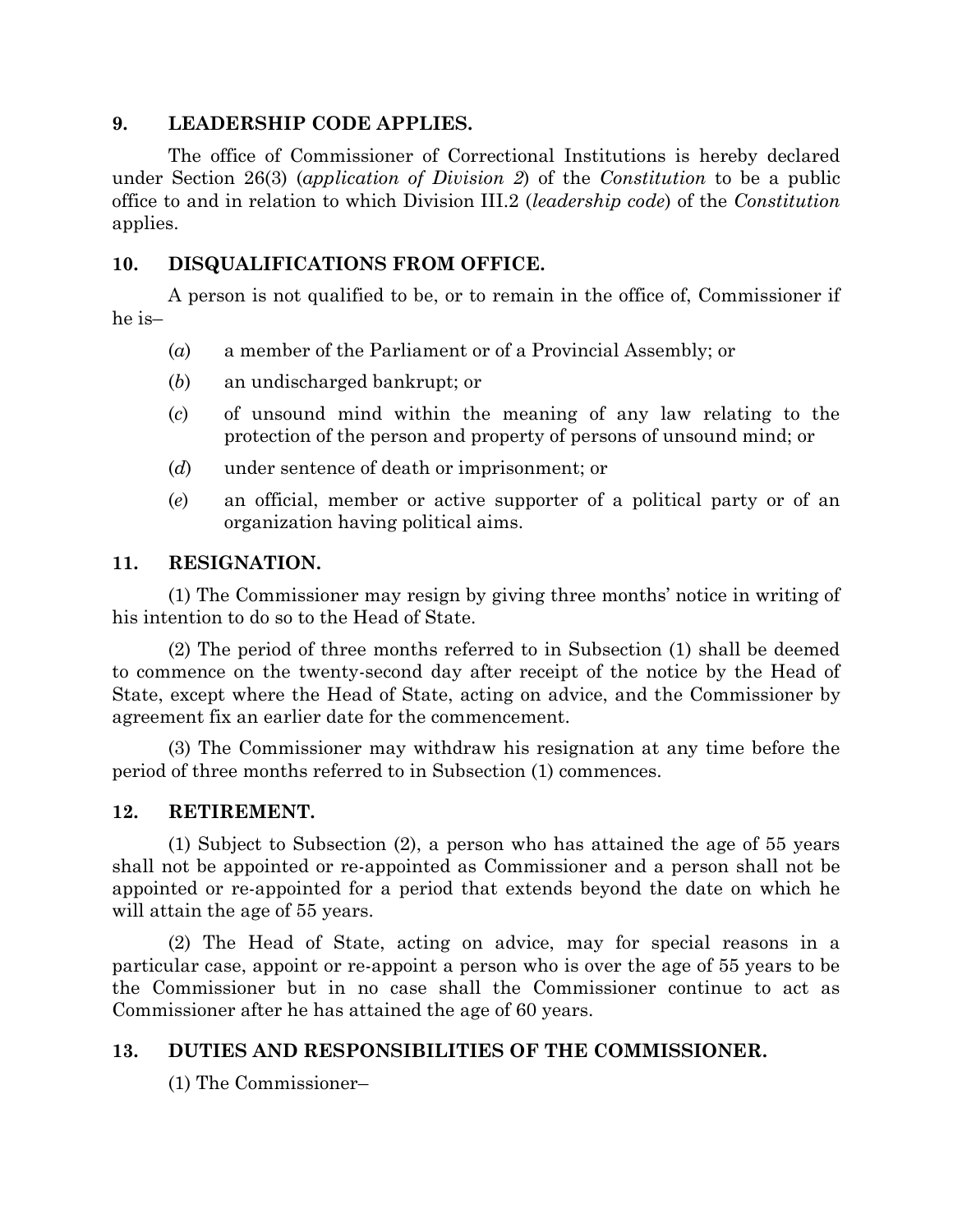## **9. LEADERSHIP CODE APPLIES.**

The office of Commissioner of Correctional Institutions is hereby declared under Section 26(3) (*application of Division 2*) of the *Constitution* to be a public office to and in relation to which Division III.2 (*leadership code*) of the *Constitution* applies.

## **10. DISQUALIFICATIONS FROM OFFICE.**

A person is not qualified to be, or to remain in the office of, Commissioner if he is–

- (*a*) a member of the Parliament or of a Provincial Assembly; or
- (*b*) an undischarged bankrupt; or
- (*c*) of unsound mind within the meaning of any law relating to the protection of the person and property of persons of unsound mind; or
- (*d*) under sentence of death or imprisonment; or
- (*e*) an official, member or active supporter of a political party or of an organization having political aims.

## **11. RESIGNATION.**

(1) The Commissioner may resign by giving three months' notice in writing of his intention to do so to the Head of State.

(2) The period of three months referred to in Subsection (1) shall be deemed to commence on the twenty-second day after receipt of the notice by the Head of State, except where the Head of State, acting on advice, and the Commissioner by agreement fix an earlier date for the commencement.

(3) The Commissioner may withdraw his resignation at any time before the period of three months referred to in Subsection (1) commences.

## **12. RETIREMENT.**

(1) Subject to Subsection (2), a person who has attained the age of 55 years shall not be appointed or re-appointed as Commissioner and a person shall not be appointed or re-appointed for a period that extends beyond the date on which he will attain the age of 55 years.

(2) The Head of State, acting on advice, may for special reasons in a particular case, appoint or re-appoint a person who is over the age of 55 years to be the Commissioner but in no case shall the Commissioner continue to act as Commissioner after he has attained the age of 60 years.

## **13. DUTIES AND RESPONSIBILITIES OF THE COMMISSIONER.**

(1) The Commissioner–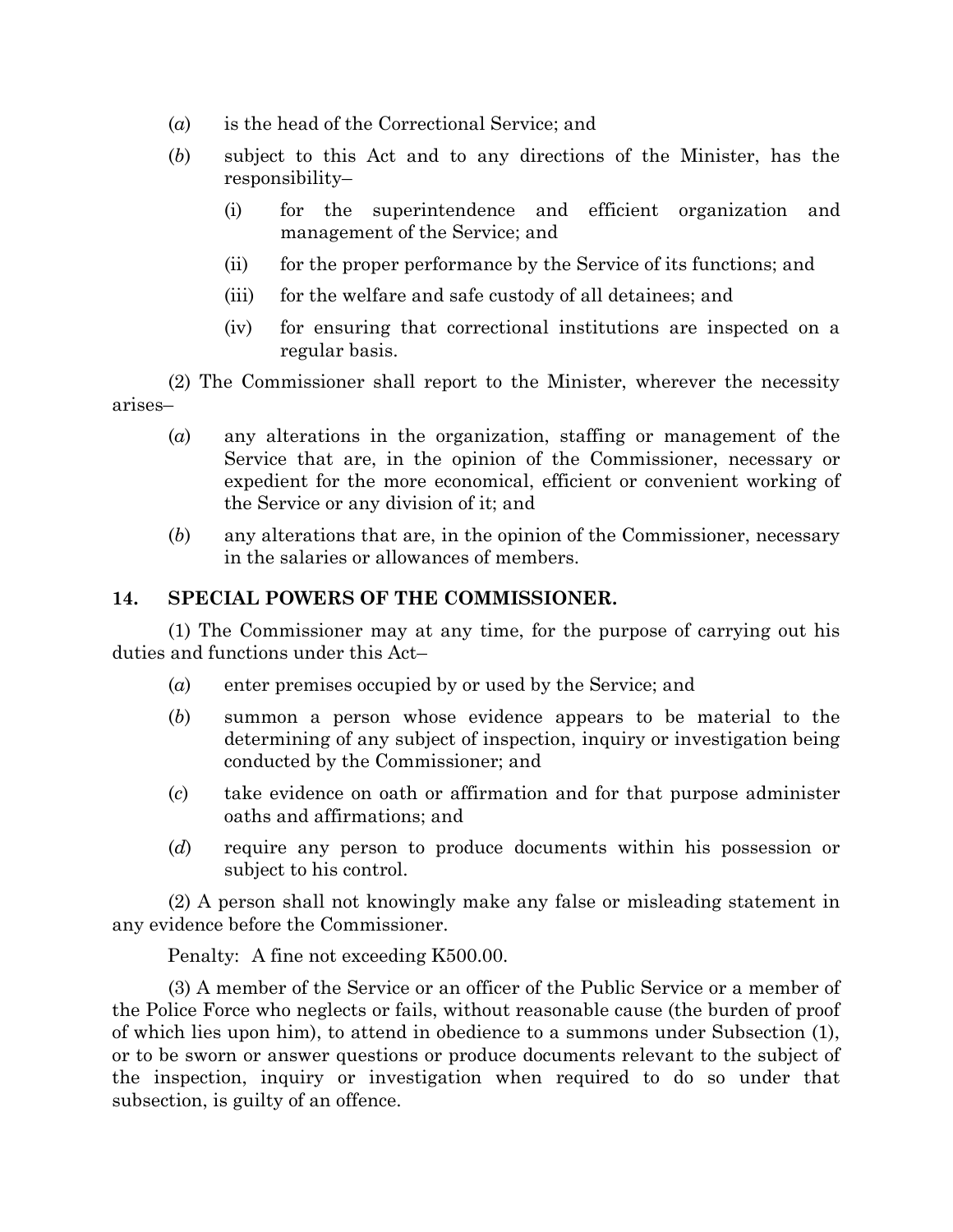- (*a*) is the head of the Correctional Service; and
- (*b*) subject to this Act and to any directions of the Minister, has the responsibility–
	- (i) for the superintendence and efficient organization and management of the Service; and
	- (ii) for the proper performance by the Service of its functions; and
	- (iii) for the welfare and safe custody of all detainees; and
	- (iv) for ensuring that correctional institutions are inspected on a regular basis.

(2) The Commissioner shall report to the Minister, wherever the necessity arises–

- (*a*) any alterations in the organization, staffing or management of the Service that are, in the opinion of the Commissioner, necessary or expedient for the more economical, efficient or convenient working of the Service or any division of it; and
- (*b*) any alterations that are, in the opinion of the Commissioner, necessary in the salaries or allowances of members.

#### **14. SPECIAL POWERS OF THE COMMISSIONER.**

(1) The Commissioner may at any time, for the purpose of carrying out his duties and functions under this Act–

- (*a*) enter premises occupied by or used by the Service; and
- (*b*) summon a person whose evidence appears to be material to the determining of any subject of inspection, inquiry or investigation being conducted by the Commissioner; and
- (*c*) take evidence on oath or affirmation and for that purpose administer oaths and affirmations; and
- (*d*) require any person to produce documents within his possession or subject to his control.

(2) A person shall not knowingly make any false or misleading statement in any evidence before the Commissioner.

Penalty: A fine not exceeding K500.00.

(3) A member of the Service or an officer of the Public Service or a member of the Police Force who neglects or fails, without reasonable cause (the burden of proof of which lies upon him), to attend in obedience to a summons under Subsection (1), or to be sworn or answer questions or produce documents relevant to the subject of the inspection, inquiry or investigation when required to do so under that subsection, is guilty of an offence.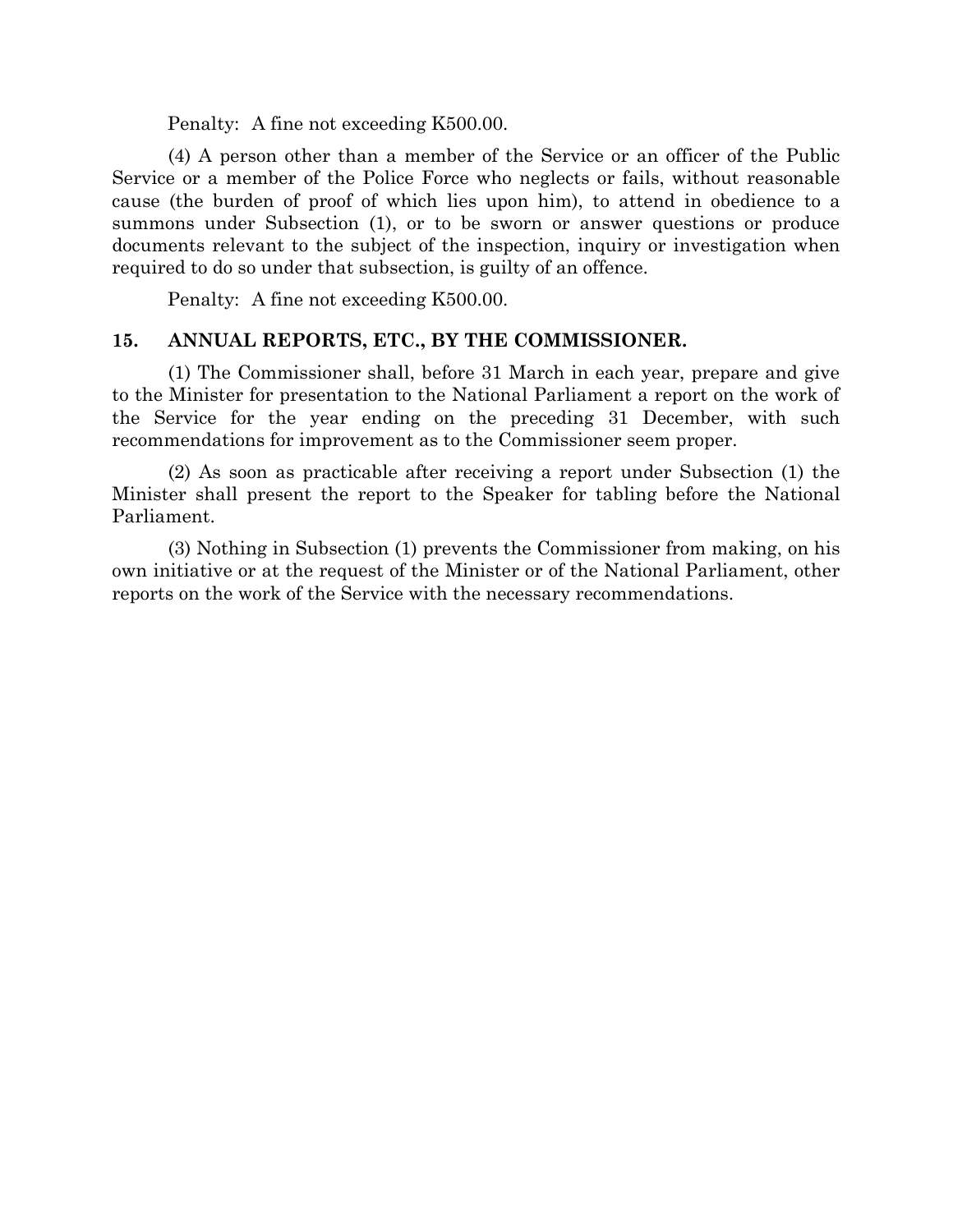Penalty: A fine not exceeding K500.00.

(4) A person other than a member of the Service or an officer of the Public Service or a member of the Police Force who neglects or fails, without reasonable cause (the burden of proof of which lies upon him), to attend in obedience to a summons under Subsection (1), or to be sworn or answer questions or produce documents relevant to the subject of the inspection, inquiry or investigation when required to do so under that subsection, is guilty of an offence.

Penalty: A fine not exceeding K500.00.

#### **15. ANNUAL REPORTS, ETC., BY THE COMMISSIONER.**

(1) The Commissioner shall, before 31 March in each year, prepare and give to the Minister for presentation to the National Parliament a report on the work of the Service for the year ending on the preceding 31 December, with such recommendations for improvement as to the Commissioner seem proper.

(2) As soon as practicable after receiving a report under Subsection (1) the Minister shall present the report to the Speaker for tabling before the National Parliament.

(3) Nothing in Subsection (1) prevents the Commissioner from making, on his own initiative or at the request of the Minister or of the National Parliament, other reports on the work of the Service with the necessary recommendations.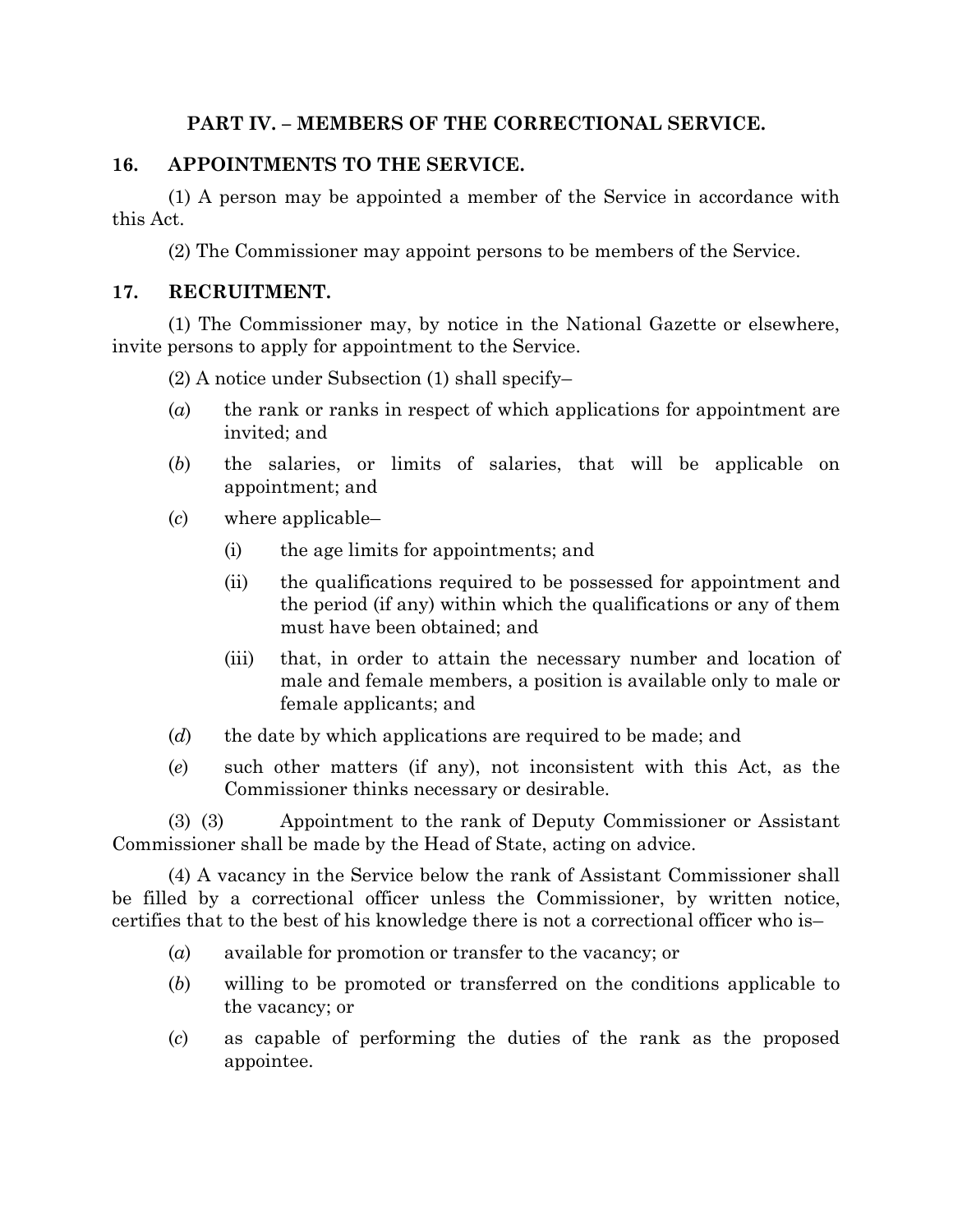## **PART IV. – MEMBERS OF THE CORRECTIONAL SERVICE.**

## **16. APPOINTMENTS TO THE SERVICE.**

(1) A person may be appointed a member of the Service in accordance with this Act.

(2) The Commissioner may appoint persons to be members of the Service.

#### **17. RECRUITMENT.**

(1) The Commissioner may, by notice in the National Gazette or elsewhere, invite persons to apply for appointment to the Service.

- (2) A notice under Subsection (1) shall specify–
- (*a*) the rank or ranks in respect of which applications for appointment are invited; and
- (*b*) the salaries, or limits of salaries, that will be applicable on appointment; and
- (*c*) where applicable–
	- (i) the age limits for appointments; and
	- (ii) the qualifications required to be possessed for appointment and the period (if any) within which the qualifications or any of them must have been obtained; and
	- (iii) that, in order to attain the necessary number and location of male and female members, a position is available only to male or female applicants; and
- (*d*) the date by which applications are required to be made; and
- (*e*) such other matters (if any), not inconsistent with this Act, as the Commissioner thinks necessary or desirable.

(3) (3) Appointment to the rank of Deputy Commissioner or Assistant Commissioner shall be made by the Head of State, acting on advice.

(4) A vacancy in the Service below the rank of Assistant Commissioner shall be filled by a correctional officer unless the Commissioner, by written notice, certifies that to the best of his knowledge there is not a correctional officer who is–

- (*a*) available for promotion or transfer to the vacancy; or
- (*b*) willing to be promoted or transferred on the conditions applicable to the vacancy; or
- (*c*) as capable of performing the duties of the rank as the proposed appointee.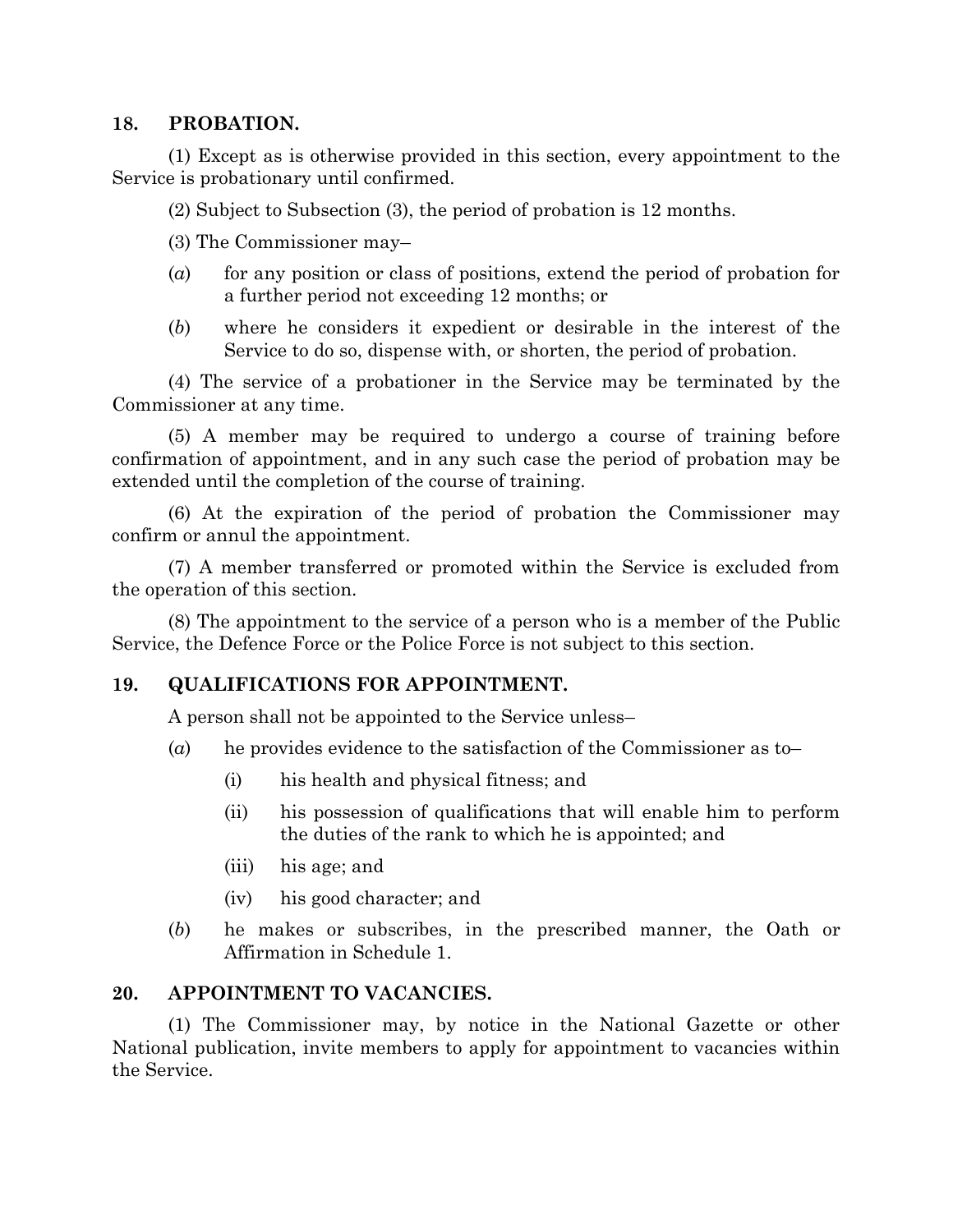#### **18. PROBATION.**

(1) Except as is otherwise provided in this section, every appointment to the Service is probationary until confirmed.

(2) Subject to Subsection (3), the period of probation is 12 months.

- (3) The Commissioner may–
- (*a*) for any position or class of positions, extend the period of probation for a further period not exceeding 12 months; or
- (*b*) where he considers it expedient or desirable in the interest of the Service to do so, dispense with, or shorten, the period of probation.

(4) The service of a probationer in the Service may be terminated by the Commissioner at any time.

(5) A member may be required to undergo a course of training before confirmation of appointment, and in any such case the period of probation may be extended until the completion of the course of training.

(6) At the expiration of the period of probation the Commissioner may confirm or annul the appointment.

(7) A member transferred or promoted within the Service is excluded from the operation of this section.

(8) The appointment to the service of a person who is a member of the Public Service, the Defence Force or the Police Force is not subject to this section.

## **19. QUALIFICATIONS FOR APPOINTMENT.**

A person shall not be appointed to the Service unless–

- (*a*) he provides evidence to the satisfaction of the Commissioner as to–
	- (i) his health and physical fitness; and
	- (ii) his possession of qualifications that will enable him to perform the duties of the rank to which he is appointed; and
	- (iii) his age; and
	- (iv) his good character; and
- (*b*) he makes or subscribes, in the prescribed manner, the Oath or Affirmation in Schedule 1.

## **20. APPOINTMENT TO VACANCIES.**

(1) The Commissioner may, by notice in the National Gazette or other National publication, invite members to apply for appointment to vacancies within the Service.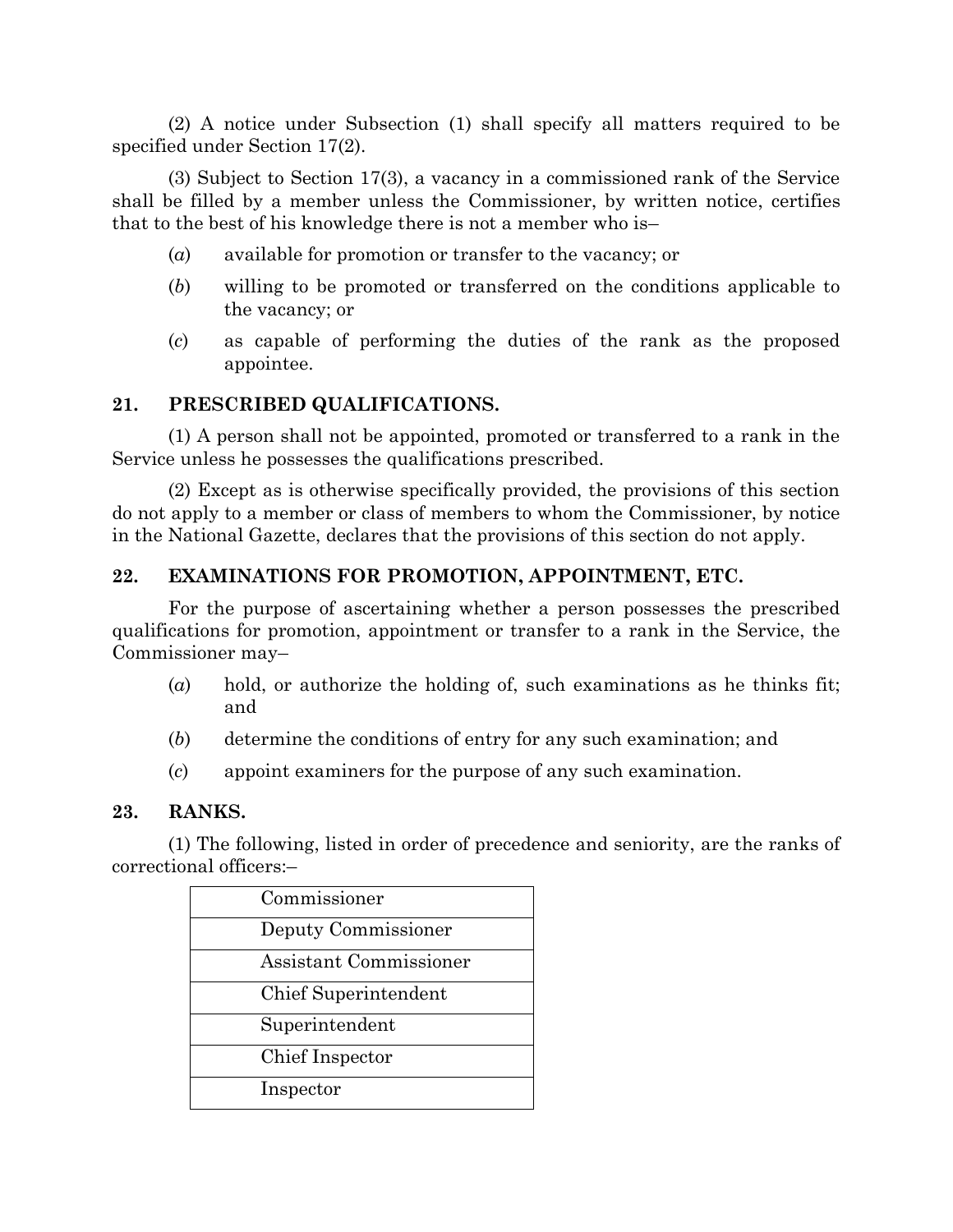(2) A notice under Subsection (1) shall specify all matters required to be specified under Section 17(2).

(3) Subject to Section 17(3), a vacancy in a commissioned rank of the Service shall be filled by a member unless the Commissioner, by written notice, certifies that to the best of his knowledge there is not a member who is–

- (*a*) available for promotion or transfer to the vacancy; or
- (*b*) willing to be promoted or transferred on the conditions applicable to the vacancy; or
- (*c*) as capable of performing the duties of the rank as the proposed appointee.

## **21. PRESCRIBED QUALIFICATIONS.**

(1) A person shall not be appointed, promoted or transferred to a rank in the Service unless he possesses the qualifications prescribed.

(2) Except as is otherwise specifically provided, the provisions of this section do not apply to a member or class of members to whom the Commissioner, by notice in the National Gazette, declares that the provisions of this section do not apply.

## **22. EXAMINATIONS FOR PROMOTION, APPOINTMENT, ETC.**

For the purpose of ascertaining whether a person possesses the prescribed qualifications for promotion, appointment or transfer to a rank in the Service, the Commissioner may–

- (*a*) hold, or authorize the holding of, such examinations as he thinks fit; and
- (*b*) determine the conditions of entry for any such examination; and
- (*c*) appoint examiners for the purpose of any such examination.

#### **23. RANKS.**

(1) The following, listed in order of precedence and seniority, are the ranks of correctional officers:–

| Commissioner           |  |
|------------------------|--|
| Deputy Commissioner    |  |
| Assistant Commissioner |  |
| Chief Superintendent   |  |
| Superintendent         |  |
| Chief Inspector        |  |
| Inspector              |  |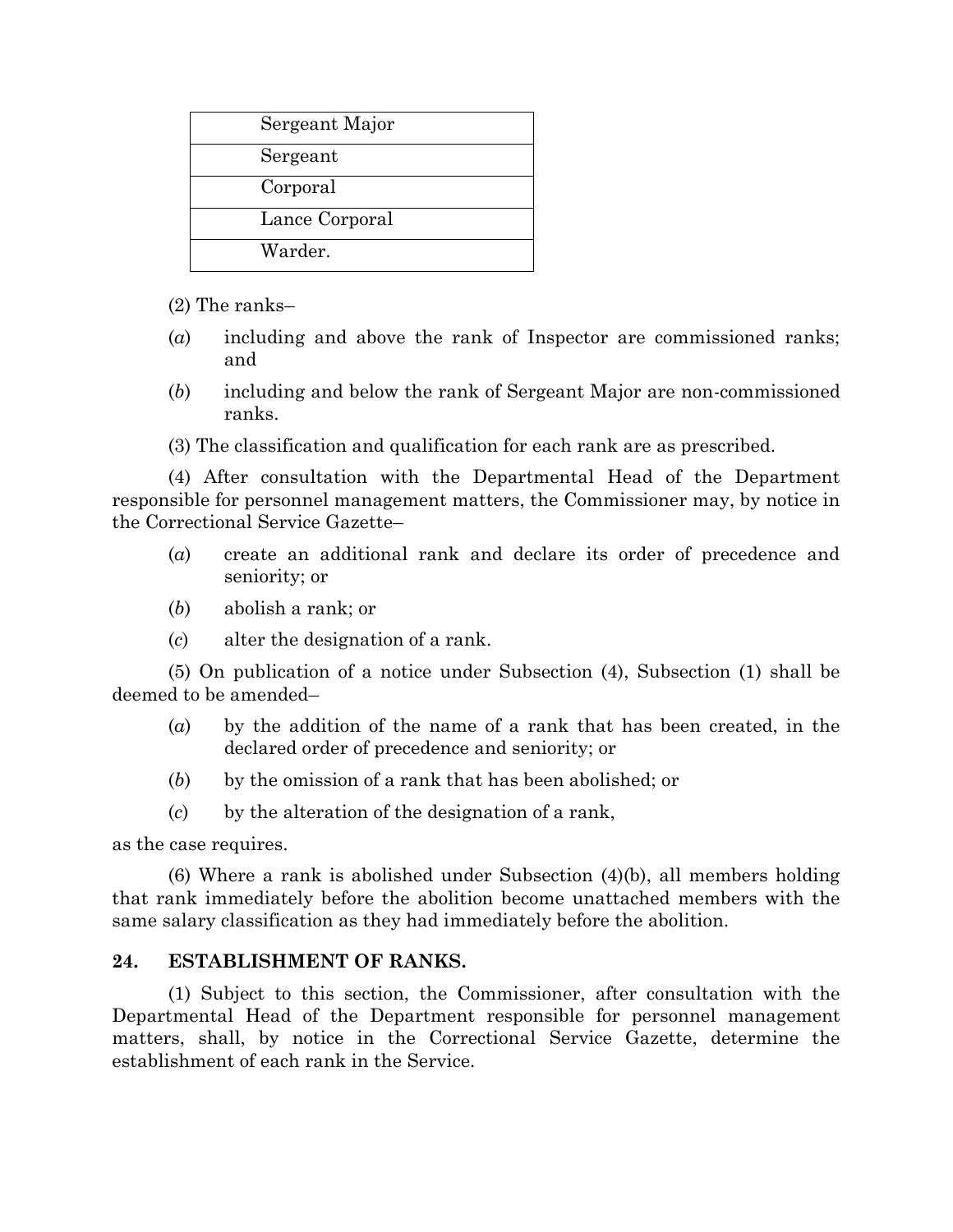| Sergeant Major |
|----------------|
| Sergeant       |
| Corporal       |
| Lance Corporal |
| Warder.        |

(2) The ranks–

- (*a*) including and above the rank of Inspector are commissioned ranks; and
- (*b*) including and below the rank of Sergeant Major are non-commissioned ranks.

(3) The classification and qualification for each rank are as prescribed.

(4) After consultation with the Departmental Head of the Department responsible for personnel management matters, the Commissioner may, by notice in the Correctional Service Gazette–

- (*a*) create an additional rank and declare its order of precedence and seniority; or
- (*b*) abolish a rank; or
- (*c*) alter the designation of a rank.

(5) On publication of a notice under Subsection (4), Subsection (1) shall be deemed to be amended–

- (*a*) by the addition of the name of a rank that has been created, in the declared order of precedence and seniority; or
- (*b*) by the omission of a rank that has been abolished; or
- (*c*) by the alteration of the designation of a rank,

as the case requires.

(6) Where a rank is abolished under Subsection (4)(b), all members holding that rank immediately before the abolition become unattached members with the same salary classification as they had immediately before the abolition.

## **24. ESTABLISHMENT OF RANKS.**

(1) Subject to this section, the Commissioner, after consultation with the Departmental Head of the Department responsible for personnel management matters, shall, by notice in the Correctional Service Gazette, determine the establishment of each rank in the Service.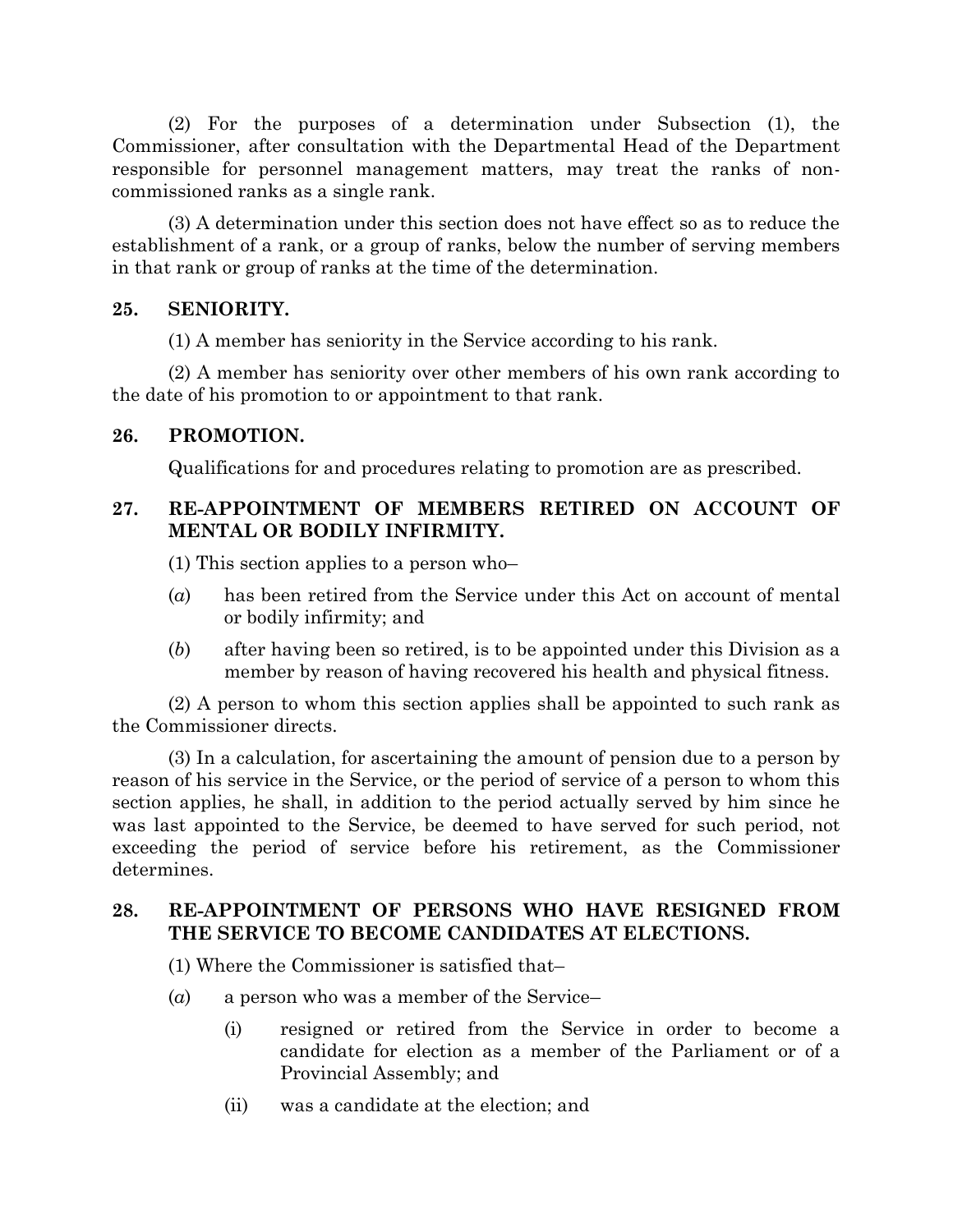(2) For the purposes of a determination under Subsection (1), the Commissioner, after consultation with the Departmental Head of the Department responsible for personnel management matters, may treat the ranks of noncommissioned ranks as a single rank.

(3) A determination under this section does not have effect so as to reduce the establishment of a rank, or a group of ranks, below the number of serving members in that rank or group of ranks at the time of the determination.

#### **25. SENIORITY.**

(1) A member has seniority in the Service according to his rank.

(2) A member has seniority over other members of his own rank according to the date of his promotion to or appointment to that rank.

#### **26. PROMOTION.**

Qualifications for and procedures relating to promotion are as prescribed.

## **27. RE-APPOINTMENT OF MEMBERS RETIRED ON ACCOUNT OF MENTAL OR BODILY INFIRMITY.**

(1) This section applies to a person who–

- (*a*) has been retired from the Service under this Act on account of mental or bodily infirmity; and
- (*b*) after having been so retired, is to be appointed under this Division as a member by reason of having recovered his health and physical fitness.

(2) A person to whom this section applies shall be appointed to such rank as the Commissioner directs.

(3) In a calculation, for ascertaining the amount of pension due to a person by reason of his service in the Service, or the period of service of a person to whom this section applies, he shall, in addition to the period actually served by him since he was last appointed to the Service, be deemed to have served for such period, not exceeding the period of service before his retirement, as the Commissioner determines.

## **28. RE-APPOINTMENT OF PERSONS WHO HAVE RESIGNED FROM THE SERVICE TO BECOME CANDIDATES AT ELECTIONS.**

- (1) Where the Commissioner is satisfied that–
- (*a*) a person who was a member of the Service–
	- (i) resigned or retired from the Service in order to become a candidate for election as a member of the Parliament or of a Provincial Assembly; and
	- (ii) was a candidate at the election; and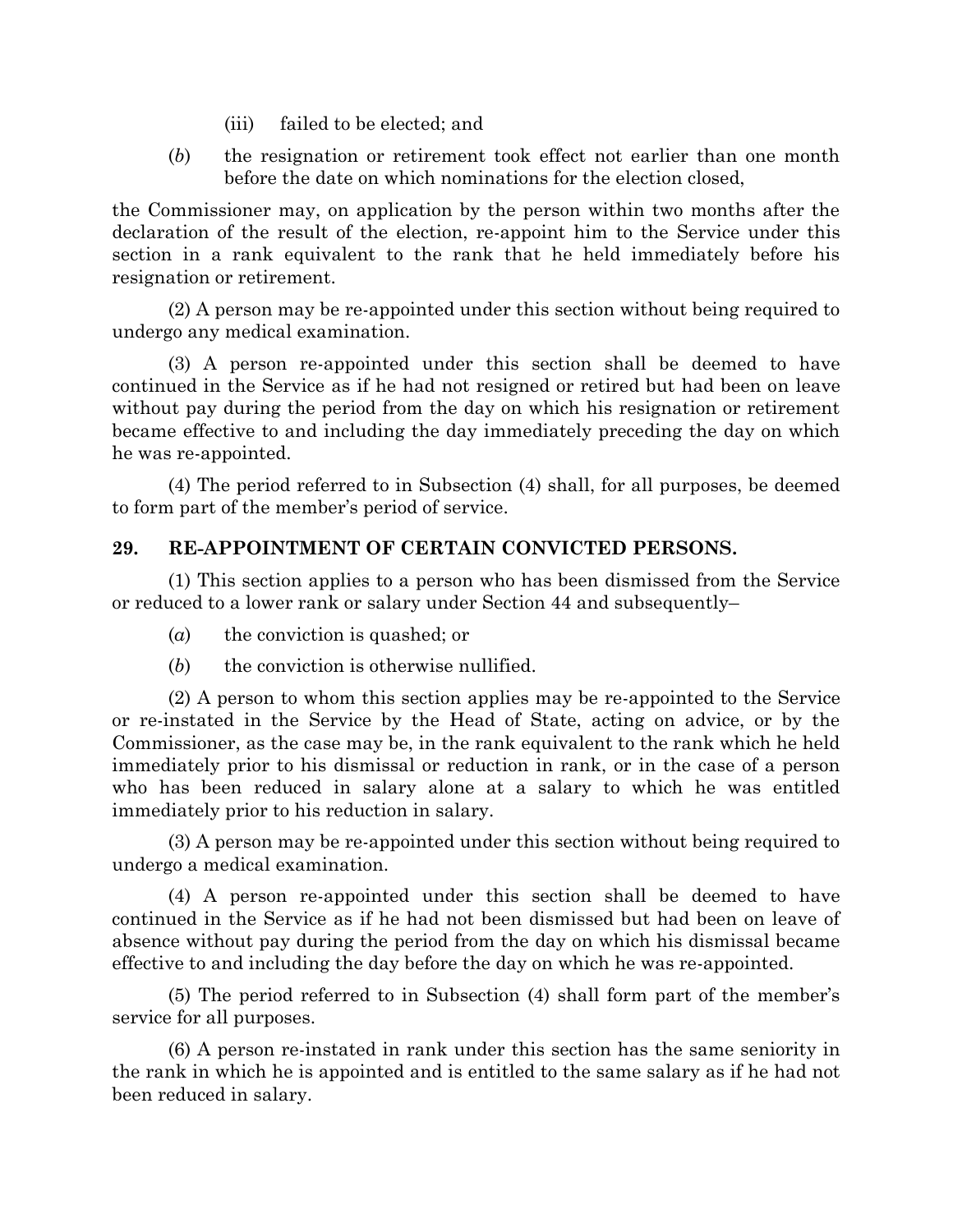- (iii) failed to be elected; and
- (*b*) the resignation or retirement took effect not earlier than one month before the date on which nominations for the election closed,

the Commissioner may, on application by the person within two months after the declaration of the result of the election, re-appoint him to the Service under this section in a rank equivalent to the rank that he held immediately before his resignation or retirement.

(2) A person may be re-appointed under this section without being required to undergo any medical examination.

(3) A person re-appointed under this section shall be deemed to have continued in the Service as if he had not resigned or retired but had been on leave without pay during the period from the day on which his resignation or retirement became effective to and including the day immediately preceding the day on which he was re-appointed.

(4) The period referred to in Subsection (4) shall, for all purposes, be deemed to form part of the member's period of service.

## **29. RE-APPOINTMENT OF CERTAIN CONVICTED PERSONS.**

(1) This section applies to a person who has been dismissed from the Service or reduced to a lower rank or salary under Section 44 and subsequently–

- (*a*) the conviction is quashed; or
- (*b*) the conviction is otherwise nullified.

(2) A person to whom this section applies may be re-appointed to the Service or re-instated in the Service by the Head of State, acting on advice, or by the Commissioner, as the case may be, in the rank equivalent to the rank which he held immediately prior to his dismissal or reduction in rank, or in the case of a person who has been reduced in salary alone at a salary to which he was entitled immediately prior to his reduction in salary.

(3) A person may be re-appointed under this section without being required to undergo a medical examination.

(4) A person re-appointed under this section shall be deemed to have continued in the Service as if he had not been dismissed but had been on leave of absence without pay during the period from the day on which his dismissal became effective to and including the day before the day on which he was re-appointed.

(5) The period referred to in Subsection (4) shall form part of the member's service for all purposes.

(6) A person re-instated in rank under this section has the same seniority in the rank in which he is appointed and is entitled to the same salary as if he had not been reduced in salary.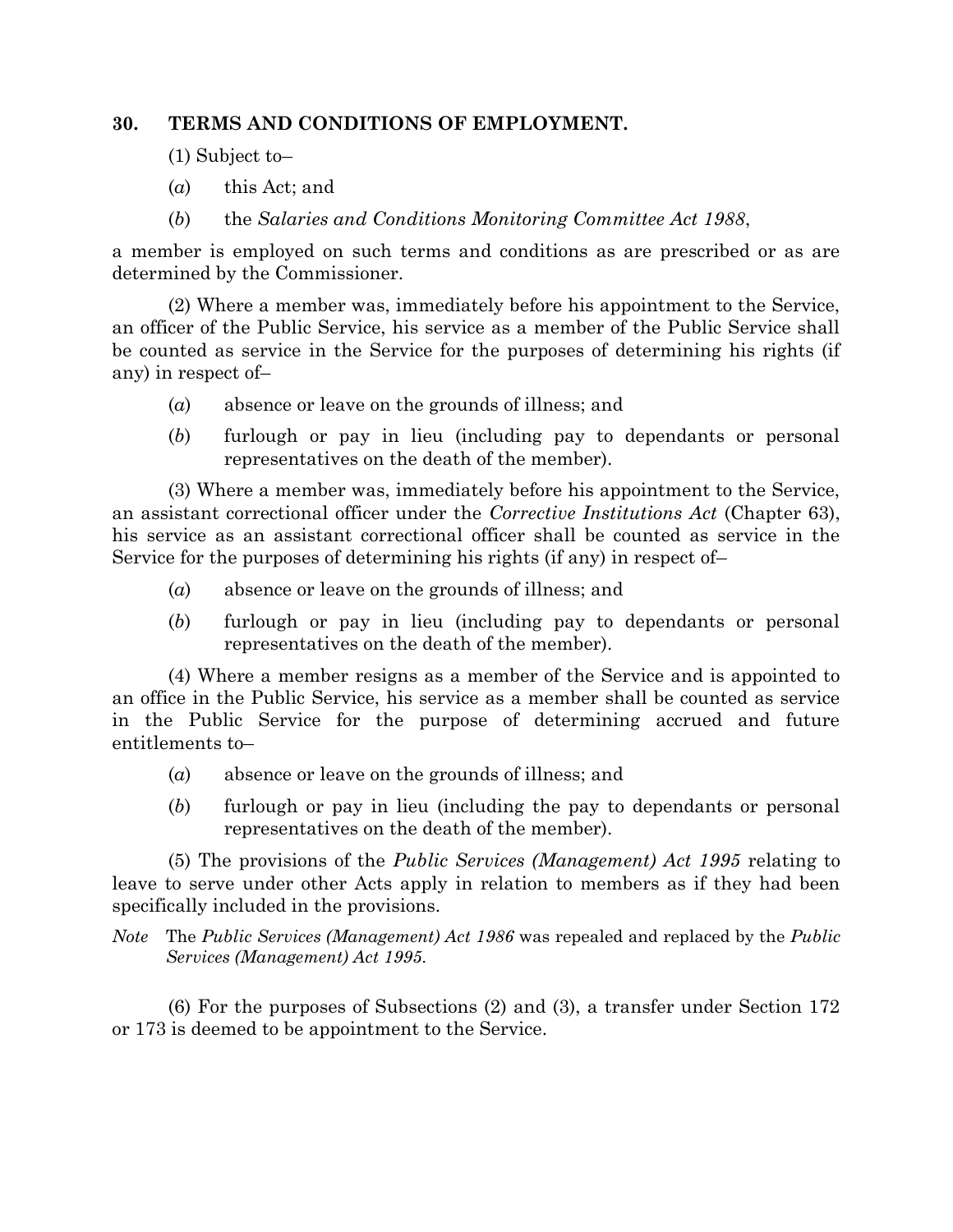#### **30. TERMS AND CONDITIONS OF EMPLOYMENT.**

- (1) Subject to–
- (*a*) this Act; and
- (*b*) the *Salaries and Conditions Monitoring Committee Act 1988*,

a member is employed on such terms and conditions as are prescribed or as are determined by the Commissioner.

(2) Where a member was, immediately before his appointment to the Service, an officer of the Public Service, his service as a member of the Public Service shall be counted as service in the Service for the purposes of determining his rights (if any) in respect of–

- (*a*) absence or leave on the grounds of illness; and
- (*b*) furlough or pay in lieu (including pay to dependants or personal representatives on the death of the member).

(3) Where a member was, immediately before his appointment to the Service, an assistant correctional officer under the *Corrective Institutions Act* (Chapter 63), his service as an assistant correctional officer shall be counted as service in the Service for the purposes of determining his rights (if any) in respect of–

- (*a*) absence or leave on the grounds of illness; and
- (*b*) furlough or pay in lieu (including pay to dependants or personal representatives on the death of the member).

(4) Where a member resigns as a member of the Service and is appointed to an office in the Public Service, his service as a member shall be counted as service in the Public Service for the purpose of determining accrued and future entitlements to–

- (*a*) absence or leave on the grounds of illness; and
- (*b*) furlough or pay in lieu (including the pay to dependants or personal representatives on the death of the member).

(5) The provisions of the *Public Services (Management) Act 1995* relating to leave to serve under other Acts apply in relation to members as if they had been specifically included in the provisions.

*Note* The *Public Services (Management) Act 1986* was repealed and replaced by the *Public Services (Management) Act 1995*.

(6) For the purposes of Subsections (2) and (3), a transfer under Section 172 or 173 is deemed to be appointment to the Service.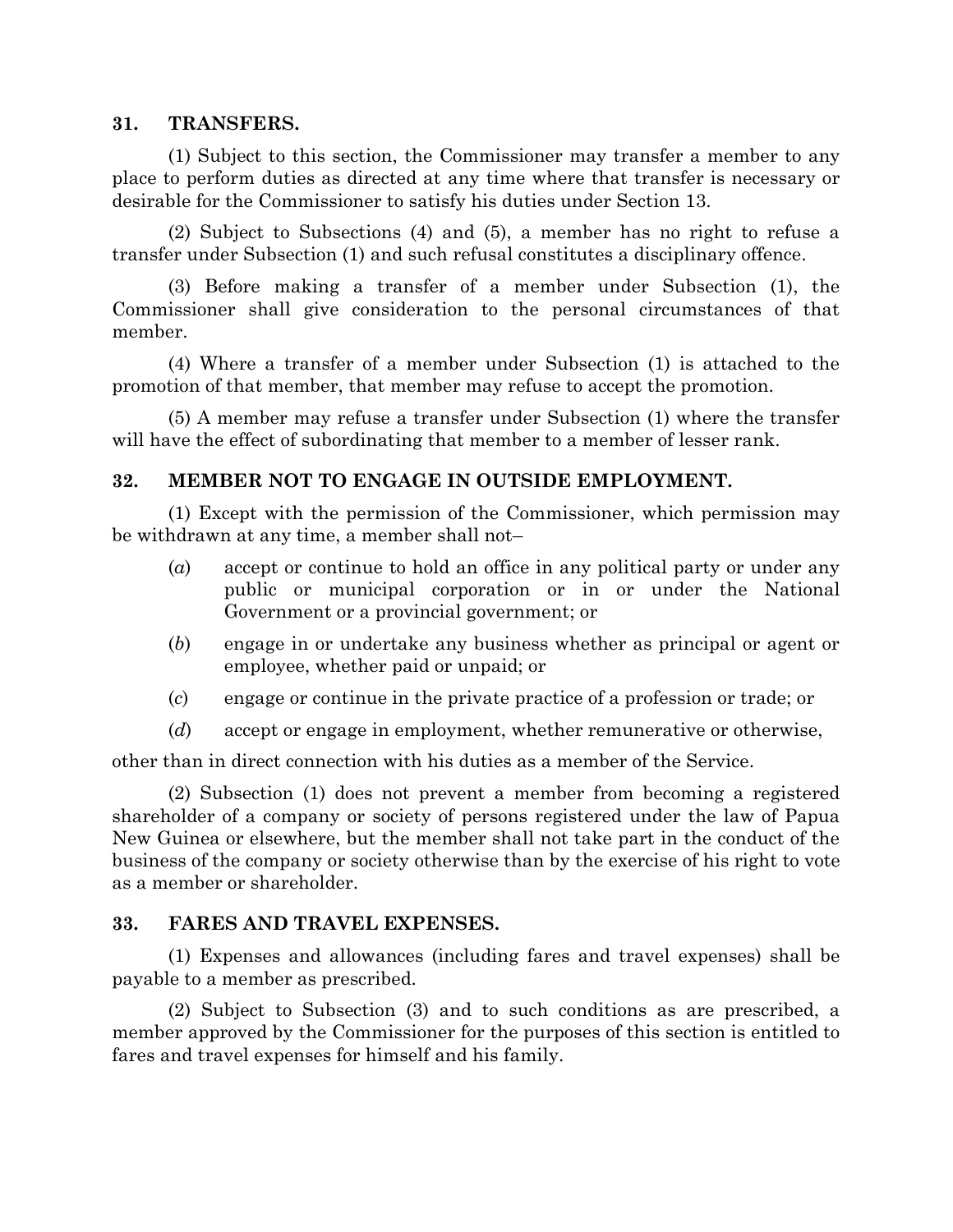#### **31. TRANSFERS.**

(1) Subject to this section, the Commissioner may transfer a member to any place to perform duties as directed at any time where that transfer is necessary or desirable for the Commissioner to satisfy his duties under Section 13.

(2) Subject to Subsections (4) and (5), a member has no right to refuse a transfer under Subsection (1) and such refusal constitutes a disciplinary offence.

(3) Before making a transfer of a member under Subsection (1), the Commissioner shall give consideration to the personal circumstances of that member.

(4) Where a transfer of a member under Subsection (1) is attached to the promotion of that member, that member may refuse to accept the promotion.

(5) A member may refuse a transfer under Subsection (1) where the transfer will have the effect of subordinating that member to a member of lesser rank.

## **32. MEMBER NOT TO ENGAGE IN OUTSIDE EMPLOYMENT.**

(1) Except with the permission of the Commissioner, which permission may be withdrawn at any time, a member shall not–

- (*a*) accept or continue to hold an office in any political party or under any public or municipal corporation or in or under the National Government or a provincial government; or
- (*b*) engage in or undertake any business whether as principal or agent or employee, whether paid or unpaid; or
- (*c*) engage or continue in the private practice of a profession or trade; or
- (*d*) accept or engage in employment, whether remunerative or otherwise,

other than in direct connection with his duties as a member of the Service.

(2) Subsection (1) does not prevent a member from becoming a registered shareholder of a company or society of persons registered under the law of Papua New Guinea or elsewhere, but the member shall not take part in the conduct of the business of the company or society otherwise than by the exercise of his right to vote as a member or shareholder.

#### **33. FARES AND TRAVEL EXPENSES.**

(1) Expenses and allowances (including fares and travel expenses) shall be payable to a member as prescribed.

(2) Subject to Subsection (3) and to such conditions as are prescribed, a member approved by the Commissioner for the purposes of this section is entitled to fares and travel expenses for himself and his family.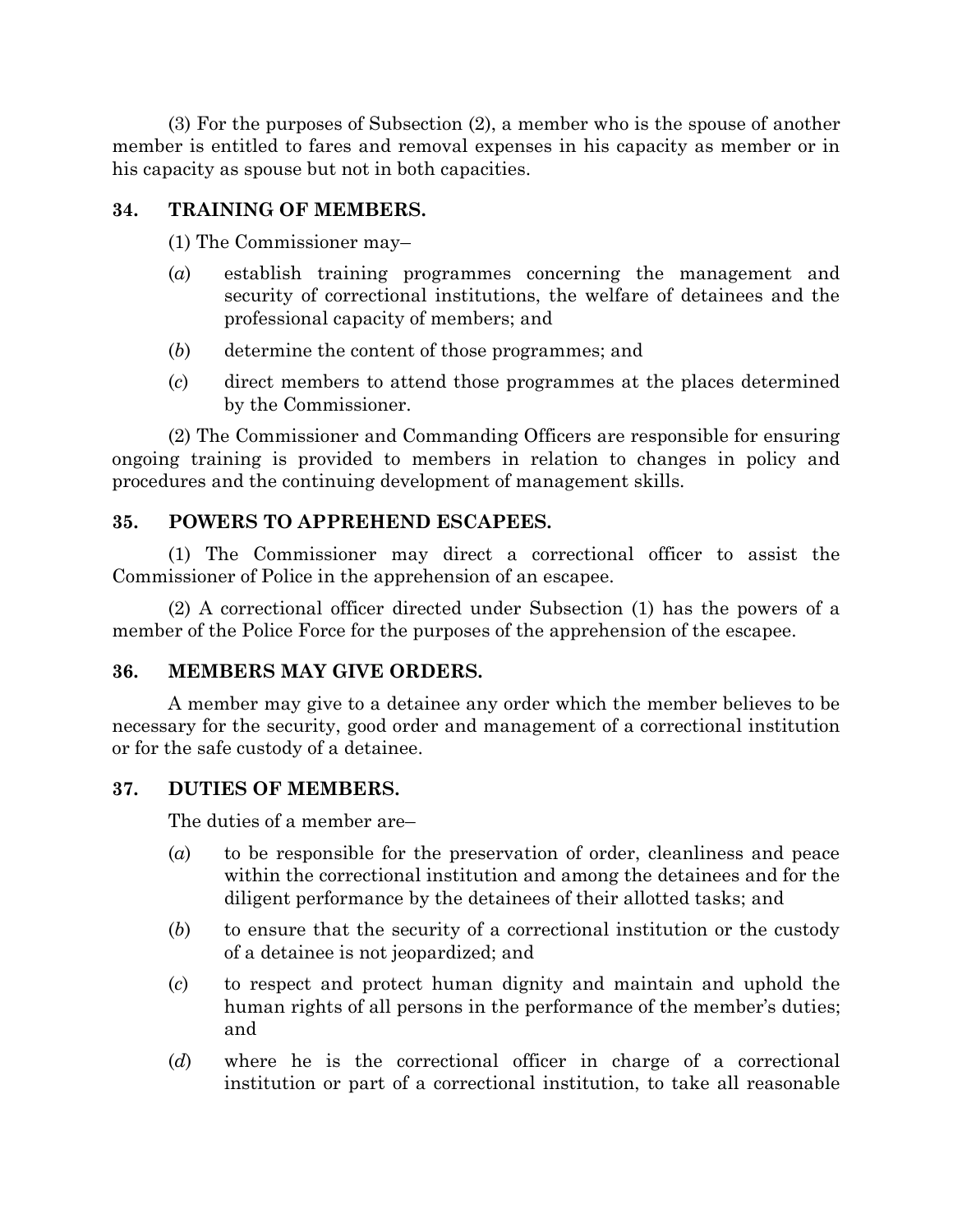(3) For the purposes of Subsection (2), a member who is the spouse of another member is entitled to fares and removal expenses in his capacity as member or in his capacity as spouse but not in both capacities.

## **34. TRAINING OF MEMBERS.**

(1) The Commissioner may–

- (*a*) establish training programmes concerning the management and security of correctional institutions, the welfare of detainees and the professional capacity of members; and
- (*b*) determine the content of those programmes; and
- (*c*) direct members to attend those programmes at the places determined by the Commissioner.

(2) The Commissioner and Commanding Officers are responsible for ensuring ongoing training is provided to members in relation to changes in policy and procedures and the continuing development of management skills.

## **35. POWERS TO APPREHEND ESCAPEES.**

(1) The Commissioner may direct a correctional officer to assist the Commissioner of Police in the apprehension of an escapee.

(2) A correctional officer directed under Subsection (1) has the powers of a member of the Police Force for the purposes of the apprehension of the escapee.

#### **36. MEMBERS MAY GIVE ORDERS.**

A member may give to a detainee any order which the member believes to be necessary for the security, good order and management of a correctional institution or for the safe custody of a detainee.

#### **37. DUTIES OF MEMBERS.**

The duties of a member are–

- (*a*) to be responsible for the preservation of order, cleanliness and peace within the correctional institution and among the detainees and for the diligent performance by the detainees of their allotted tasks; and
- (*b*) to ensure that the security of a correctional institution or the custody of a detainee is not jeopardized; and
- (*c*) to respect and protect human dignity and maintain and uphold the human rights of all persons in the performance of the member's duties; and
- (*d*) where he is the correctional officer in charge of a correctional institution or part of a correctional institution, to take all reasonable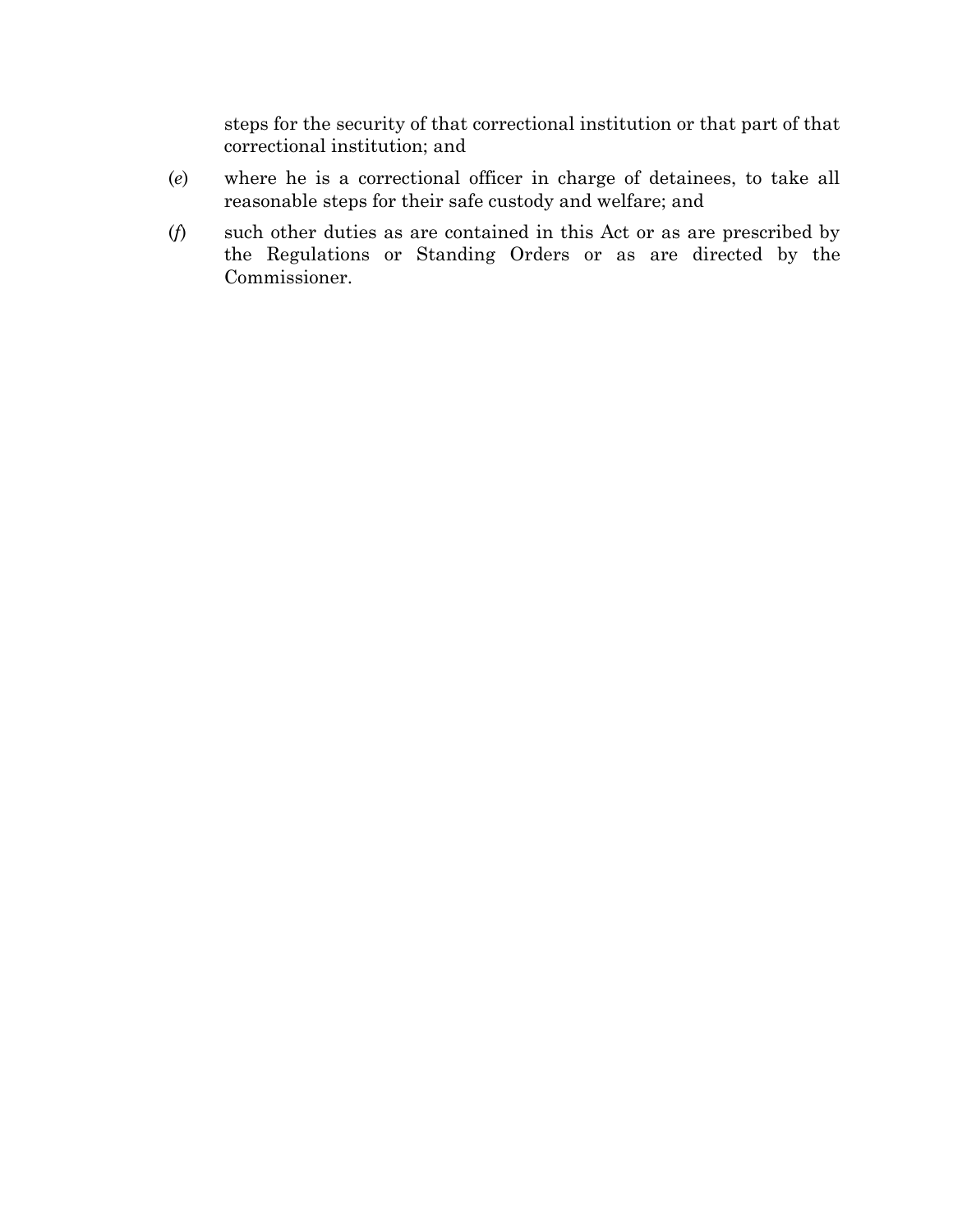steps for the security of that correctional institution or that part of that correctional institution; and

- (*e*) where he is a correctional officer in charge of detainees, to take all reasonable steps for their safe custody and welfare; and
- (*f*) such other duties as are contained in this Act or as are prescribed by the Regulations or Standing Orders or as are directed by the Commissioner.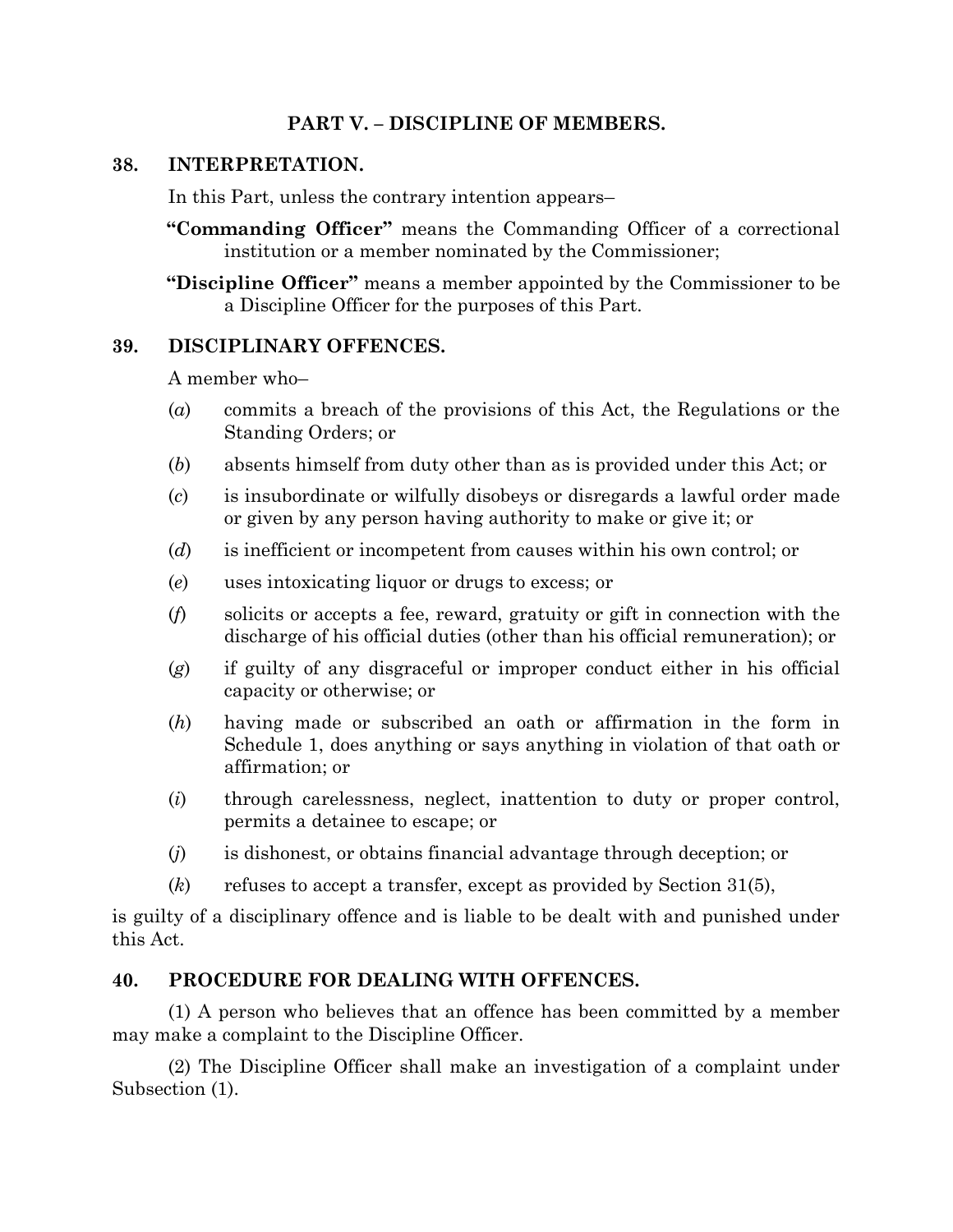## **PART V. – DISCIPLINE OF MEMBERS.**

#### **38. INTERPRETATION.**

In this Part, unless the contrary intention appears–

**"Commanding Officer"** means the Commanding Officer of a correctional institution or a member nominated by the Commissioner;

**"Discipline Officer"** means a member appointed by the Commissioner to be a Discipline Officer for the purposes of this Part.

#### **39. DISCIPLINARY OFFENCES.**

A member who–

- (*a*) commits a breach of the provisions of this Act, the Regulations or the Standing Orders; or
- (*b*) absents himself from duty other than as is provided under this Act; or
- (*c*) is insubordinate or wilfully disobeys or disregards a lawful order made or given by any person having authority to make or give it; or
- (*d*) is inefficient or incompetent from causes within his own control; or
- (*e*) uses intoxicating liquor or drugs to excess; or
- (*f*) solicits or accepts a fee, reward, gratuity or gift in connection with the discharge of his official duties (other than his official remuneration); or
- (*g*) if guilty of any disgraceful or improper conduct either in his official capacity or otherwise; or
- (*h*) having made or subscribed an oath or affirmation in the form in Schedule 1, does anything or says anything in violation of that oath or affirmation; or
- (*i*) through carelessness, neglect, inattention to duty or proper control, permits a detainee to escape; or
- (*j*) is dishonest, or obtains financial advantage through deception; or
- (*k*) refuses to accept a transfer, except as provided by Section 31(5),

is guilty of a disciplinary offence and is liable to be dealt with and punished under this Act.

#### **40. PROCEDURE FOR DEALING WITH OFFENCES.**

(1) A person who believes that an offence has been committed by a member may make a complaint to the Discipline Officer.

(2) The Discipline Officer shall make an investigation of a complaint under Subsection (1).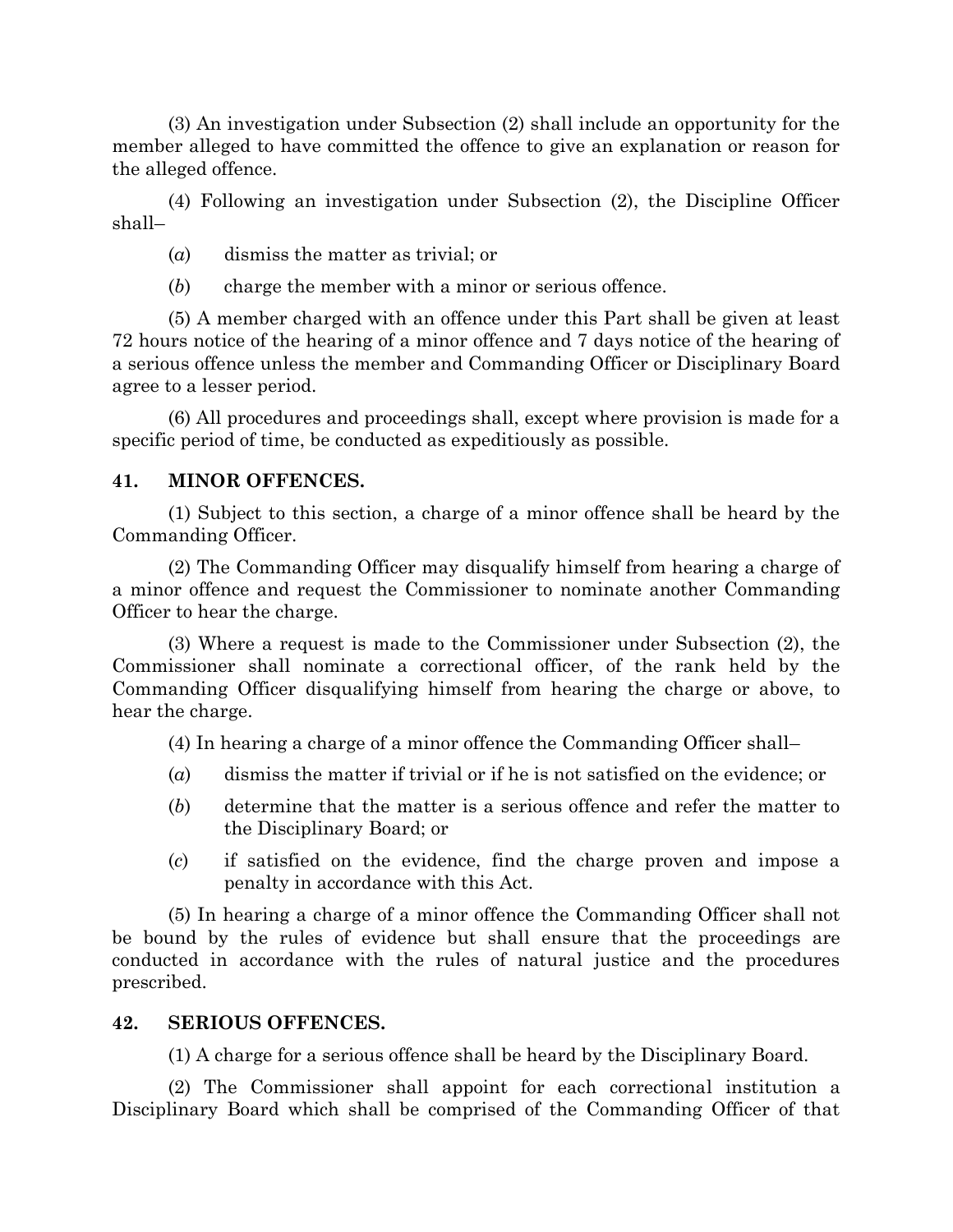(3) An investigation under Subsection (2) shall include an opportunity for the member alleged to have committed the offence to give an explanation or reason for the alleged offence.

(4) Following an investigation under Subsection (2), the Discipline Officer shall–

(*a*) dismiss the matter as trivial; or

(*b*) charge the member with a minor or serious offence.

(5) A member charged with an offence under this Part shall be given at least 72 hours notice of the hearing of a minor offence and 7 days notice of the hearing of a serious offence unless the member and Commanding Officer or Disciplinary Board agree to a lesser period.

(6) All procedures and proceedings shall, except where provision is made for a specific period of time, be conducted as expeditiously as possible.

#### **41. MINOR OFFENCES.**

(1) Subject to this section, a charge of a minor offence shall be heard by the Commanding Officer.

(2) The Commanding Officer may disqualify himself from hearing a charge of a minor offence and request the Commissioner to nominate another Commanding Officer to hear the charge.

(3) Where a request is made to the Commissioner under Subsection (2), the Commissioner shall nominate a correctional officer, of the rank held by the Commanding Officer disqualifying himself from hearing the charge or above, to hear the charge.

(4) In hearing a charge of a minor offence the Commanding Officer shall–

- (*a*) dismiss the matter if trivial or if he is not satisfied on the evidence; or
- (*b*) determine that the matter is a serious offence and refer the matter to the Disciplinary Board; or
- (*c*) if satisfied on the evidence, find the charge proven and impose a penalty in accordance with this Act.

(5) In hearing a charge of a minor offence the Commanding Officer shall not be bound by the rules of evidence but shall ensure that the proceedings are conducted in accordance with the rules of natural justice and the procedures prescribed.

#### **42. SERIOUS OFFENCES.**

(1) A charge for a serious offence shall be heard by the Disciplinary Board.

(2) The Commissioner shall appoint for each correctional institution a Disciplinary Board which shall be comprised of the Commanding Officer of that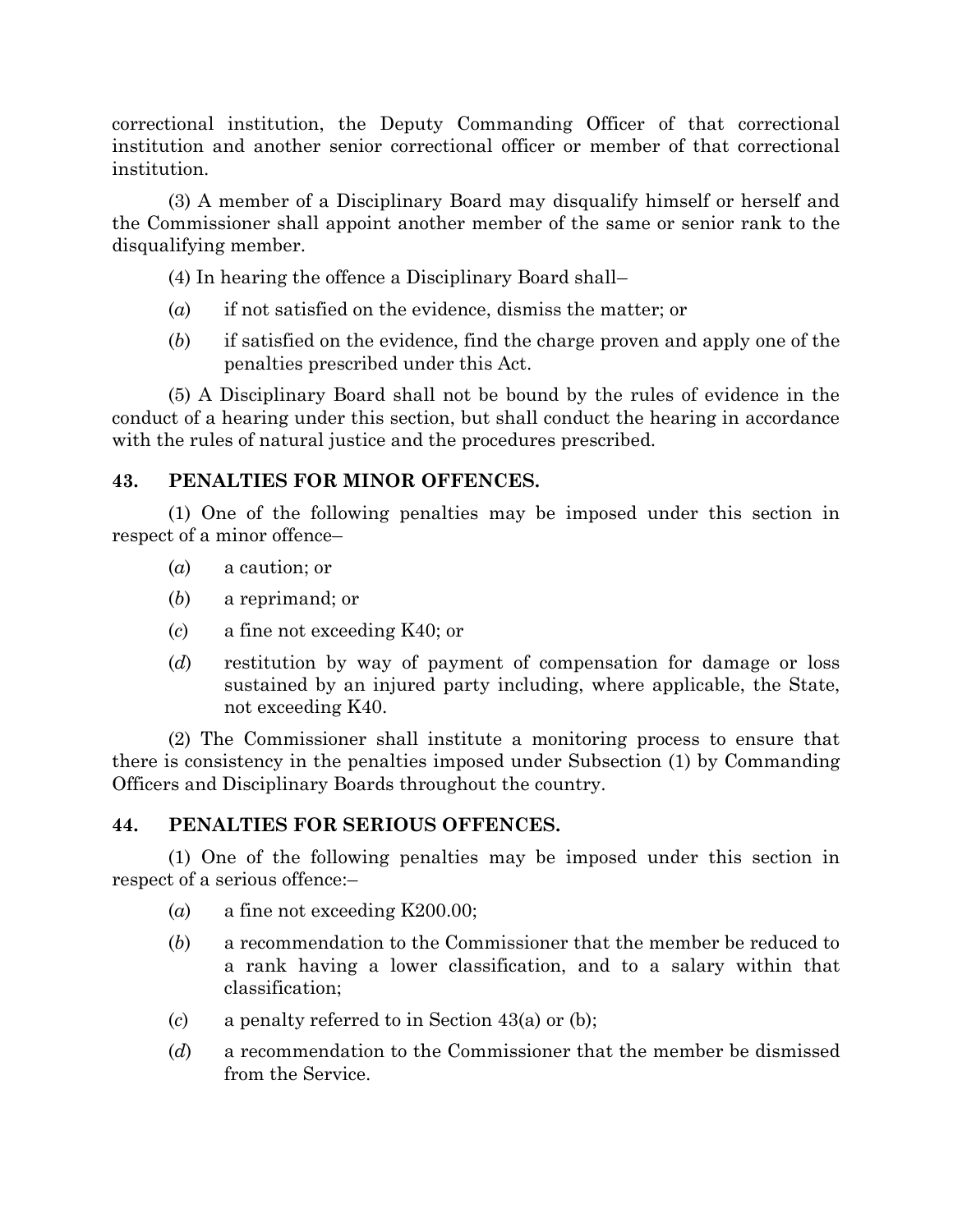correctional institution, the Deputy Commanding Officer of that correctional institution and another senior correctional officer or member of that correctional institution.

(3) A member of a Disciplinary Board may disqualify himself or herself and the Commissioner shall appoint another member of the same or senior rank to the disqualifying member.

(4) In hearing the offence a Disciplinary Board shall–

- (*a*) if not satisfied on the evidence, dismiss the matter; or
- (*b*) if satisfied on the evidence, find the charge proven and apply one of the penalties prescribed under this Act.

(5) A Disciplinary Board shall not be bound by the rules of evidence in the conduct of a hearing under this section, but shall conduct the hearing in accordance with the rules of natural justice and the procedures prescribed.

## **43. PENALTIES FOR MINOR OFFENCES.**

(1) One of the following penalties may be imposed under this section in respect of a minor offence–

- (*a*) a caution; or
- (*b*) a reprimand; or
- (*c*) a fine not exceeding K40; or
- (*d*) restitution by way of payment of compensation for damage or loss sustained by an injured party including, where applicable, the State, not exceeding K40.

(2) The Commissioner shall institute a monitoring process to ensure that there is consistency in the penalties imposed under Subsection (1) by Commanding Officers and Disciplinary Boards throughout the country.

#### **44. PENALTIES FOR SERIOUS OFFENCES.**

(1) One of the following penalties may be imposed under this section in respect of a serious offence:–

- (*a*) a fine not exceeding K200.00;
- (*b*) a recommendation to the Commissioner that the member be reduced to a rank having a lower classification, and to a salary within that classification;
- (*c*) a penalty referred to in Section 43(a) or (b);
- (*d*) a recommendation to the Commissioner that the member be dismissed from the Service.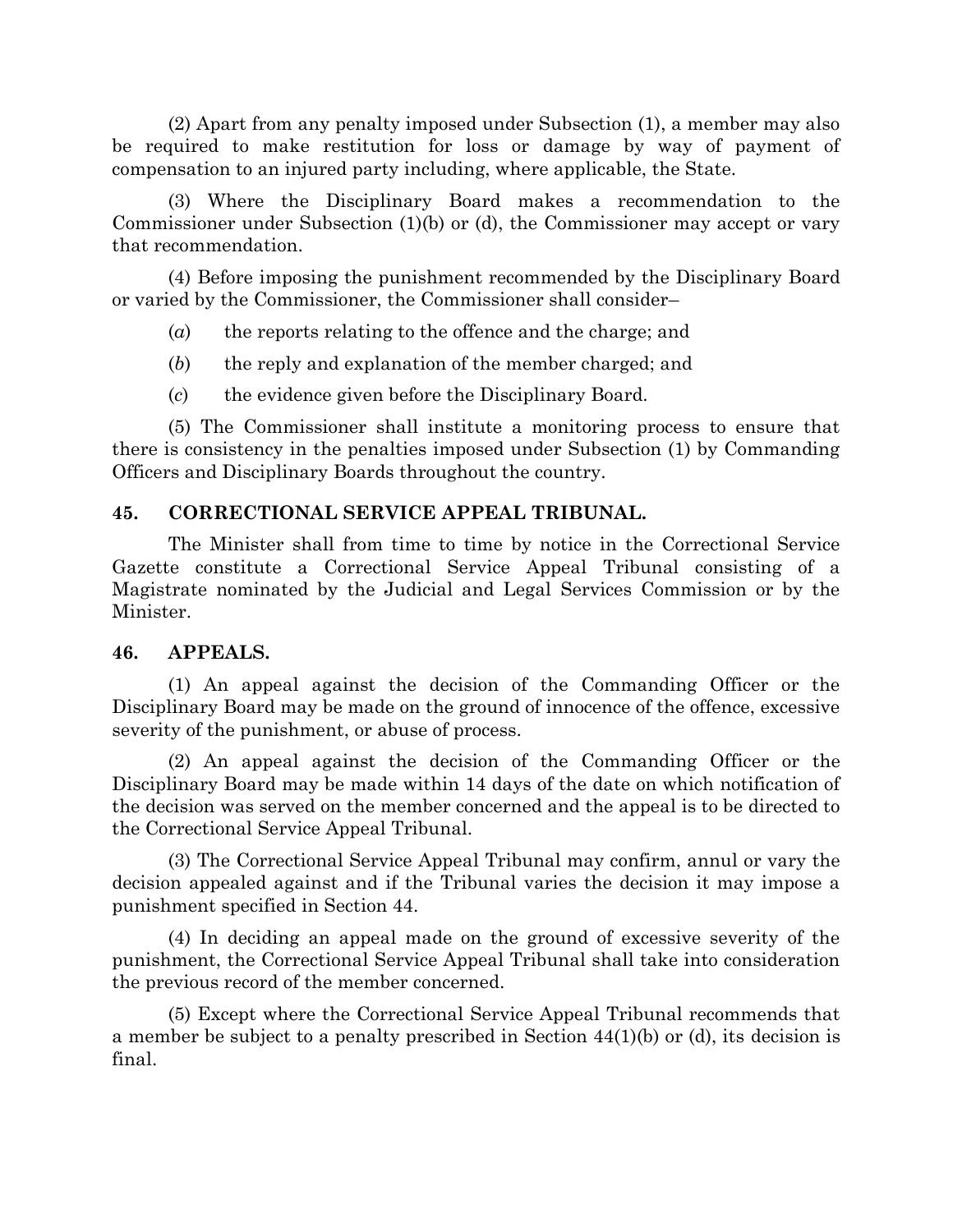(2) Apart from any penalty imposed under Subsection (1), a member may also be required to make restitution for loss or damage by way of payment of compensation to an injured party including, where applicable, the State.

(3) Where the Disciplinary Board makes a recommendation to the Commissioner under Subsection (1)(b) or (d), the Commissioner may accept or vary that recommendation.

(4) Before imposing the punishment recommended by the Disciplinary Board or varied by the Commissioner, the Commissioner shall consider–

(*a*) the reports relating to the offence and the charge; and

- (*b*) the reply and explanation of the member charged; and
- (*c*) the evidence given before the Disciplinary Board.

(5) The Commissioner shall institute a monitoring process to ensure that there is consistency in the penalties imposed under Subsection (1) by Commanding Officers and Disciplinary Boards throughout the country.

## **45. CORRECTIONAL SERVICE APPEAL TRIBUNAL.**

The Minister shall from time to time by notice in the Correctional Service Gazette constitute a Correctional Service Appeal Tribunal consisting of a Magistrate nominated by the Judicial and Legal Services Commission or by the Minister.

#### **46. APPEALS.**

(1) An appeal against the decision of the Commanding Officer or the Disciplinary Board may be made on the ground of innocence of the offence, excessive severity of the punishment, or abuse of process.

(2) An appeal against the decision of the Commanding Officer or the Disciplinary Board may be made within 14 days of the date on which notification of the decision was served on the member concerned and the appeal is to be directed to the Correctional Service Appeal Tribunal.

(3) The Correctional Service Appeal Tribunal may confirm, annul or vary the decision appealed against and if the Tribunal varies the decision it may impose a punishment specified in Section 44.

(4) In deciding an appeal made on the ground of excessive severity of the punishment, the Correctional Service Appeal Tribunal shall take into consideration the previous record of the member concerned.

(5) Except where the Correctional Service Appeal Tribunal recommends that a member be subject to a penalty prescribed in Section  $44(1)(b)$  or (d), its decision is final.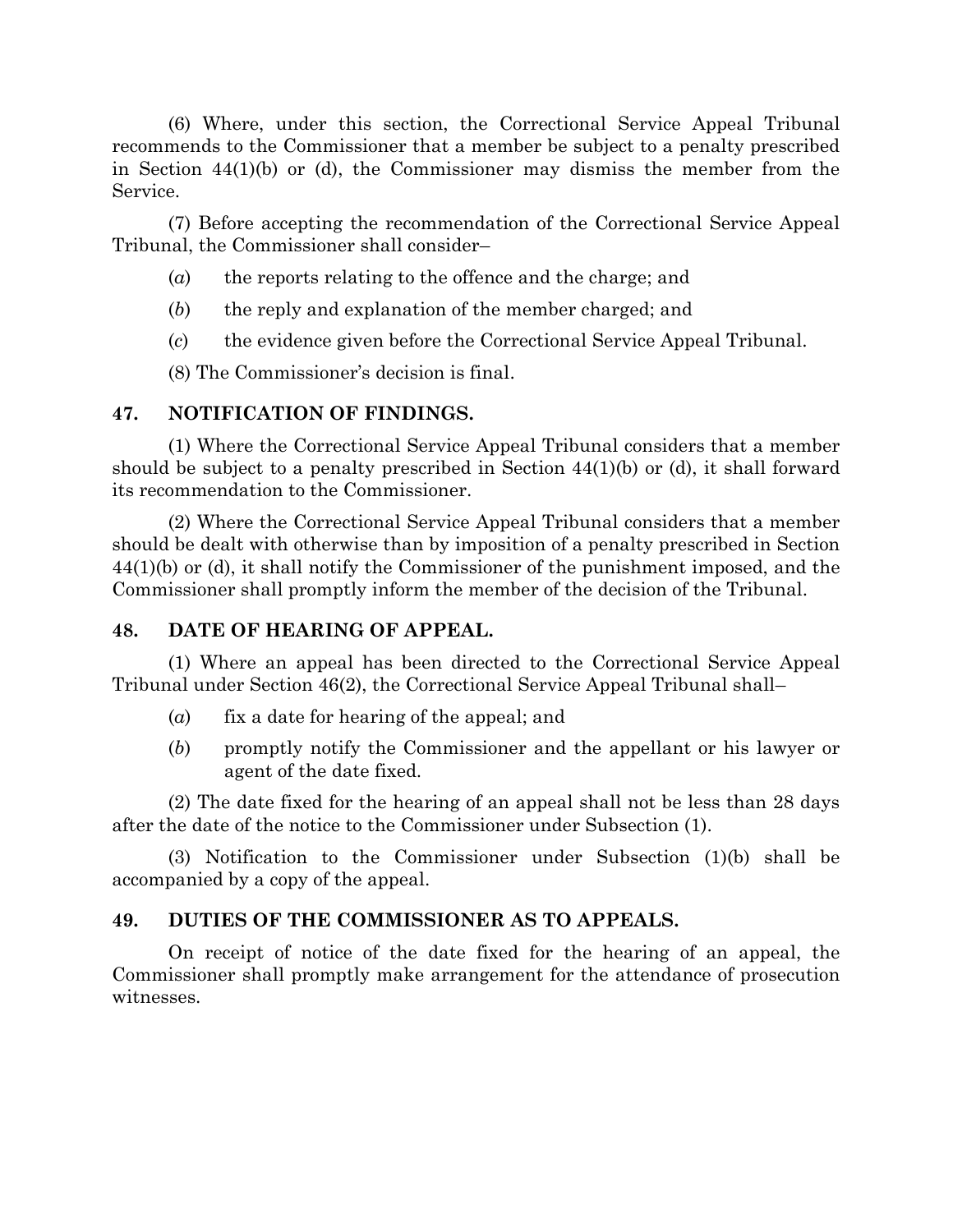(6) Where, under this section, the Correctional Service Appeal Tribunal recommends to the Commissioner that a member be subject to a penalty prescribed in Section 44(1)(b) or (d), the Commissioner may dismiss the member from the Service.

(7) Before accepting the recommendation of the Correctional Service Appeal Tribunal, the Commissioner shall consider–

- (*a*) the reports relating to the offence and the charge; and
- (*b*) the reply and explanation of the member charged; and
- (*c*) the evidence given before the Correctional Service Appeal Tribunal.

(8) The Commissioner's decision is final.

## **47. NOTIFICATION OF FINDINGS.**

(1) Where the Correctional Service Appeal Tribunal considers that a member should be subject to a penalty prescribed in Section 44(1)(b) or (d), it shall forward its recommendation to the Commissioner.

(2) Where the Correctional Service Appeal Tribunal considers that a member should be dealt with otherwise than by imposition of a penalty prescribed in Section 44(1)(b) or (d), it shall notify the Commissioner of the punishment imposed, and the Commissioner shall promptly inform the member of the decision of the Tribunal.

## **48. DATE OF HEARING OF APPEAL.**

(1) Where an appeal has been directed to the Correctional Service Appeal Tribunal under Section 46(2), the Correctional Service Appeal Tribunal shall–

- (*a*) fix a date for hearing of the appeal; and
- (*b*) promptly notify the Commissioner and the appellant or his lawyer or agent of the date fixed.

(2) The date fixed for the hearing of an appeal shall not be less than 28 days after the date of the notice to the Commissioner under Subsection (1).

(3) Notification to the Commissioner under Subsection (1)(b) shall be accompanied by a copy of the appeal.

## **49. DUTIES OF THE COMMISSIONER AS TO APPEALS.**

On receipt of notice of the date fixed for the hearing of an appeal, the Commissioner shall promptly make arrangement for the attendance of prosecution witnesses.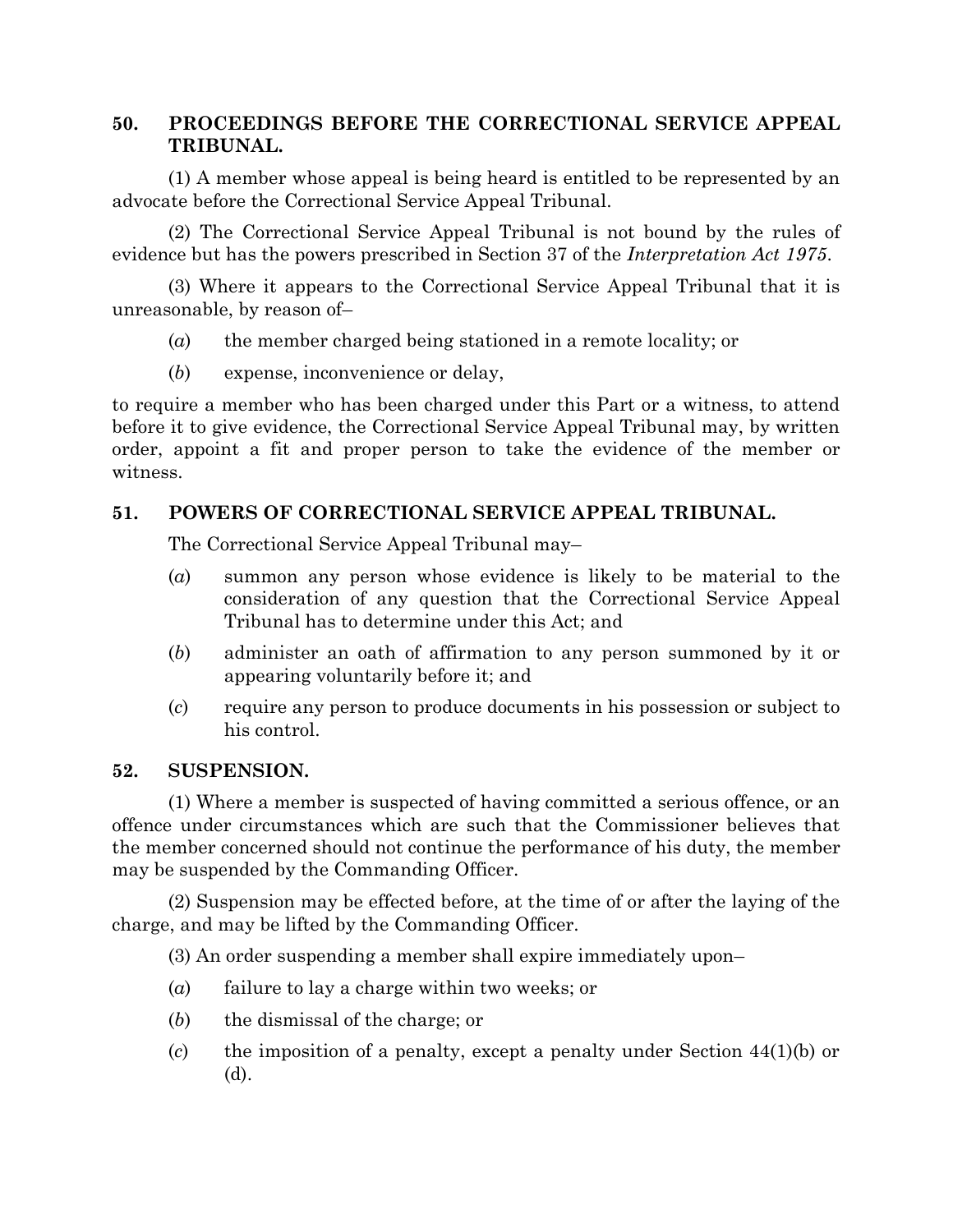## **50. PROCEEDINGS BEFORE THE CORRECTIONAL SERVICE APPEAL TRIBUNAL.**

(1) A member whose appeal is being heard is entitled to be represented by an advocate before the Correctional Service Appeal Tribunal.

(2) The Correctional Service Appeal Tribunal is not bound by the rules of evidence but has the powers prescribed in Section 37 of the *Interpretation Act 1975*.

(3) Where it appears to the Correctional Service Appeal Tribunal that it is unreasonable, by reason of–

- (*a*) the member charged being stationed in a remote locality; or
- (*b*) expense, inconvenience or delay,

to require a member who has been charged under this Part or a witness, to attend before it to give evidence, the Correctional Service Appeal Tribunal may, by written order, appoint a fit and proper person to take the evidence of the member or witness.

## **51. POWERS OF CORRECTIONAL SERVICE APPEAL TRIBUNAL.**

The Correctional Service Appeal Tribunal may–

- (*a*) summon any person whose evidence is likely to be material to the consideration of any question that the Correctional Service Appeal Tribunal has to determine under this Act; and
- (*b*) administer an oath of affirmation to any person summoned by it or appearing voluntarily before it; and
- (*c*) require any person to produce documents in his possession or subject to his control.

## **52. SUSPENSION.**

(1) Where a member is suspected of having committed a serious offence, or an offence under circumstances which are such that the Commissioner believes that the member concerned should not continue the performance of his duty, the member may be suspended by the Commanding Officer.

(2) Suspension may be effected before, at the time of or after the laying of the charge, and may be lifted by the Commanding Officer.

(3) An order suspending a member shall expire immediately upon–

- (*a*) failure to lay a charge within two weeks; or
- (*b*) the dismissal of the charge; or
- (*c*) the imposition of a penalty, except a penalty under Section 44(1)(b) or (d).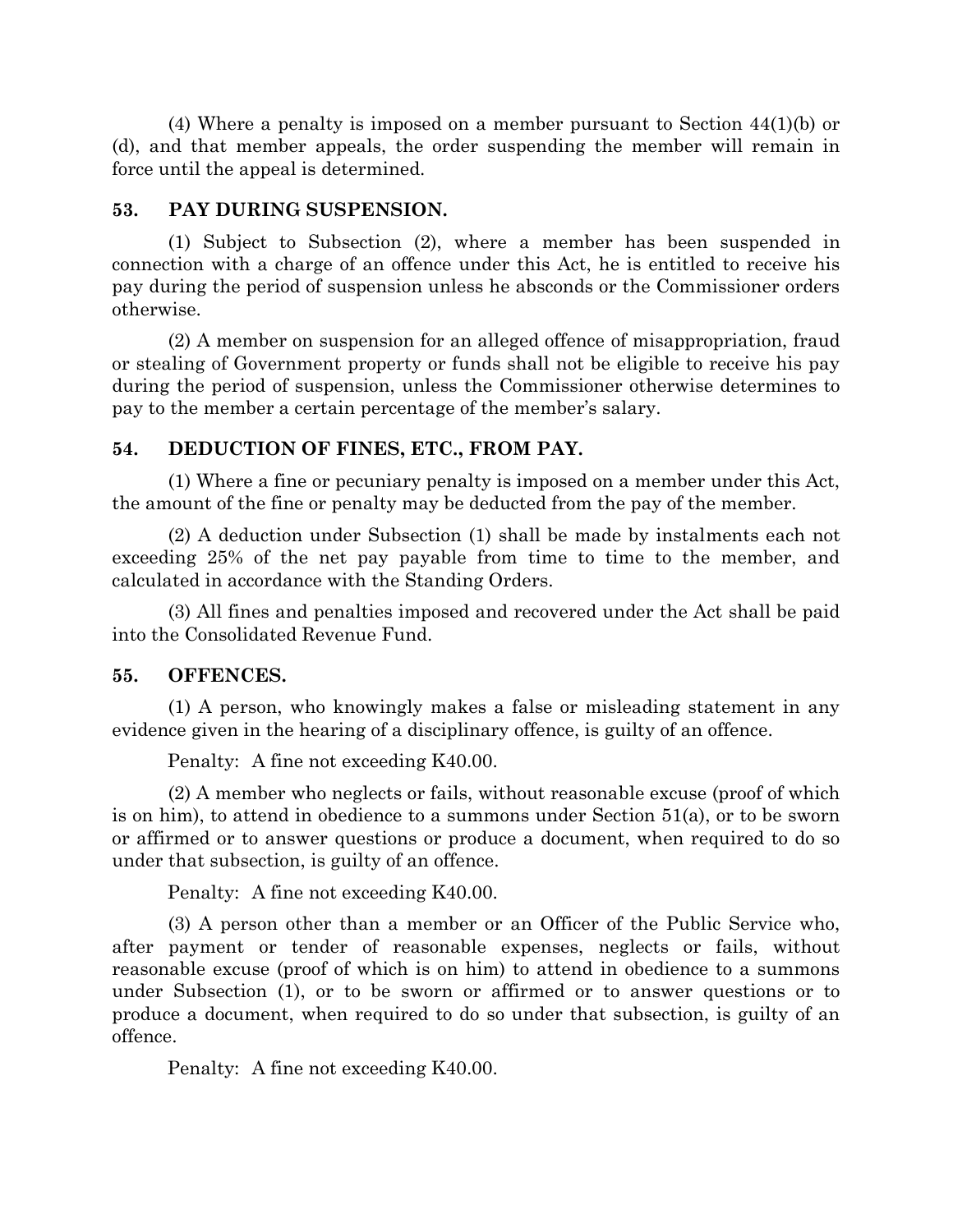(4) Where a penalty is imposed on a member pursuant to Section 44(1)(b) or (d), and that member appeals, the order suspending the member will remain in force until the appeal is determined.

#### **53. PAY DURING SUSPENSION.**

(1) Subject to Subsection (2), where a member has been suspended in connection with a charge of an offence under this Act, he is entitled to receive his pay during the period of suspension unless he absconds or the Commissioner orders otherwise.

(2) A member on suspension for an alleged offence of misappropriation, fraud or stealing of Government property or funds shall not be eligible to receive his pay during the period of suspension, unless the Commissioner otherwise determines to pay to the member a certain percentage of the member's salary.

#### **54. DEDUCTION OF FINES, ETC., FROM PAY.**

(1) Where a fine or pecuniary penalty is imposed on a member under this Act, the amount of the fine or penalty may be deducted from the pay of the member.

(2) A deduction under Subsection (1) shall be made by instalments each not exceeding 25% of the net pay payable from time to time to the member, and calculated in accordance with the Standing Orders.

(3) All fines and penalties imposed and recovered under the Act shall be paid into the Consolidated Revenue Fund.

#### **55. OFFENCES.**

(1) A person, who knowingly makes a false or misleading statement in any evidence given in the hearing of a disciplinary offence, is guilty of an offence.

Penalty: A fine not exceeding K40.00.

(2) A member who neglects or fails, without reasonable excuse (proof of which is on him), to attend in obedience to a summons under Section 51(a), or to be sworn or affirmed or to answer questions or produce a document, when required to do so under that subsection, is guilty of an offence.

Penalty: A fine not exceeding K40.00.

(3) A person other than a member or an Officer of the Public Service who, after payment or tender of reasonable expenses, neglects or fails, without reasonable excuse (proof of which is on him) to attend in obedience to a summons under Subsection (1), or to be sworn or affirmed or to answer questions or to produce a document, when required to do so under that subsection, is guilty of an offence.

Penalty: A fine not exceeding K40.00.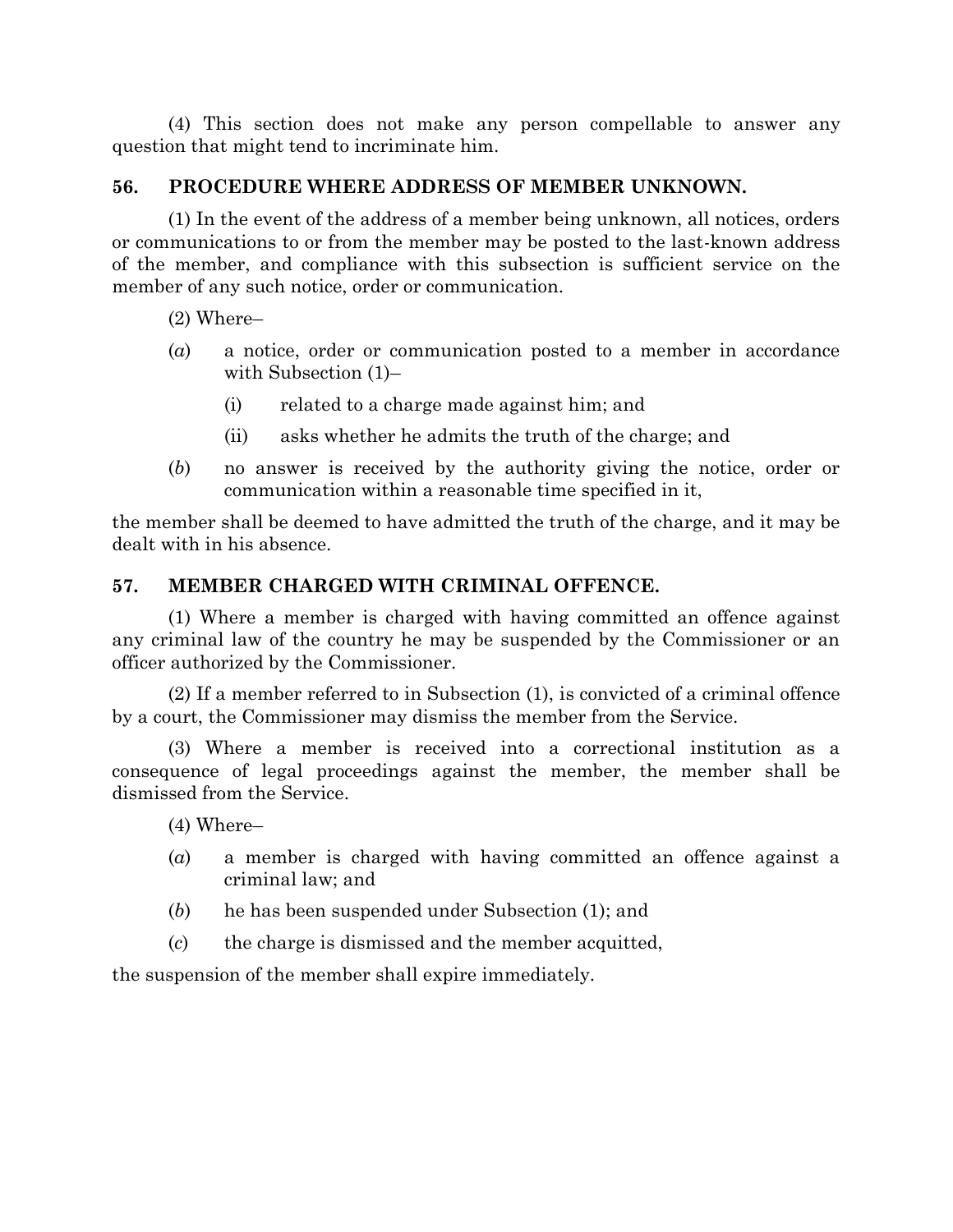(4) This section does not make any person compellable to answer any question that might tend to incriminate him.

#### **56. PROCEDURE WHERE ADDRESS OF MEMBER UNKNOWN.**

(1) In the event of the address of a member being unknown, all notices, orders or communications to or from the member may be posted to the last-known address of the member, and compliance with this subsection is sufficient service on the member of any such notice, order or communication.

(2) Where–

- (*a*) a notice, order or communication posted to a member in accordance with Subsection (1)–
	- (i) related to a charge made against him; and
	- (ii) asks whether he admits the truth of the charge; and
- (*b*) no answer is received by the authority giving the notice, order or communication within a reasonable time specified in it,

the member shall be deemed to have admitted the truth of the charge, and it may be dealt with in his absence.

## **57. MEMBER CHARGED WITH CRIMINAL OFFENCE.**

(1) Where a member is charged with having committed an offence against any criminal law of the country he may be suspended by the Commissioner or an officer authorized by the Commissioner.

(2) If a member referred to in Subsection (1), is convicted of a criminal offence by a court, the Commissioner may dismiss the member from the Service.

(3) Where a member is received into a correctional institution as a consequence of legal proceedings against the member, the member shall be dismissed from the Service.

(4) Where–

- (*a*) a member is charged with having committed an offence against a criminal law; and
- (*b*) he has been suspended under Subsection (1); and
- (*c*) the charge is dismissed and the member acquitted,

the suspension of the member shall expire immediately.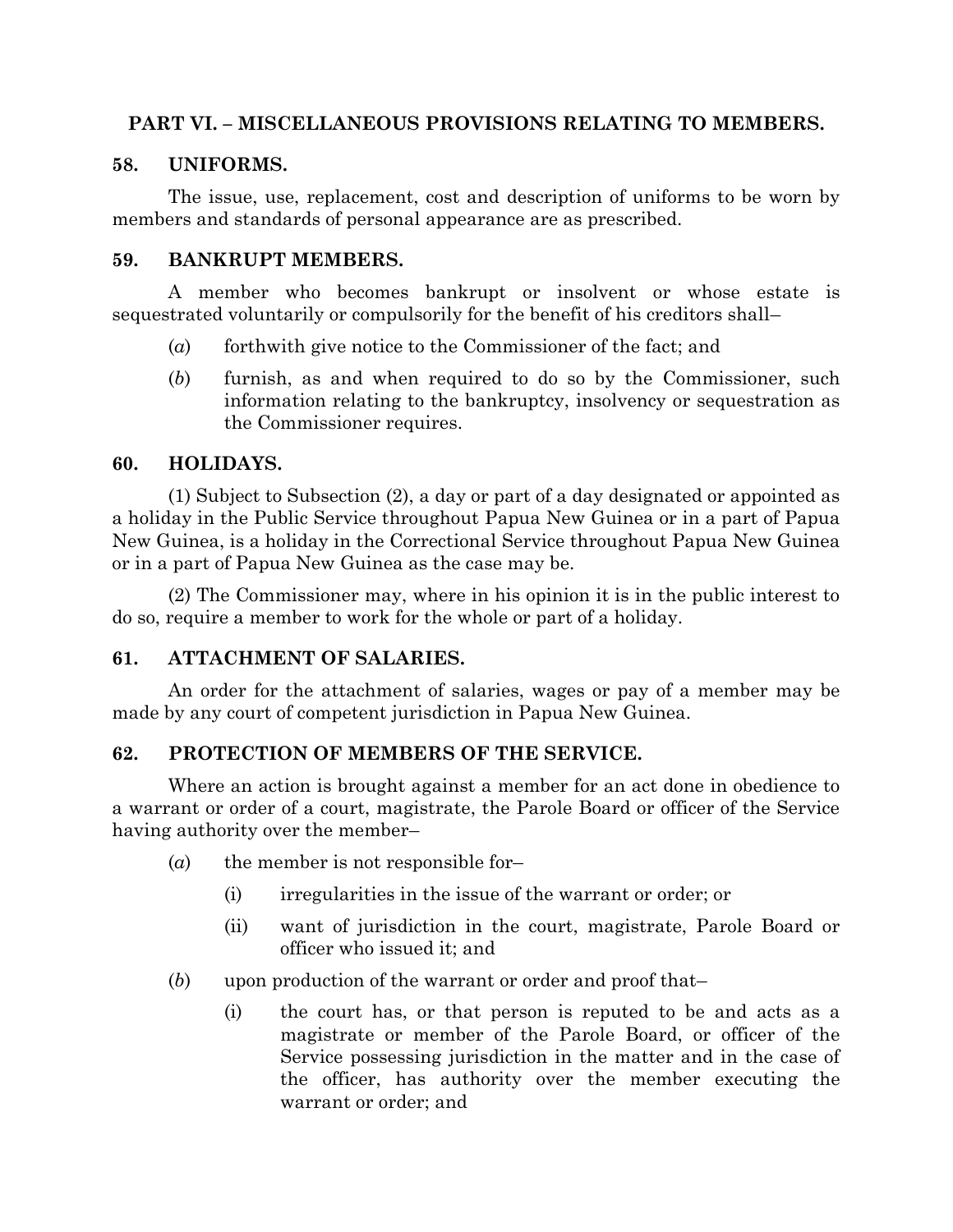## **PART VI. – MISCELLANEOUS PROVISIONS RELATING TO MEMBERS.**

## **58. UNIFORMS.**

The issue, use, replacement, cost and description of uniforms to be worn by members and standards of personal appearance are as prescribed.

#### **59. BANKRUPT MEMBERS.**

A member who becomes bankrupt or insolvent or whose estate is sequestrated voluntarily or compulsorily for the benefit of his creditors shall–

- (*a*) forthwith give notice to the Commissioner of the fact; and
- (*b*) furnish, as and when required to do so by the Commissioner, such information relating to the bankruptcy, insolvency or sequestration as the Commissioner requires.

## **60. HOLIDAYS.**

(1) Subject to Subsection (2), a day or part of a day designated or appointed as a holiday in the Public Service throughout Papua New Guinea or in a part of Papua New Guinea, is a holiday in the Correctional Service throughout Papua New Guinea or in a part of Papua New Guinea as the case may be.

(2) The Commissioner may, where in his opinion it is in the public interest to do so, require a member to work for the whole or part of a holiday.

## **61. ATTACHMENT OF SALARIES.**

An order for the attachment of salaries, wages or pay of a member may be made by any court of competent jurisdiction in Papua New Guinea.

## **62. PROTECTION OF MEMBERS OF THE SERVICE.**

Where an action is brought against a member for an act done in obedience to a warrant or order of a court, magistrate, the Parole Board or officer of the Service having authority over the member–

- (*a*) the member is not responsible for–
	- (i) irregularities in the issue of the warrant or order; or
	- (ii) want of jurisdiction in the court, magistrate, Parole Board or officer who issued it; and
- (*b*) upon production of the warrant or order and proof that–
	- (i) the court has, or that person is reputed to be and acts as a magistrate or member of the Parole Board, or officer of the Service possessing jurisdiction in the matter and in the case of the officer, has authority over the member executing the warrant or order; and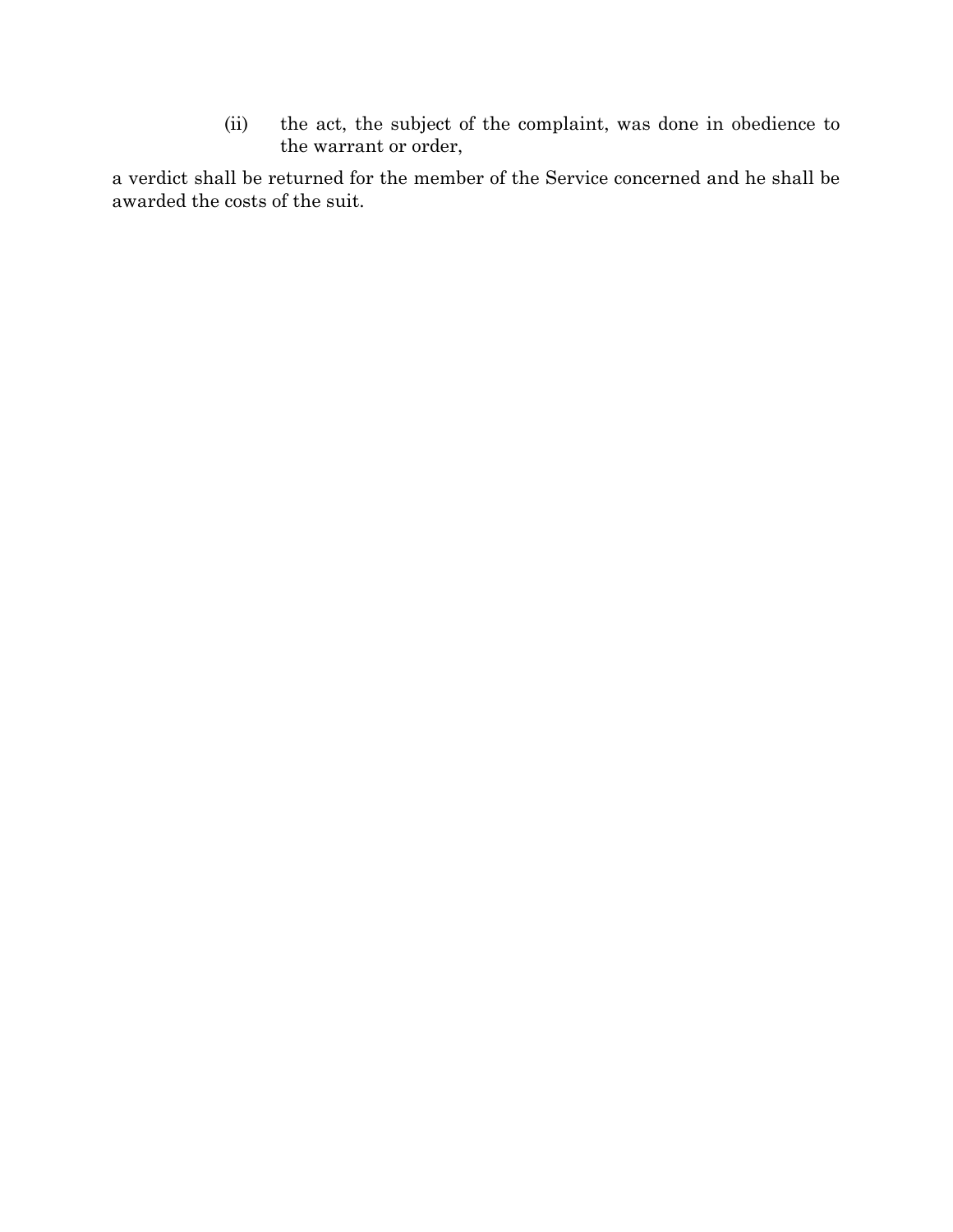(ii) the act, the subject of the complaint, was done in obedience to the warrant or order,

a verdict shall be returned for the member of the Service concerned and he shall be awarded the costs of the suit.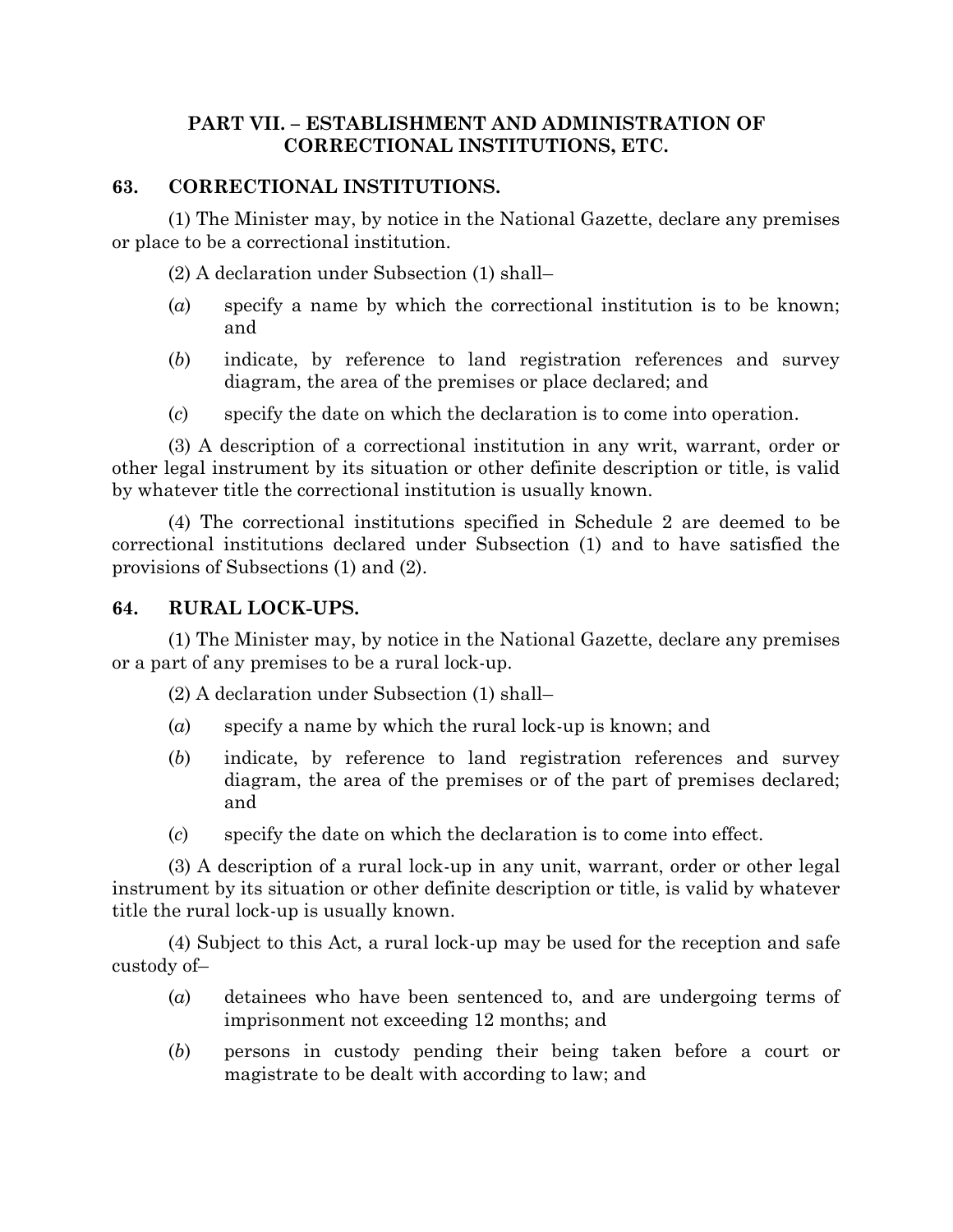#### **PART VII. – ESTABLISHMENT AND ADMINISTRATION OF CORRECTIONAL INSTITUTIONS, ETC.**

#### **63. CORRECTIONAL INSTITUTIONS.**

(1) The Minister may, by notice in the National Gazette, declare any premises or place to be a correctional institution.

(2) A declaration under Subsection (1) shall–

- (*a*) specify a name by which the correctional institution is to be known; and
- (*b*) indicate, by reference to land registration references and survey diagram, the area of the premises or place declared; and
- (*c*) specify the date on which the declaration is to come into operation.

(3) A description of a correctional institution in any writ, warrant, order or other legal instrument by its situation or other definite description or title, is valid by whatever title the correctional institution is usually known.

(4) The correctional institutions specified in Schedule 2 are deemed to be correctional institutions declared under Subsection (1) and to have satisfied the provisions of Subsections (1) and (2).

#### **64. RURAL LOCK-UPS.**

(1) The Minister may, by notice in the National Gazette, declare any premises or a part of any premises to be a rural lock-up.

(2) A declaration under Subsection (1) shall–

- (*a*) specify a name by which the rural lock-up is known; and
- (*b*) indicate, by reference to land registration references and survey diagram, the area of the premises or of the part of premises declared; and
- (*c*) specify the date on which the declaration is to come into effect.

(3) A description of a rural lock-up in any unit, warrant, order or other legal instrument by its situation or other definite description or title, is valid by whatever title the rural lock-up is usually known.

(4) Subject to this Act, a rural lock-up may be used for the reception and safe custody of–

- (*a*) detainees who have been sentenced to, and are undergoing terms of imprisonment not exceeding 12 months; and
- (*b*) persons in custody pending their being taken before a court or magistrate to be dealt with according to law; and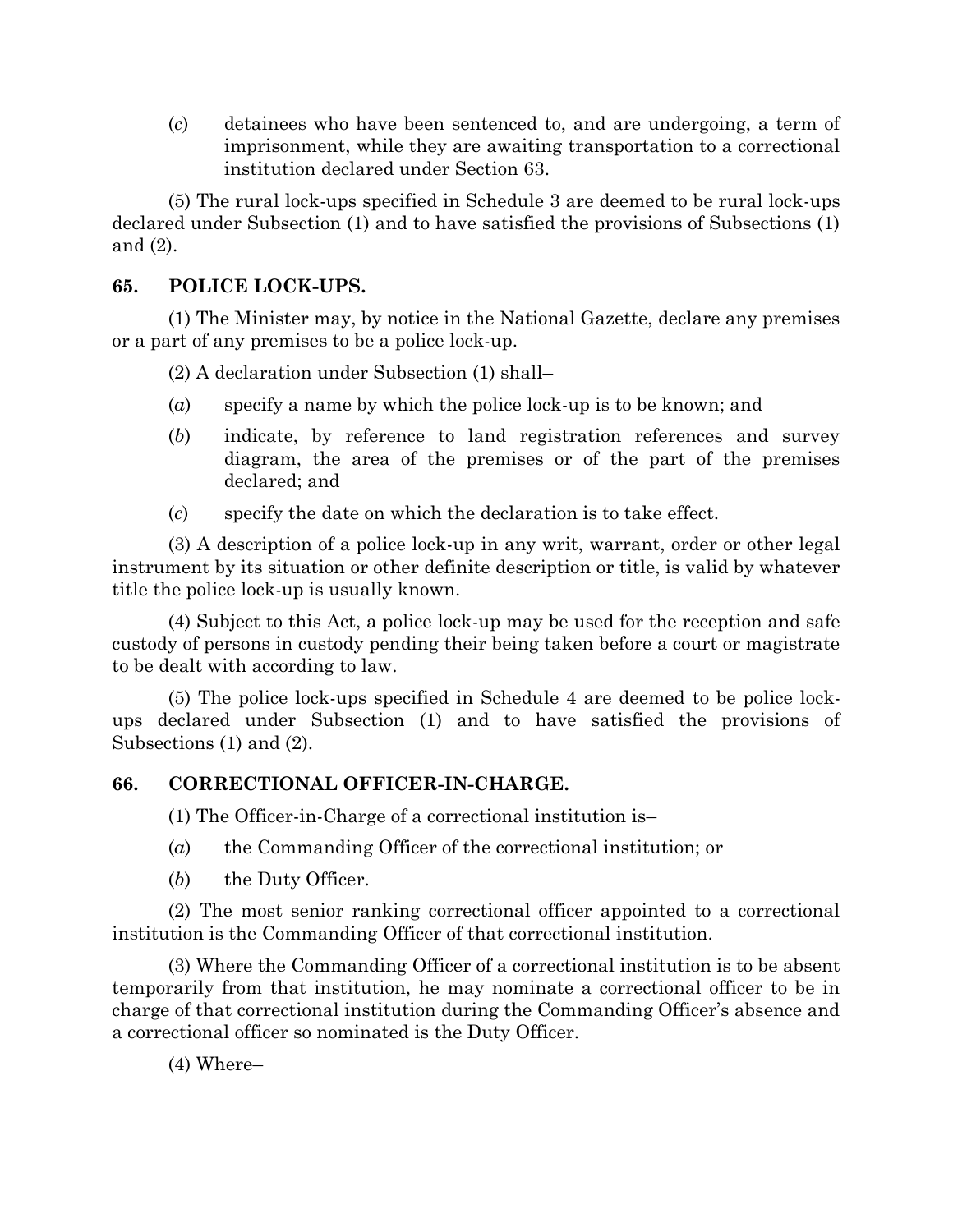(*c*) detainees who have been sentenced to, and are undergoing, a term of imprisonment, while they are awaiting transportation to a correctional institution declared under Section 63.

(5) The rural lock-ups specified in Schedule 3 are deemed to be rural lock-ups declared under Subsection (1) and to have satisfied the provisions of Subsections (1) and (2).

# **65. POLICE LOCK-UPS.**

(1) The Minister may, by notice in the National Gazette, declare any premises or a part of any premises to be a police lock-up.

(2) A declaration under Subsection (1) shall–

- (*a*) specify a name by which the police lock-up is to be known; and
- (*b*) indicate, by reference to land registration references and survey diagram, the area of the premises or of the part of the premises declared; and
- (*c*) specify the date on which the declaration is to take effect.

(3) A description of a police lock-up in any writ, warrant, order or other legal instrument by its situation or other definite description or title, is valid by whatever title the police lock-up is usually known.

(4) Subject to this Act, a police lock-up may be used for the reception and safe custody of persons in custody pending their being taken before a court or magistrate to be dealt with according to law.

(5) The police lock-ups specified in Schedule 4 are deemed to be police lockups declared under Subsection (1) and to have satisfied the provisions of Subsections (1) and (2).

# **66. CORRECTIONAL OFFICER-IN-CHARGE.**

(1) The Officer-in-Charge of a correctional institution is–

- (*a*) the Commanding Officer of the correctional institution; or
- (*b*) the Duty Officer.

(2) The most senior ranking correctional officer appointed to a correctional institution is the Commanding Officer of that correctional institution.

(3) Where the Commanding Officer of a correctional institution is to be absent temporarily from that institution, he may nominate a correctional officer to be in charge of that correctional institution during the Commanding Officer's absence and a correctional officer so nominated is the Duty Officer.

(4) Where–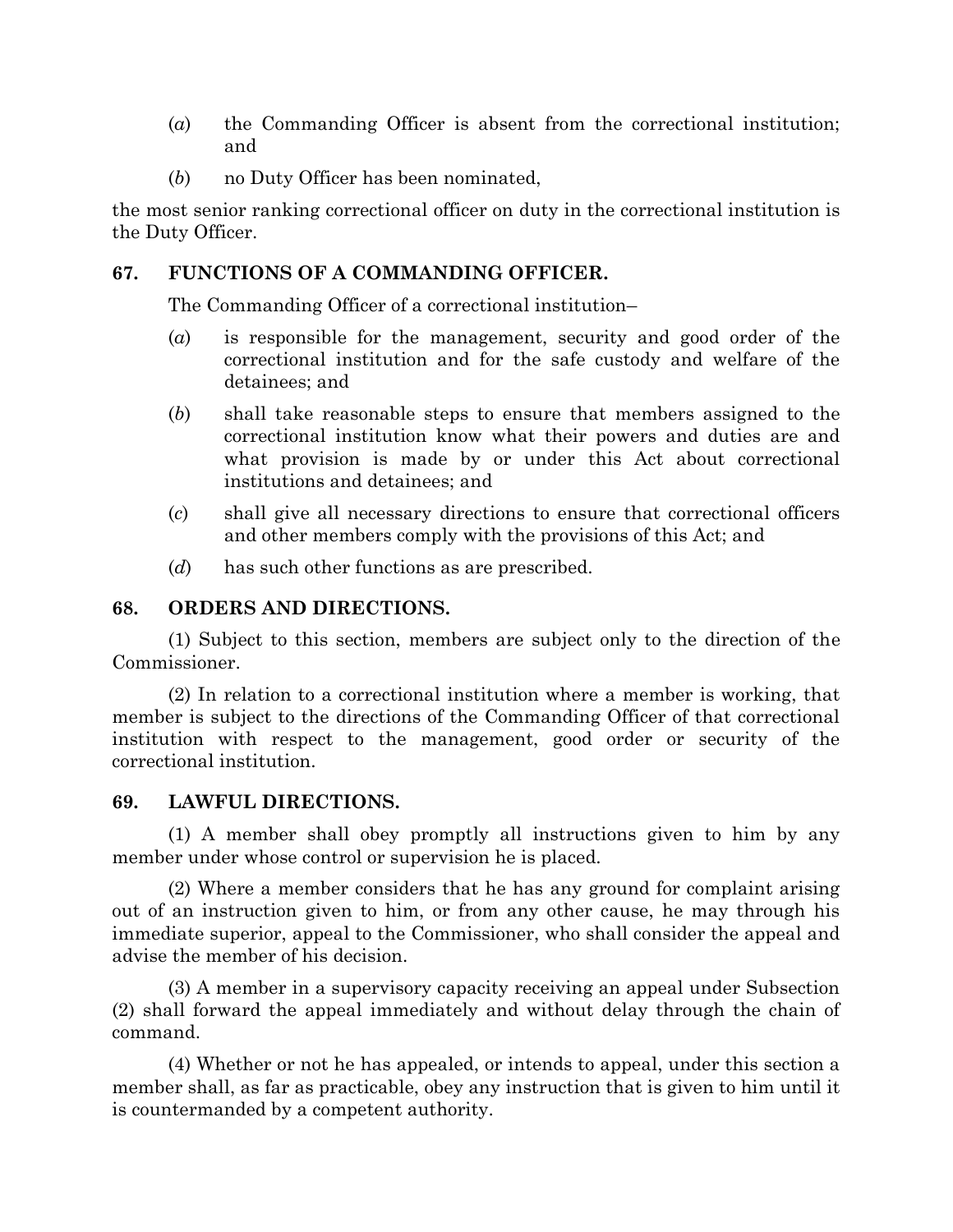- (*a*) the Commanding Officer is absent from the correctional institution; and
- (*b*) no Duty Officer has been nominated,

the most senior ranking correctional officer on duty in the correctional institution is the Duty Officer.

# **67. FUNCTIONS OF A COMMANDING OFFICER.**

The Commanding Officer of a correctional institution–

- (*a*) is responsible for the management, security and good order of the correctional institution and for the safe custody and welfare of the detainees; and
- (*b*) shall take reasonable steps to ensure that members assigned to the correctional institution know what their powers and duties are and what provision is made by or under this Act about correctional institutions and detainees; and
- (*c*) shall give all necessary directions to ensure that correctional officers and other members comply with the provisions of this Act; and
- (*d*) has such other functions as are prescribed.

# **68. ORDERS AND DIRECTIONS.**

(1) Subject to this section, members are subject only to the direction of the Commissioner.

(2) In relation to a correctional institution where a member is working, that member is subject to the directions of the Commanding Officer of that correctional institution with respect to the management, good order or security of the correctional institution.

## **69. LAWFUL DIRECTIONS.**

(1) A member shall obey promptly all instructions given to him by any member under whose control or supervision he is placed.

(2) Where a member considers that he has any ground for complaint arising out of an instruction given to him, or from any other cause, he may through his immediate superior, appeal to the Commissioner, who shall consider the appeal and advise the member of his decision.

(3) A member in a supervisory capacity receiving an appeal under Subsection (2) shall forward the appeal immediately and without delay through the chain of command.

(4) Whether or not he has appealed, or intends to appeal, under this section a member shall, as far as practicable, obey any instruction that is given to him until it is countermanded by a competent authority.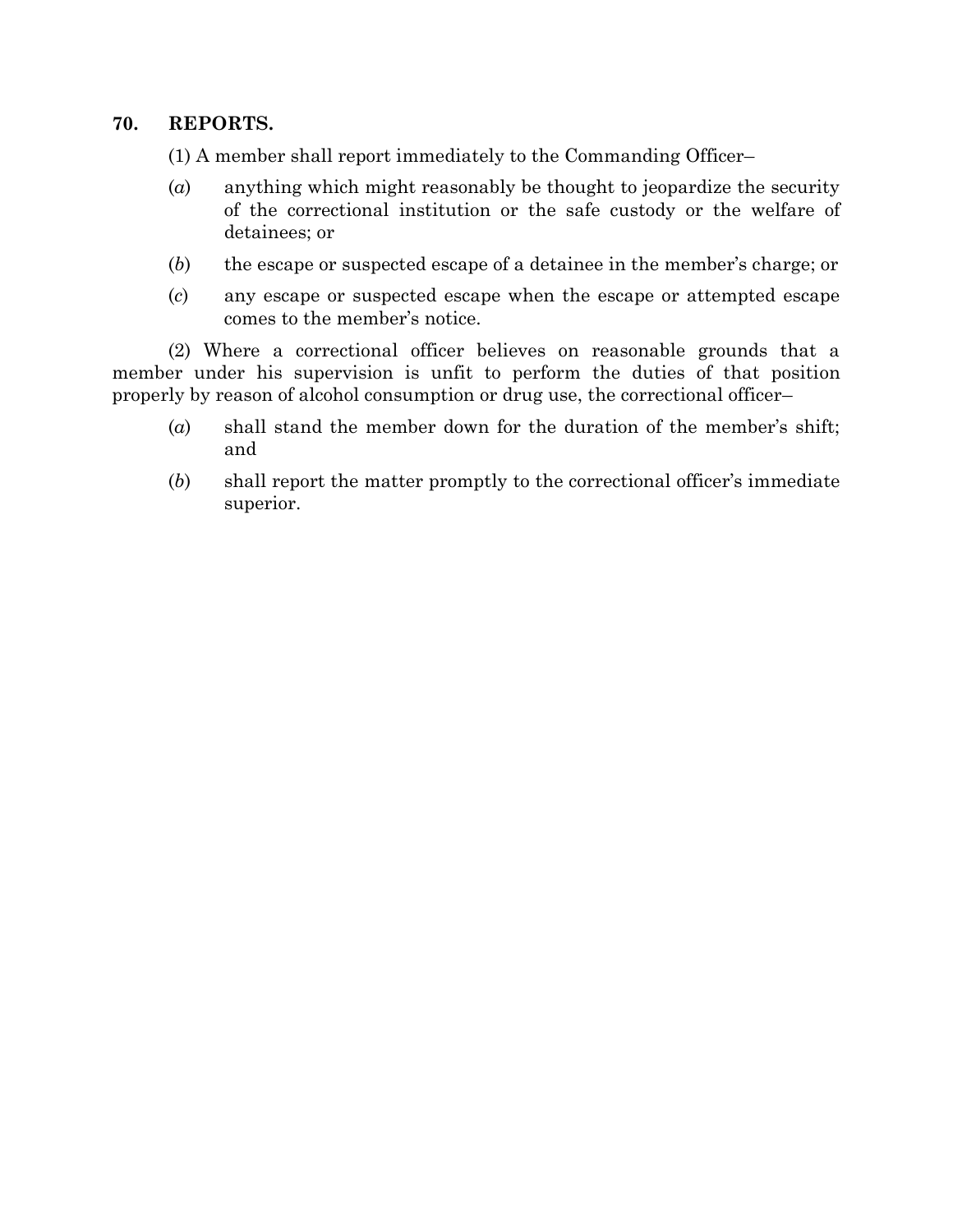### **70. REPORTS.**

(1) A member shall report immediately to the Commanding Officer–

- (*a*) anything which might reasonably be thought to jeopardize the security of the correctional institution or the safe custody or the welfare of detainees; or
- (*b*) the escape or suspected escape of a detainee in the member's charge; or
- (*c*) any escape or suspected escape when the escape or attempted escape comes to the member's notice.

(2) Where a correctional officer believes on reasonable grounds that a member under his supervision is unfit to perform the duties of that position properly by reason of alcohol consumption or drug use, the correctional officer–

- (*a*) shall stand the member down for the duration of the member's shift; and
- (*b*) shall report the matter promptly to the correctional officer's immediate superior.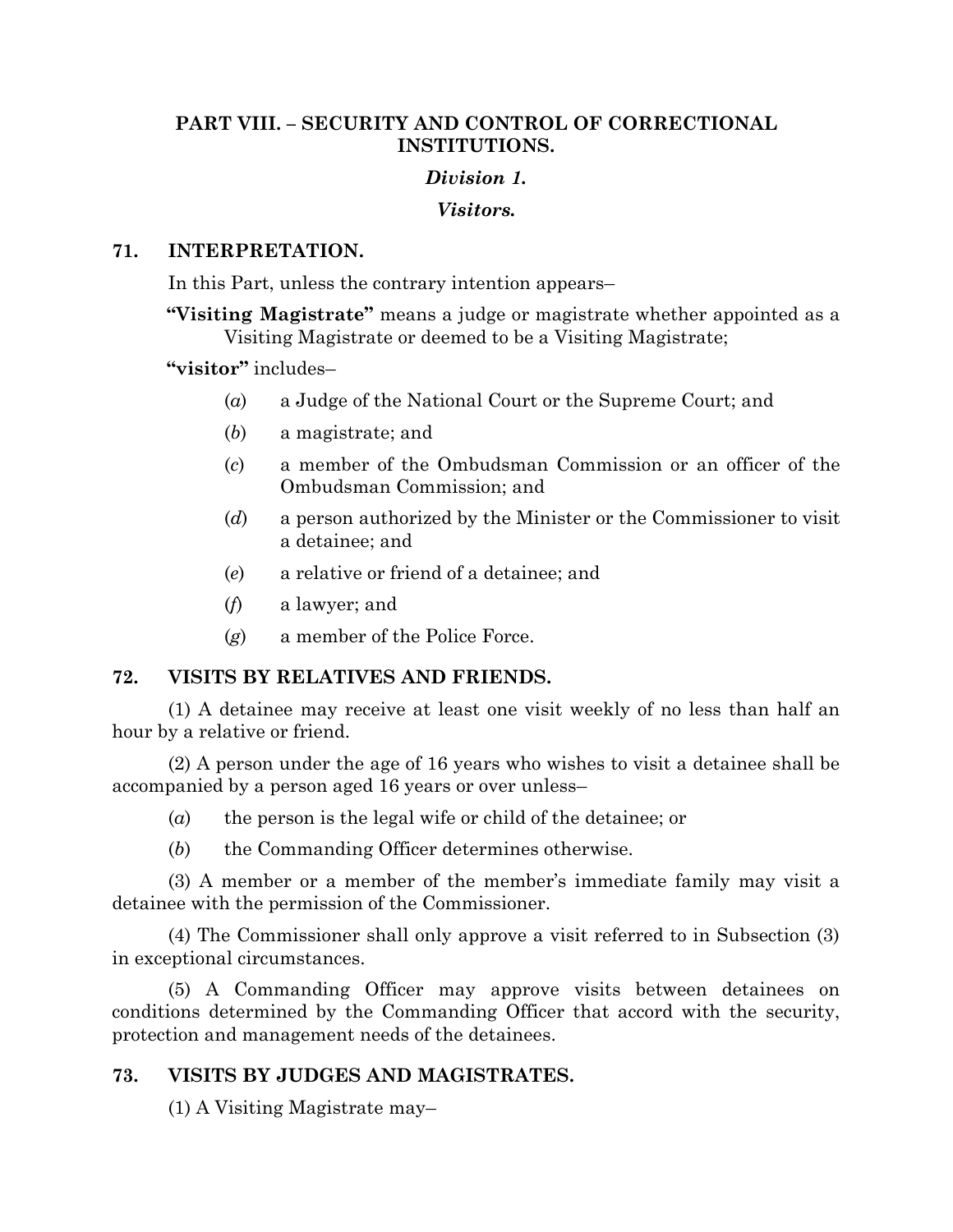## **PART VIII. – SECURITY AND CONTROL OF CORRECTIONAL INSTITUTIONS.**

## *Division 1.*

### *Visitors.*

## **71. INTERPRETATION.**

In this Part, unless the contrary intention appears–

**"Visiting Magistrate"** means a judge or magistrate whether appointed as a Visiting Magistrate or deemed to be a Visiting Magistrate;

## **"visitor"** includes–

- (*a*) a Judge of the National Court or the Supreme Court; and
- (*b*) a magistrate; and
- (*c*) a member of the Ombudsman Commission or an officer of the Ombudsman Commission; and
- (*d*) a person authorized by the Minister or the Commissioner to visit a detainee; and
- (*e*) a relative or friend of a detainee; and
- (*f*) a lawyer; and
- (*g*) a member of the Police Force.

## **72. VISITS BY RELATIVES AND FRIENDS.**

(1) A detainee may receive at least one visit weekly of no less than half an hour by a relative or friend.

(2) A person under the age of 16 years who wishes to visit a detainee shall be accompanied by a person aged 16 years or over unless–

- (*a*) the person is the legal wife or child of the detainee; or
- (*b*) the Commanding Officer determines otherwise.

(3) A member or a member of the member's immediate family may visit a detainee with the permission of the Commissioner.

(4) The Commissioner shall only approve a visit referred to in Subsection (3) in exceptional circumstances.

(5) A Commanding Officer may approve visits between detainees on conditions determined by the Commanding Officer that accord with the security, protection and management needs of the detainees.

# **73. VISITS BY JUDGES AND MAGISTRATES.**

(1) A Visiting Magistrate may–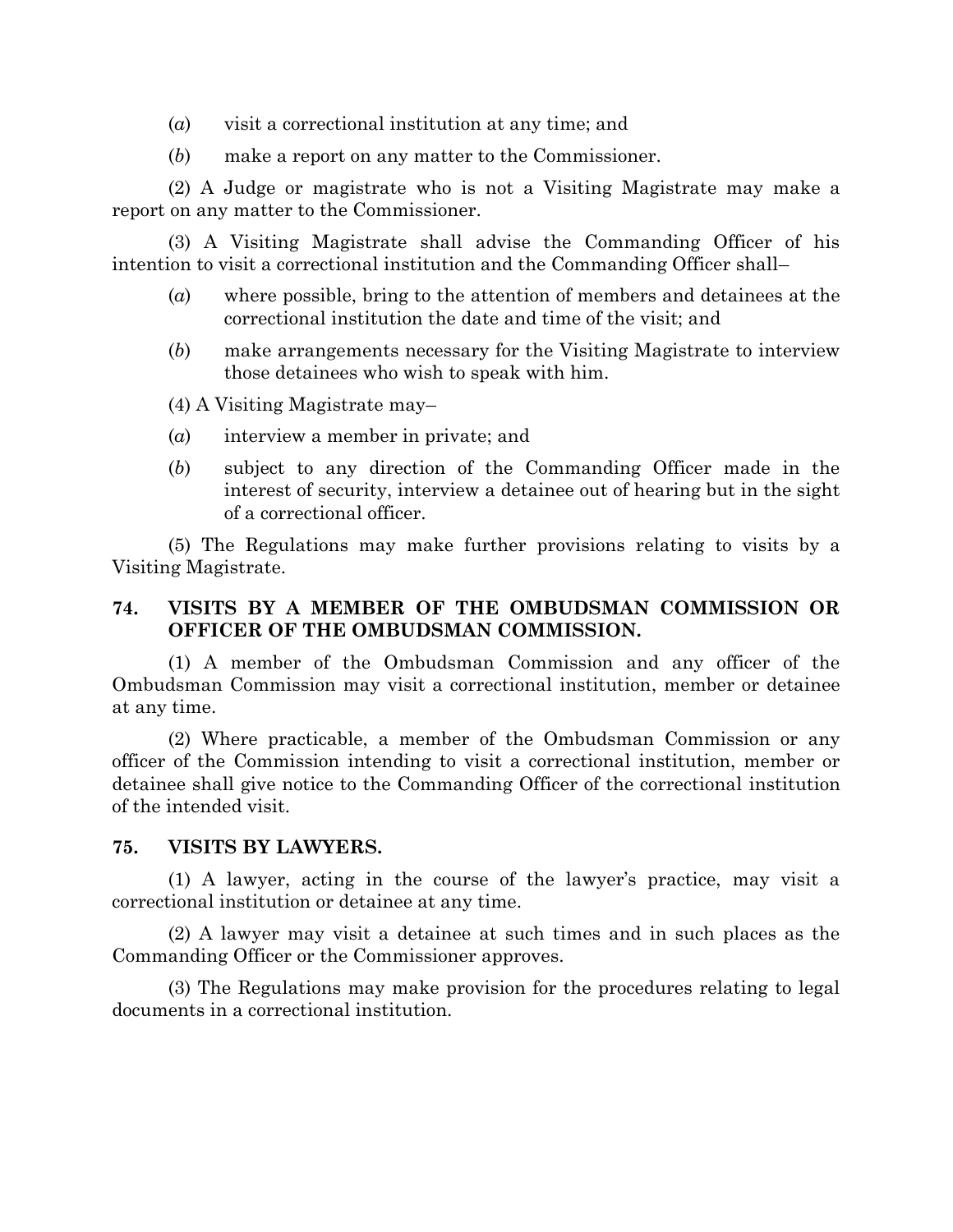- (*a*) visit a correctional institution at any time; and
- (*b*) make a report on any matter to the Commissioner.

(2) A Judge or magistrate who is not a Visiting Magistrate may make a report on any matter to the Commissioner.

(3) A Visiting Magistrate shall advise the Commanding Officer of his intention to visit a correctional institution and the Commanding Officer shall–

- (*a*) where possible, bring to the attention of members and detainees at the correctional institution the date and time of the visit; and
- (*b*) make arrangements necessary for the Visiting Magistrate to interview those detainees who wish to speak with him.
- (4) A Visiting Magistrate may–
- (*a*) interview a member in private; and
- (*b*) subject to any direction of the Commanding Officer made in the interest of security, interview a detainee out of hearing but in the sight of a correctional officer.

(5) The Regulations may make further provisions relating to visits by a Visiting Magistrate.

## **74. VISITS BY A MEMBER OF THE OMBUDSMAN COMMISSION OR OFFICER OF THE OMBUDSMAN COMMISSION.**

(1) A member of the Ombudsman Commission and any officer of the Ombudsman Commission may visit a correctional institution, member or detainee at any time.

(2) Where practicable, a member of the Ombudsman Commission or any officer of the Commission intending to visit a correctional institution, member or detainee shall give notice to the Commanding Officer of the correctional institution of the intended visit.

#### **75. VISITS BY LAWYERS.**

(1) A lawyer, acting in the course of the lawyer's practice, may visit a correctional institution or detainee at any time.

(2) A lawyer may visit a detainee at such times and in such places as the Commanding Officer or the Commissioner approves.

(3) The Regulations may make provision for the procedures relating to legal documents in a correctional institution.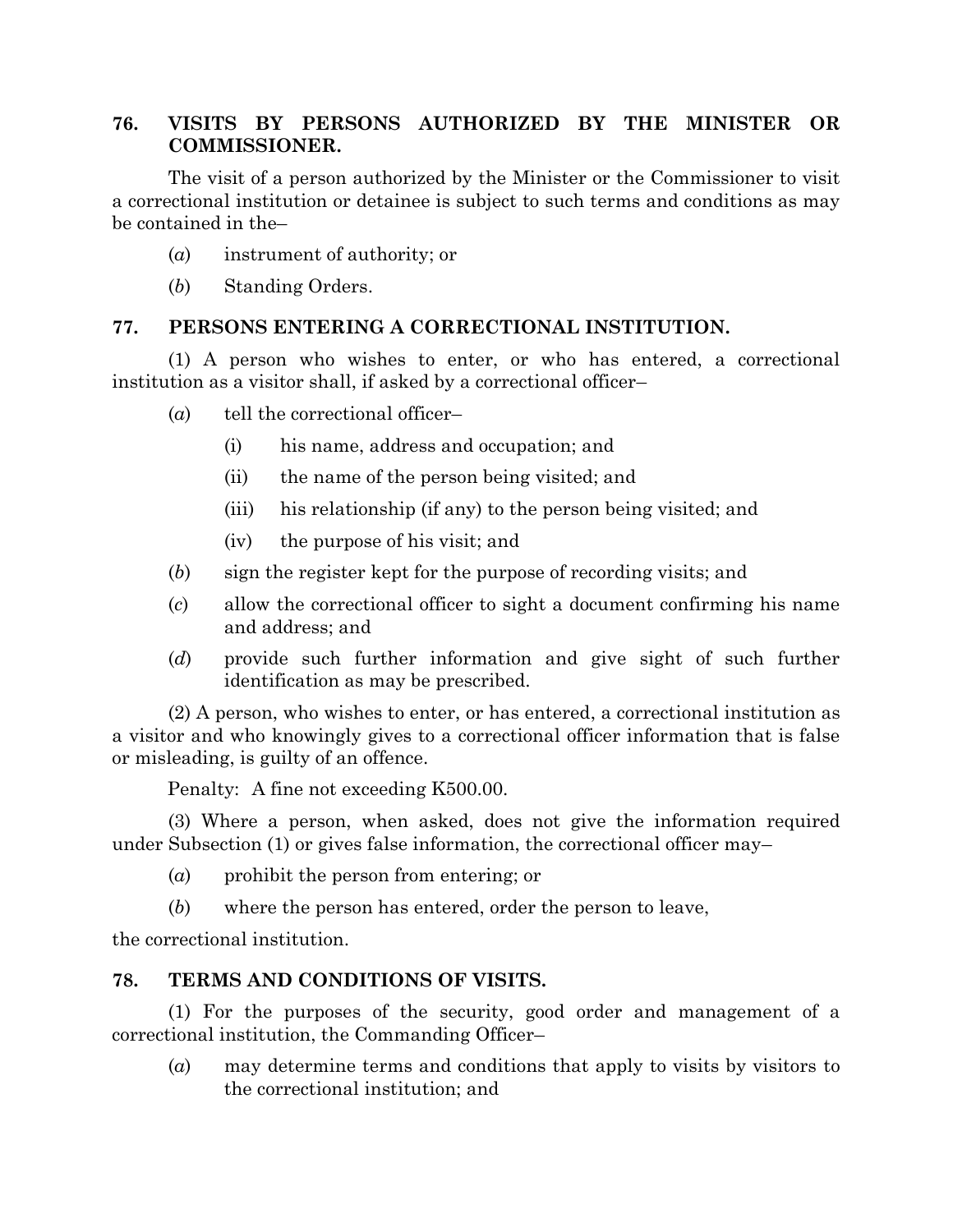# **76. VISITS BY PERSONS AUTHORIZED BY THE MINISTER OR COMMISSIONER.**

The visit of a person authorized by the Minister or the Commissioner to visit a correctional institution or detainee is subject to such terms and conditions as may be contained in the–

- (*a*) instrument of authority; or
- (*b*) Standing Orders.

## **77. PERSONS ENTERING A CORRECTIONAL INSTITUTION.**

(1) A person who wishes to enter, or who has entered, a correctional institution as a visitor shall, if asked by a correctional officer–

- (*a*) tell the correctional officer–
	- (i) his name, address and occupation; and
	- (ii) the name of the person being visited; and
	- (iii) his relationship (if any) to the person being visited; and
	- (iv) the purpose of his visit; and
- (*b*) sign the register kept for the purpose of recording visits; and
- (*c*) allow the correctional officer to sight a document confirming his name and address; and
- (*d*) provide such further information and give sight of such further identification as may be prescribed.

(2) A person, who wishes to enter, or has entered, a correctional institution as a visitor and who knowingly gives to a correctional officer information that is false or misleading, is guilty of an offence.

Penalty: A fine not exceeding K500.00.

(3) Where a person, when asked, does not give the information required under Subsection (1) or gives false information, the correctional officer may–

- (*a*) prohibit the person from entering; or
- (*b*) where the person has entered, order the person to leave,

the correctional institution.

## **78. TERMS AND CONDITIONS OF VISITS.**

(1) For the purposes of the security, good order and management of a correctional institution, the Commanding Officer–

(*a*) may determine terms and conditions that apply to visits by visitors to the correctional institution; and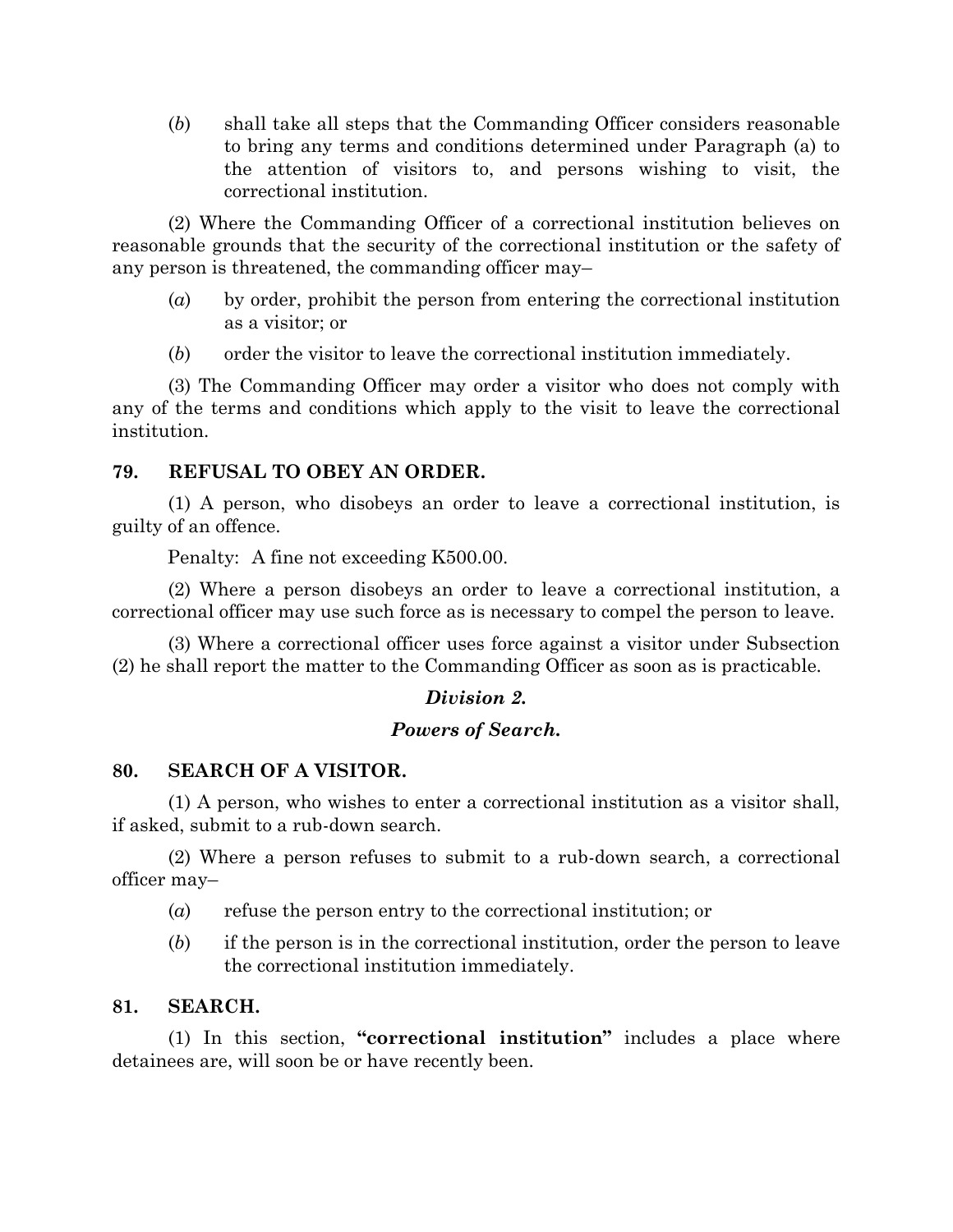(*b*) shall take all steps that the Commanding Officer considers reasonable to bring any terms and conditions determined under Paragraph (a) to the attention of visitors to, and persons wishing to visit, the correctional institution.

(2) Where the Commanding Officer of a correctional institution believes on reasonable grounds that the security of the correctional institution or the safety of any person is threatened, the commanding officer may–

- (*a*) by order, prohibit the person from entering the correctional institution as a visitor; or
- (*b*) order the visitor to leave the correctional institution immediately.

(3) The Commanding Officer may order a visitor who does not comply with any of the terms and conditions which apply to the visit to leave the correctional institution.

# **79. REFUSAL TO OBEY AN ORDER.**

(1) A person, who disobeys an order to leave a correctional institution, is guilty of an offence.

Penalty: A fine not exceeding K500.00.

(2) Where a person disobeys an order to leave a correctional institution, a correctional officer may use such force as is necessary to compel the person to leave.

(3) Where a correctional officer uses force against a visitor under Subsection (2) he shall report the matter to the Commanding Officer as soon as is practicable.

# *Division 2.*

## *Powers of Search.*

## **80. SEARCH OF A VISITOR.**

(1) A person, who wishes to enter a correctional institution as a visitor shall, if asked, submit to a rub-down search.

(2) Where a person refuses to submit to a rub-down search, a correctional officer may–

- (*a*) refuse the person entry to the correctional institution; or
- (*b*) if the person is in the correctional institution, order the person to leave the correctional institution immediately.

## **81. SEARCH.**

(1) In this section, **"correctional institution"** includes a place where detainees are, will soon be or have recently been.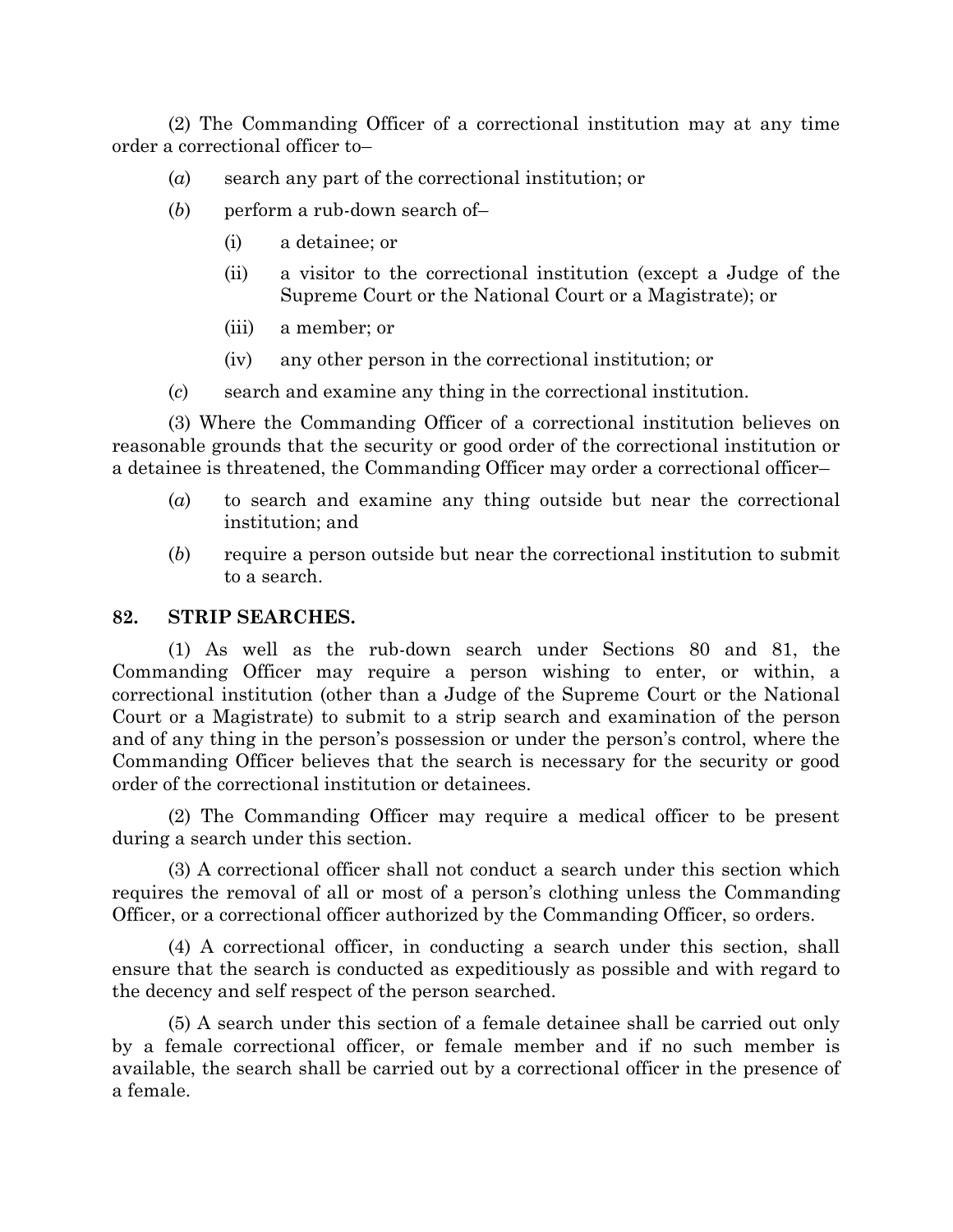(2) The Commanding Officer of a correctional institution may at any time order a correctional officer to–

- (*a*) search any part of the correctional institution; or
- (*b*) perform a rub-down search of–
	- (i) a detainee; or
	- (ii) a visitor to the correctional institution (except a Judge of the Supreme Court or the National Court or a Magistrate); or
	- (iii) a member; or
	- (iv) any other person in the correctional institution; or
- (*c*) search and examine any thing in the correctional institution.

(3) Where the Commanding Officer of a correctional institution believes on reasonable grounds that the security or good order of the correctional institution or a detainee is threatened, the Commanding Officer may order a correctional officer–

- (*a*) to search and examine any thing outside but near the correctional institution; and
- (*b*) require a person outside but near the correctional institution to submit to a search.

## **82. STRIP SEARCHES.**

(1) As well as the rub-down search under Sections 80 and 81, the Commanding Officer may require a person wishing to enter, or within, a correctional institution (other than a Judge of the Supreme Court or the National Court or a Magistrate) to submit to a strip search and examination of the person and of any thing in the person's possession or under the person's control, where the Commanding Officer believes that the search is necessary for the security or good order of the correctional institution or detainees.

(2) The Commanding Officer may require a medical officer to be present during a search under this section.

(3) A correctional officer shall not conduct a search under this section which requires the removal of all or most of a person's clothing unless the Commanding Officer, or a correctional officer authorized by the Commanding Officer, so orders.

(4) A correctional officer, in conducting a search under this section, shall ensure that the search is conducted as expeditiously as possible and with regard to the decency and self respect of the person searched.

(5) A search under this section of a female detainee shall be carried out only by a female correctional officer, or female member and if no such member is available, the search shall be carried out by a correctional officer in the presence of a female.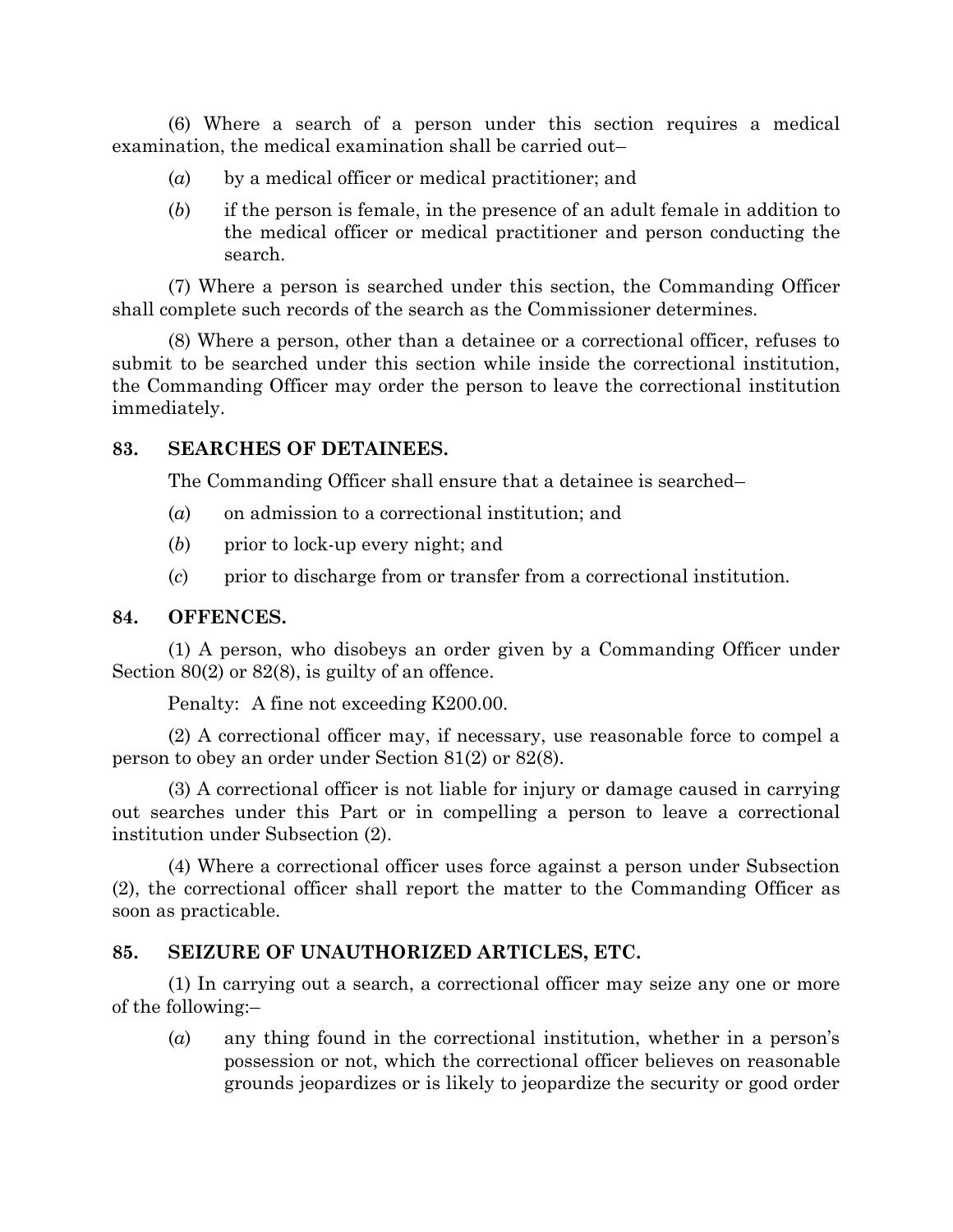(6) Where a search of a person under this section requires a medical examination, the medical examination shall be carried out–

- (*a*) by a medical officer or medical practitioner; and
- (*b*) if the person is female, in the presence of an adult female in addition to the medical officer or medical practitioner and person conducting the search.

(7) Where a person is searched under this section, the Commanding Officer shall complete such records of the search as the Commissioner determines.

(8) Where a person, other than a detainee or a correctional officer, refuses to submit to be searched under this section while inside the correctional institution, the Commanding Officer may order the person to leave the correctional institution immediately.

## **83. SEARCHES OF DETAINEES.**

The Commanding Officer shall ensure that a detainee is searched–

- (*a*) on admission to a correctional institution; and
- (*b*) prior to lock-up every night; and
- (*c*) prior to discharge from or transfer from a correctional institution.

#### **84. OFFENCES.**

(1) A person, who disobeys an order given by a Commanding Officer under Section 80(2) or 82(8), is guilty of an offence.

Penalty: A fine not exceeding K200.00.

(2) A correctional officer may, if necessary, use reasonable force to compel a person to obey an order under Section 81(2) or 82(8).

(3) A correctional officer is not liable for injury or damage caused in carrying out searches under this Part or in compelling a person to leave a correctional institution under Subsection (2).

(4) Where a correctional officer uses force against a person under Subsection (2), the correctional officer shall report the matter to the Commanding Officer as soon as practicable.

## **85. SEIZURE OF UNAUTHORIZED ARTICLES, ETC.**

(1) In carrying out a search, a correctional officer may seize any one or more of the following:–

(*a*) any thing found in the correctional institution, whether in a person's possession or not, which the correctional officer believes on reasonable grounds jeopardizes or is likely to jeopardize the security or good order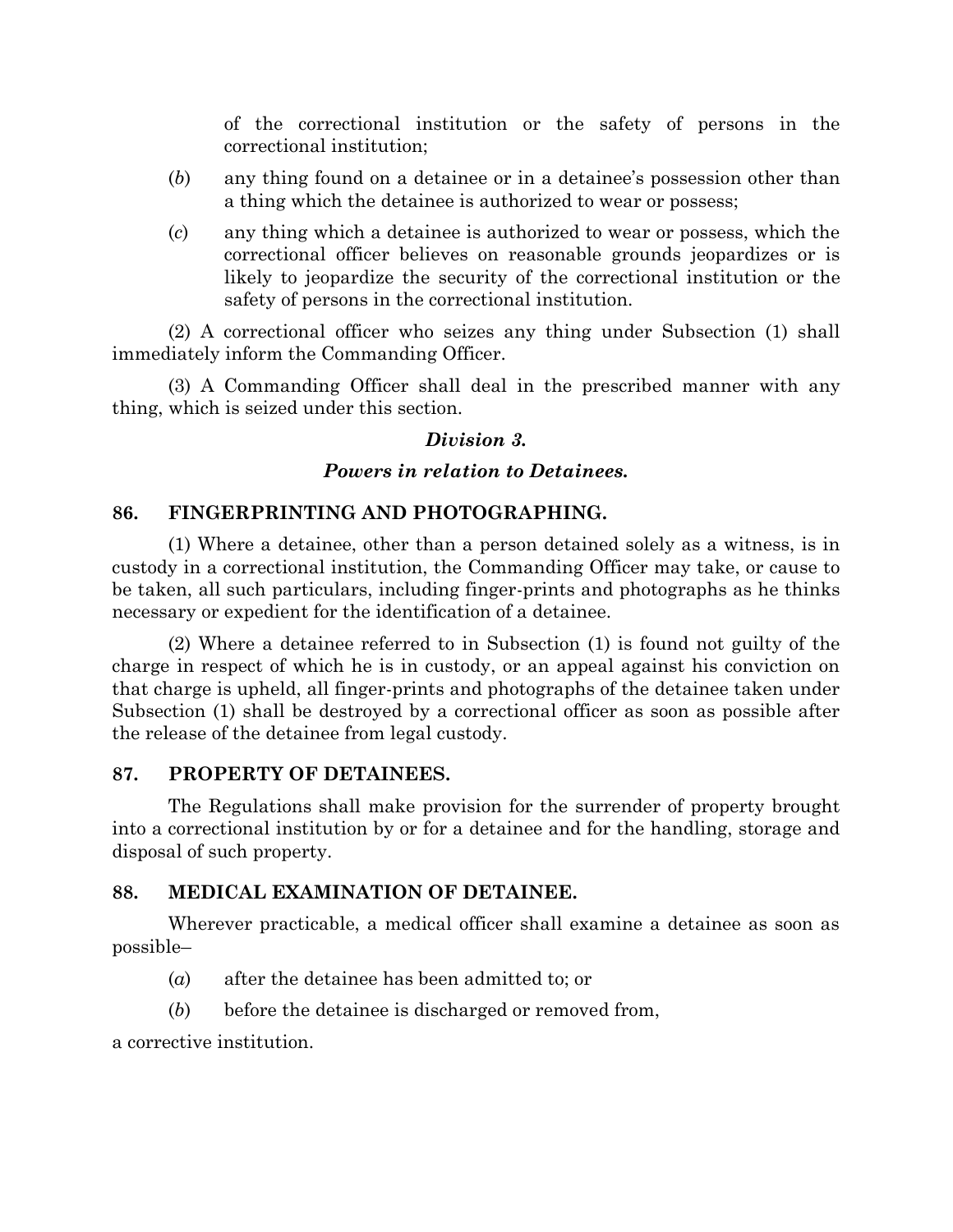of the correctional institution or the safety of persons in the correctional institution;

- (*b*) any thing found on a detainee or in a detainee's possession other than a thing which the detainee is authorized to wear or possess;
- (*c*) any thing which a detainee is authorized to wear or possess, which the correctional officer believes on reasonable grounds jeopardizes or is likely to jeopardize the security of the correctional institution or the safety of persons in the correctional institution.

(2) A correctional officer who seizes any thing under Subsection (1) shall immediately inform the Commanding Officer.

(3) A Commanding Officer shall deal in the prescribed manner with any thing, which is seized under this section.

# *Division 3.*

# *Powers in relation to Detainees.*

# **86. FINGERPRINTING AND PHOTOGRAPHING.**

(1) Where a detainee, other than a person detained solely as a witness, is in custody in a correctional institution, the Commanding Officer may take, or cause to be taken, all such particulars, including finger-prints and photographs as he thinks necessary or expedient for the identification of a detainee.

(2) Where a detainee referred to in Subsection (1) is found not guilty of the charge in respect of which he is in custody, or an appeal against his conviction on that charge is upheld, all finger-prints and photographs of the detainee taken under Subsection (1) shall be destroyed by a correctional officer as soon as possible after the release of the detainee from legal custody.

## **87. PROPERTY OF DETAINEES.**

The Regulations shall make provision for the surrender of property brought into a correctional institution by or for a detainee and for the handling, storage and disposal of such property.

## **88. MEDICAL EXAMINATION OF DETAINEE.**

Wherever practicable, a medical officer shall examine a detainee as soon as possible–

- (*a*) after the detainee has been admitted to; or
- (*b*) before the detainee is discharged or removed from,

a corrective institution.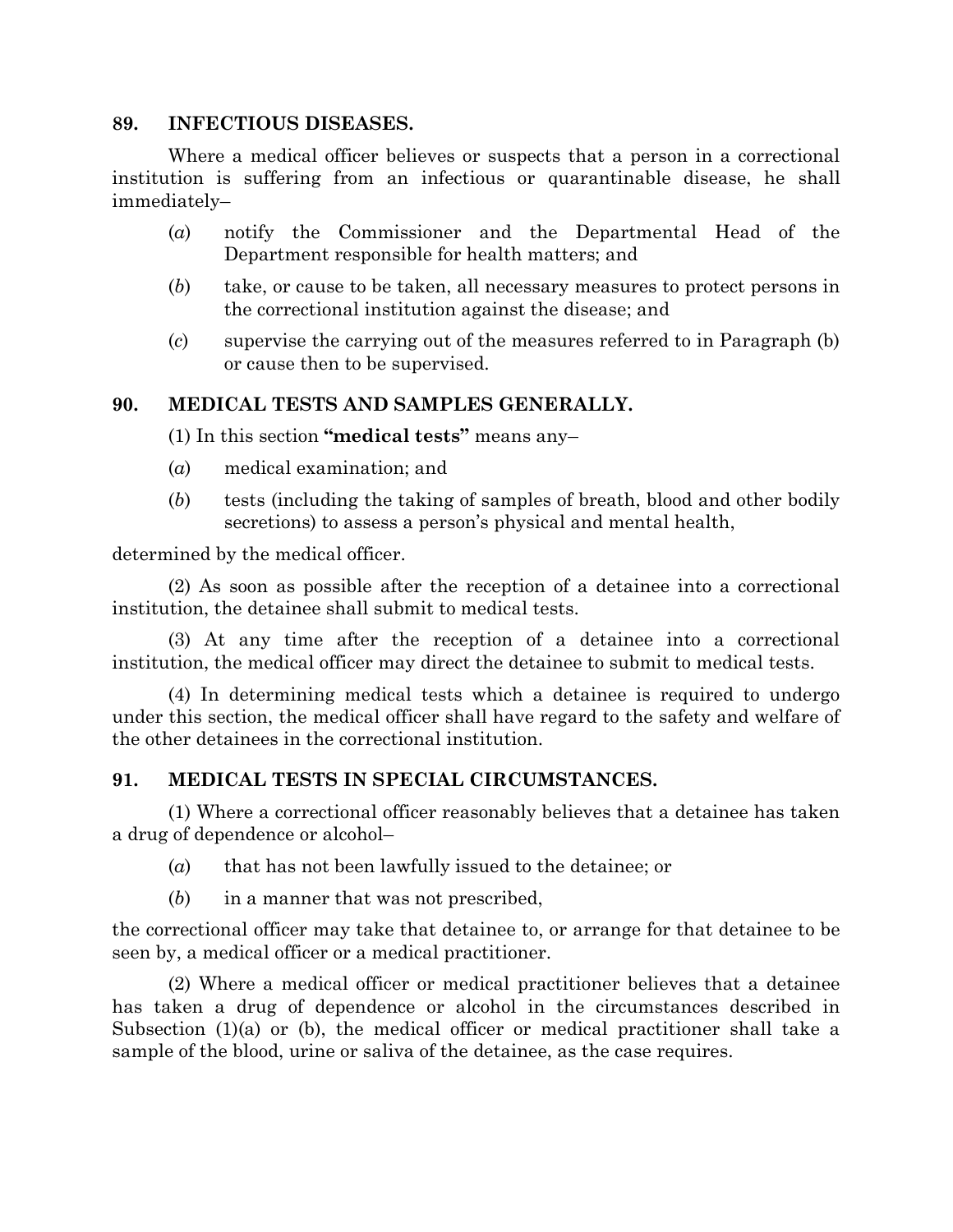#### **89. INFECTIOUS DISEASES.**

Where a medical officer believes or suspects that a person in a correctional institution is suffering from an infectious or quarantinable disease, he shall immediately–

- (*a*) notify the Commissioner and the Departmental Head of the Department responsible for health matters; and
- (*b*) take, or cause to be taken, all necessary measures to protect persons in the correctional institution against the disease; and
- (*c*) supervise the carrying out of the measures referred to in Paragraph (b) or cause then to be supervised.

# **90. MEDICAL TESTS AND SAMPLES GENERALLY.**

(1) In this section **"medical tests"** means any–

- (*a*) medical examination; and
- (*b*) tests (including the taking of samples of breath, blood and other bodily secretions) to assess a person's physical and mental health,

determined by the medical officer.

(2) As soon as possible after the reception of a detainee into a correctional institution, the detainee shall submit to medical tests.

(3) At any time after the reception of a detainee into a correctional institution, the medical officer may direct the detainee to submit to medical tests.

(4) In determining medical tests which a detainee is required to undergo under this section, the medical officer shall have regard to the safety and welfare of the other detainees in the correctional institution.

## **91. MEDICAL TESTS IN SPECIAL CIRCUMSTANCES.**

(1) Where a correctional officer reasonably believes that a detainee has taken a drug of dependence or alcohol–

- (*a*) that has not been lawfully issued to the detainee; or
- (*b*) in a manner that was not prescribed,

the correctional officer may take that detainee to, or arrange for that detainee to be seen by, a medical officer or a medical practitioner.

(2) Where a medical officer or medical practitioner believes that a detainee has taken a drug of dependence or alcohol in the circumstances described in Subsection (1)(a) or (b), the medical officer or medical practitioner shall take a sample of the blood, urine or saliva of the detainee, as the case requires.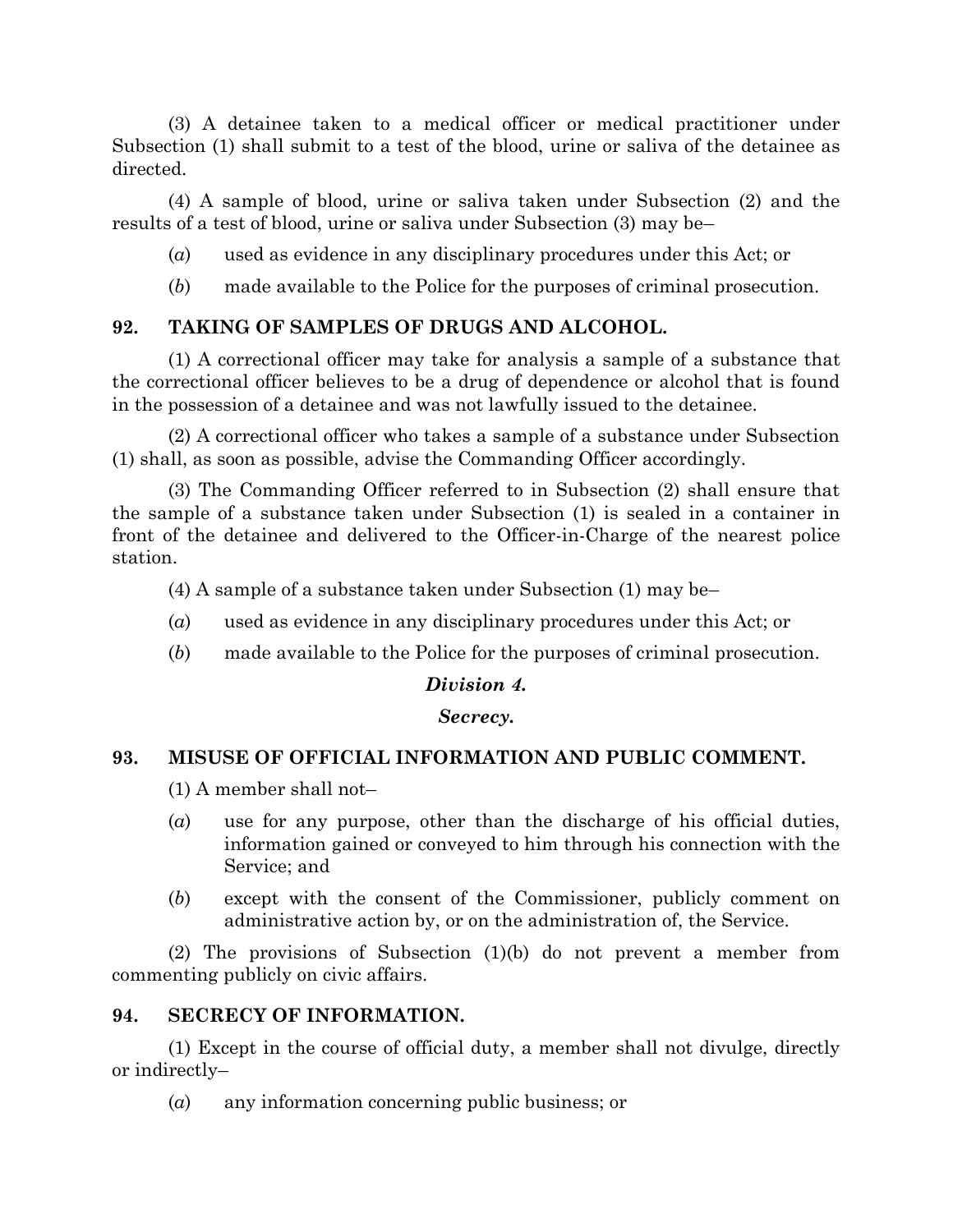(3) A detainee taken to a medical officer or medical practitioner under Subsection (1) shall submit to a test of the blood, urine or saliva of the detainee as directed.

(4) A sample of blood, urine or saliva taken under Subsection (2) and the results of a test of blood, urine or saliva under Subsection (3) may be–

- (*a*) used as evidence in any disciplinary procedures under this Act; or
- (*b*) made available to the Police for the purposes of criminal prosecution.

# **92. TAKING OF SAMPLES OF DRUGS AND ALCOHOL.**

(1) A correctional officer may take for analysis a sample of a substance that the correctional officer believes to be a drug of dependence or alcohol that is found in the possession of a detainee and was not lawfully issued to the detainee.

(2) A correctional officer who takes a sample of a substance under Subsection (1) shall, as soon as possible, advise the Commanding Officer accordingly.

(3) The Commanding Officer referred to in Subsection (2) shall ensure that the sample of a substance taken under Subsection (1) is sealed in a container in front of the detainee and delivered to the Officer-in-Charge of the nearest police station.

(4) A sample of a substance taken under Subsection (1) may be–

- (*a*) used as evidence in any disciplinary procedures under this Act; or
- (*b*) made available to the Police for the purposes of criminal prosecution.

## *Division 4.*

#### *Secrecy.*

## **93. MISUSE OF OFFICIAL INFORMATION AND PUBLIC COMMENT.**

- (1) A member shall not–
- (*a*) use for any purpose, other than the discharge of his official duties, information gained or conveyed to him through his connection with the Service; and
- (*b*) except with the consent of the Commissioner, publicly comment on administrative action by, or on the administration of, the Service.

(2) The provisions of Subsection (1)(b) do not prevent a member from commenting publicly on civic affairs.

## **94. SECRECY OF INFORMATION.**

(1) Except in the course of official duty, a member shall not divulge, directly or indirectly–

(*a*) any information concerning public business; or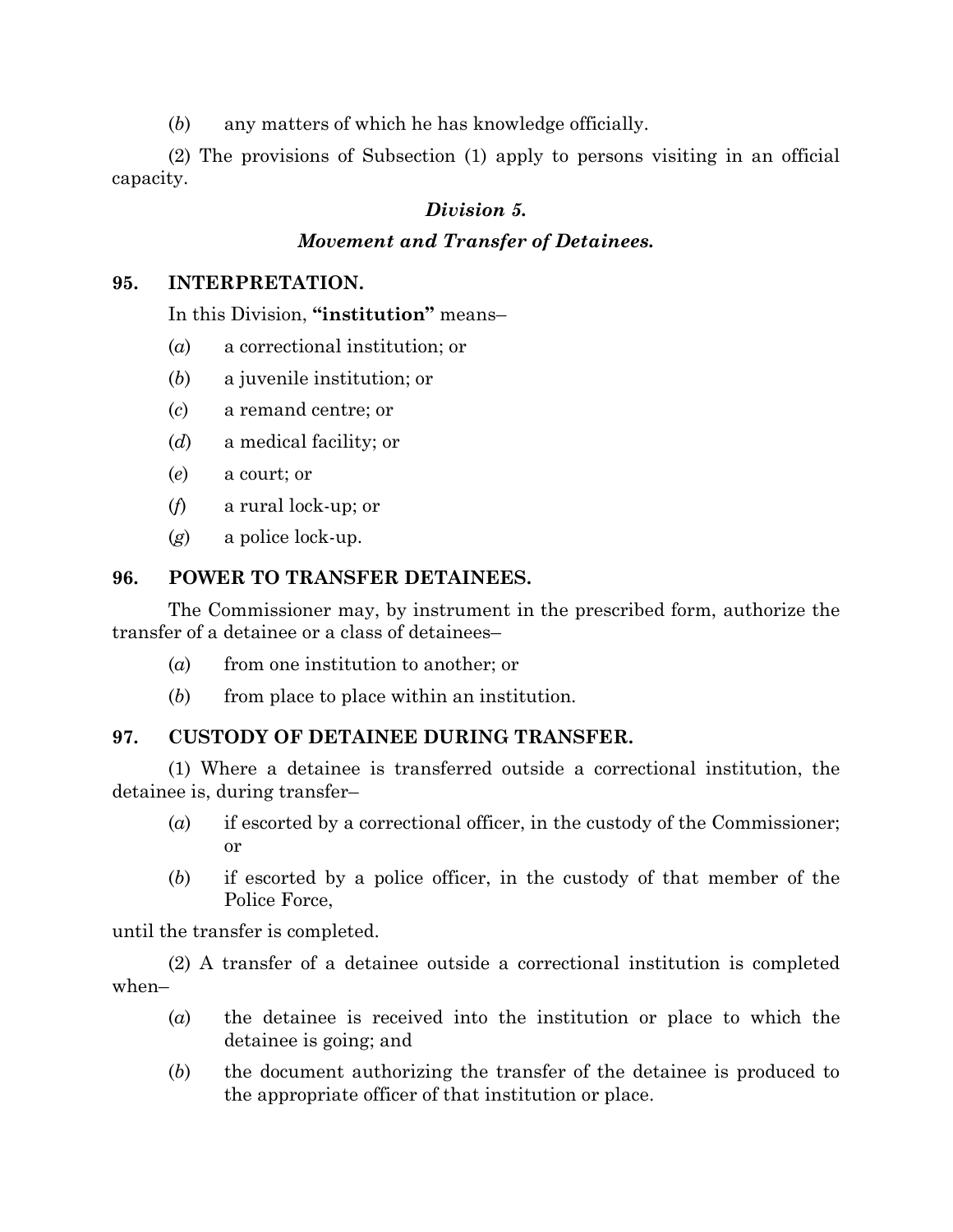(*b*) any matters of which he has knowledge officially.

(2) The provisions of Subsection (1) apply to persons visiting in an official capacity.

# *Division 5.*

# *Movement and Transfer of Detainees.*

## **95. INTERPRETATION.**

# In this Division, **"institution"** means–

- (*a*) a correctional institution; or
- (*b*) a juvenile institution; or
- (*c*) a remand centre; or
- (*d*) a medical facility; or
- (*e*) a court; or
- (*f*) a rural lock-up; or
- (*g*) a police lock-up.

# **96. POWER TO TRANSFER DETAINEES.**

The Commissioner may, by instrument in the prescribed form, authorize the transfer of a detainee or a class of detainees–

- (*a*) from one institution to another; or
- (*b*) from place to place within an institution.

# **97. CUSTODY OF DETAINEE DURING TRANSFER.**

(1) Where a detainee is transferred outside a correctional institution, the detainee is, during transfer–

- (*a*) if escorted by a correctional officer, in the custody of the Commissioner; or
- (*b*) if escorted by a police officer, in the custody of that member of the Police Force,

until the transfer is completed.

(2) A transfer of a detainee outside a correctional institution is completed when–

- (*a*) the detainee is received into the institution or place to which the detainee is going; and
- (*b*) the document authorizing the transfer of the detainee is produced to the appropriate officer of that institution or place.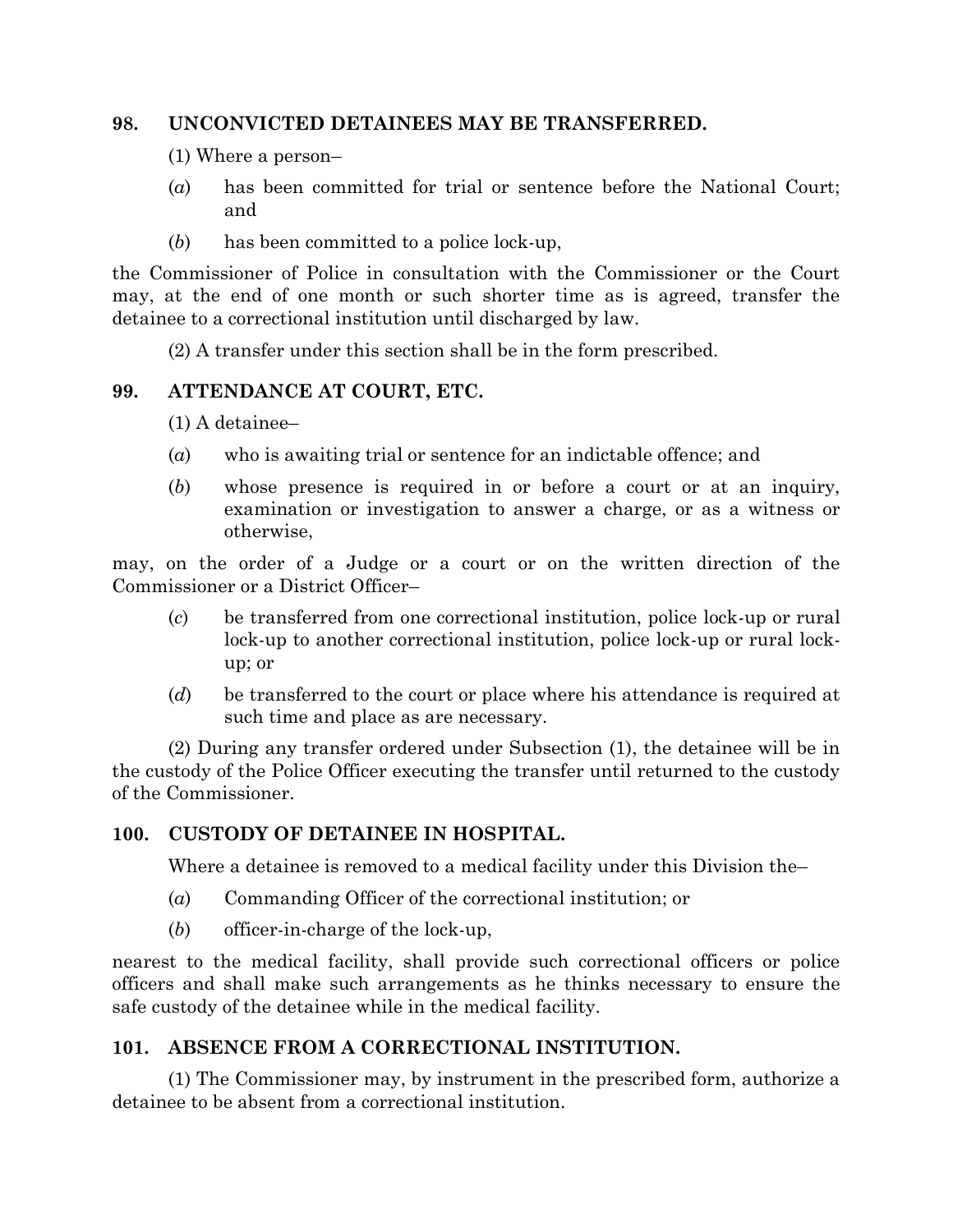## **98. UNCONVICTED DETAINEES MAY BE TRANSFERRED.**

- (1) Where a person–
- (*a*) has been committed for trial or sentence before the National Court; and
- (*b*) has been committed to a police lock-up,

the Commissioner of Police in consultation with the Commissioner or the Court may, at the end of one month or such shorter time as is agreed, transfer the detainee to a correctional institution until discharged by law.

(2) A transfer under this section shall be in the form prescribed.

# **99. ATTENDANCE AT COURT, ETC.**

(1) A detainee–

- (*a*) who is awaiting trial or sentence for an indictable offence; and
- (*b*) whose presence is required in or before a court or at an inquiry, examination or investigation to answer a charge, or as a witness or otherwise,

may, on the order of a Judge or a court or on the written direction of the Commissioner or a District Officer–

- (*c*) be transferred from one correctional institution, police lock-up or rural lock-up to another correctional institution, police lock-up or rural lockup; or
- (*d*) be transferred to the court or place where his attendance is required at such time and place as are necessary.

(2) During any transfer ordered under Subsection (1), the detainee will be in the custody of the Police Officer executing the transfer until returned to the custody of the Commissioner.

# **100. CUSTODY OF DETAINEE IN HOSPITAL.**

Where a detainee is removed to a medical facility under this Division the–

- (*a*) Commanding Officer of the correctional institution; or
- (*b*) officer-in-charge of the lock-up,

nearest to the medical facility, shall provide such correctional officers or police officers and shall make such arrangements as he thinks necessary to ensure the safe custody of the detainee while in the medical facility.

# **101. ABSENCE FROM A CORRECTIONAL INSTITUTION.**

(1) The Commissioner may, by instrument in the prescribed form, authorize a detainee to be absent from a correctional institution.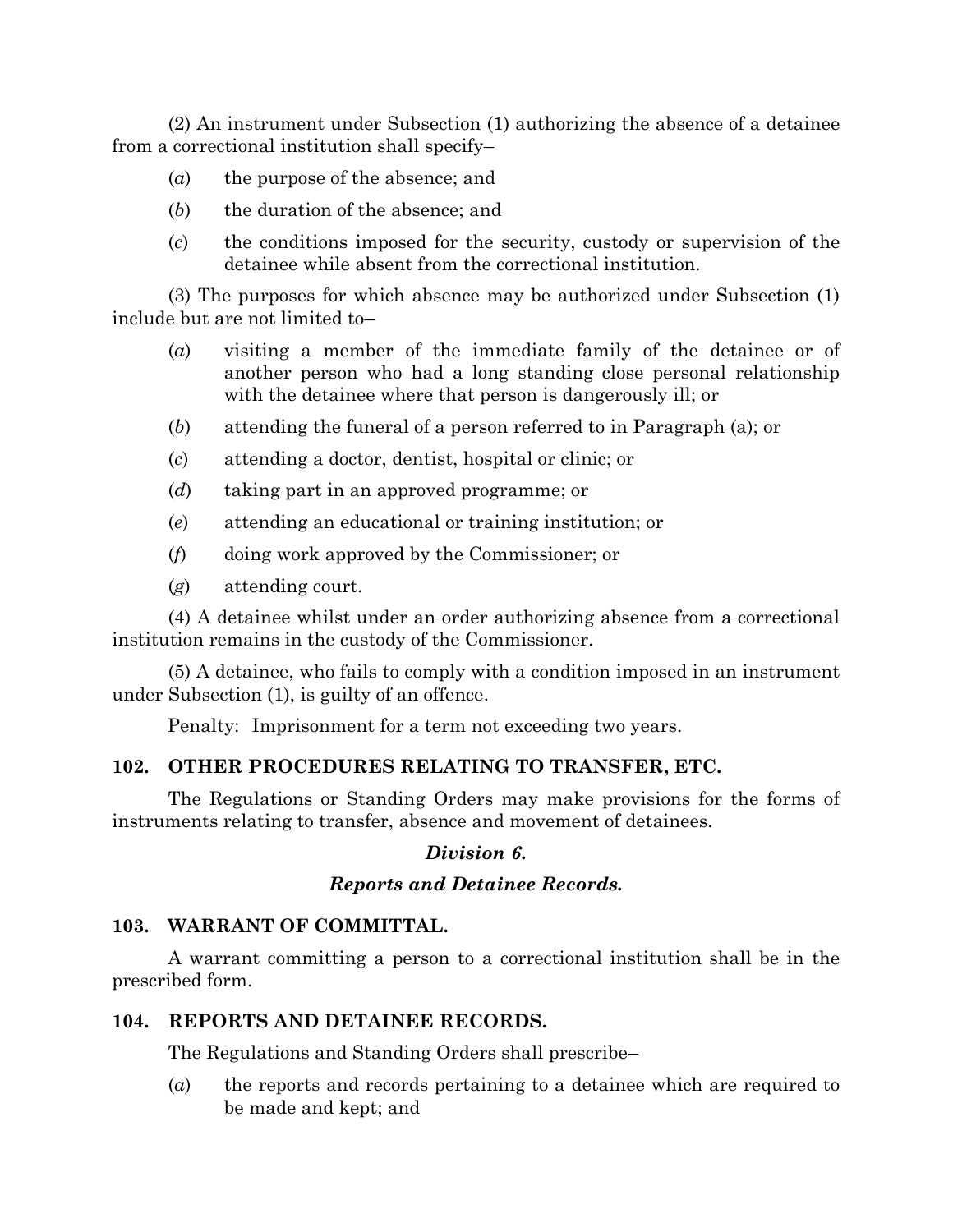(2) An instrument under Subsection (1) authorizing the absence of a detainee from a correctional institution shall specify–

- (*a*) the purpose of the absence; and
- (*b*) the duration of the absence; and
- (*c*) the conditions imposed for the security, custody or supervision of the detainee while absent from the correctional institution.

(3) The purposes for which absence may be authorized under Subsection (1) include but are not limited to–

- (*a*) visiting a member of the immediate family of the detainee or of another person who had a long standing close personal relationship with the detainee where that person is dangerously ill; or
- (*b*) attending the funeral of a person referred to in Paragraph (a); or
- (*c*) attending a doctor, dentist, hospital or clinic; or
- (*d*) taking part in an approved programme; or
- (*e*) attending an educational or training institution; or
- (*f*) doing work approved by the Commissioner; or
- (*g*) attending court.

(4) A detainee whilst under an order authorizing absence from a correctional institution remains in the custody of the Commissioner.

(5) A detainee, who fails to comply with a condition imposed in an instrument under Subsection (1), is guilty of an offence.

Penalty: Imprisonment for a term not exceeding two years.

# **102. OTHER PROCEDURES RELATING TO TRANSFER, ETC.**

The Regulations or Standing Orders may make provisions for the forms of instruments relating to transfer, absence and movement of detainees.

# *Division 6.*

# *Reports and Detainee Records.*

# **103. WARRANT OF COMMITTAL.**

A warrant committing a person to a correctional institution shall be in the prescribed form.

## **104. REPORTS AND DETAINEE RECORDS.**

The Regulations and Standing Orders shall prescribe–

(*a*) the reports and records pertaining to a detainee which are required to be made and kept; and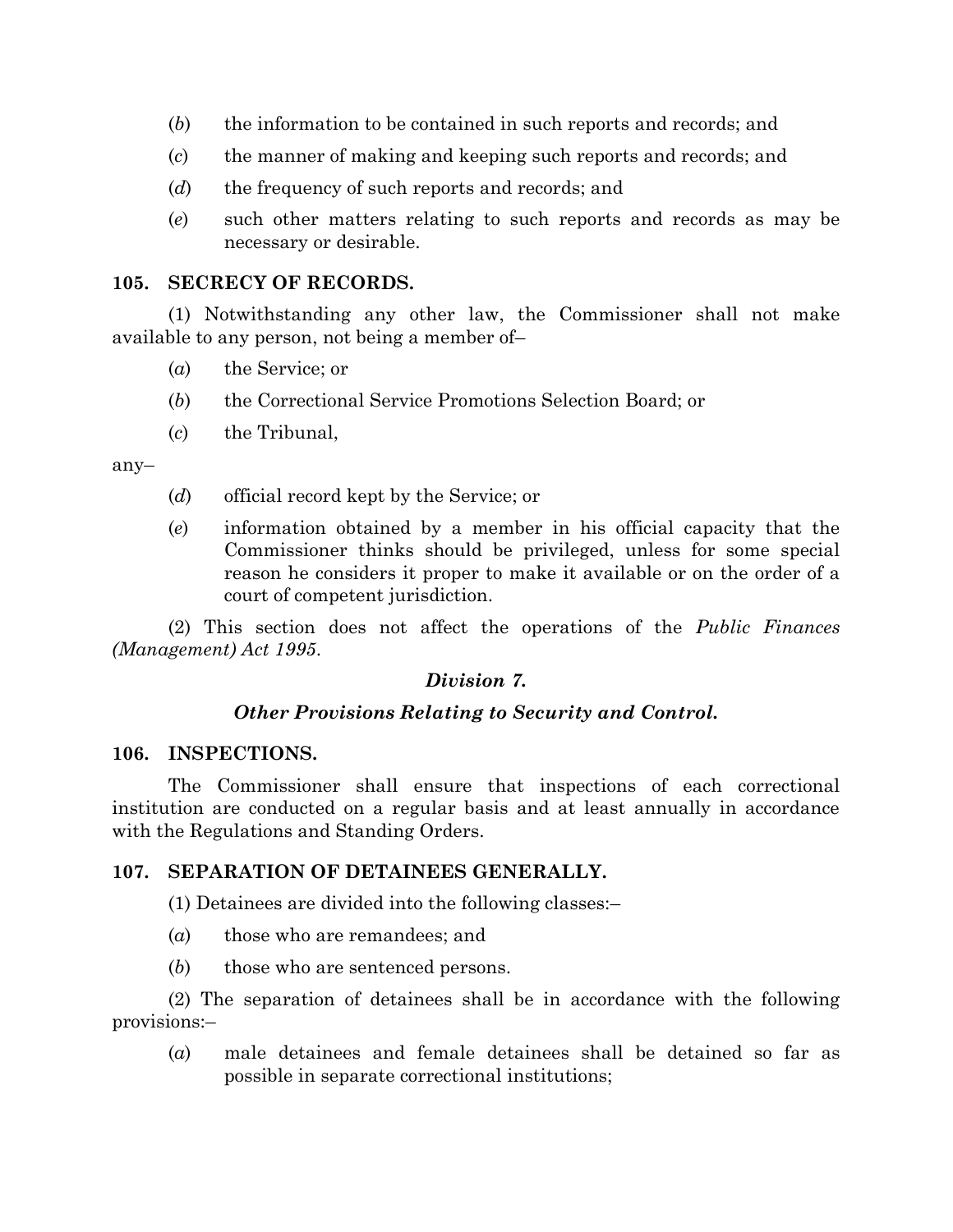- (*b*) the information to be contained in such reports and records; and
- (*c*) the manner of making and keeping such reports and records; and
- (*d*) the frequency of such reports and records; and
- (*e*) such other matters relating to such reports and records as may be necessary or desirable.

# **105. SECRECY OF RECORDS.**

(1) Notwithstanding any other law, the Commissioner shall not make available to any person, not being a member of–

- (*a*) the Service; or
- (*b*) the Correctional Service Promotions Selection Board; or
- (*c*) the Tribunal,

any–

- (*d*) official record kept by the Service; or
- (*e*) information obtained by a member in his official capacity that the Commissioner thinks should be privileged, unless for some special reason he considers it proper to make it available or on the order of a court of competent jurisdiction.

(2) This section does not affect the operations of the *Public Finances (Management) Act 1995*.

# *Division 7.*

# *Other Provisions Relating to Security and Control.*

## **106. INSPECTIONS.**

The Commissioner shall ensure that inspections of each correctional institution are conducted on a regular basis and at least annually in accordance with the Regulations and Standing Orders.

# **107. SEPARATION OF DETAINEES GENERALLY.**

(1) Detainees are divided into the following classes:–

- (*a*) those who are remandees; and
- (*b*) those who are sentenced persons.

(2) The separation of detainees shall be in accordance with the following provisions:–

(*a*) male detainees and female detainees shall be detained so far as possible in separate correctional institutions;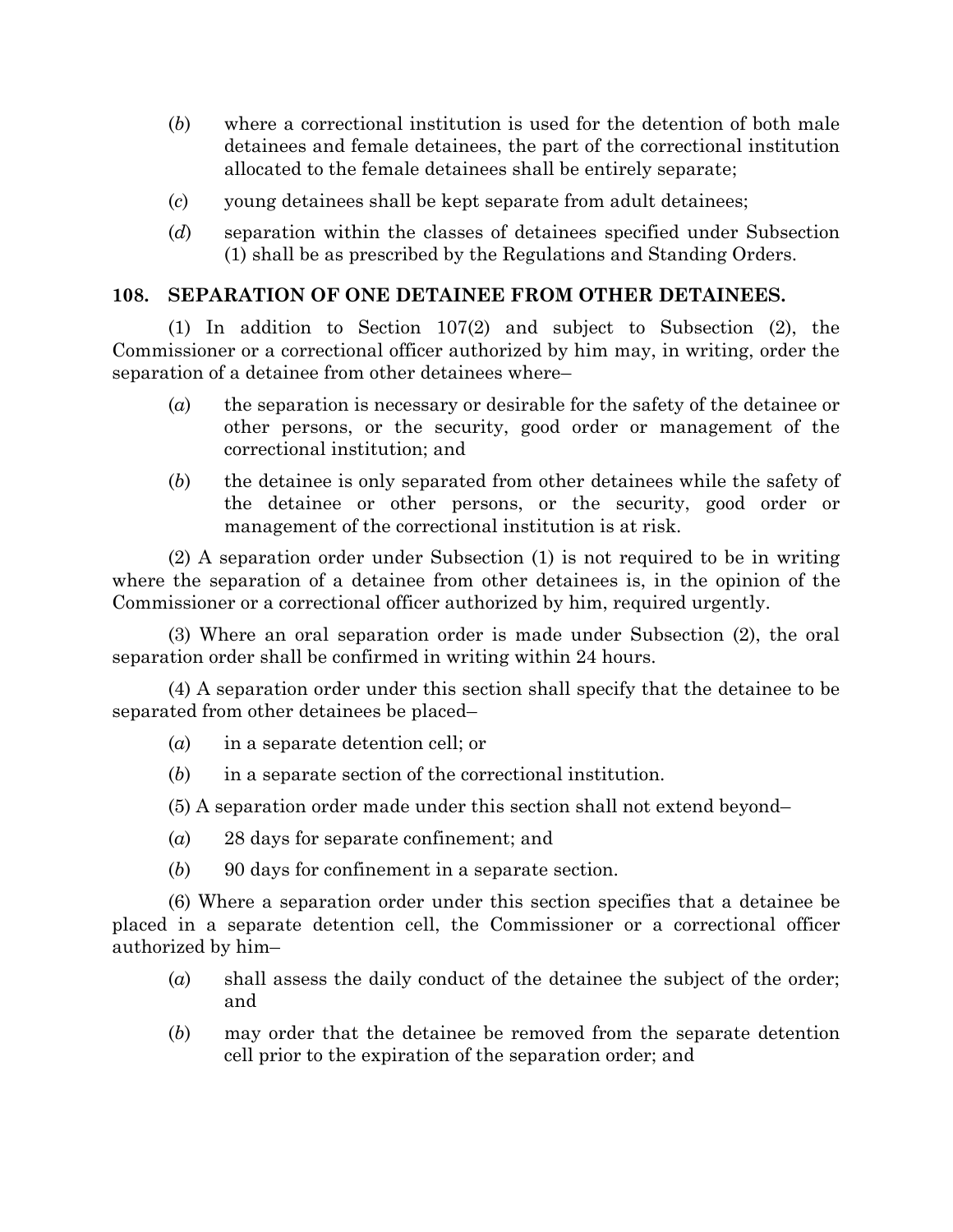- (*b*) where a correctional institution is used for the detention of both male detainees and female detainees, the part of the correctional institution allocated to the female detainees shall be entirely separate;
- (*c*) young detainees shall be kept separate from adult detainees;
- (*d*) separation within the classes of detainees specified under Subsection (1) shall be as prescribed by the Regulations and Standing Orders.

# **108. SEPARATION OF ONE DETAINEE FROM OTHER DETAINEES.**

(1) In addition to Section 107(2) and subject to Subsection (2), the Commissioner or a correctional officer authorized by him may, in writing, order the separation of a detainee from other detainees where–

- (*a*) the separation is necessary or desirable for the safety of the detainee or other persons, or the security, good order or management of the correctional institution; and
- (*b*) the detainee is only separated from other detainees while the safety of the detainee or other persons, or the security, good order or management of the correctional institution is at risk.

(2) A separation order under Subsection (1) is not required to be in writing where the separation of a detainee from other detainees is, in the opinion of the Commissioner or a correctional officer authorized by him, required urgently.

(3) Where an oral separation order is made under Subsection (2), the oral separation order shall be confirmed in writing within 24 hours.

(4) A separation order under this section shall specify that the detainee to be separated from other detainees be placed–

- (*a*) in a separate detention cell; or
- (*b*) in a separate section of the correctional institution.
- (5) A separation order made under this section shall not extend beyond–
- (*a*) 28 days for separate confinement; and
- (*b*) 90 days for confinement in a separate section.

(6) Where a separation order under this section specifies that a detainee be placed in a separate detention cell, the Commissioner or a correctional officer authorized by him–

- (*a*) shall assess the daily conduct of the detainee the subject of the order; and
- (*b*) may order that the detainee be removed from the separate detention cell prior to the expiration of the separation order; and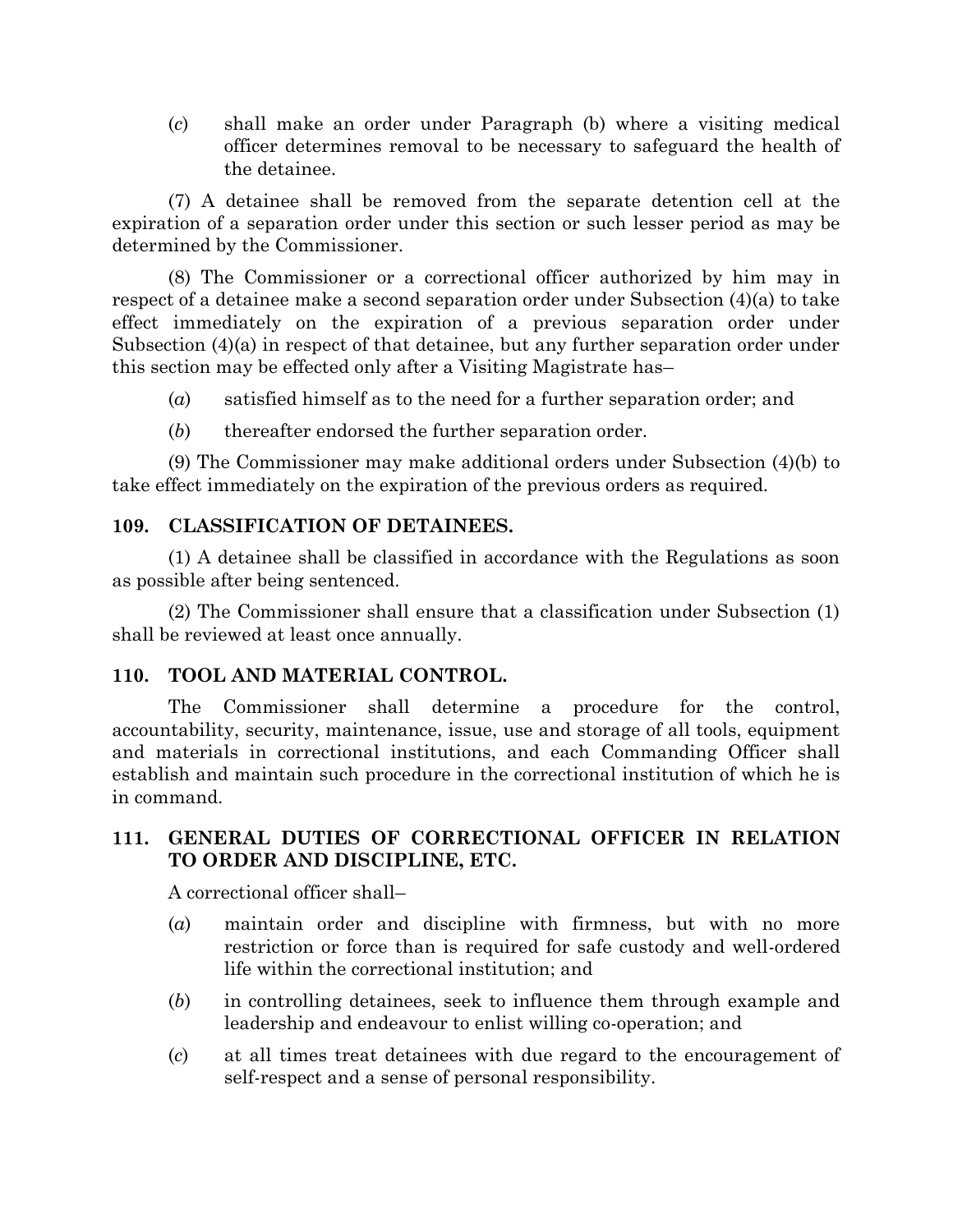(*c*) shall make an order under Paragraph (b) where a visiting medical officer determines removal to be necessary to safeguard the health of the detainee.

(7) A detainee shall be removed from the separate detention cell at the expiration of a separation order under this section or such lesser period as may be determined by the Commissioner.

(8) The Commissioner or a correctional officer authorized by him may in respect of a detainee make a second separation order under Subsection (4)(a) to take effect immediately on the expiration of a previous separation order under Subsection  $(4)(a)$  in respect of that detainee, but any further separation order under this section may be effected only after a Visiting Magistrate has–

(*a*) satisfied himself as to the need for a further separation order; and

(*b*) thereafter endorsed the further separation order.

(9) The Commissioner may make additional orders under Subsection (4)(b) to take effect immediately on the expiration of the previous orders as required.

# **109. CLASSIFICATION OF DETAINEES.**

(1) A detainee shall be classified in accordance with the Regulations as soon as possible after being sentenced.

(2) The Commissioner shall ensure that a classification under Subsection (1) shall be reviewed at least once annually.

# **110. TOOL AND MATERIAL CONTROL.**

The Commissioner shall determine a procedure for the control, accountability, security, maintenance, issue, use and storage of all tools, equipment and materials in correctional institutions, and each Commanding Officer shall establish and maintain such procedure in the correctional institution of which he is in command.

# **111. GENERAL DUTIES OF CORRECTIONAL OFFICER IN RELATION TO ORDER AND DISCIPLINE, ETC.**

A correctional officer shall–

- (*a*) maintain order and discipline with firmness, but with no more restriction or force than is required for safe custody and well-ordered life within the correctional institution; and
- (*b*) in controlling detainees, seek to influence them through example and leadership and endeavour to enlist willing co-operation; and
- (*c*) at all times treat detainees with due regard to the encouragement of self-respect and a sense of personal responsibility.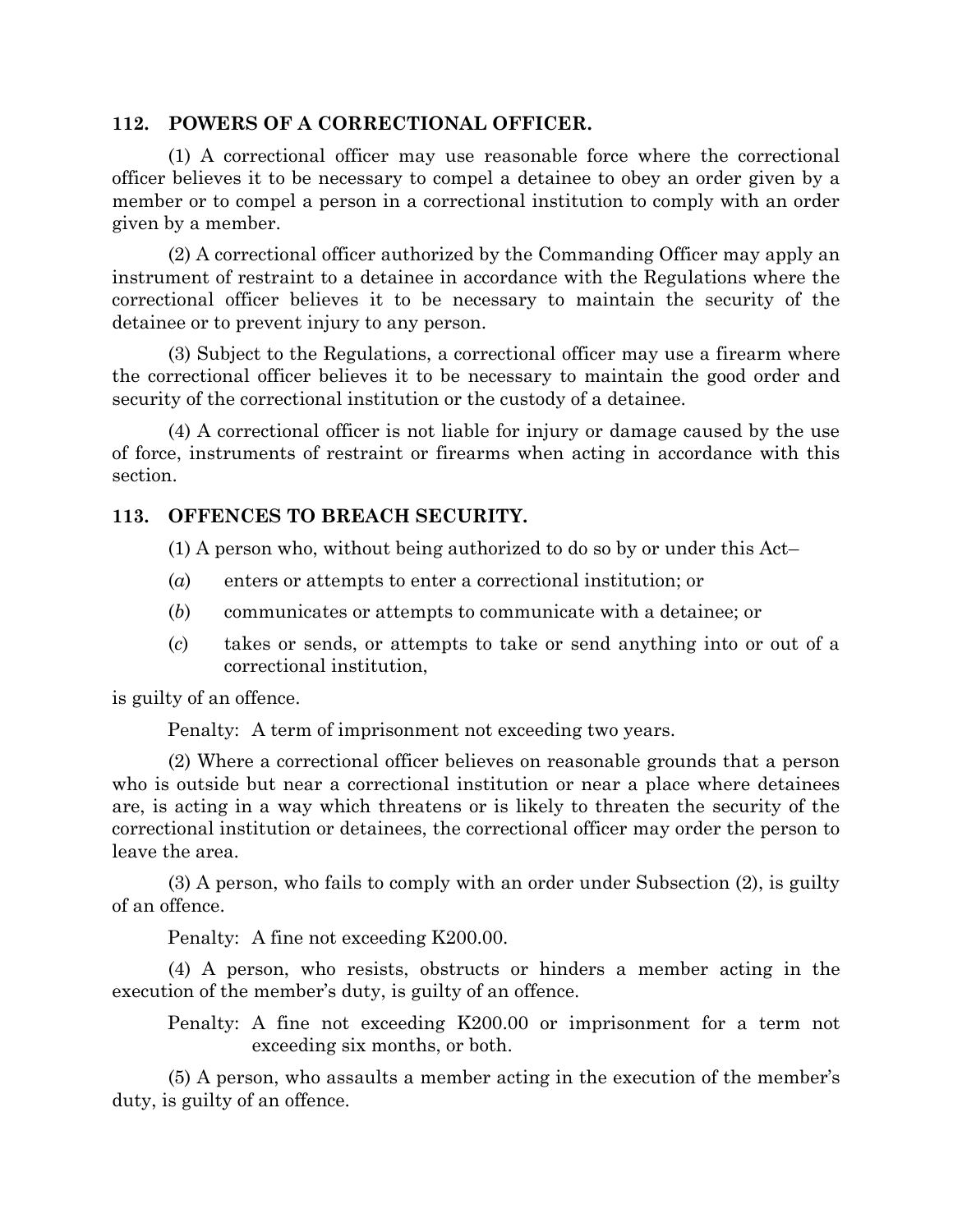#### **112. POWERS OF A CORRECTIONAL OFFICER.**

(1) A correctional officer may use reasonable force where the correctional officer believes it to be necessary to compel a detainee to obey an order given by a member or to compel a person in a correctional institution to comply with an order given by a member.

(2) A correctional officer authorized by the Commanding Officer may apply an instrument of restraint to a detainee in accordance with the Regulations where the correctional officer believes it to be necessary to maintain the security of the detainee or to prevent injury to any person.

(3) Subject to the Regulations, a correctional officer may use a firearm where the correctional officer believes it to be necessary to maintain the good order and security of the correctional institution or the custody of a detainee.

(4) A correctional officer is not liable for injury or damage caused by the use of force, instruments of restraint or firearms when acting in accordance with this section.

## **113. OFFENCES TO BREACH SECURITY.**

(1) A person who, without being authorized to do so by or under this Act–

- (*a*) enters or attempts to enter a correctional institution; or
- (*b*) communicates or attempts to communicate with a detainee; or
- (*c*) takes or sends, or attempts to take or send anything into or out of a correctional institution,

is guilty of an offence.

Penalty: A term of imprisonment not exceeding two years.

(2) Where a correctional officer believes on reasonable grounds that a person who is outside but near a correctional institution or near a place where detainees are, is acting in a way which threatens or is likely to threaten the security of the correctional institution or detainees, the correctional officer may order the person to leave the area.

(3) A person, who fails to comply with an order under Subsection (2), is guilty of an offence.

Penalty: A fine not exceeding K200.00.

(4) A person, who resists, obstructs or hinders a member acting in the execution of the member's duty, is guilty of an offence.

Penalty: A fine not exceeding K200.00 or imprisonment for a term not exceeding six months, or both.

(5) A person, who assaults a member acting in the execution of the member's duty, is guilty of an offence.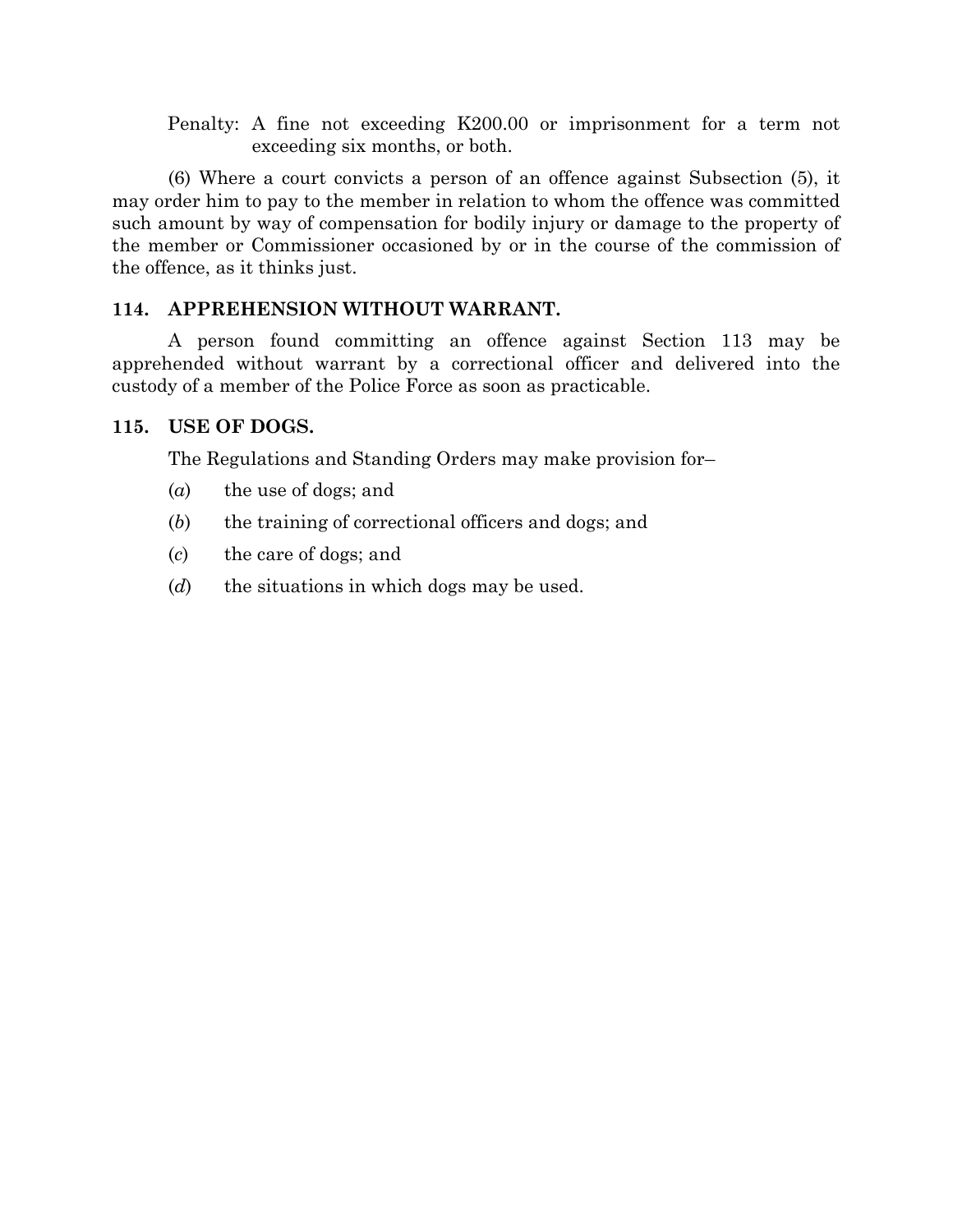Penalty: A fine not exceeding K200.00 or imprisonment for a term not exceeding six months, or both.

(6) Where a court convicts a person of an offence against Subsection (5), it may order him to pay to the member in relation to whom the offence was committed such amount by way of compensation for bodily injury or damage to the property of the member or Commissioner occasioned by or in the course of the commission of the offence, as it thinks just.

# **114. APPREHENSION WITHOUT WARRANT.**

A person found committing an offence against Section 113 may be apprehended without warrant by a correctional officer and delivered into the custody of a member of the Police Force as soon as practicable.

# **115. USE OF DOGS.**

The Regulations and Standing Orders may make provision for–

- (*a*) the use of dogs; and
- (*b*) the training of correctional officers and dogs; and
- (*c*) the care of dogs; and
- (*d*) the situations in which dogs may be used.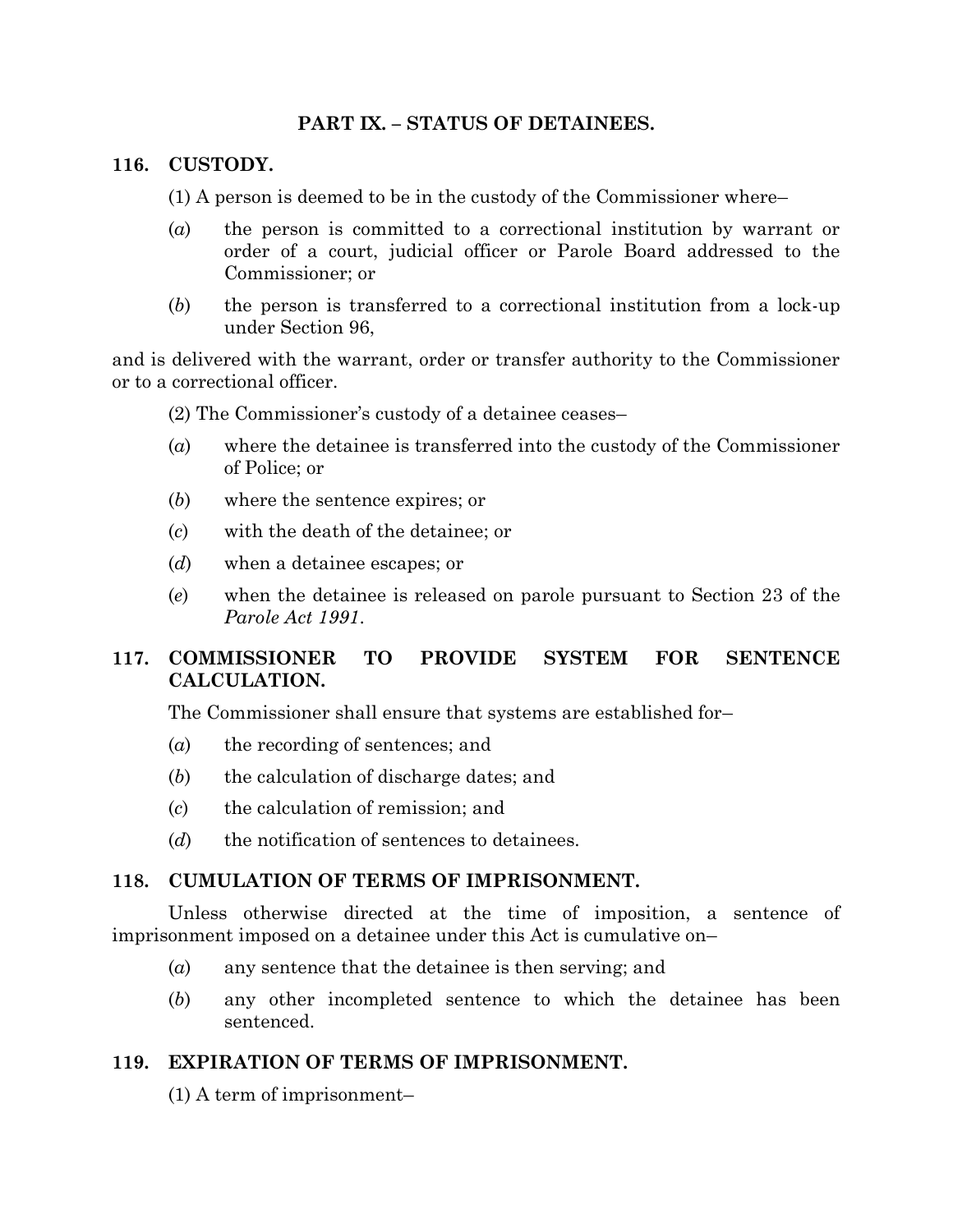# **PART IX. – STATUS OF DETAINEES.**

### **116. CUSTODY.**

- (1) A person is deemed to be in the custody of the Commissioner where–
- (*a*) the person is committed to a correctional institution by warrant or order of a court, judicial officer or Parole Board addressed to the Commissioner; or
- (*b*) the person is transferred to a correctional institution from a lock-up under Section 96,

and is delivered with the warrant, order or transfer authority to the Commissioner or to a correctional officer.

(2) The Commissioner's custody of a detainee ceases–

- (*a*) where the detainee is transferred into the custody of the Commissioner of Police; or
- (*b*) where the sentence expires; or
- (*c*) with the death of the detainee; or
- (*d*) when a detainee escapes; or
- (*e*) when the detainee is released on parole pursuant to Section 23 of the *Parole Act 1991*.

# **117. COMMISSIONER TO PROVIDE SYSTEM FOR SENTENCE CALCULATION.**

The Commissioner shall ensure that systems are established for–

- (*a*) the recording of sentences; and
- (*b*) the calculation of discharge dates; and
- (*c*) the calculation of remission; and
- (*d*) the notification of sentences to detainees.

## **118. CUMULATION OF TERMS OF IMPRISONMENT.**

Unless otherwise directed at the time of imposition, a sentence of imprisonment imposed on a detainee under this Act is cumulative on–

- (*a*) any sentence that the detainee is then serving; and
- (*b*) any other incompleted sentence to which the detainee has been sentenced.

## **119. EXPIRATION OF TERMS OF IMPRISONMENT.**

(1) A term of imprisonment–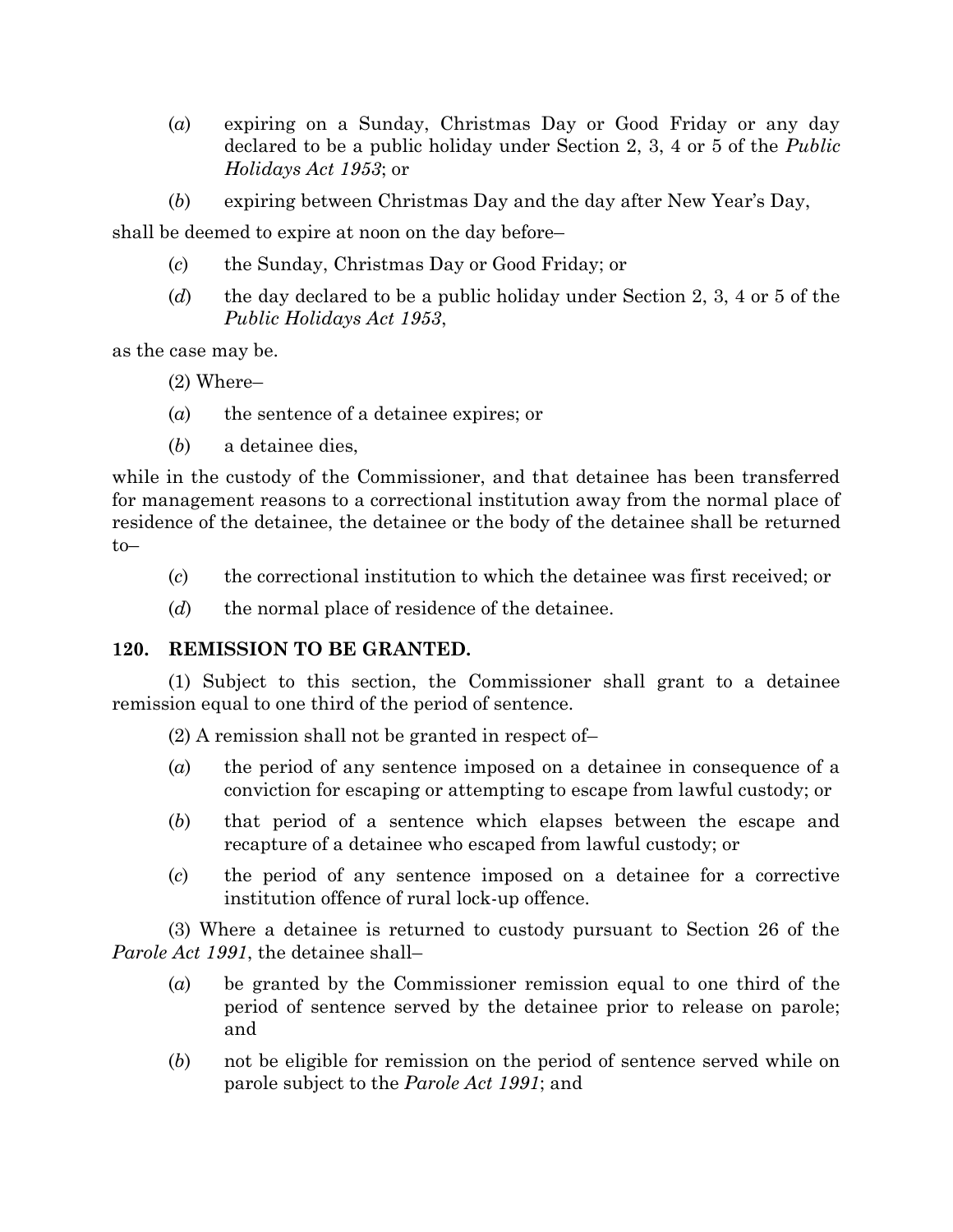- (*a*) expiring on a Sunday, Christmas Day or Good Friday or any day declared to be a public holiday under Section 2, 3, 4 or 5 of the *Public Holidays Act 1953*; or
- (*b*) expiring between Christmas Day and the day after New Year's Day,

shall be deemed to expire at noon on the day before–

- (*c*) the Sunday, Christmas Day or Good Friday; or
- (*d*) the day declared to be a public holiday under Section 2, 3, 4 or 5 of the *Public Holidays Act 1953*,

as the case may be.

- (2) Where–
- (*a*) the sentence of a detainee expires; or
- (*b*) a detainee dies,

while in the custody of the Commissioner, and that detainee has been transferred for management reasons to a correctional institution away from the normal place of residence of the detainee, the detainee or the body of the detainee shall be returned to–

- (*c*) the correctional institution to which the detainee was first received; or
- (*d*) the normal place of residence of the detainee.

#### **120. REMISSION TO BE GRANTED.**

(1) Subject to this section, the Commissioner shall grant to a detainee remission equal to one third of the period of sentence.

(2) A remission shall not be granted in respect of–

- (*a*) the period of any sentence imposed on a detainee in consequence of a conviction for escaping or attempting to escape from lawful custody; or
- (*b*) that period of a sentence which elapses between the escape and recapture of a detainee who escaped from lawful custody; or
- (*c*) the period of any sentence imposed on a detainee for a corrective institution offence of rural lock-up offence.

(3) Where a detainee is returned to custody pursuant to Section 26 of the *Parole Act 1991*, the detainee shall–

- (*a*) be granted by the Commissioner remission equal to one third of the period of sentence served by the detainee prior to release on parole; and
- (*b*) not be eligible for remission on the period of sentence served while on parole subject to the *Parole Act 1991*; and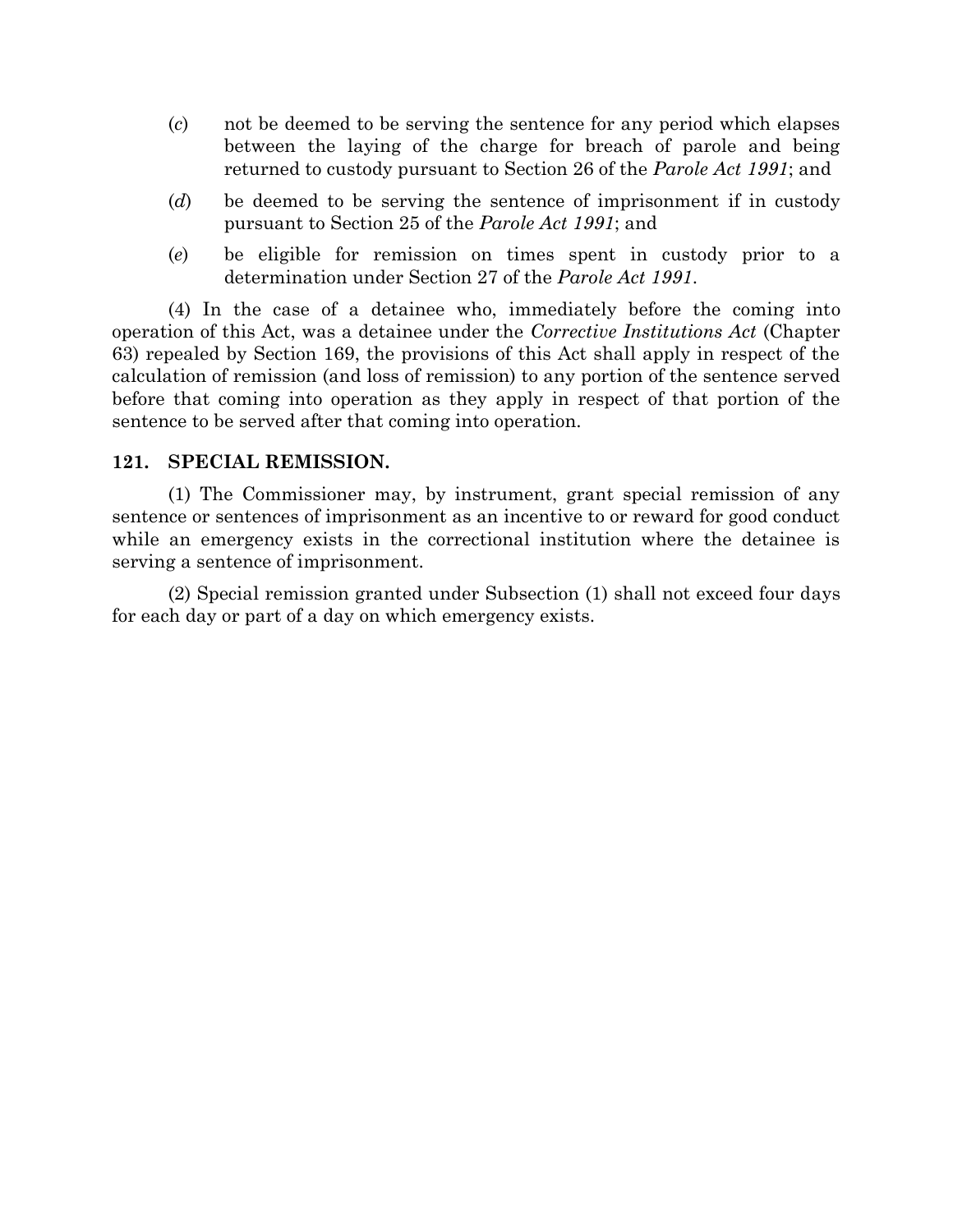- (*c*) not be deemed to be serving the sentence for any period which elapses between the laying of the charge for breach of parole and being returned to custody pursuant to Section 26 of the *Parole Act 1991*; and
- (*d*) be deemed to be serving the sentence of imprisonment if in custody pursuant to Section 25 of the *Parole Act 1991*; and
- (*e*) be eligible for remission on times spent in custody prior to a determination under Section 27 of the *Parole Act 1991*.

(4) In the case of a detainee who, immediately before the coming into operation of this Act, was a detainee under the *Corrective Institutions Act* (Chapter 63) repealed by Section 169, the provisions of this Act shall apply in respect of the calculation of remission (and loss of remission) to any portion of the sentence served before that coming into operation as they apply in respect of that portion of the sentence to be served after that coming into operation.

#### **121. SPECIAL REMISSION.**

(1) The Commissioner may, by instrument, grant special remission of any sentence or sentences of imprisonment as an incentive to or reward for good conduct while an emergency exists in the correctional institution where the detainee is serving a sentence of imprisonment.

(2) Special remission granted under Subsection (1) shall not exceed four days for each day or part of a day on which emergency exists.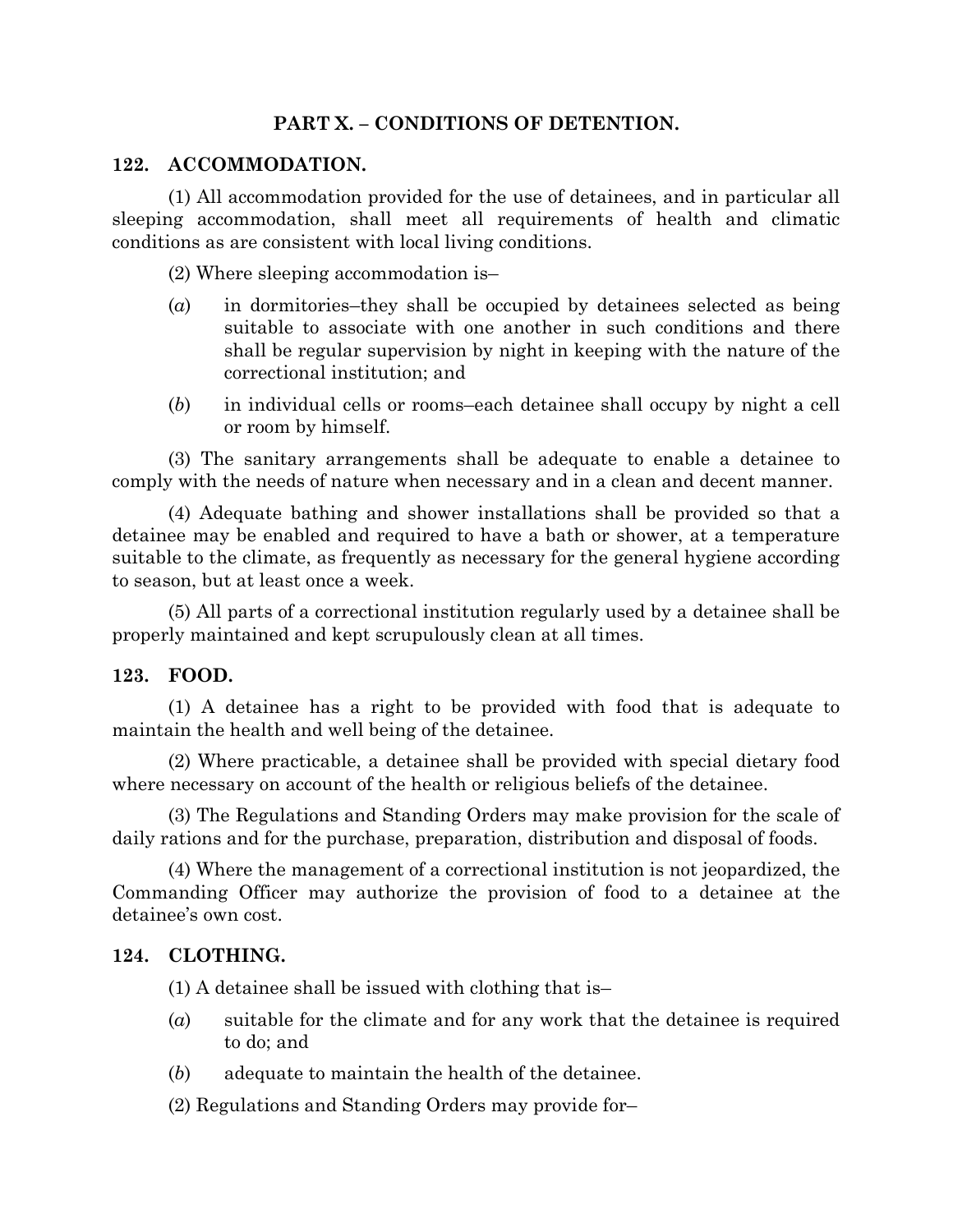# **PART X. – CONDITIONS OF DETENTION.**

#### **122. ACCOMMODATION.**

(1) All accommodation provided for the use of detainees, and in particular all sleeping accommodation, shall meet all requirements of health and climatic conditions as are consistent with local living conditions.

(2) Where sleeping accommodation is–

- (*a*) in dormitories–they shall be occupied by detainees selected as being suitable to associate with one another in such conditions and there shall be regular supervision by night in keeping with the nature of the correctional institution; and
- (*b*) in individual cells or rooms–each detainee shall occupy by night a cell or room by himself.

(3) The sanitary arrangements shall be adequate to enable a detainee to comply with the needs of nature when necessary and in a clean and decent manner.

(4) Adequate bathing and shower installations shall be provided so that a detainee may be enabled and required to have a bath or shower, at a temperature suitable to the climate, as frequently as necessary for the general hygiene according to season, but at least once a week.

(5) All parts of a correctional institution regularly used by a detainee shall be properly maintained and kept scrupulously clean at all times.

#### **123. FOOD.**

(1) A detainee has a right to be provided with food that is adequate to maintain the health and well being of the detainee.

(2) Where practicable, a detainee shall be provided with special dietary food where necessary on account of the health or religious beliefs of the detainee.

(3) The Regulations and Standing Orders may make provision for the scale of daily rations and for the purchase, preparation, distribution and disposal of foods.

(4) Where the management of a correctional institution is not jeopardized, the Commanding Officer may authorize the provision of food to a detainee at the detainee's own cost.

#### **124. CLOTHING.**

(1) A detainee shall be issued with clothing that is–

- (*a*) suitable for the climate and for any work that the detainee is required to do; and
- (*b*) adequate to maintain the health of the detainee.
- (2) Regulations and Standing Orders may provide for–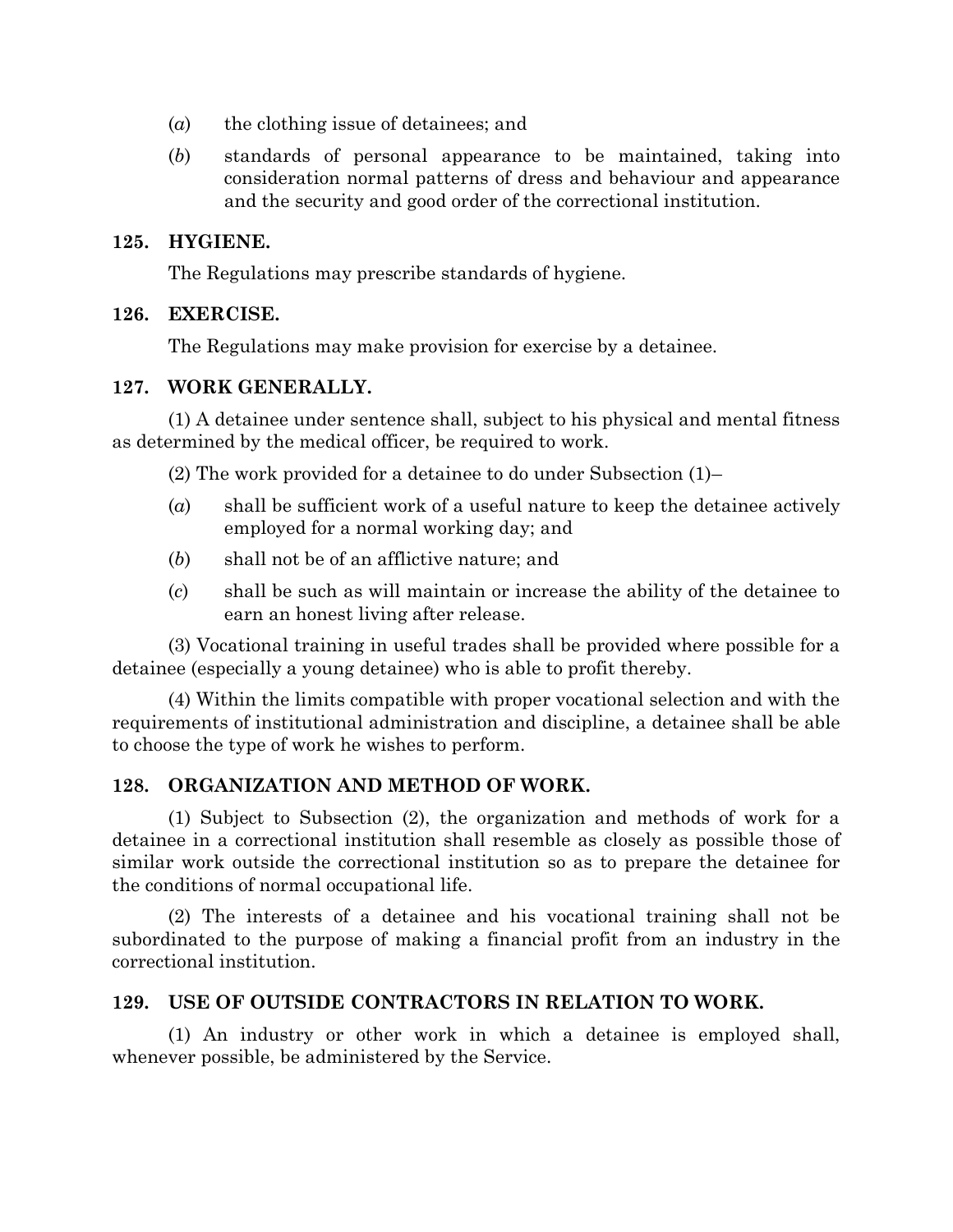- (*a*) the clothing issue of detainees; and
- (*b*) standards of personal appearance to be maintained, taking into consideration normal patterns of dress and behaviour and appearance and the security and good order of the correctional institution.

### **125. HYGIENE.**

The Regulations may prescribe standards of hygiene.

## **126. EXERCISE.**

The Regulations may make provision for exercise by a detainee.

## **127. WORK GENERALLY.**

(1) A detainee under sentence shall, subject to his physical and mental fitness as determined by the medical officer, be required to work.

(2) The work provided for a detainee to do under Subsection (1)–

- (*a*) shall be sufficient work of a useful nature to keep the detainee actively employed for a normal working day; and
- (*b*) shall not be of an afflictive nature; and
- (*c*) shall be such as will maintain or increase the ability of the detainee to earn an honest living after release.

(3) Vocational training in useful trades shall be provided where possible for a detainee (especially a young detainee) who is able to profit thereby.

(4) Within the limits compatible with proper vocational selection and with the requirements of institutional administration and discipline, a detainee shall be able to choose the type of work he wishes to perform.

# **128. ORGANIZATION AND METHOD OF WORK.**

(1) Subject to Subsection (2), the organization and methods of work for a detainee in a correctional institution shall resemble as closely as possible those of similar work outside the correctional institution so as to prepare the detainee for the conditions of normal occupational life.

(2) The interests of a detainee and his vocational training shall not be subordinated to the purpose of making a financial profit from an industry in the correctional institution.

## **129. USE OF OUTSIDE CONTRACTORS IN RELATION TO WORK.**

(1) An industry or other work in which a detainee is employed shall, whenever possible, be administered by the Service.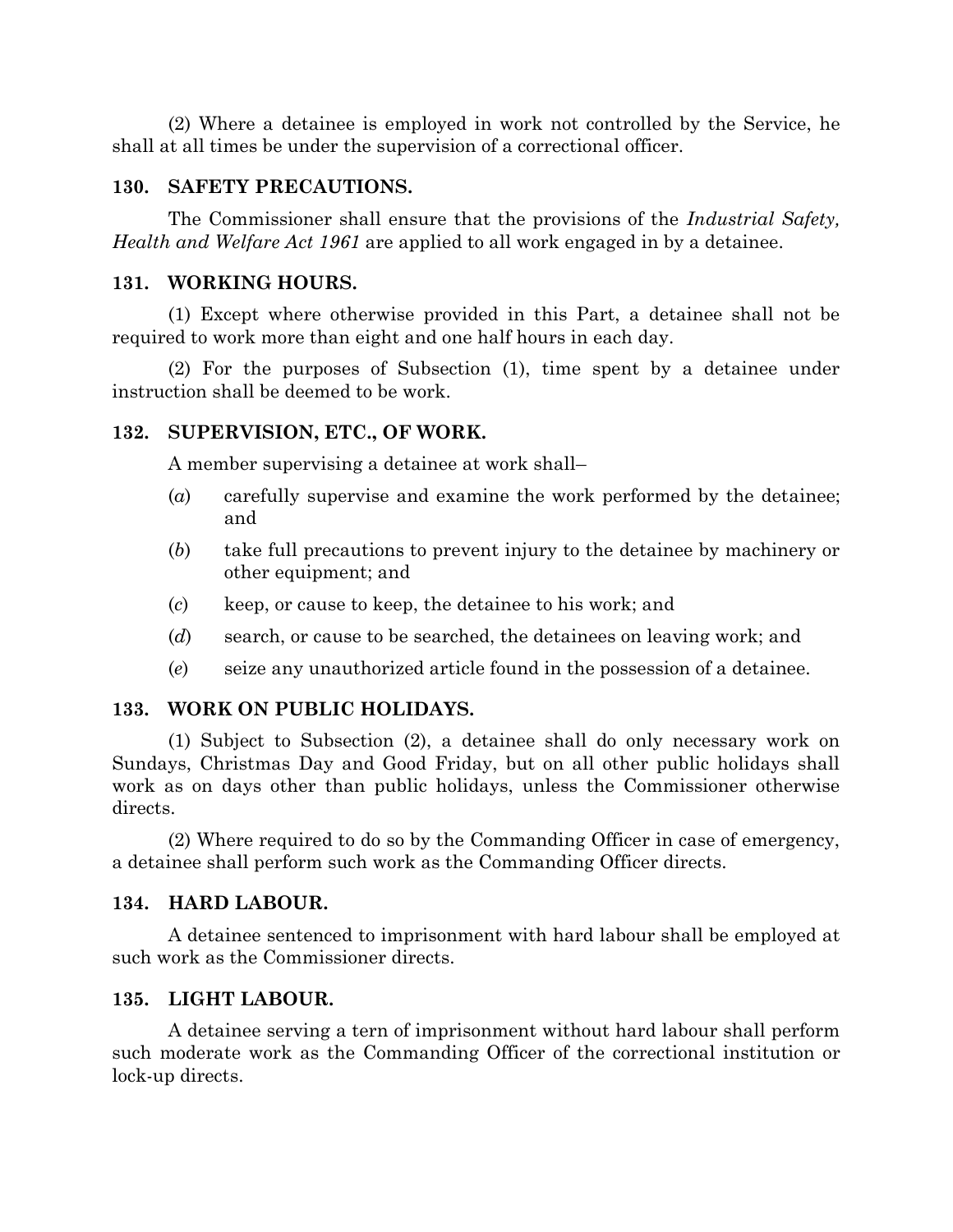(2) Where a detainee is employed in work not controlled by the Service, he shall at all times be under the supervision of a correctional officer.

#### **130. SAFETY PRECAUTIONS.**

The Commissioner shall ensure that the provisions of the *Industrial Safety, Health and Welfare Act 1961* are applied to all work engaged in by a detainee.

#### **131. WORKING HOURS.**

(1) Except where otherwise provided in this Part, a detainee shall not be required to work more than eight and one half hours in each day.

(2) For the purposes of Subsection (1), time spent by a detainee under instruction shall be deemed to be work.

#### **132. SUPERVISION, ETC., OF WORK.**

A member supervising a detainee at work shall–

- (*a*) carefully supervise and examine the work performed by the detainee; and
- (*b*) take full precautions to prevent injury to the detainee by machinery or other equipment; and
- (*c*) keep, or cause to keep, the detainee to his work; and
- (*d*) search, or cause to be searched, the detainees on leaving work; and
- (*e*) seize any unauthorized article found in the possession of a detainee.

#### **133. WORK ON PUBLIC HOLIDAYS.**

(1) Subject to Subsection (2), a detainee shall do only necessary work on Sundays, Christmas Day and Good Friday, but on all other public holidays shall work as on days other than public holidays, unless the Commissioner otherwise directs.

(2) Where required to do so by the Commanding Officer in case of emergency, a detainee shall perform such work as the Commanding Officer directs.

#### **134. HARD LABOUR.**

A detainee sentenced to imprisonment with hard labour shall be employed at such work as the Commissioner directs.

#### **135. LIGHT LABOUR.**

A detainee serving a tern of imprisonment without hard labour shall perform such moderate work as the Commanding Officer of the correctional institution or lock-up directs.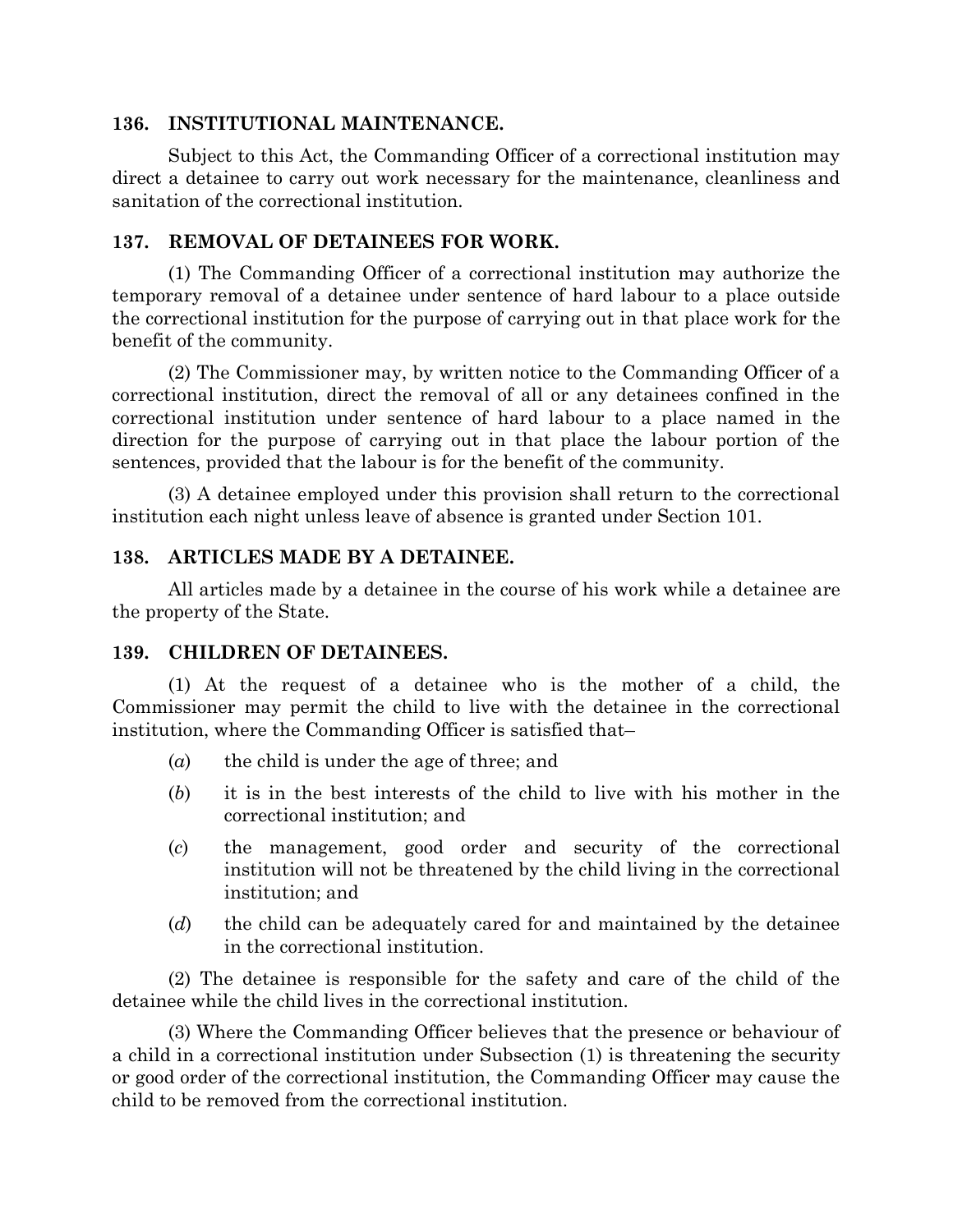#### **136. INSTITUTIONAL MAINTENANCE.**

Subject to this Act, the Commanding Officer of a correctional institution may direct a detainee to carry out work necessary for the maintenance, cleanliness and sanitation of the correctional institution.

## **137. REMOVAL OF DETAINEES FOR WORK.**

(1) The Commanding Officer of a correctional institution may authorize the temporary removal of a detainee under sentence of hard labour to a place outside the correctional institution for the purpose of carrying out in that place work for the benefit of the community.

(2) The Commissioner may, by written notice to the Commanding Officer of a correctional institution, direct the removal of all or any detainees confined in the correctional institution under sentence of hard labour to a place named in the direction for the purpose of carrying out in that place the labour portion of the sentences, provided that the labour is for the benefit of the community.

(3) A detainee employed under this provision shall return to the correctional institution each night unless leave of absence is granted under Section 101.

# **138. ARTICLES MADE BY A DETAINEE.**

All articles made by a detainee in the course of his work while a detainee are the property of the State.

## **139. CHILDREN OF DETAINEES.**

(1) At the request of a detainee who is the mother of a child, the Commissioner may permit the child to live with the detainee in the correctional institution, where the Commanding Officer is satisfied that–

- (*a*) the child is under the age of three; and
- (*b*) it is in the best interests of the child to live with his mother in the correctional institution; and
- (*c*) the management, good order and security of the correctional institution will not be threatened by the child living in the correctional institution; and
- (*d*) the child can be adequately cared for and maintained by the detainee in the correctional institution.

(2) The detainee is responsible for the safety and care of the child of the detainee while the child lives in the correctional institution.

(3) Where the Commanding Officer believes that the presence or behaviour of a child in a correctional institution under Subsection (1) is threatening the security or good order of the correctional institution, the Commanding Officer may cause the child to be removed from the correctional institution.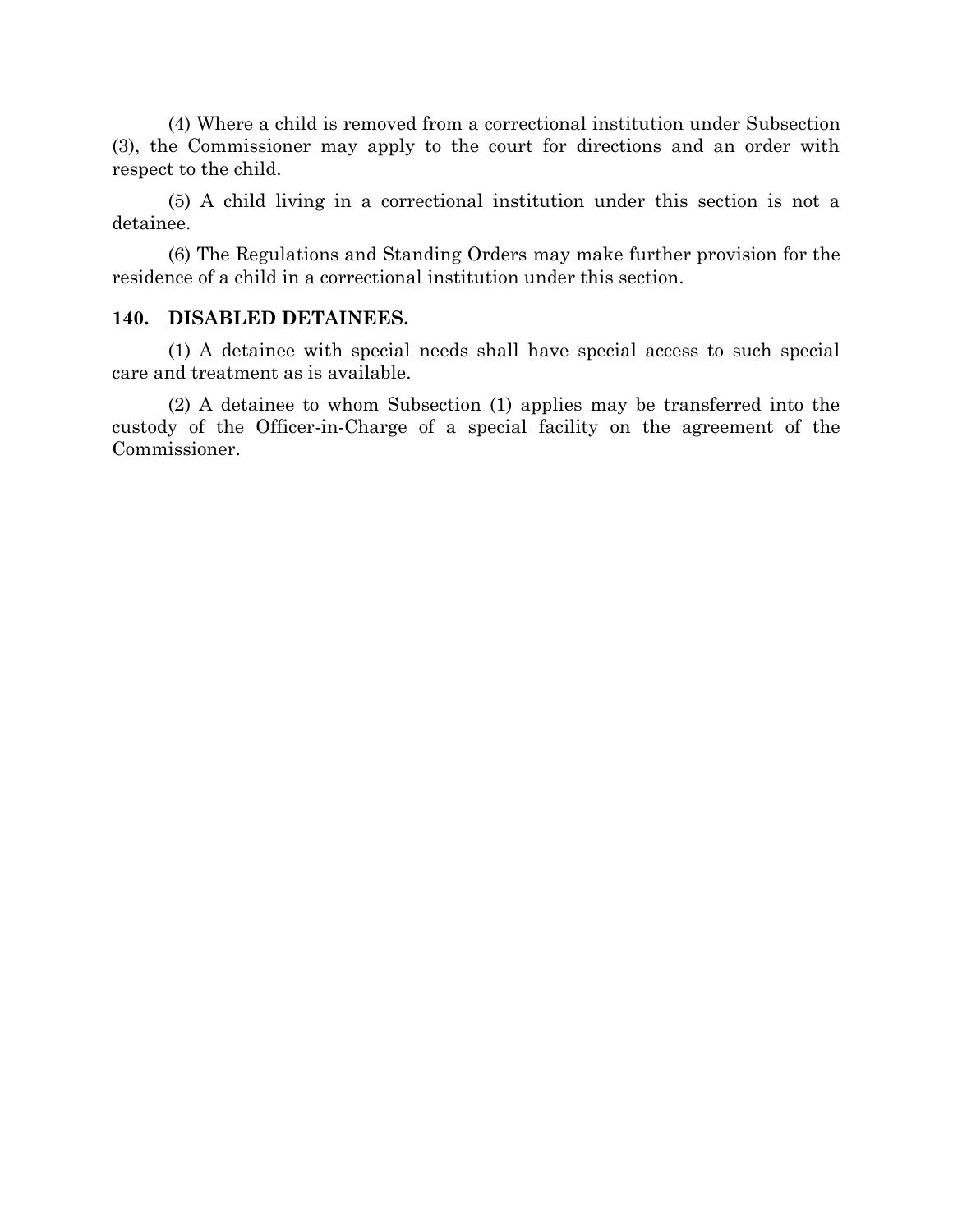(4) Where a child is removed from a correctional institution under Subsection (3), the Commissioner may apply to the court for directions and an order with respect to the child.

(5) A child living in a correctional institution under this section is not a detainee.

(6) The Regulations and Standing Orders may make further provision for the residence of a child in a correctional institution under this section.

#### **140. DISABLED DETAINEES.**

(1) A detainee with special needs shall have special access to such special care and treatment as is available.

(2) A detainee to whom Subsection (1) applies may be transferred into the custody of the Officer-in-Charge of a special facility on the agreement of the Commissioner.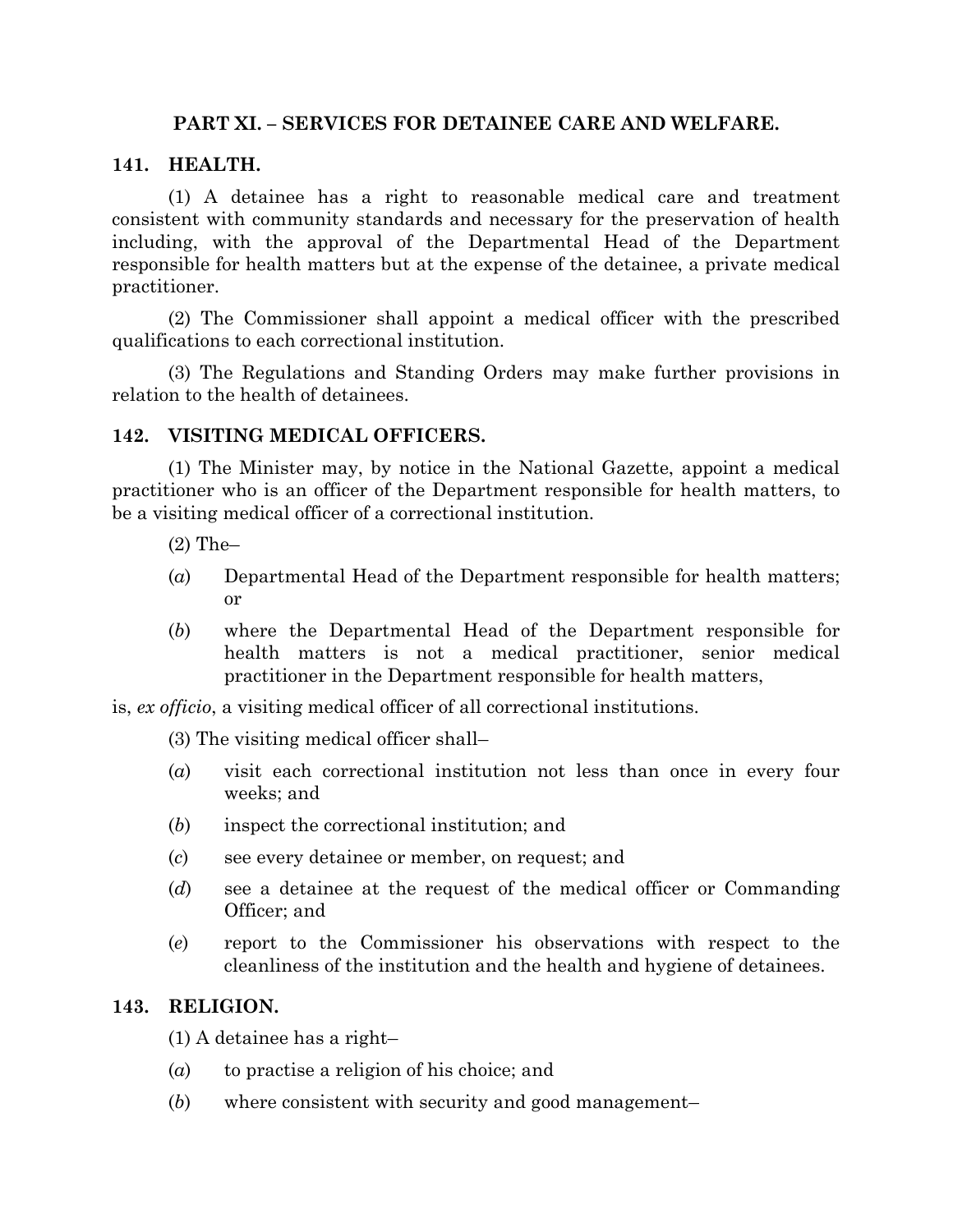## **PART XI. – SERVICES FOR DETAINEE CARE AND WELFARE.**

## **141. HEALTH.**

(1) A detainee has a right to reasonable medical care and treatment consistent with community standards and necessary for the preservation of health including, with the approval of the Departmental Head of the Department responsible for health matters but at the expense of the detainee, a private medical practitioner.

(2) The Commissioner shall appoint a medical officer with the prescribed qualifications to each correctional institution.

(3) The Regulations and Standing Orders may make further provisions in relation to the health of detainees.

## **142. VISITING MEDICAL OFFICERS.**

(1) The Minister may, by notice in the National Gazette, appoint a medical practitioner who is an officer of the Department responsible for health matters, to be a visiting medical officer of a correctional institution.

- (2) The–
- (*a*) Departmental Head of the Department responsible for health matters; or
- (*b*) where the Departmental Head of the Department responsible for health matters is not a medical practitioner, senior medical practitioner in the Department responsible for health matters,

is, *ex officio*, a visiting medical officer of all correctional institutions.

(3) The visiting medical officer shall–

- (*a*) visit each correctional institution not less than once in every four weeks; and
- (*b*) inspect the correctional institution; and
- (*c*) see every detainee or member, on request; and
- (*d*) see a detainee at the request of the medical officer or Commanding Officer; and
- (*e*) report to the Commissioner his observations with respect to the cleanliness of the institution and the health and hygiene of detainees.

## **143. RELIGION.**

(1) A detainee has a right–

- (*a*) to practise a religion of his choice; and
- (*b*) where consistent with security and good management–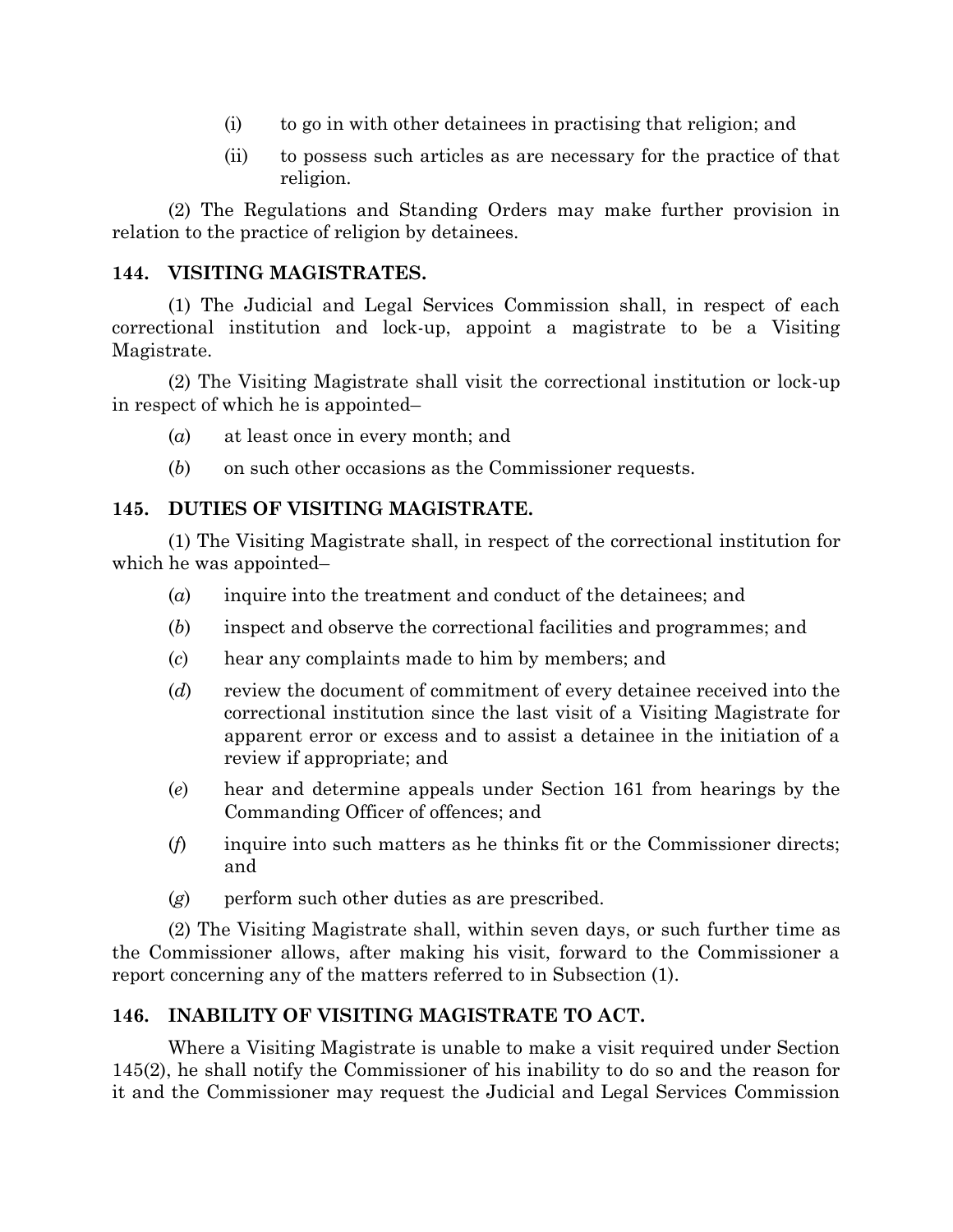- (i) to go in with other detainees in practising that religion; and
- (ii) to possess such articles as are necessary for the practice of that religion.

(2) The Regulations and Standing Orders may make further provision in relation to the practice of religion by detainees.

# **144. VISITING MAGISTRATES.**

(1) The Judicial and Legal Services Commission shall, in respect of each correctional institution and lock-up, appoint a magistrate to be a Visiting Magistrate.

(2) The Visiting Magistrate shall visit the correctional institution or lock-up in respect of which he is appointed–

- (*a*) at least once in every month; and
- (*b*) on such other occasions as the Commissioner requests.

# **145. DUTIES OF VISITING MAGISTRATE.**

(1) The Visiting Magistrate shall, in respect of the correctional institution for which he was appointed–

- (*a*) inquire into the treatment and conduct of the detainees; and
- (*b*) inspect and observe the correctional facilities and programmes; and
- (*c*) hear any complaints made to him by members; and
- (*d*) review the document of commitment of every detainee received into the correctional institution since the last visit of a Visiting Magistrate for apparent error or excess and to assist a detainee in the initiation of a review if appropriate; and
- (*e*) hear and determine appeals under Section 161 from hearings by the Commanding Officer of offences; and
- (*f*) inquire into such matters as he thinks fit or the Commissioner directs; and
- (*g*) perform such other duties as are prescribed.

(2) The Visiting Magistrate shall, within seven days, or such further time as the Commissioner allows, after making his visit, forward to the Commissioner a report concerning any of the matters referred to in Subsection (1).

# **146. INABILITY OF VISITING MAGISTRATE TO ACT.**

Where a Visiting Magistrate is unable to make a visit required under Section 145(2), he shall notify the Commissioner of his inability to do so and the reason for it and the Commissioner may request the Judicial and Legal Services Commission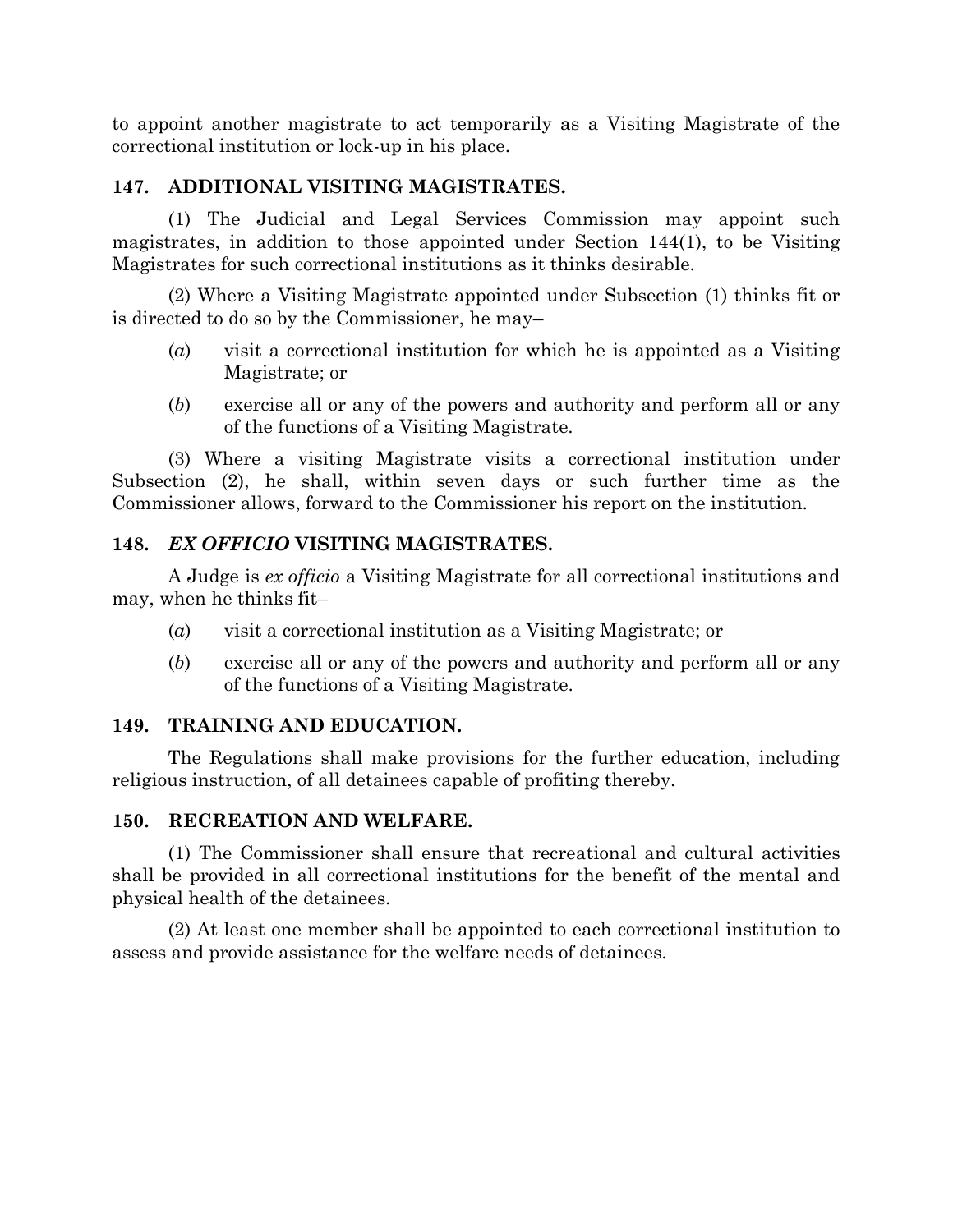to appoint another magistrate to act temporarily as a Visiting Magistrate of the correctional institution or lock-up in his place.

# **147. ADDITIONAL VISITING MAGISTRATES.**

(1) The Judicial and Legal Services Commission may appoint such magistrates, in addition to those appointed under Section 144(1), to be Visiting Magistrates for such correctional institutions as it thinks desirable.

(2) Where a Visiting Magistrate appointed under Subsection (1) thinks fit or is directed to do so by the Commissioner, he may–

- (*a*) visit a correctional institution for which he is appointed as a Visiting Magistrate; or
- (*b*) exercise all or any of the powers and authority and perform all or any of the functions of a Visiting Magistrate.

(3) Where a visiting Magistrate visits a correctional institution under Subsection (2), he shall, within seven days or such further time as the Commissioner allows, forward to the Commissioner his report on the institution.

# **148.** *EX OFFICIO* **VISITING MAGISTRATES.**

A Judge is *ex officio* a Visiting Magistrate for all correctional institutions and may, when he thinks fit–

- (*a*) visit a correctional institution as a Visiting Magistrate; or
- (*b*) exercise all or any of the powers and authority and perform all or any of the functions of a Visiting Magistrate.

# **149. TRAINING AND EDUCATION.**

The Regulations shall make provisions for the further education, including religious instruction, of all detainees capable of profiting thereby.

## **150. RECREATION AND WELFARE.**

(1) The Commissioner shall ensure that recreational and cultural activities shall be provided in all correctional institutions for the benefit of the mental and physical health of the detainees.

(2) At least one member shall be appointed to each correctional institution to assess and provide assistance for the welfare needs of detainees.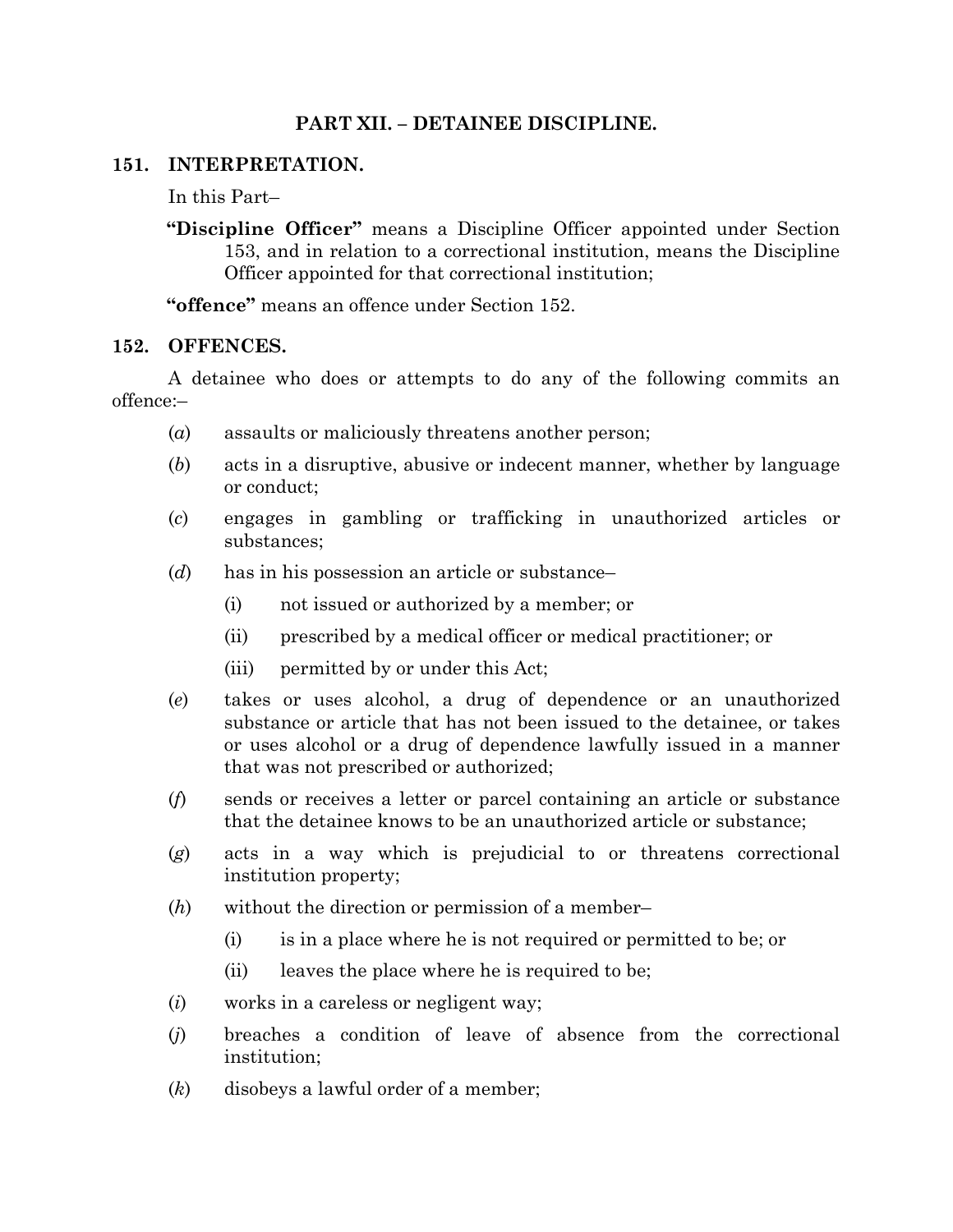# **PART XII. – DETAINEE DISCIPLINE.**

## **151. INTERPRETATION.**

In this Part–

**"Discipline Officer"** means a Discipline Officer appointed under Section 153, and in relation to a correctional institution, means the Discipline Officer appointed for that correctional institution;

**"offence"** means an offence under Section 152.

#### **152. OFFENCES.**

A detainee who does or attempts to do any of the following commits an offence:–

- (*a*) assaults or maliciously threatens another person;
- (*b*) acts in a disruptive, abusive or indecent manner, whether by language or conduct;
- (*c*) engages in gambling or trafficking in unauthorized articles or substances;
- (*d*) has in his possession an article or substance–
	- (i) not issued or authorized by a member; or
	- (ii) prescribed by a medical officer or medical practitioner; or
	- (iii) permitted by or under this Act;
- (*e*) takes or uses alcohol, a drug of dependence or an unauthorized substance or article that has not been issued to the detainee, or takes or uses alcohol or a drug of dependence lawfully issued in a manner that was not prescribed or authorized;
- (*f*) sends or receives a letter or parcel containing an article or substance that the detainee knows to be an unauthorized article or substance;
- (*g*) acts in a way which is prejudicial to or threatens correctional institution property;
- (*h*) without the direction or permission of a member–
	- (i) is in a place where he is not required or permitted to be; or
	- (ii) leaves the place where he is required to be;
- (*i*) works in a careless or negligent way;
- (*j*) breaches a condition of leave of absence from the correctional institution;
- (*k*) disobeys a lawful order of a member;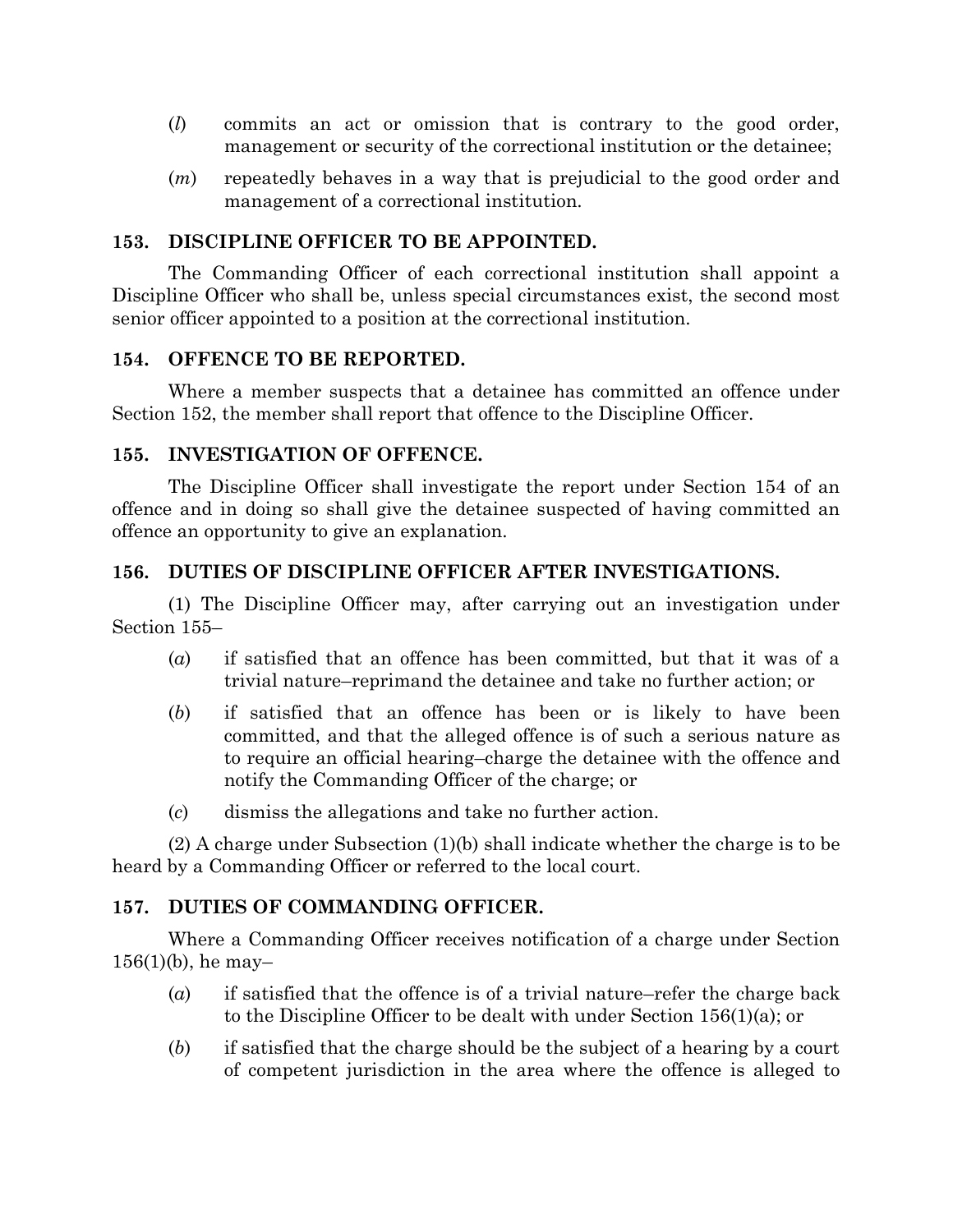- (*l*) commits an act or omission that is contrary to the good order, management or security of the correctional institution or the detainee;
- (*m*) repeatedly behaves in a way that is prejudicial to the good order and management of a correctional institution.

#### **153. DISCIPLINE OFFICER TO BE APPOINTED.**

The Commanding Officer of each correctional institution shall appoint a Discipline Officer who shall be, unless special circumstances exist, the second most senior officer appointed to a position at the correctional institution.

#### **154. OFFENCE TO BE REPORTED.**

Where a member suspects that a detainee has committed an offence under Section 152, the member shall report that offence to the Discipline Officer.

#### **155. INVESTIGATION OF OFFENCE.**

The Discipline Officer shall investigate the report under Section 154 of an offence and in doing so shall give the detainee suspected of having committed an offence an opportunity to give an explanation.

## **156. DUTIES OF DISCIPLINE OFFICER AFTER INVESTIGATIONS.**

(1) The Discipline Officer may, after carrying out an investigation under Section 155–

- (*a*) if satisfied that an offence has been committed, but that it was of a trivial nature–reprimand the detainee and take no further action; or
- (*b*) if satisfied that an offence has been or is likely to have been committed, and that the alleged offence is of such a serious nature as to require an official hearing–charge the detainee with the offence and notify the Commanding Officer of the charge; or
- (*c*) dismiss the allegations and take no further action.

(2) A charge under Subsection (1)(b) shall indicate whether the charge is to be heard by a Commanding Officer or referred to the local court.

## **157. DUTIES OF COMMANDING OFFICER.**

Where a Commanding Officer receives notification of a charge under Section  $156(1)(b)$ , he may-

- (*a*) if satisfied that the offence is of a trivial nature–refer the charge back to the Discipline Officer to be dealt with under Section 156(1)(a); or
- (*b*) if satisfied that the charge should be the subject of a hearing by a court of competent jurisdiction in the area where the offence is alleged to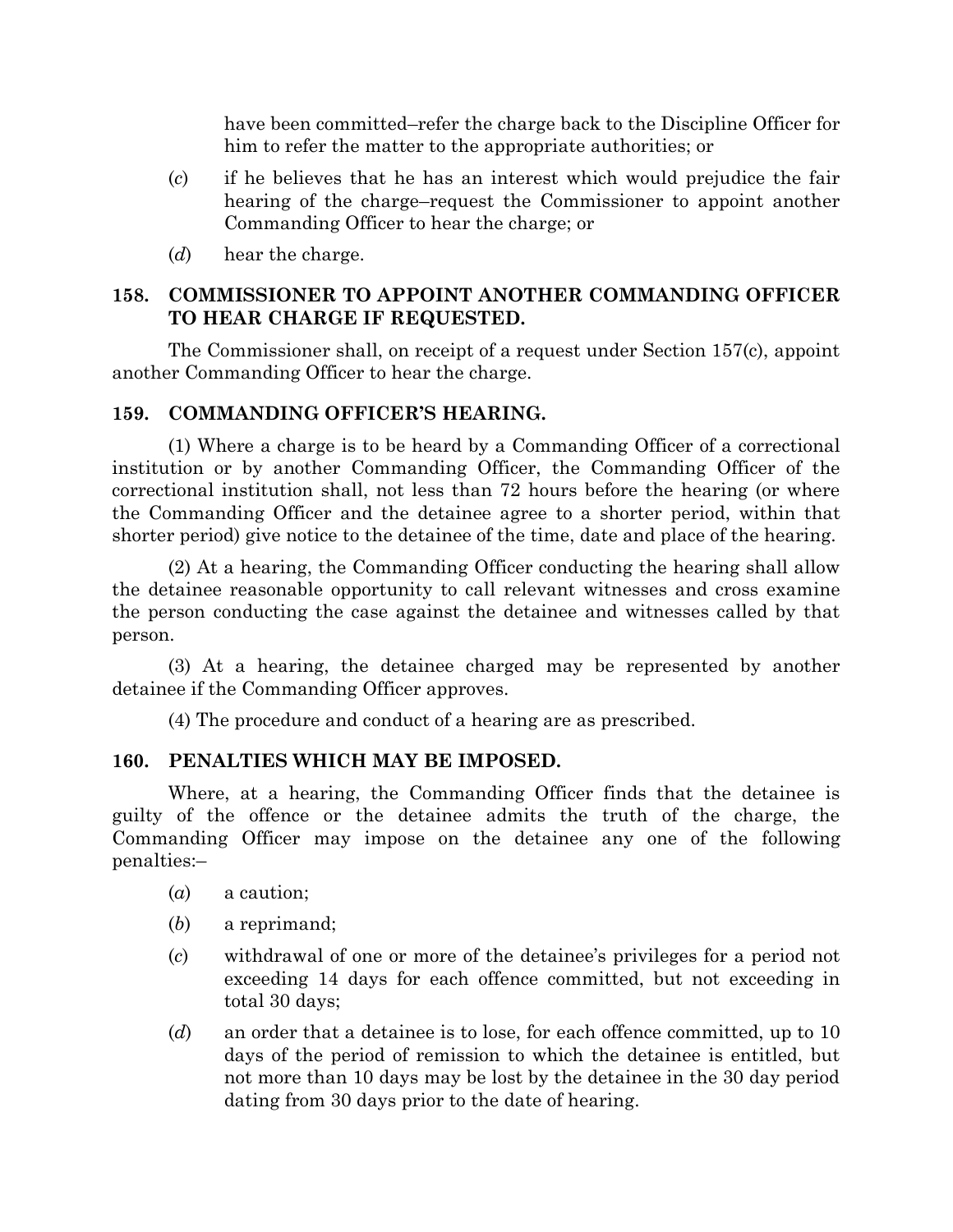have been committed–refer the charge back to the Discipline Officer for him to refer the matter to the appropriate authorities; or

- (*c*) if he believes that he has an interest which would prejudice the fair hearing of the charge–request the Commissioner to appoint another Commanding Officer to hear the charge; or
- (*d*) hear the charge.

# **158. COMMISSIONER TO APPOINT ANOTHER COMMANDING OFFICER TO HEAR CHARGE IF REQUESTED.**

The Commissioner shall, on receipt of a request under Section 157(c), appoint another Commanding Officer to hear the charge.

## **159. COMMANDING OFFICER'S HEARING.**

(1) Where a charge is to be heard by a Commanding Officer of a correctional institution or by another Commanding Officer, the Commanding Officer of the correctional institution shall, not less than 72 hours before the hearing (or where the Commanding Officer and the detainee agree to a shorter period, within that shorter period) give notice to the detainee of the time, date and place of the hearing.

(2) At a hearing, the Commanding Officer conducting the hearing shall allow the detainee reasonable opportunity to call relevant witnesses and cross examine the person conducting the case against the detainee and witnesses called by that person.

(3) At a hearing, the detainee charged may be represented by another detainee if the Commanding Officer approves.

(4) The procedure and conduct of a hearing are as prescribed.

# **160. PENALTIES WHICH MAY BE IMPOSED.**

Where, at a hearing, the Commanding Officer finds that the detainee is guilty of the offence or the detainee admits the truth of the charge, the Commanding Officer may impose on the detainee any one of the following penalties:–

- (*a*) a caution;
- (*b*) a reprimand;
- (*c*) withdrawal of one or more of the detainee's privileges for a period not exceeding 14 days for each offence committed, but not exceeding in total 30 days;
- (*d*) an order that a detainee is to lose, for each offence committed, up to 10 days of the period of remission to which the detainee is entitled, but not more than 10 days may be lost by the detainee in the 30 day period dating from 30 days prior to the date of hearing.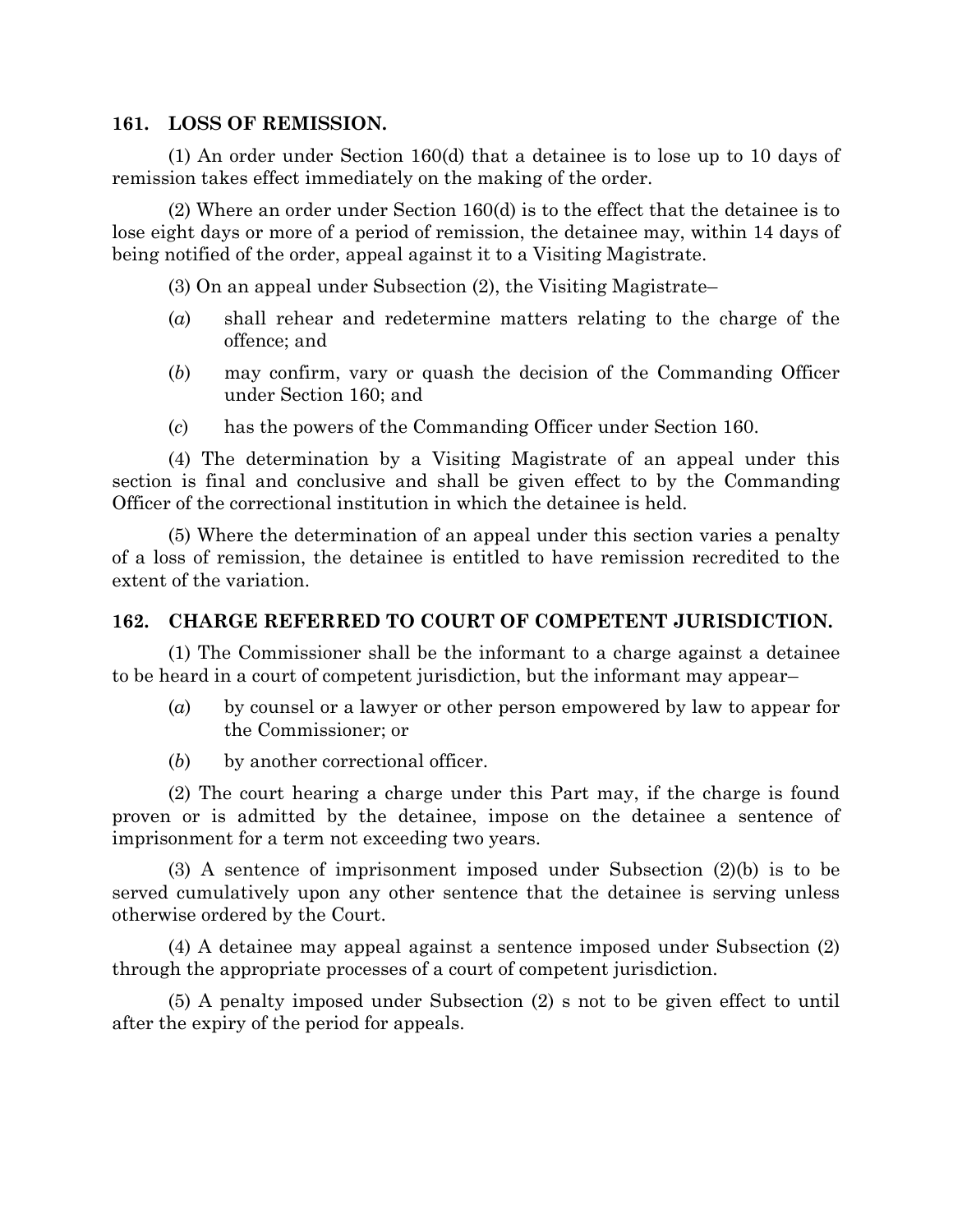#### **161. LOSS OF REMISSION.**

(1) An order under Section 160(d) that a detainee is to lose up to 10 days of remission takes effect immediately on the making of the order.

(2) Where an order under Section 160(d) is to the effect that the detainee is to lose eight days or more of a period of remission, the detainee may, within 14 days of being notified of the order, appeal against it to a Visiting Magistrate.

(3) On an appeal under Subsection (2), the Visiting Magistrate–

- (*a*) shall rehear and redetermine matters relating to the charge of the offence; and
- (*b*) may confirm, vary or quash the decision of the Commanding Officer under Section 160; and
- (*c*) has the powers of the Commanding Officer under Section 160.

(4) The determination by a Visiting Magistrate of an appeal under this section is final and conclusive and shall be given effect to by the Commanding Officer of the correctional institution in which the detainee is held.

(5) Where the determination of an appeal under this section varies a penalty of a loss of remission, the detainee is entitled to have remission recredited to the extent of the variation.

# **162. CHARGE REFERRED TO COURT OF COMPETENT JURISDICTION.**

(1) The Commissioner shall be the informant to a charge against a detainee to be heard in a court of competent jurisdiction, but the informant may appear–

- (*a*) by counsel or a lawyer or other person empowered by law to appear for the Commissioner; or
- (*b*) by another correctional officer.

(2) The court hearing a charge under this Part may, if the charge is found proven or is admitted by the detainee, impose on the detainee a sentence of imprisonment for a term not exceeding two years.

(3) A sentence of imprisonment imposed under Subsection (2)(b) is to be served cumulatively upon any other sentence that the detainee is serving unless otherwise ordered by the Court.

(4) A detainee may appeal against a sentence imposed under Subsection (2) through the appropriate processes of a court of competent jurisdiction.

(5) A penalty imposed under Subsection (2) s not to be given effect to until after the expiry of the period for appeals.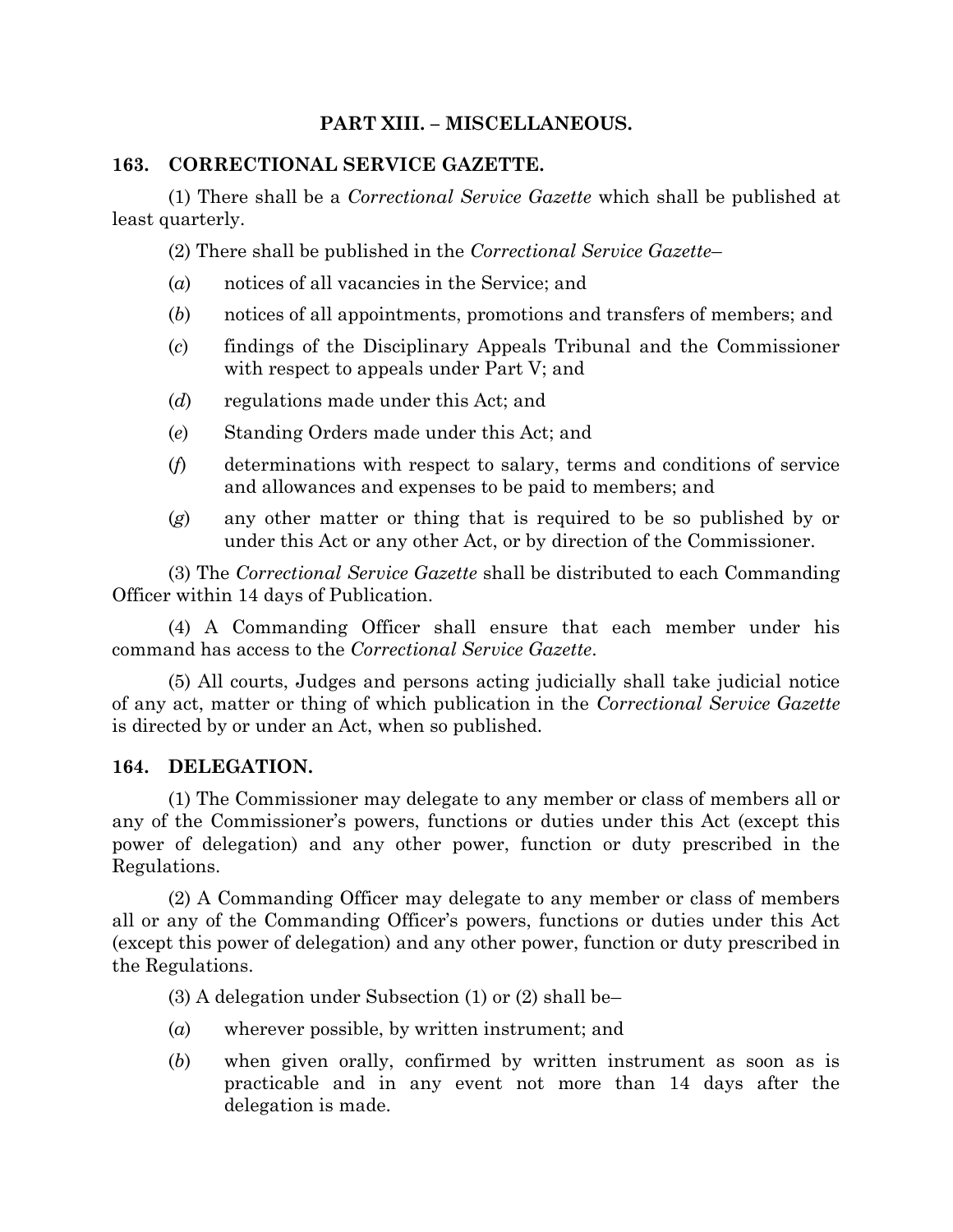# **PART XIII. – MISCELLANEOUS.**

#### **163. CORRECTIONAL SERVICE GAZETTE.**

(1) There shall be a *Correctional Service Gazette* which shall be published at least quarterly.

(2) There shall be published in the *Correctional Service Gazette*–

- (*a*) notices of all vacancies in the Service; and
- (*b*) notices of all appointments, promotions and transfers of members; and
- (*c*) findings of the Disciplinary Appeals Tribunal and the Commissioner with respect to appeals under Part V; and
- (*d*) regulations made under this Act; and
- (*e*) Standing Orders made under this Act; and
- (*f*) determinations with respect to salary, terms and conditions of service and allowances and expenses to be paid to members; and
- (*g*) any other matter or thing that is required to be so published by or under this Act or any other Act, or by direction of the Commissioner.

(3) The *Correctional Service Gazette* shall be distributed to each Commanding Officer within 14 days of Publication.

(4) A Commanding Officer shall ensure that each member under his command has access to the *Correctional Service Gazette*.

(5) All courts, Judges and persons acting judicially shall take judicial notice of any act, matter or thing of which publication in the *Correctional Service Gazette* is directed by or under an Act, when so published.

#### **164. DELEGATION.**

(1) The Commissioner may delegate to any member or class of members all or any of the Commissioner's powers, functions or duties under this Act (except this power of delegation) and any other power, function or duty prescribed in the Regulations.

(2) A Commanding Officer may delegate to any member or class of members all or any of the Commanding Officer's powers, functions or duties under this Act (except this power of delegation) and any other power, function or duty prescribed in the Regulations.

(3) A delegation under Subsection (1) or (2) shall be–

- (*a*) wherever possible, by written instrument; and
- (*b*) when given orally, confirmed by written instrument as soon as is practicable and in any event not more than 14 days after the delegation is made.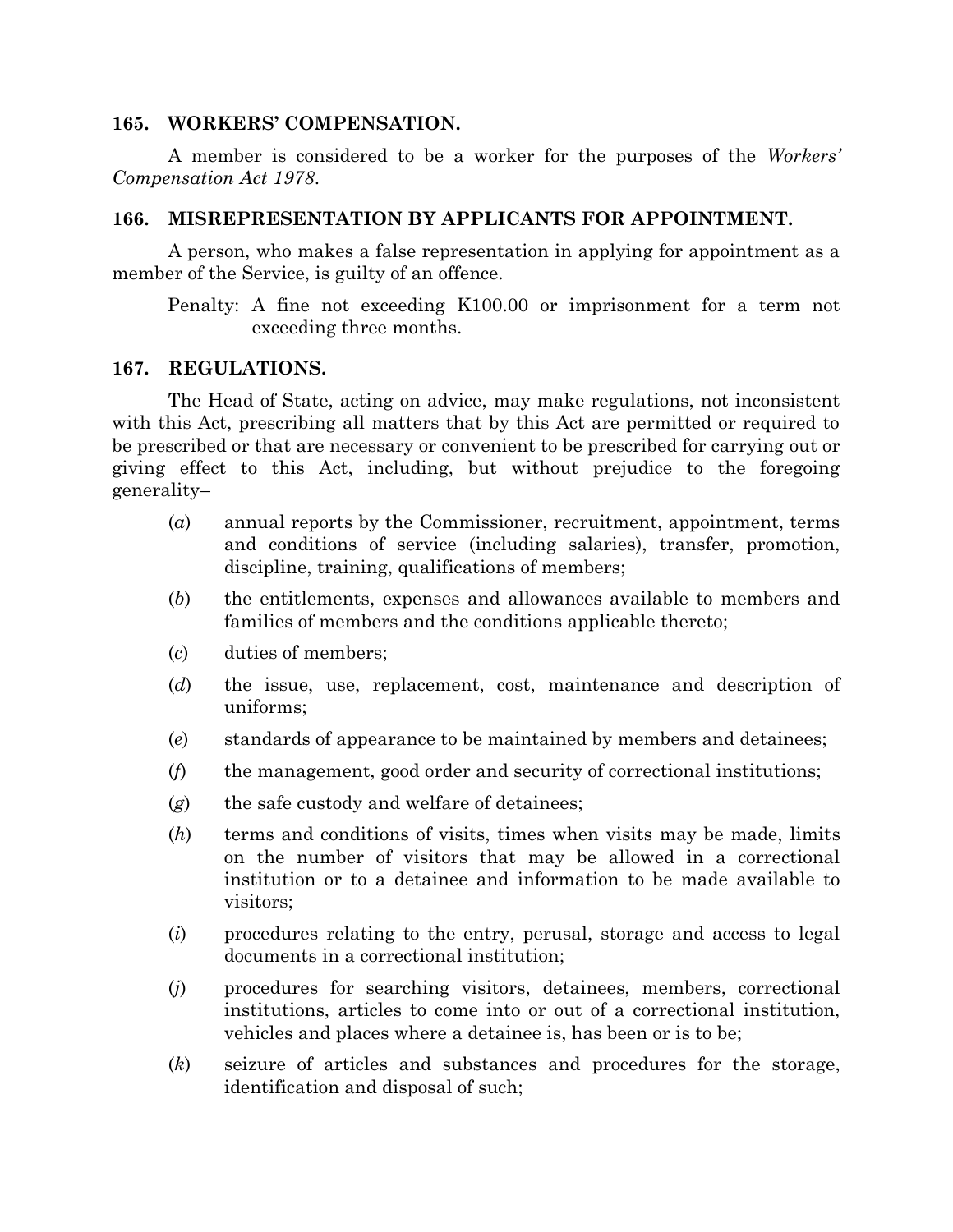#### **165. WORKERS' COMPENSATION.**

A member is considered to be a worker for the purposes of the *Workers' Compensation Act 1978*.

#### **166. MISREPRESENTATION BY APPLICANTS FOR APPOINTMENT.**

A person, who makes a false representation in applying for appointment as a member of the Service, is guilty of an offence.

Penalty: A fine not exceeding K100.00 or imprisonment for a term not exceeding three months.

#### **167. REGULATIONS.**

The Head of State, acting on advice, may make regulations, not inconsistent with this Act, prescribing all matters that by this Act are permitted or required to be prescribed or that are necessary or convenient to be prescribed for carrying out or giving effect to this Act, including, but without prejudice to the foregoing generality–

- (*a*) annual reports by the Commissioner, recruitment, appointment, terms and conditions of service (including salaries), transfer, promotion, discipline, training, qualifications of members;
- (*b*) the entitlements, expenses and allowances available to members and families of members and the conditions applicable thereto;
- (*c*) duties of members;
- (*d*) the issue, use, replacement, cost, maintenance and description of uniforms;
- (*e*) standards of appearance to be maintained by members and detainees;
- (*f*) the management, good order and security of correctional institutions;
- (*g*) the safe custody and welfare of detainees;
- (*h*) terms and conditions of visits, times when visits may be made, limits on the number of visitors that may be allowed in a correctional institution or to a detainee and information to be made available to visitors;
- (*i*) procedures relating to the entry, perusal, storage and access to legal documents in a correctional institution;
- (*j*) procedures for searching visitors, detainees, members, correctional institutions, articles to come into or out of a correctional institution, vehicles and places where a detainee is, has been or is to be;
- (*k*) seizure of articles and substances and procedures for the storage, identification and disposal of such;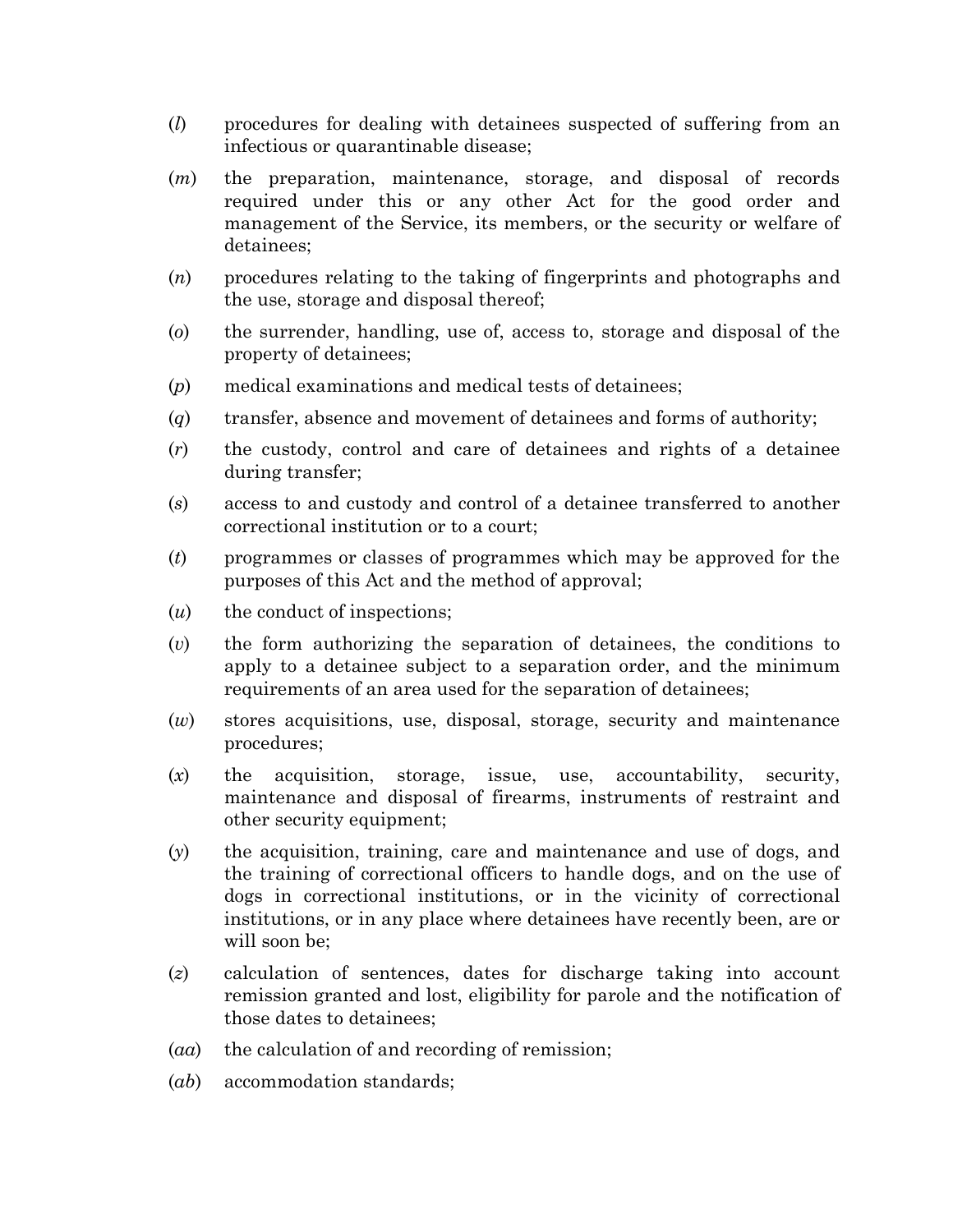- (*l*) procedures for dealing with detainees suspected of suffering from an infectious or quarantinable disease;
- (*m*) the preparation, maintenance, storage, and disposal of records required under this or any other Act for the good order and management of the Service, its members, or the security or welfare of detainees;
- (*n*) procedures relating to the taking of fingerprints and photographs and the use, storage and disposal thereof;
- (*o*) the surrender, handling, use of, access to, storage and disposal of the property of detainees;
- (*p*) medical examinations and medical tests of detainees;
- (*q*) transfer, absence and movement of detainees and forms of authority;
- (*r*) the custody, control and care of detainees and rights of a detainee during transfer;
- (*s*) access to and custody and control of a detainee transferred to another correctional institution or to a court;
- (*t*) programmes or classes of programmes which may be approved for the purposes of this Act and the method of approval;
- (*u*) the conduct of inspections;
- (*v*) the form authorizing the separation of detainees, the conditions to apply to a detainee subject to a separation order, and the minimum requirements of an area used for the separation of detainees;
- (*w*) stores acquisitions, use, disposal, storage, security and maintenance procedures;
- (*x*) the acquisition, storage, issue, use, accountability, security, maintenance and disposal of firearms, instruments of restraint and other security equipment;
- (*y*) the acquisition, training, care and maintenance and use of dogs, and the training of correctional officers to handle dogs, and on the use of dogs in correctional institutions, or in the vicinity of correctional institutions, or in any place where detainees have recently been, are or will soon be;
- (*z*) calculation of sentences, dates for discharge taking into account remission granted and lost, eligibility for parole and the notification of those dates to detainees;
- (*aa*) the calculation of and recording of remission;
- (*ab*) accommodation standards;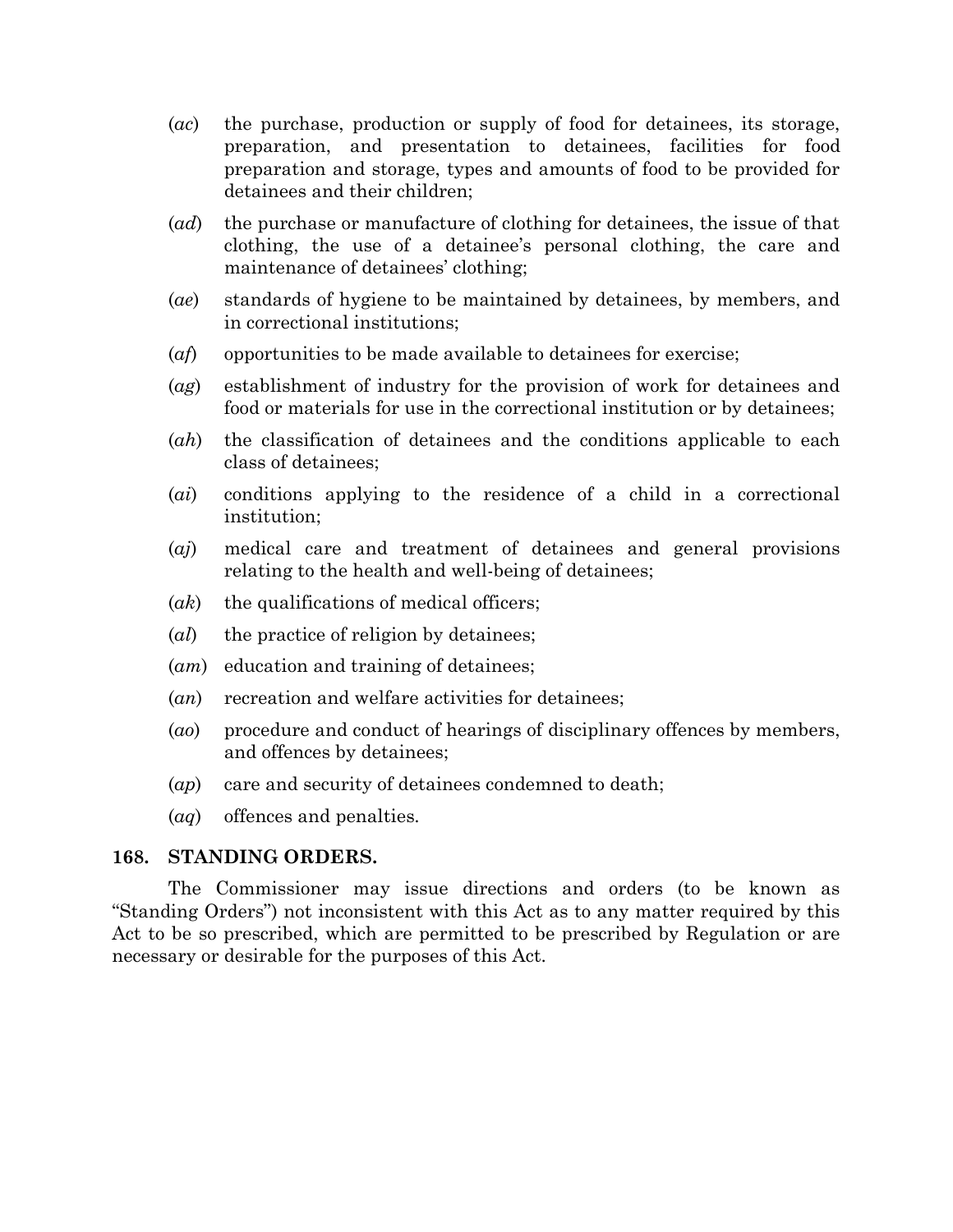- (*ac*) the purchase, production or supply of food for detainees, its storage, preparation, and presentation to detainees, facilities for food preparation and storage, types and amounts of food to be provided for detainees and their children;
- (*ad*) the purchase or manufacture of clothing for detainees, the issue of that clothing, the use of a detainee's personal clothing, the care and maintenance of detainees' clothing;
- (*ae*) standards of hygiene to be maintained by detainees, by members, and in correctional institutions;
- (*af*) opportunities to be made available to detainees for exercise;
- (*ag*) establishment of industry for the provision of work for detainees and food or materials for use in the correctional institution or by detainees;
- (*ah*) the classification of detainees and the conditions applicable to each class of detainees;
- (*ai*) conditions applying to the residence of a child in a correctional institution;
- (*aj*) medical care and treatment of detainees and general provisions relating to the health and well-being of detainees;
- (*ak*) the qualifications of medical officers;
- (*al*) the practice of religion by detainees;
- (*am*) education and training of detainees;
- (*an*) recreation and welfare activities for detainees;
- (*ao*) procedure and conduct of hearings of disciplinary offences by members, and offences by detainees;
- (*ap*) care and security of detainees condemned to death;
- (*aq*) offences and penalties.

#### **168. STANDING ORDERS.**

The Commissioner may issue directions and orders (to be known as "Standing Orders") not inconsistent with this Act as to any matter required by this Act to be so prescribed, which are permitted to be prescribed by Regulation or are necessary or desirable for the purposes of this Act.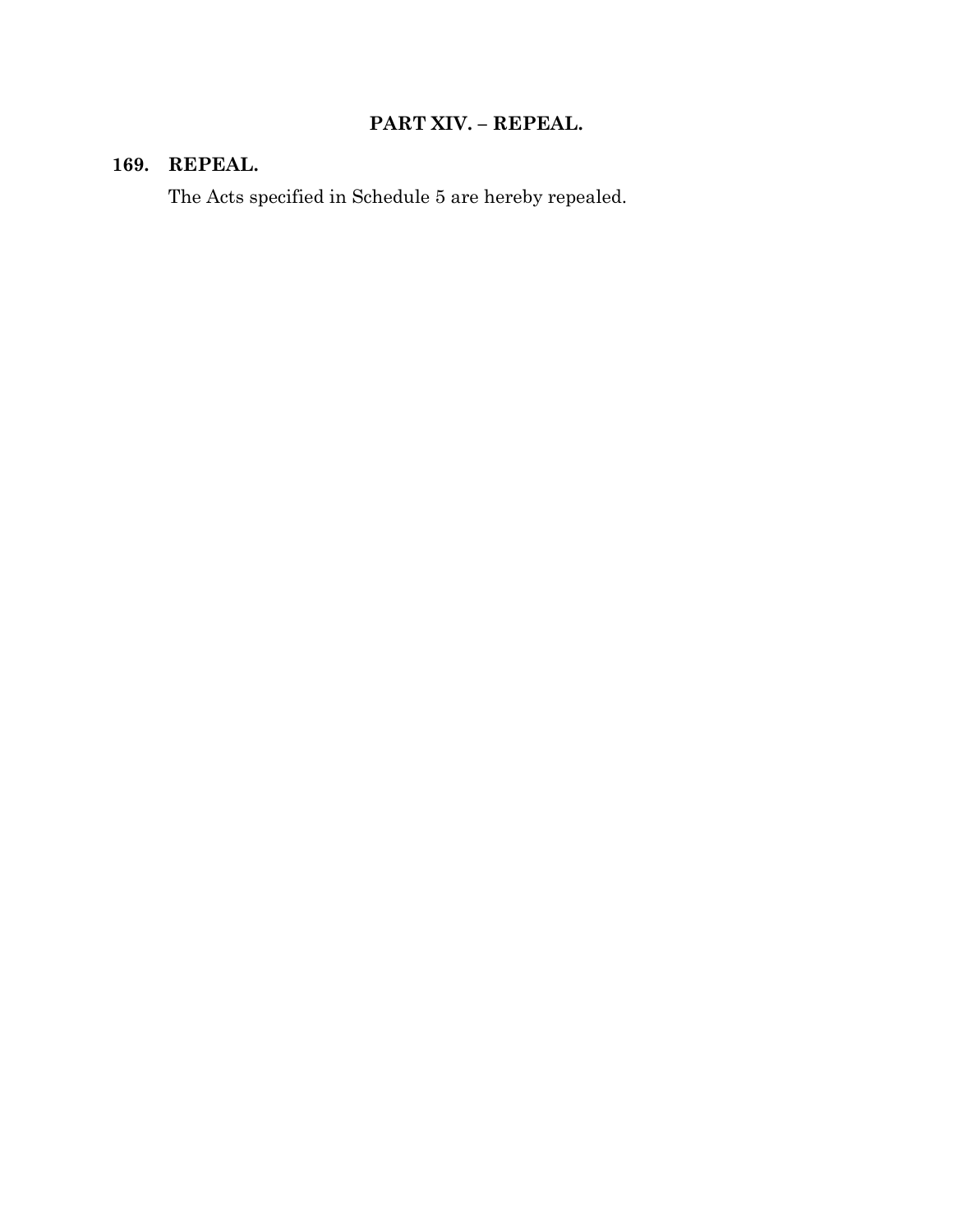# **PART XIV. – REPEAL.**

## **169. REPEAL.**

The Acts specified in Schedule 5 are hereby repealed.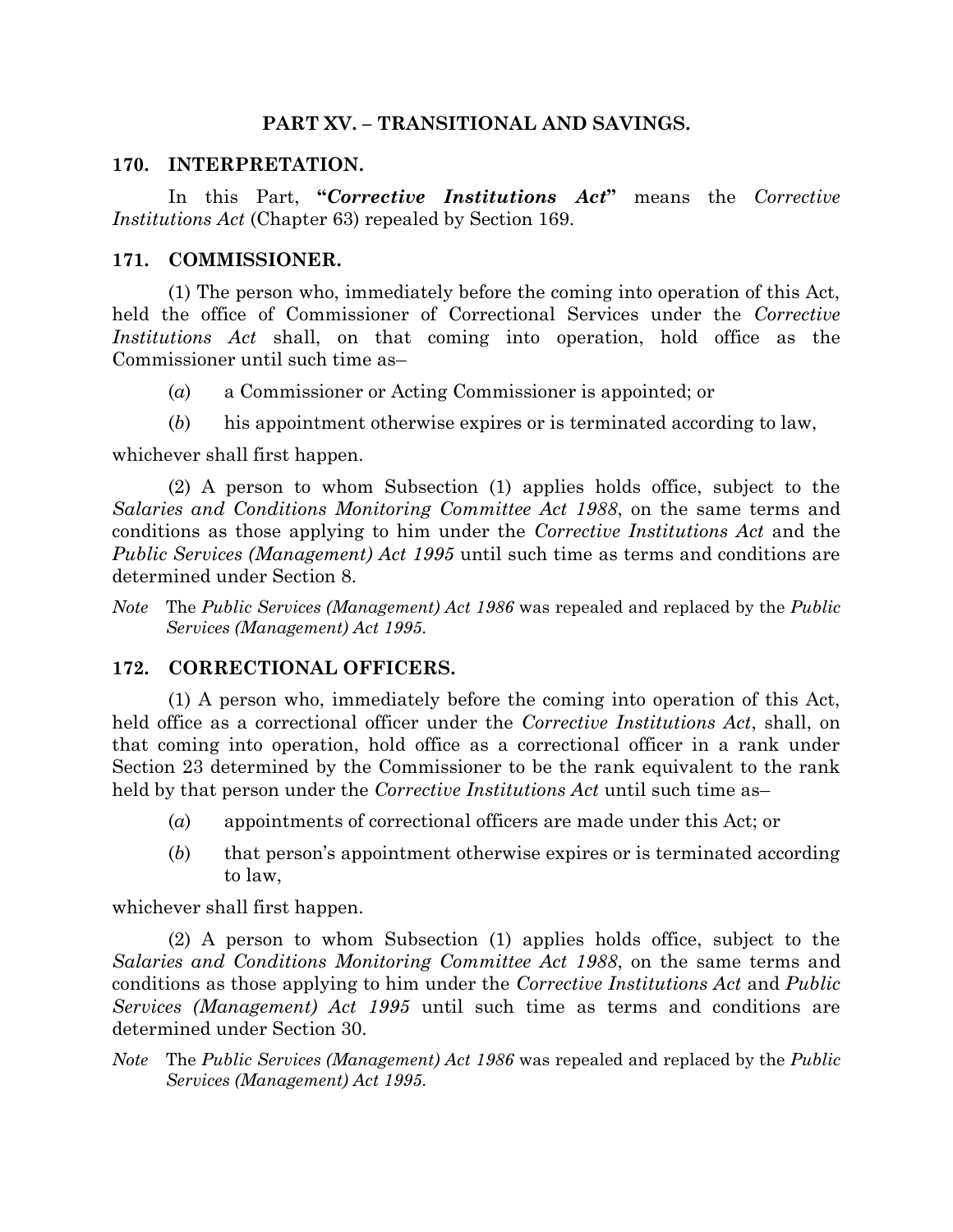#### **PART XV. – TRANSITIONAL AND SAVINGS.**

#### **170. INTERPRETATION.**

In this Part, **"***Corrective Institutions Act***"** means the *Corrective Institutions Act* (Chapter 63) repealed by Section 169.

### **171. COMMISSIONER.**

(1) The person who, immediately before the coming into operation of this Act, held the office of Commissioner of Correctional Services under the *Corrective Institutions Act* shall, on that coming into operation, hold office as the Commissioner until such time as–

- (*a*) a Commissioner or Acting Commissioner is appointed; or
- (*b*) his appointment otherwise expires or is terminated according to law,

whichever shall first happen.

(2) A person to whom Subsection (1) applies holds office, subject to the *Salaries and Conditions Monitoring Committee Act 1988*, on the same terms and conditions as those applying to him under the *Corrective Institutions Act* and the *Public Services (Management) Act 1995* until such time as terms and conditions are determined under Section 8.

*Note* The *Public Services (Management) Act 1986* was repealed and replaced by the *Public Services (Management) Act 1995*.

## **172. CORRECTIONAL OFFICERS.**

(1) A person who, immediately before the coming into operation of this Act, held office as a correctional officer under the *Corrective Institutions Act*, shall, on that coming into operation, hold office as a correctional officer in a rank under Section 23 determined by the Commissioner to be the rank equivalent to the rank held by that person under the *Corrective Institutions Act* until such time as–

- (*a*) appointments of correctional officers are made under this Act; or
- (*b*) that person's appointment otherwise expires or is terminated according to law,

whichever shall first happen.

(2) A person to whom Subsection (1) applies holds office, subject to the *Salaries and Conditions Monitoring Committee Act 1988*, on the same terms and conditions as those applying to him under the *Corrective Institutions Act* and *Public Services (Management) Act 1995* until such time as terms and conditions are determined under Section 30.

*Note* The *Public Services (Management) Act 1986* was repealed and replaced by the *Public Services (Management) Act 1995*.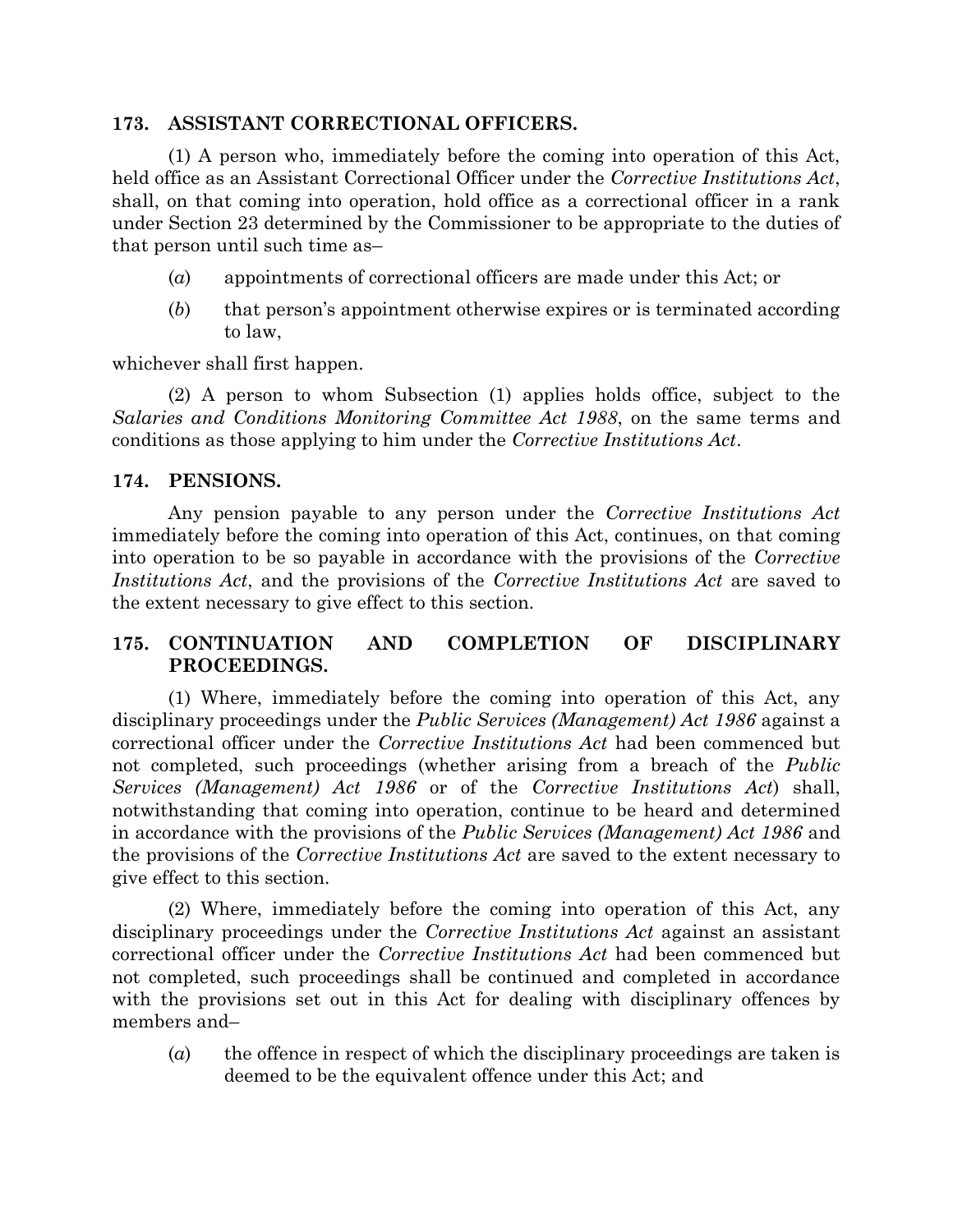#### **173. ASSISTANT CORRECTIONAL OFFICERS.**

(1) A person who, immediately before the coming into operation of this Act, held office as an Assistant Correctional Officer under the *Corrective Institutions Act*, shall, on that coming into operation, hold office as a correctional officer in a rank under Section 23 determined by the Commissioner to be appropriate to the duties of that person until such time as–

- (*a*) appointments of correctional officers are made under this Act; or
- (*b*) that person's appointment otherwise expires or is terminated according to law,

whichever shall first happen.

(2) A person to whom Subsection (1) applies holds office, subject to the *Salaries and Conditions Monitoring Committee Act 1988*, on the same terms and conditions as those applying to him under the *Corrective Institutions Act*.

#### **174. PENSIONS.**

Any pension payable to any person under the *Corrective Institutions Act* immediately before the coming into operation of this Act, continues, on that coming into operation to be so payable in accordance with the provisions of the *Corrective Institutions Act*, and the provisions of the *Corrective Institutions Act* are saved to the extent necessary to give effect to this section.

## **175. CONTINUATION AND COMPLETION OF DISCIPLINARY PROCEEDINGS.**

(1) Where, immediately before the coming into operation of this Act, any disciplinary proceedings under the *Public Services (Management) Act 1986* against a correctional officer under the *Corrective Institutions Act* had been commenced but not completed, such proceedings (whether arising from a breach of the *Public Services (Management) Act 1986* or of the *Corrective Institutions Act*) shall, notwithstanding that coming into operation, continue to be heard and determined in accordance with the provisions of the *Public Services (Management) Act 1986* and the provisions of the *Corrective Institutions Act* are saved to the extent necessary to give effect to this section.

(2) Where, immediately before the coming into operation of this Act, any disciplinary proceedings under the *Corrective Institutions Act* against an assistant correctional officer under the *Corrective Institutions Act* had been commenced but not completed, such proceedings shall be continued and completed in accordance with the provisions set out in this Act for dealing with disciplinary offences by members and–

(*a*) the offence in respect of which the disciplinary proceedings are taken is deemed to be the equivalent offence under this Act; and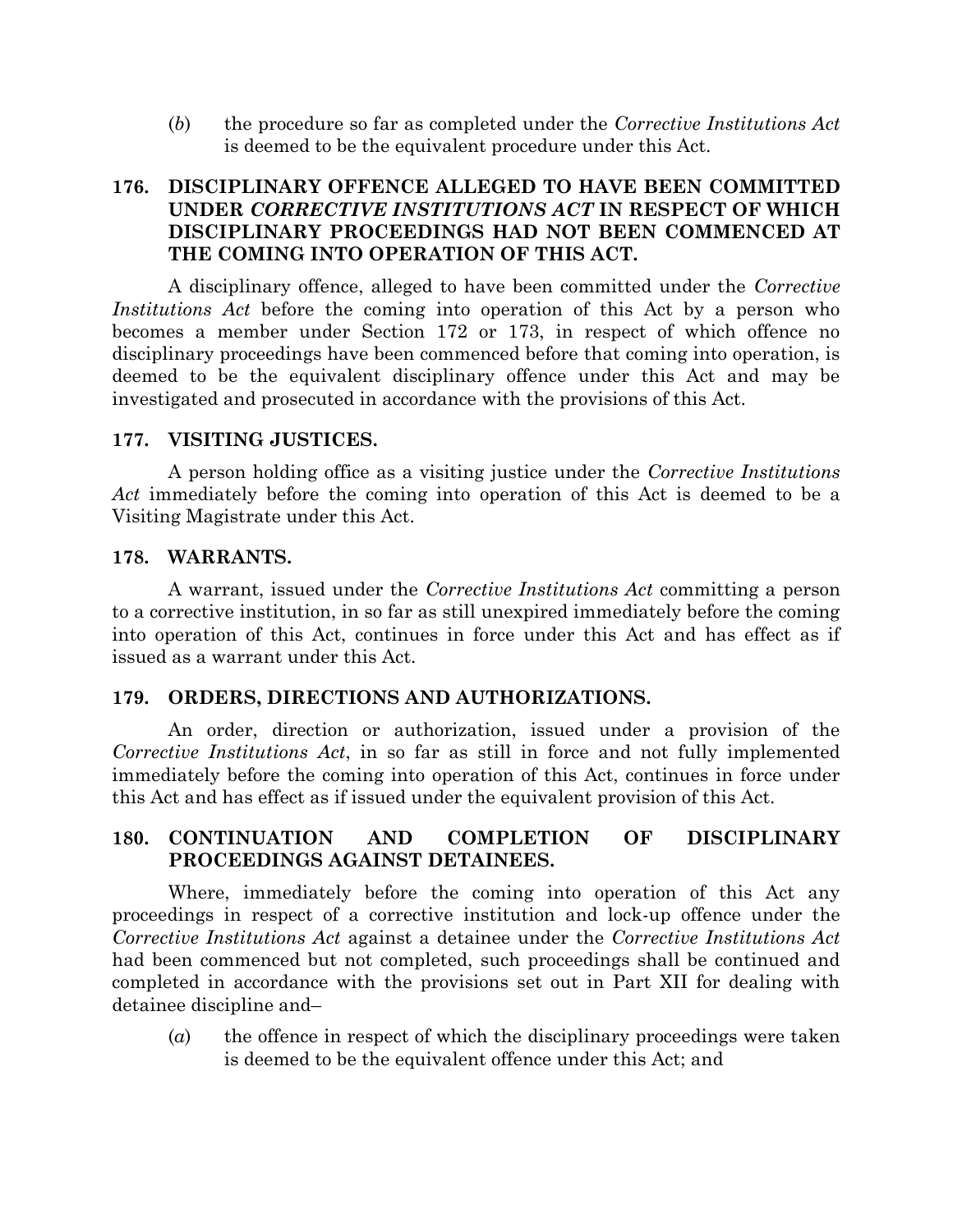(*b*) the procedure so far as completed under the *Corrective Institutions Act* is deemed to be the equivalent procedure under this Act.

### **176. DISCIPLINARY OFFENCE ALLEGED TO HAVE BEEN COMMITTED UNDER** *CORRECTIVE INSTITUTIONS ACT* **IN RESPECT OF WHICH DISCIPLINARY PROCEEDINGS HAD NOT BEEN COMMENCED AT THE COMING INTO OPERATION OF THIS ACT.**

A disciplinary offence, alleged to have been committed under the *Corrective Institutions Act* before the coming into operation of this Act by a person who becomes a member under Section 172 or 173, in respect of which offence no disciplinary proceedings have been commenced before that coming into operation, is deemed to be the equivalent disciplinary offence under this Act and may be investigated and prosecuted in accordance with the provisions of this Act.

#### **177. VISITING JUSTICES.**

A person holding office as a visiting justice under the *Corrective Institutions Act* immediately before the coming into operation of this Act is deemed to be a Visiting Magistrate under this Act.

#### **178. WARRANTS.**

A warrant, issued under the *Corrective Institutions Act* committing a person to a corrective institution, in so far as still unexpired immediately before the coming into operation of this Act, continues in force under this Act and has effect as if issued as a warrant under this Act.

#### **179. ORDERS, DIRECTIONS AND AUTHORIZATIONS.**

An order, direction or authorization, issued under a provision of the *Corrective Institutions Act*, in so far as still in force and not fully implemented immediately before the coming into operation of this Act, continues in force under this Act and has effect as if issued under the equivalent provision of this Act.

### **180. CONTINUATION AND COMPLETION OF DISCIPLINARY PROCEEDINGS AGAINST DETAINEES.**

Where, immediately before the coming into operation of this Act any proceedings in respect of a corrective institution and lock-up offence under the *Corrective Institutions Act* against a detainee under the *Corrective Institutions Act* had been commenced but not completed, such proceedings shall be continued and completed in accordance with the provisions set out in Part XII for dealing with detainee discipline and–

(*a*) the offence in respect of which the disciplinary proceedings were taken is deemed to be the equivalent offence under this Act; and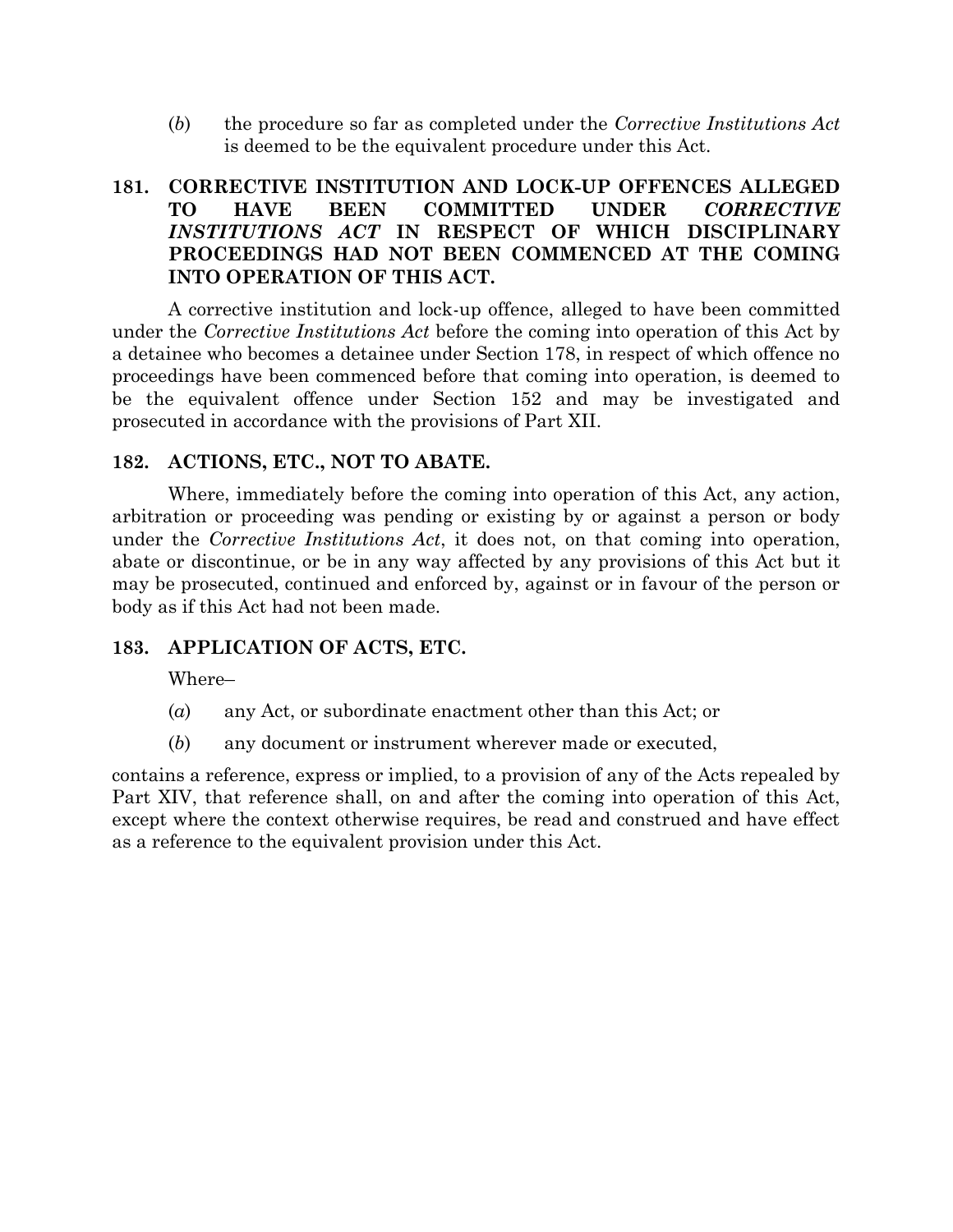(*b*) the procedure so far as completed under the *Corrective Institutions Act* is deemed to be the equivalent procedure under this Act.

## **181. CORRECTIVE INSTITUTION AND LOCK-UP OFFENCES ALLEGED TO HAVE BEEN COMMITTED UNDER** *CORRECTIVE INSTITUTIONS ACT* **IN RESPECT OF WHICH DISCIPLINARY PROCEEDINGS HAD NOT BEEN COMMENCED AT THE COMING INTO OPERATION OF THIS ACT.**

A corrective institution and lock-up offence, alleged to have been committed under the *Corrective Institutions Act* before the coming into operation of this Act by a detainee who becomes a detainee under Section 178, in respect of which offence no proceedings have been commenced before that coming into operation, is deemed to be the equivalent offence under Section 152 and may be investigated and prosecuted in accordance with the provisions of Part XII.

### **182. ACTIONS, ETC., NOT TO ABATE.**

Where, immediately before the coming into operation of this Act, any action, arbitration or proceeding was pending or existing by or against a person or body under the *Corrective Institutions Act*, it does not, on that coming into operation, abate or discontinue, or be in any way affected by any provisions of this Act but it may be prosecuted, continued and enforced by, against or in favour of the person or body as if this Act had not been made.

#### **183. APPLICATION OF ACTS, ETC.**

Where–

- (*a*) any Act, or subordinate enactment other than this Act; or
- (*b*) any document or instrument wherever made or executed,

contains a reference, express or implied, to a provision of any of the Acts repealed by Part XIV, that reference shall, on and after the coming into operation of this Act, except where the context otherwise requires, be read and construed and have effect as a reference to the equivalent provision under this Act.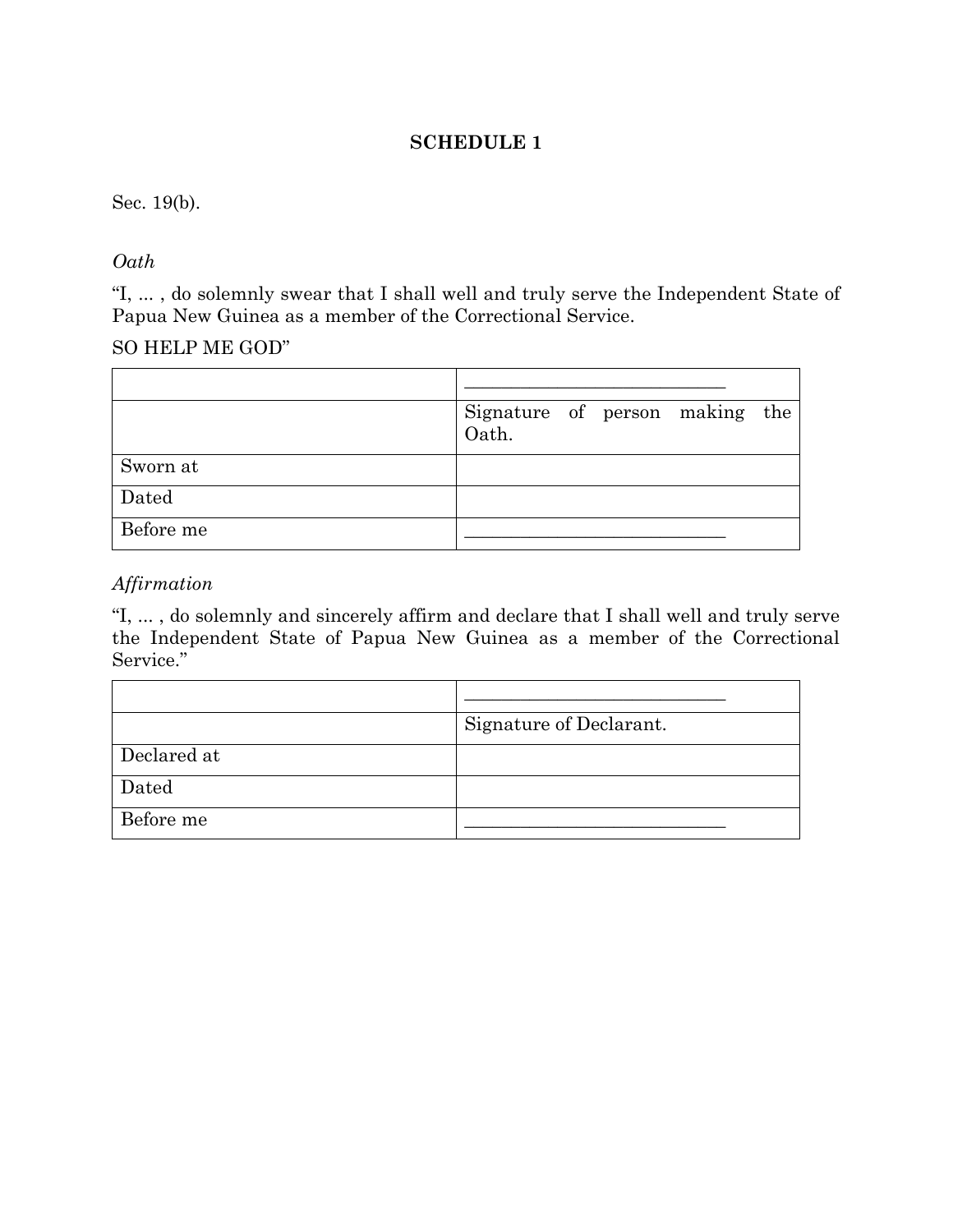## **SCHEDULE 1**

#### Sec. 19(b).

### *Oath*

"I, ... , do solemnly swear that I shall well and truly serve the Independent State of Papua New Guinea as a member of the Correctional Service.

#### SO HELP ME GOD"

|           | Signature of person making the<br>Oath. |  |  |
|-----------|-----------------------------------------|--|--|
| Sworn at  |                                         |  |  |
| Dated     |                                         |  |  |
| Before me |                                         |  |  |

## *Affirmation*

"I, ... , do solemnly and sincerely affirm and declare that I shall well and truly serve the Independent State of Papua New Guinea as a member of the Correctional Service."

|             | Signature of Declarant. |
|-------------|-------------------------|
| Declared at |                         |
| Dated       |                         |
| Before me   |                         |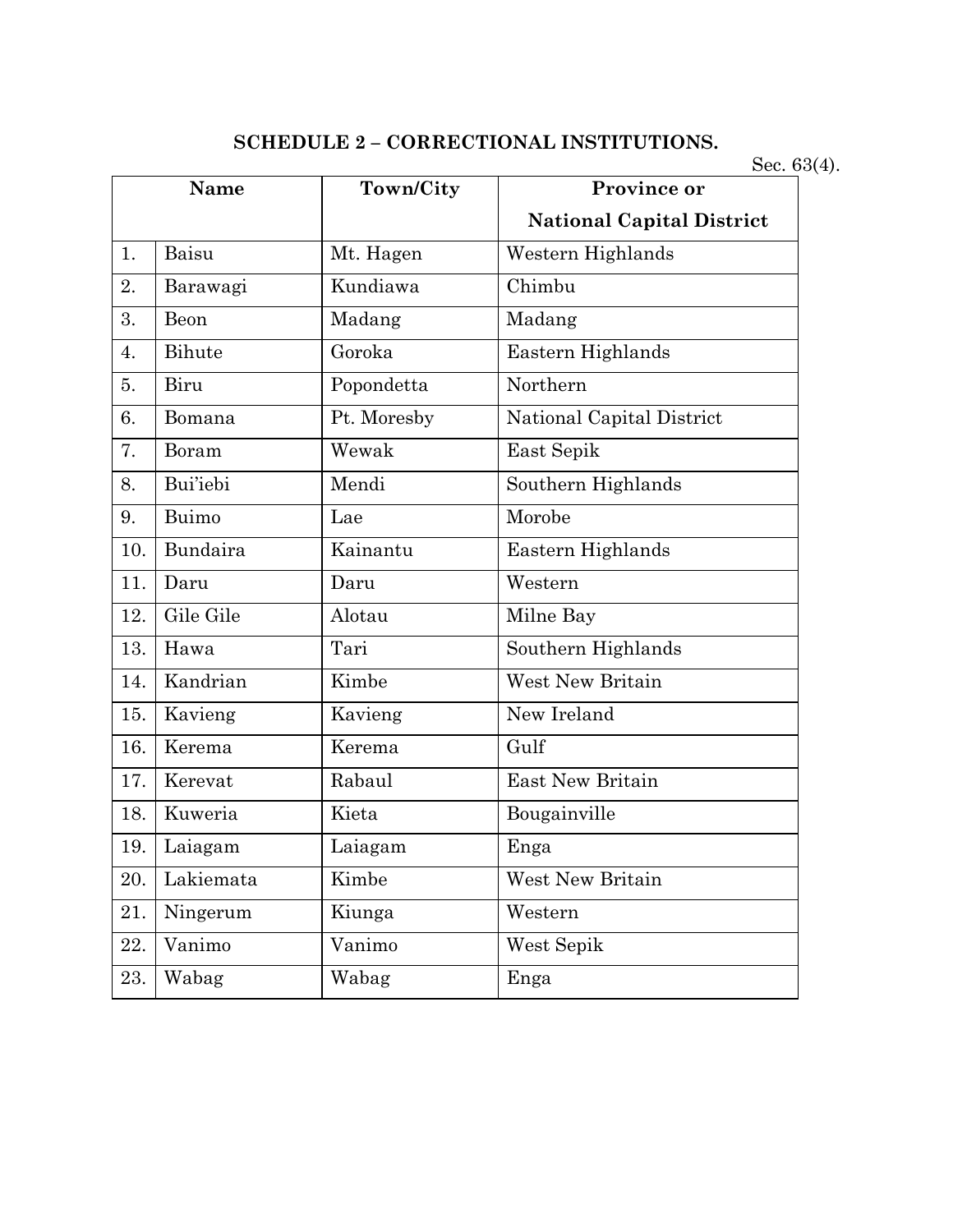# **SCHEDULE 2 – CORRECTIONAL INSTITUTIONS.**

Sec. 63(4).

|     | Name            | Town/City   | Province or                      |
|-----|-----------------|-------------|----------------------------------|
|     |                 |             | <b>National Capital District</b> |
| 1.  | Baisu           | Mt. Hagen   | Western Highlands                |
| 2.  | Barawagi        | Kundiawa    | Chimbu                           |
| 3.  | Beon            | Madang      | Madang                           |
| 4.  | Bihute          | Goroka      | Eastern Highlands                |
| 5.  | Biru            | Popondetta  | Northern                         |
| 6.  | Bomana          | Pt. Moresby | National Capital District        |
| 7.  | Boram           | Wewak       | East Sepik                       |
| 8.  | <b>Bui'iebi</b> | Mendi       | Southern Highlands               |
| 9.  | Buimo           | Lae         | Morobe                           |
| 10. | Bundaira        | Kainantu    | Eastern Highlands                |
| 11. | Daru            | Daru        | Western                          |
| 12. | Gile Gile       | Alotau      | Milne Bay                        |
| 13. | Hawa            | Tari        | Southern Highlands               |
| 14. | Kandrian        | Kimbe       | <b>West New Britain</b>          |
| 15. | Kavieng         | Kavieng     | New Ireland                      |
| 16. | Kerema          | Kerema      | Gulf                             |
| 17. | Kerevat         | Rabaul      | East New Britain                 |
| 18. | Kuweria         | Kieta       | Bougainville                     |
| 19. | Laiagam         | Laiagam     | Enga                             |
| 20. | Lakiemata       | Kimbe       | West New Britain                 |
| 21. | Ningerum        | Kiunga      | Western                          |
| 22. | Vanimo          | Vanimo      | West Sepik                       |
| 23. | Wabag           | Wabag       | Enga                             |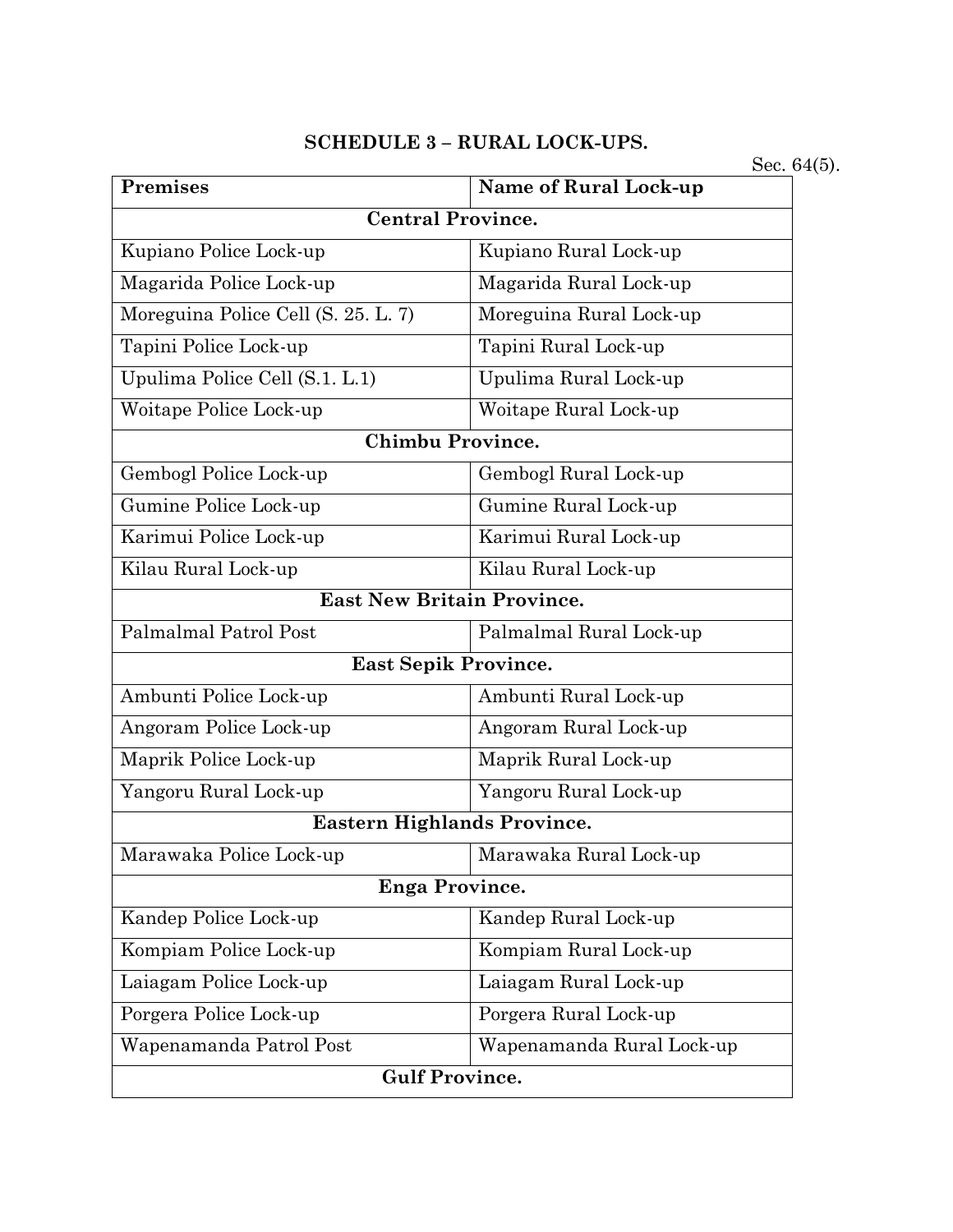#### **SCHEDULE 3 – RURAL LOCK-UPS.**

**Premises Name of Rural Lock-up Central Province.** Kupiano Police Lock-up Kupiano Rural Lock-up Magarida Police Lock-up Magarida Rural Lock-up Moreguina Police Cell (S. 25. L. 7) Moreguina Rural Lock-up Tapini Police Lock-up Tapini Rural Lock-up Upulima Police Cell (S.1. L.1) Upulima Rural Lock-up Woitape Police Lock-up Woitape Rural Lock-up **Chimbu Province.** Gembogl Police Lock-up Gembogl Rural Lock-up Gumine Police Lock-up Gumine Rural Lock-up Karimui Police Lock-up Karimui Rural Lock-up Kilau Rural Lock-up Kilau Rural Lock-up **East New Britain Province.** Palmalmal Patrol Post Palmalmal Rural Lock-up **East Sepik Province.** Ambunti Police Lock-up Ambunti Rural Lock-up Angoram Police Lock-up Angoram Rural Lock-up Maprik Police Lock-up Maprik Rural Lock-up Yangoru Rural Lock-up Yangoru Rural Lock-up **Eastern Highlands Province.** Marawaka Police Lock-up Marawaka Rural Lock-up **Enga Province.** Kandep Police Lock-up Kandep Rural Lock-up Kompiam Police Lock-up Kompiam Rural Lock-up Laiagam Police Lock-up <br>  $\boxed{\text{Laiagam Rural Lock-up}}$ Porgera Police Lock-up Porgera Rural Lock-up Wapenamanda Patrol Post Wapenamanda Rural Lock-up **Gulf Province.**

Sec. 64(5).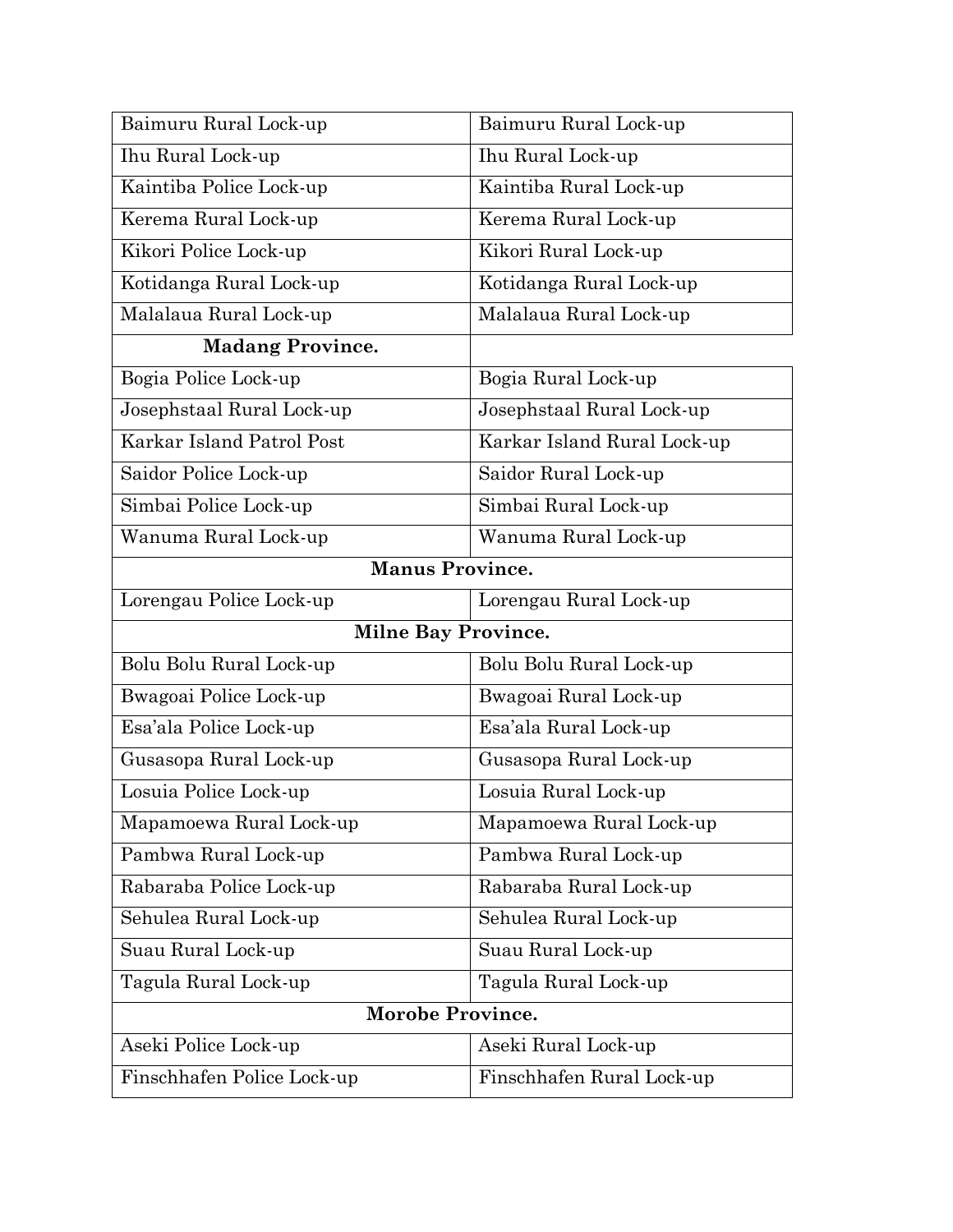| Baimuru Rural Lock-up      | Baimuru Rural Lock-up       |  |
|----------------------------|-----------------------------|--|
| Ihu Rural Lock-up          | Ihu Rural Lock-up           |  |
| Kaintiba Police Lock-up    | Kaintiba Rural Lock-up      |  |
| Kerema Rural Lock-up       | Kerema Rural Lock-up        |  |
| Kikori Police Lock-up      | Kikori Rural Lock-up        |  |
| Kotidanga Rural Lock-up    | Kotidanga Rural Lock-up     |  |
| Malalaua Rural Lock-up     | Malalaua Rural Lock-up      |  |
| <b>Madang Province.</b>    |                             |  |
| Bogia Police Lock-up       | Bogia Rural Lock-up         |  |
| Josephstaal Rural Lock-up  | Josephstaal Rural Lock-up   |  |
| Karkar Island Patrol Post  | Karkar Island Rural Lock-up |  |
| Saidor Police Lock-up      | Saidor Rural Lock-up        |  |
| Simbai Police Lock-up      | Simbai Rural Lock-up        |  |
| Wanuma Rural Lock-up       | Wanuma Rural Lock-up        |  |
| <b>Manus Province.</b>     |                             |  |
| Lorengau Police Lock-up    | Lorengau Rural Lock-up      |  |
| <b>Milne Bay Province.</b> |                             |  |
| Bolu Bolu Rural Lock-up    | Bolu Bolu Rural Lock-up     |  |
| Bwagoai Police Lock-up     | Bwagoai Rural Lock-up       |  |
| Esa'ala Police Lock-up     | Esa'ala Rural Lock-up       |  |
| Gusasopa Rural Lock-up     | Gusasopa Rural Lock-up      |  |
| Losuia Police Lock-up      | Losuia Rural Lock-up        |  |
| Mapamoewa Rural Lock-up    | Mapamoewa Rural Lock-up     |  |
| Pambwa Rural Lock-up       | Pambwa Rural Lock-up        |  |
| Rabaraba Police Lock-up    | Rabaraba Rural Lock-up      |  |
| Sehulea Rural Lock-up      | Sehulea Rural Lock-up       |  |
| Suau Rural Lock-up         | Suau Rural Lock-up          |  |
| Tagula Rural Lock-up       | Tagula Rural Lock-up        |  |
| <b>Morobe Province.</b>    |                             |  |
| Aseki Police Lock-up       | Aseki Rural Lock-up         |  |
| Finschhafen Police Lock-up | Finschhafen Rural Lock-up   |  |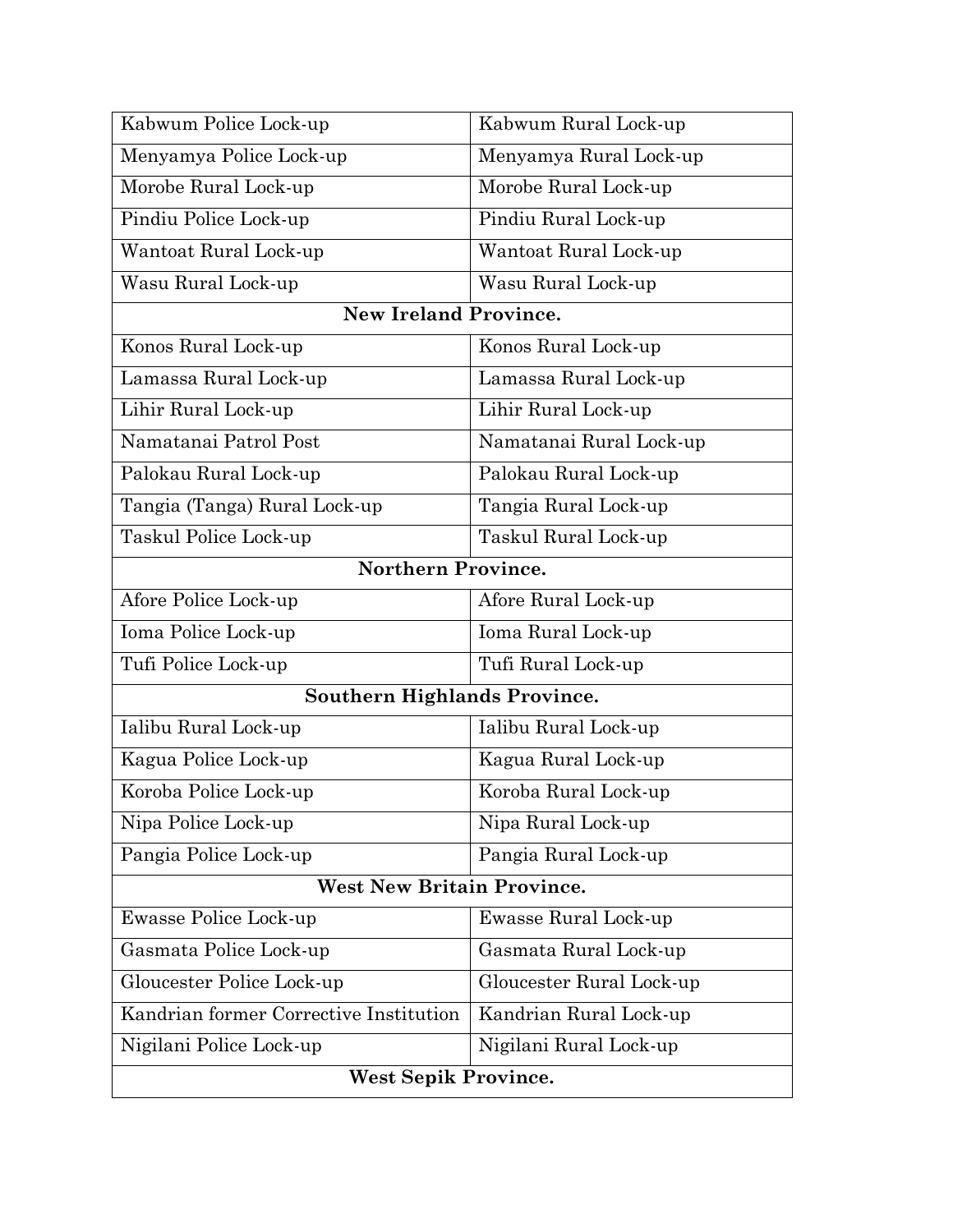| <b>West Sepik Province.</b>            |                          |  |  |
|----------------------------------------|--------------------------|--|--|
| Nigilani Police Lock-up                | Nigilani Rural Lock-up   |  |  |
| Kandrian former Corrective Institution | Kandrian Rural Lock-up   |  |  |
| Gloucester Police Lock-up              | Gloucester Rural Lock-up |  |  |
| Gasmata Police Lock-up                 | Gasmata Rural Lock-up    |  |  |
| Ewasse Police Lock-up                  | Ewasse Rural Lock-up     |  |  |
| <b>West New Britain Province.</b>      |                          |  |  |
| Pangia Police Lock-up                  | Pangia Rural Lock-up     |  |  |
| Nipa Police Lock-up                    | Nipa Rural Lock-up       |  |  |
| Koroba Police Lock-up                  | Koroba Rural Lock-up     |  |  |
| Kagua Police Lock-up                   | Kagua Rural Lock-up      |  |  |
| Ialibu Rural Lock-up                   | Ialibu Rural Lock-up     |  |  |
| <b>Southern Highlands Province.</b>    |                          |  |  |
| Tufi Police Lock-up                    | Tufi Rural Lock-up       |  |  |
| Ioma Police Lock-up                    | Ioma Rural Lock-up       |  |  |
| Afore Police Lock-up                   | Afore Rural Lock-up      |  |  |
| <b>Northern Province.</b>              |                          |  |  |
| Taskul Police Lock-up                  | Taskul Rural Lock-up     |  |  |
| Tangia (Tanga) Rural Lock-up           | Tangia Rural Lock-up     |  |  |
| Palokau Rural Lock-up                  | Palokau Rural Lock-up    |  |  |
| Namatanai Patrol Post                  | Namatanai Rural Lock-up  |  |  |
| Lihir Rural Lock-up                    | Lihir Rural Lock-up      |  |  |
| Lamassa Rural Lock-up                  | Lamassa Rural Lock-up    |  |  |
| Konos Rural Lock-up                    | Konos Rural Lock-up      |  |  |
| <b>New Ireland Province.</b>           |                          |  |  |
| Wasu Rural Lock-up                     | Wasu Rural Lock-up       |  |  |
| Wantoat Rural Lock-up                  | Wantoat Rural Lock-up    |  |  |
| Pindiu Police Lock-up                  | Pindiu Rural Lock-up     |  |  |
| Morobe Rural Lock-up                   | Morobe Rural Lock-up     |  |  |
| Menyamya Police Lock-up                | Menyamya Rural Lock-up   |  |  |
| Kabwum Police Lock-up                  | Kabwum Rural Lock-up     |  |  |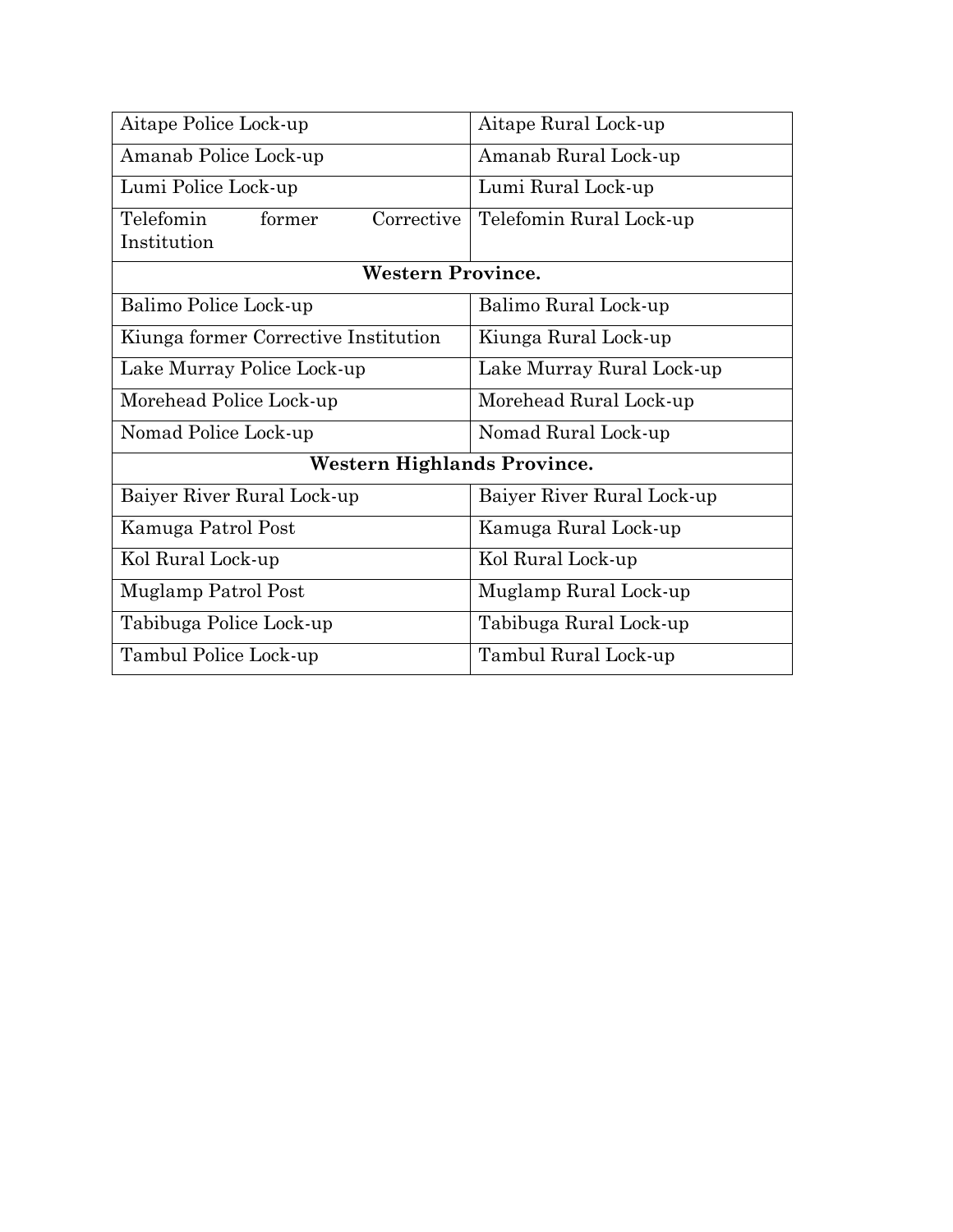| Aitape Police Lock-up                | Aitape Rural Lock-up       |  |
|--------------------------------------|----------------------------|--|
| Amanab Police Lock-up                | Amanab Rural Lock-up       |  |
| Lumi Police Lock-up                  | Lumi Rural Lock-up         |  |
| Telefomin<br>Corrective<br>former    | Telefomin Rural Lock-up    |  |
| Institution                          |                            |  |
| <b>Western Province.</b>             |                            |  |
| Balimo Police Lock-up                | Balimo Rural Lock-up       |  |
| Kiunga former Corrective Institution | Kiunga Rural Lock-up       |  |
| Lake Murray Police Lock-up           | Lake Murray Rural Lock-up  |  |
| Morehead Police Lock-up              | Morehead Rural Lock-up     |  |
| Nomad Police Lock-up                 | Nomad Rural Lock-up        |  |
| Western Highlands Province.          |                            |  |
| Baiyer River Rural Lock-up           | Baiyer River Rural Lock-up |  |
| Kamuga Patrol Post                   | Kamuga Rural Lock-up       |  |
| Kol Rural Lock-up                    | Kol Rural Lock-up          |  |
| Muglamp Patrol Post                  | Muglamp Rural Lock-up      |  |
| Tabibuga Police Lock-up              | Tabibuga Rural Lock-up     |  |
| Tambul Police Lock-up                | Tambul Rural Lock-up       |  |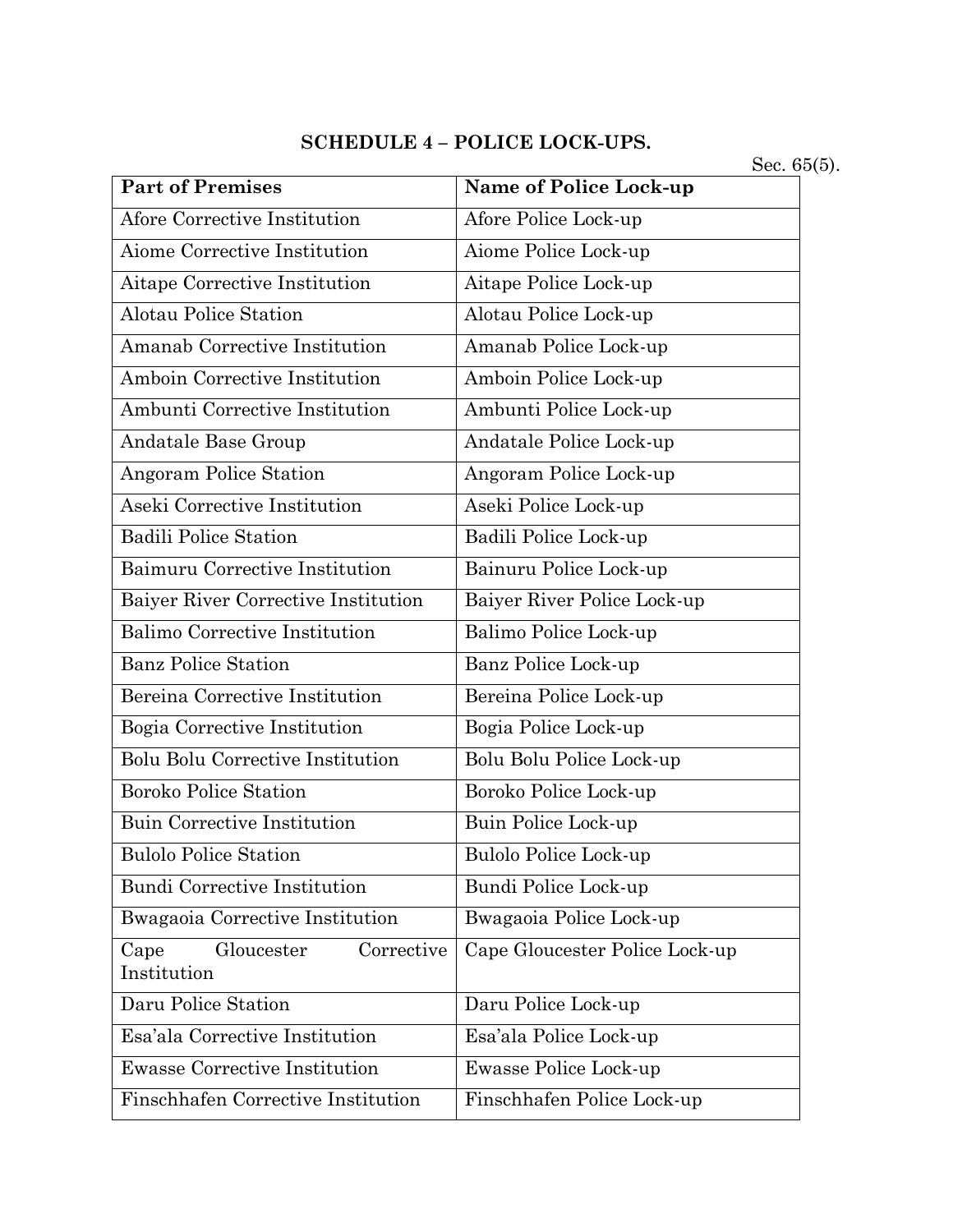# **SCHEDULE 4 – POLICE LOCK-UPS.**

Sec. 65(5).

| <b>Part of Premises</b>                         | Name of Police Lock-up         |
|-------------------------------------------------|--------------------------------|
| Afore Corrective Institution                    | Afore Police Lock-up           |
| Aiome Corrective Institution                    | Aiome Police Lock-up           |
| Aitape Corrective Institution                   | Aitape Police Lock-up          |
| <b>Alotau Police Station</b>                    | Alotau Police Lock-up          |
| Amanab Corrective Institution                   | Amanab Police Lock-up          |
| Amboin Corrective Institution                   | Amboin Police Lock-up          |
| Ambunti Corrective Institution                  | Ambunti Police Lock-up         |
| Andatale Base Group                             | Andatale Police Lock-up        |
| Angoram Police Station                          | Angoram Police Lock-up         |
| Aseki Corrective Institution                    | Aseki Police Lock-up           |
| <b>Badili Police Station</b>                    | Badili Police Lock-up          |
| Baimuru Corrective Institution                  | Bainuru Police Lock-up         |
| Baiyer River Corrective Institution             | Baiyer River Police Lock-up    |
| Balimo Corrective Institution                   | Balimo Police Lock-up          |
| <b>Banz Police Station</b>                      | Banz Police Lock-up            |
| Bereina Corrective Institution                  | Bereina Police Lock-up         |
| Bogia Corrective Institution                    | Bogia Police Lock-up           |
| <b>Bolu Bolu Corrective Institution</b>         | Bolu Bolu Police Lock-up       |
| <b>Boroko Police Station</b>                    | Boroko Police Lock-up          |
| <b>Buin Corrective Institution</b>              | Buin Police Lock-up            |
| <b>Bulolo Police Station</b>                    | Bulolo Police Lock-up          |
| Bundi Corrective Institution                    | Bundi Police Lock-up           |
| Bwagaoia Corrective Institution                 | Bwagaoia Police Lock-up        |
| Gloucester<br>Corrective<br>Cape<br>Institution | Cape Gloucester Police Lock-up |
| Daru Police Station                             | Daru Police Lock-up            |
| Esa'ala Corrective Institution                  | Esa'ala Police Lock-up         |
| <b>Ewasse Corrective Institution</b>            | Ewasse Police Lock-up          |
| Finschhafen Corrective Institution              | Finschhafen Police Lock-up     |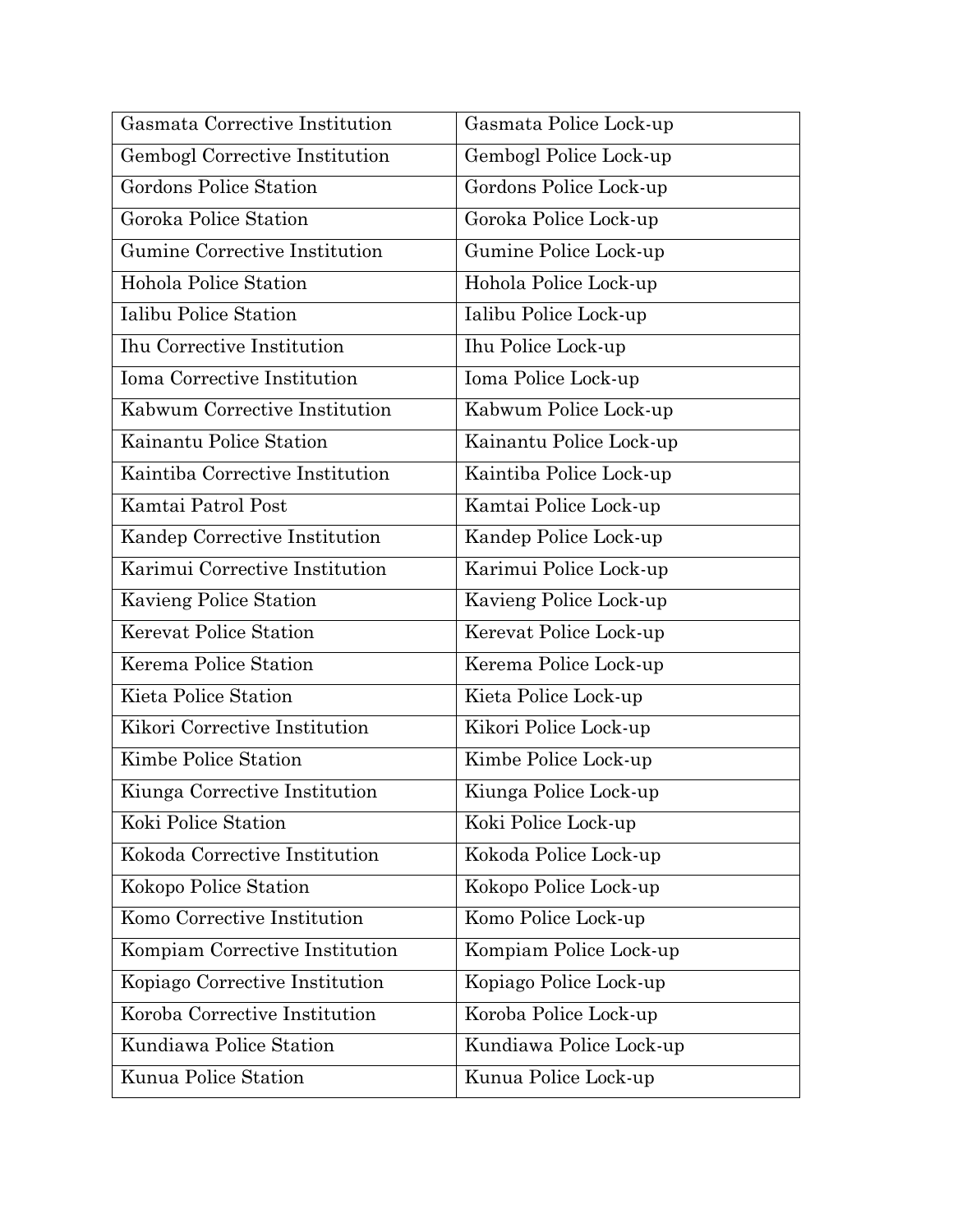| Gasmata Corrective Institution    | Gasmata Police Lock-up  |
|-----------------------------------|-------------------------|
| Gembogl Corrective Institution    | Gembogl Police Lock-up  |
| Gordons Police Station            | Gordons Police Lock-up  |
| Goroka Police Station             | Goroka Police Lock-up   |
| Gumine Corrective Institution     | Gumine Police Lock-up   |
| Hohola Police Station             | Hohola Police Lock-up   |
| Ialibu Police Station             | Ialibu Police Lock-up   |
| <b>Ihu Corrective Institution</b> | Ihu Police Lock-up      |
| Ioma Corrective Institution       | Ioma Police Lock-up     |
| Kabwum Corrective Institution     | Kabwum Police Lock-up   |
| Kainantu Police Station           | Kainantu Police Lock-up |
| Kaintiba Corrective Institution   | Kaintiba Police Lock-up |
| Kamtai Patrol Post                | Kamtai Police Lock-up   |
| Kandep Corrective Institution     | Kandep Police Lock-up   |
| Karimui Corrective Institution    | Karimui Police Lock-up  |
| Kavieng Police Station            | Kavieng Police Lock-up  |
| Kerevat Police Station            | Kerevat Police Lock-up  |
| Kerema Police Station             | Kerema Police Lock-up   |
| Kieta Police Station              | Kieta Police Lock-up    |
| Kikori Corrective Institution     | Kikori Police Lock-up   |
| Kimbe Police Station              | Kimbe Police Lock-up    |
| Kiunga Corrective Institution     | Kiunga Police Lock-up   |
| Koki Police Station               | Koki Police Lock-up     |
| Kokoda Corrective Institution     | Kokoda Police Lock-up   |
| Kokopo Police Station             | Kokopo Police Lock-up   |
| Komo Corrective Institution       | Komo Police Lock-up     |
| Kompiam Corrective Institution    | Kompiam Police Lock-up  |
| Kopiago Corrective Institution    | Kopiago Police Lock-up  |
| Koroba Corrective Institution     | Koroba Police Lock-up   |
| Kundiawa Police Station           | Kundiawa Police Lock-up |
| Kunua Police Station              | Kunua Police Lock-up    |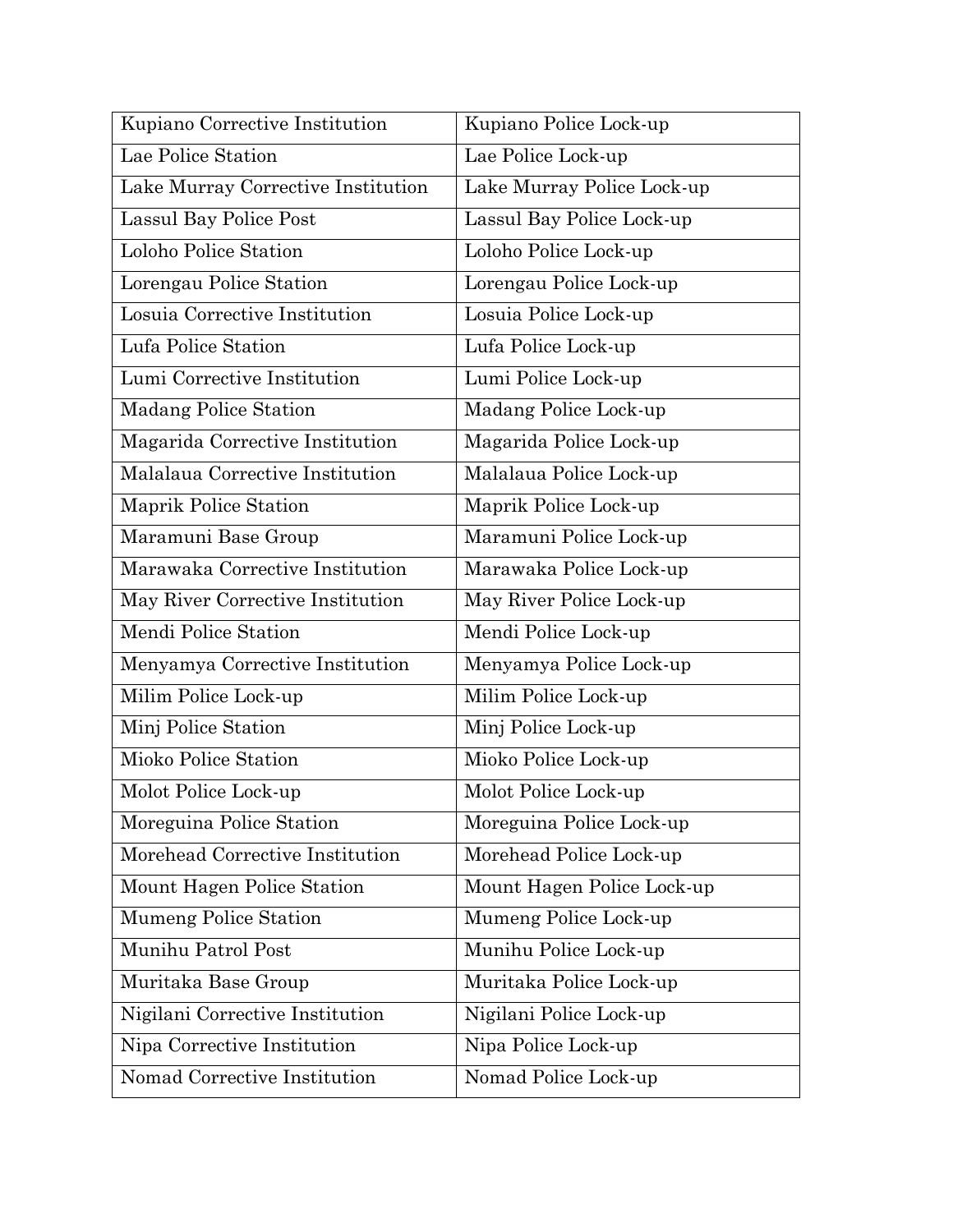| Kupiano Corrective Institution     | Kupiano Police Lock-up     |
|------------------------------------|----------------------------|
| Lae Police Station                 | Lae Police Lock-up         |
| Lake Murray Corrective Institution | Lake Murray Police Lock-up |
| Lassul Bay Police Post             | Lassul Bay Police Lock-up  |
| Loloho Police Station              | Loloho Police Lock-up      |
| Lorengau Police Station            | Lorengau Police Lock-up    |
| Losuia Corrective Institution      | Losuia Police Lock-up      |
| Lufa Police Station                | Lufa Police Lock-up        |
| Lumi Corrective Institution        | Lumi Police Lock-up        |
| <b>Madang Police Station</b>       | Madang Police Lock-up      |
| Magarida Corrective Institution    | Magarida Police Lock-up    |
| Malalaua Corrective Institution    | Malalaua Police Lock-up    |
| Maprik Police Station              | Maprik Police Lock-up      |
| Maramuni Base Group                | Maramuni Police Lock-up    |
| Marawaka Corrective Institution    | Marawaka Police Lock-up    |
| May River Corrective Institution   | May River Police Lock-up   |
| Mendi Police Station               | Mendi Police Lock-up       |
| Menyamya Corrective Institution    | Menyamya Police Lock-up    |
| Milim Police Lock-up               | Milim Police Lock-up       |
| Minj Police Station                | Minj Police Lock-up        |
| Mioko Police Station               | Mioko Police Lock-up       |
| Molot Police Lock-up               | Molot Police Lock-up       |
| Moreguina Police Station           | Moreguina Police Lock-up   |
| Morehead Corrective Institution    | Morehead Police Lock-up    |
| Mount Hagen Police Station         | Mount Hagen Police Lock-up |
| Mumeng Police Station              | Mumeng Police Lock-up      |
| Munihu Patrol Post                 | Munihu Police Lock-up      |
| Muritaka Base Group                | Muritaka Police Lock-up    |
| Nigilani Corrective Institution    | Nigilani Police Lock-up    |
| Nipa Corrective Institution        | Nipa Police Lock-up        |
| Nomad Corrective Institution       | Nomad Police Lock-up       |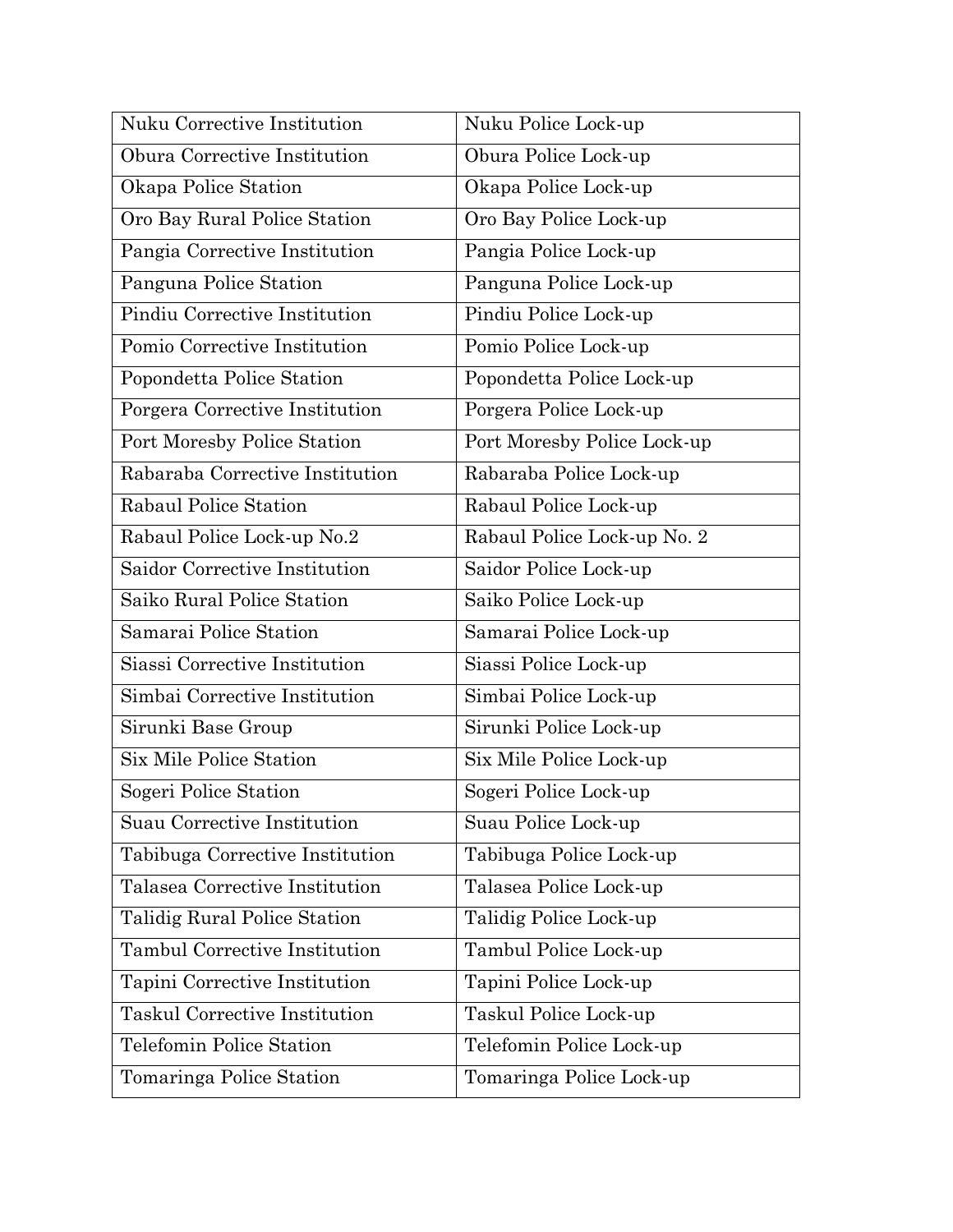| Nuku Corrective Institution          | Nuku Police Lock-up         |
|--------------------------------------|-----------------------------|
| Obura Corrective Institution         | Obura Police Lock-up        |
| Okapa Police Station                 | Okapa Police Lock-up        |
| Oro Bay Rural Police Station         | Oro Bay Police Lock-up      |
| Pangia Corrective Institution        | Pangia Police Lock-up       |
| Panguna Police Station               | Panguna Police Lock-up      |
| Pindiu Corrective Institution        | Pindiu Police Lock-up       |
| Pomio Corrective Institution         | Pomio Police Lock-up        |
| Popondetta Police Station            | Popondetta Police Lock-up   |
| Porgera Corrective Institution       | Porgera Police Lock-up      |
| Port Moresby Police Station          | Port Moresby Police Lock-up |
| Rabaraba Corrective Institution      | Rabaraba Police Lock-up     |
| Rabaul Police Station                | Rabaul Police Lock-up       |
| Rabaul Police Lock-up No.2           | Rabaul Police Lock-up No. 2 |
| Saidor Corrective Institution        | Saidor Police Lock-up       |
| Saiko Rural Police Station           | Saiko Police Lock-up        |
| Samarai Police Station               | Samarai Police Lock-up      |
| Siassi Corrective Institution        | Siassi Police Lock-up       |
| Simbai Corrective Institution        | Simbai Police Lock-up       |
| Sirunki Base Group                   | Sirunki Police Lock-up      |
| Six Mile Police Station              | Six Mile Police Lock-up     |
| Sogeri Police Station                | Sogeri Police Lock-up       |
| Suau Corrective Institution          | Suau Police Lock-up         |
| Tabibuga Corrective Institution      | Tabibuga Police Lock-up     |
| Talasea Corrective Institution       | Talasea Police Lock-up      |
| Talidig Rural Police Station         | Talidig Police Lock-up      |
| <b>Tambul Corrective Institution</b> | Tambul Police Lock-up       |
| Tapini Corrective Institution        | Tapini Police Lock-up       |
| <b>Taskul Corrective Institution</b> | Taskul Police Lock-up       |
| Telefomin Police Station             | Telefomin Police Lock-up    |
| Tomaringa Police Station             | Tomaringa Police Lock-up    |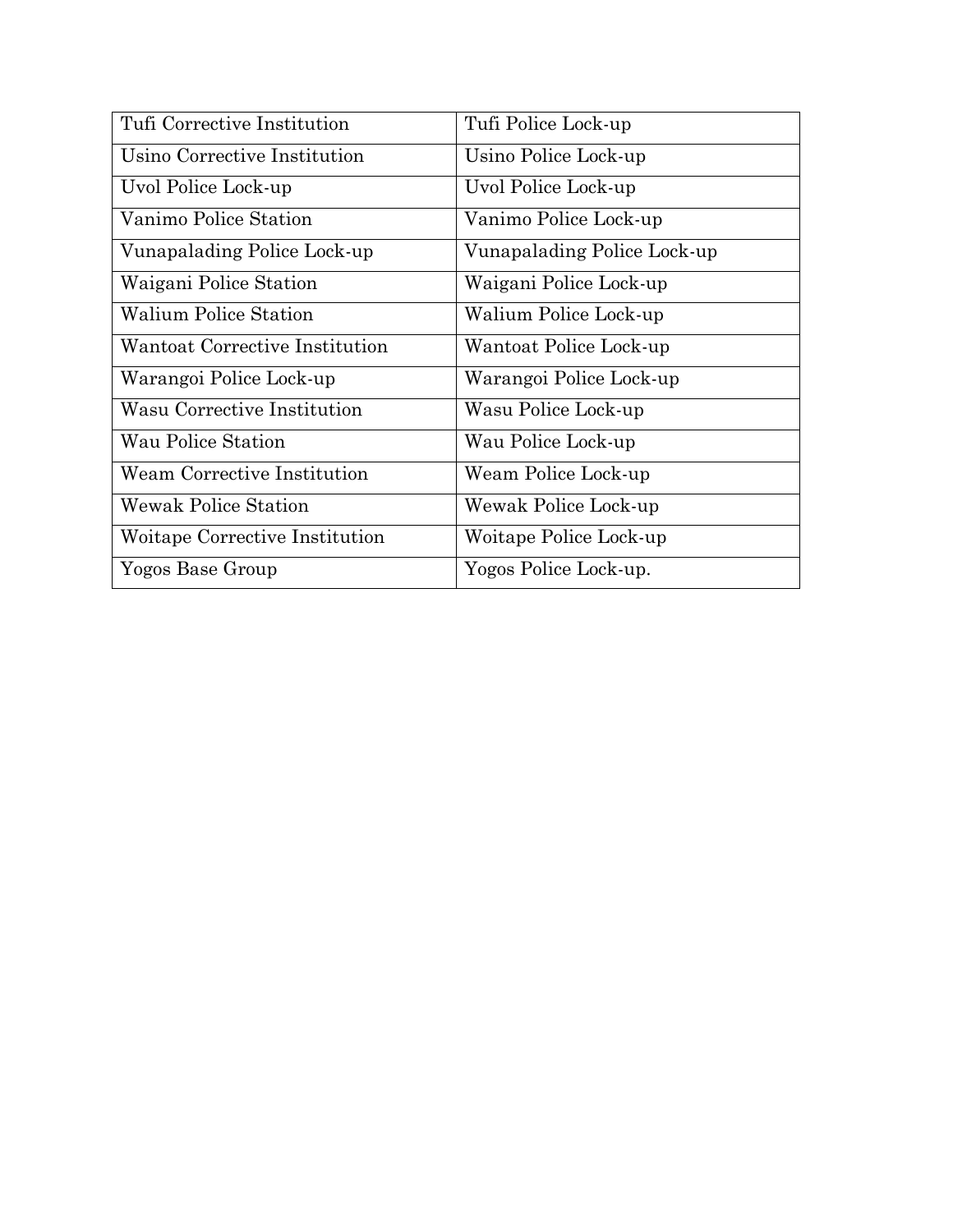| Tufi Corrective Institution    | Tufi Police Lock-up         |
|--------------------------------|-----------------------------|
| Usino Corrective Institution   | Usino Police Lock-up        |
| Uvol Police Lock-up            | Uvol Police Lock-up         |
| Vanimo Police Station          | Vanimo Police Lock-up       |
| Vunapalading Police Lock-up    | Vunapalading Police Lock-up |
| Waigani Police Station         | Waigani Police Lock-up      |
| <b>Walium Police Station</b>   | Walium Police Lock-up       |
| Wantoat Corrective Institution | Wantoat Police Lock-up      |
| Warangoi Police Lock-up        | Warangoi Police Lock-up     |
| Wasu Corrective Institution    | Wasu Police Lock-up         |
| Wau Police Station             | Wau Police Lock-up          |
| Weam Corrective Institution    | Weam Police Lock-up         |
| <b>Wewak Police Station</b>    | Wewak Police Lock-up        |
| Woitape Corrective Institution | Woitape Police Lock-up      |
| Yogos Base Group               | Yogos Police Lock-up.       |